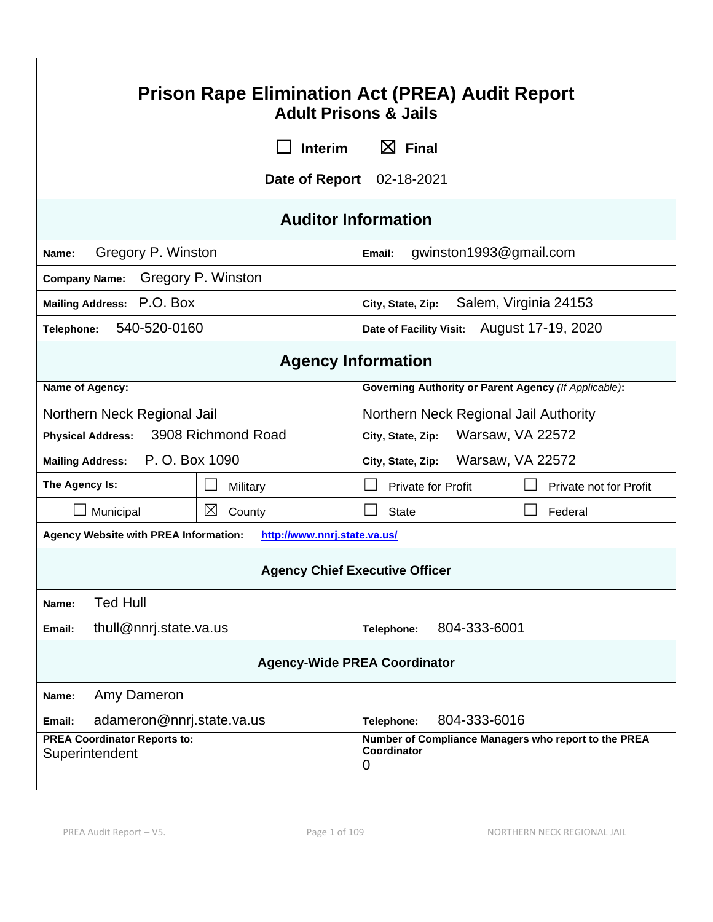| <b>Prison Rape Elimination Act (PREA) Audit Report</b><br><b>Adult Prisons &amp; Jails</b>                                                       |                                                                      |                                  |                        |  |  |
|--------------------------------------------------------------------------------------------------------------------------------------------------|----------------------------------------------------------------------|----------------------------------|------------------------|--|--|
|                                                                                                                                                  | $\boxtimes$ Final<br>Interim                                         |                                  |                        |  |  |
|                                                                                                                                                  | Date of Report                                                       | 02-18-2021                       |                        |  |  |
|                                                                                                                                                  |                                                                      | <b>Auditor Information</b>       |                        |  |  |
| Gregory P. Winston<br>Name:                                                                                                                      |                                                                      | gwinston1993@gmail.com<br>Email: |                        |  |  |
| <b>Company Name:</b>                                                                                                                             | Gregory P. Winston                                                   |                                  |                        |  |  |
| Mailing Address: P.O. BOX                                                                                                                        |                                                                      | City, State, Zip:                | Salem, Virginia 24153  |  |  |
| 540-520-0160<br>Telephone:                                                                                                                       |                                                                      | Date of Facility Visit:          | August 17-19, 2020     |  |  |
|                                                                                                                                                  |                                                                      | <b>Agency Information</b>        |                        |  |  |
| Name of Agency:                                                                                                                                  | <b>Governing Authority or Parent Agency (If Applicable):</b>         |                                  |                        |  |  |
|                                                                                                                                                  | Northern Neck Regional Jail<br>Northern Neck Regional Jail Authority |                                  |                        |  |  |
| <b>Physical Address:</b>                                                                                                                         | 3908 Richmond Road<br>Warsaw, VA 22572<br>City, State, Zip:          |                                  |                        |  |  |
| P. O. Box 1090<br>Warsaw, VA 22572<br><b>Mailing Address:</b><br>City, State, Zip:                                                               |                                                                      |                                  |                        |  |  |
| The Agency Is:                                                                                                                                   | Military                                                             | <b>Private for Profit</b>        | Private not for Profit |  |  |
| Municipal                                                                                                                                        | $\boxtimes$<br>County                                                | <b>State</b>                     | Federal                |  |  |
| <b>Agency Website with PREA Information:</b><br>http://www.nnrj.state.va.us/                                                                     |                                                                      |                                  |                        |  |  |
| <b>Agency Chief Executive Officer</b>                                                                                                            |                                                                      |                                  |                        |  |  |
| <b>Ted Hull</b><br>Name:                                                                                                                         |                                                                      |                                  |                        |  |  |
| thull@nnrj.state.va.us<br>804-333-6001<br>Telephone:<br>Email:                                                                                   |                                                                      |                                  |                        |  |  |
| <b>Agency-Wide PREA Coordinator</b>                                                                                                              |                                                                      |                                  |                        |  |  |
| Amy Dameron<br>Name:                                                                                                                             |                                                                      |                                  |                        |  |  |
| Email:                                                                                                                                           | 804-333-6016<br>adameron@nnrj.state.va.us<br>Telephone:              |                                  |                        |  |  |
| <b>PREA Coordinator Reports to:</b><br>Number of Compliance Managers who report to the PREA<br>Coordinator<br>Superintendent<br>$\boldsymbol{0}$ |                                                                      |                                  |                        |  |  |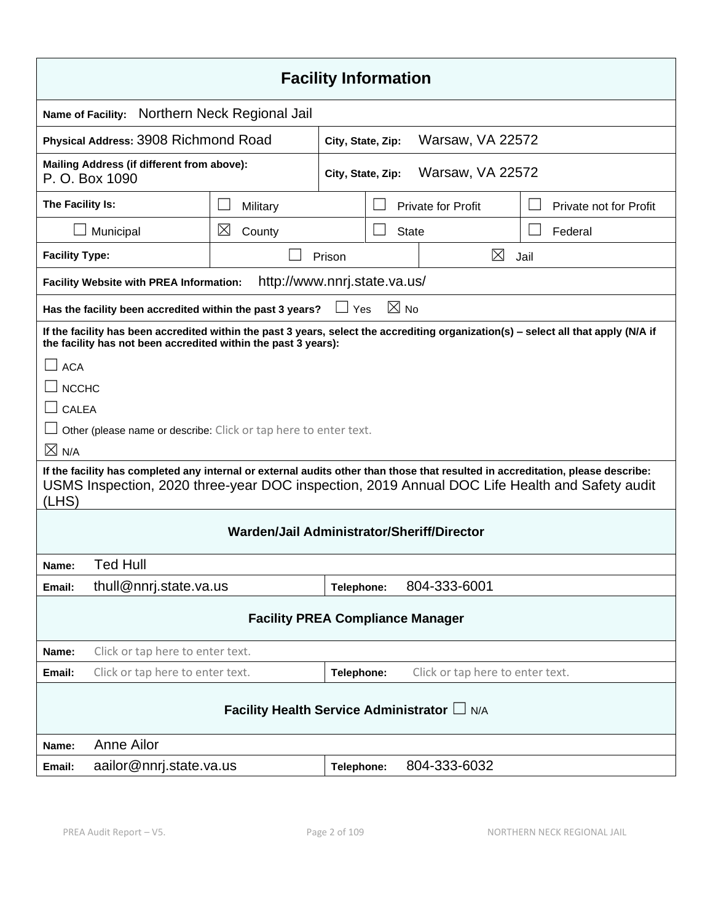| <b>Facility Information</b>                                                                                                                                                                                                               |                                                                                            |            |  |                |                           |                        |
|-------------------------------------------------------------------------------------------------------------------------------------------------------------------------------------------------------------------------------------------|--------------------------------------------------------------------------------------------|------------|--|----------------|---------------------------|------------------------|
| Name of Facility:                                                                                                                                                                                                                         | Northern Neck Regional Jail                                                                |            |  |                |                           |                        |
| Physical Address: 3908 Richmond Road<br>Warsaw, VA 22572<br>City, State, Zip:                                                                                                                                                             |                                                                                            |            |  |                |                           |                        |
| P. O. Box 1090                                                                                                                                                                                                                            | Mailing Address (if different from above):<br><b>Warsaw, VA 22572</b><br>City, State, Zip: |            |  |                |                           |                        |
| The Facility Is:                                                                                                                                                                                                                          | Military                                                                                   |            |  |                | <b>Private for Profit</b> | Private not for Profit |
| Municipal                                                                                                                                                                                                                                 | $\boxtimes$<br>County                                                                      |            |  | <b>State</b>   |                           | Federal                |
| <b>Facility Type:</b>                                                                                                                                                                                                                     |                                                                                            | Prison     |  |                | $\boxtimes$               | Jail                   |
| <b>Facility Website with PREA Information:</b>                                                                                                                                                                                            | http://www.nnrj.state.va.us/                                                               |            |  |                |                           |                        |
| Has the facility been accredited within the past 3 years?                                                                                                                                                                                 |                                                                                            | Yes        |  | $\boxtimes$ No |                           |                        |
| If the facility has been accredited within the past 3 years, select the accrediting organization(s) - select all that apply (N/A if<br>the facility has not been accredited within the past 3 years):                                     |                                                                                            |            |  |                |                           |                        |
| <b>ACA</b>                                                                                                                                                                                                                                |                                                                                            |            |  |                |                           |                        |
| <b>NCCHC</b>                                                                                                                                                                                                                              |                                                                                            |            |  |                |                           |                        |
| $\sqcup$ CALEA                                                                                                                                                                                                                            |                                                                                            |            |  |                |                           |                        |
| Other (please name or describe: Click or tap here to enter text.                                                                                                                                                                          |                                                                                            |            |  |                |                           |                        |
| $\times$ N/A                                                                                                                                                                                                                              |                                                                                            |            |  |                |                           |                        |
| If the facility has completed any internal or external audits other than those that resulted in accreditation, please describe:<br>USMS Inspection, 2020 three-year DOC inspection, 2019 Annual DOC Life Health and Safety audit<br>(LHS) |                                                                                            |            |  |                |                           |                        |
| Warden/Jail Administrator/Sheriff/Director                                                                                                                                                                                                |                                                                                            |            |  |                |                           |                        |
| <b>Ted Hull</b><br>Name:                                                                                                                                                                                                                  |                                                                                            |            |  |                |                           |                        |
| thull@nnrj.state.va.us<br>Email:                                                                                                                                                                                                          |                                                                                            | Telephone: |  |                | 804-333-6001              |                        |
| <b>Facility PREA Compliance Manager</b>                                                                                                                                                                                                   |                                                                                            |            |  |                |                           |                        |
| Click or tap here to enter text.<br>Name:                                                                                                                                                                                                 |                                                                                            |            |  |                |                           |                        |
| Click or tap here to enter text.<br>Click or tap here to enter text.<br>Telephone:<br>Email:                                                                                                                                              |                                                                                            |            |  |                |                           |                        |
| Facility Health Service Administrator L N/A                                                                                                                                                                                               |                                                                                            |            |  |                |                           |                        |
| <b>Anne Ailor</b><br>Name:                                                                                                                                                                                                                |                                                                                            |            |  |                |                           |                        |
| aailor@nnrj.state.va.us<br>Email:                                                                                                                                                                                                         |                                                                                            | Telephone: |  |                | 804-333-6032              |                        |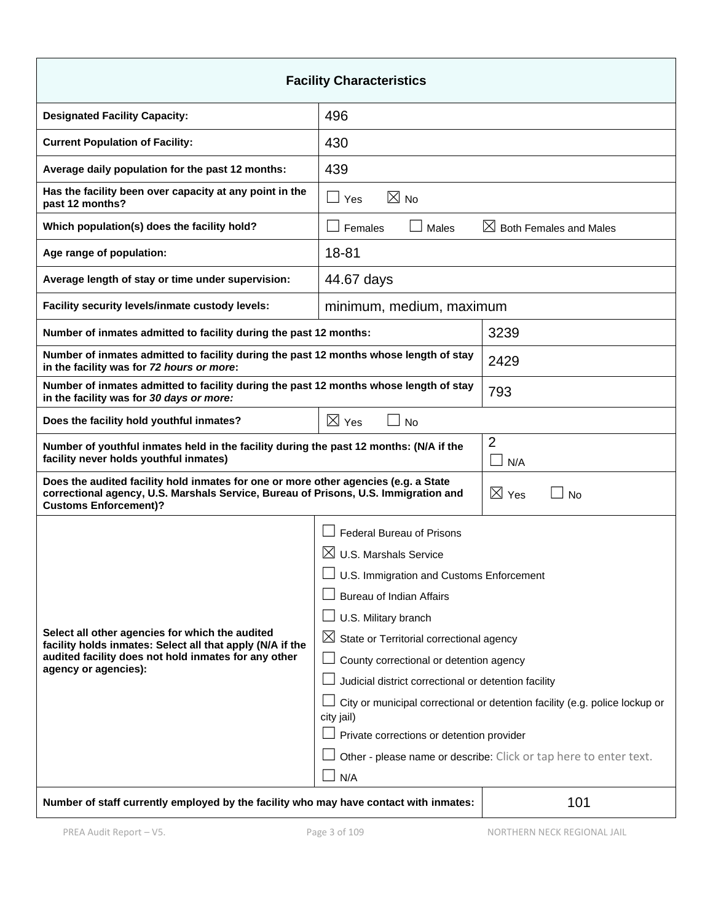| <b>Facility Characteristics</b>                                                                                                                                                                            |                                                                                              |                                    |  |  |
|------------------------------------------------------------------------------------------------------------------------------------------------------------------------------------------------------------|----------------------------------------------------------------------------------------------|------------------------------------|--|--|
| <b>Designated Facility Capacity:</b>                                                                                                                                                                       | 496                                                                                          |                                    |  |  |
| <b>Current Population of Facility:</b>                                                                                                                                                                     | 430                                                                                          |                                    |  |  |
| Average daily population for the past 12 months:                                                                                                                                                           | 439                                                                                          |                                    |  |  |
| Has the facility been over capacity at any point in the<br>past 12 months?                                                                                                                                 | $\boxtimes$ No<br>$\Box$ Yes                                                                 |                                    |  |  |
| Which population(s) does the facility hold?                                                                                                                                                                | Females<br>Males                                                                             | $\boxtimes$ Both Females and Males |  |  |
| Age range of population:                                                                                                                                                                                   | 18-81                                                                                        |                                    |  |  |
| Average length of stay or time under supervision:                                                                                                                                                          | 44.67 days                                                                                   |                                    |  |  |
| Facility security levels/inmate custody levels:                                                                                                                                                            | minimum, medium, maximum                                                                     |                                    |  |  |
| Number of inmates admitted to facility during the past 12 months:                                                                                                                                          |                                                                                              | 3239                               |  |  |
| Number of inmates admitted to facility during the past 12 months whose length of stay<br>in the facility was for 72 hours or more:                                                                         |                                                                                              | 2429                               |  |  |
| Number of inmates admitted to facility during the past 12 months whose length of stay<br>in the facility was for 30 days or more:                                                                          |                                                                                              | 793                                |  |  |
| $\boxtimes$ Yes<br>Does the facility hold youthful inmates?<br><b>No</b>                                                                                                                                   |                                                                                              |                                    |  |  |
| $\overline{2}$<br>Number of youthful inmates held in the facility during the past 12 months: (N/A if the<br>facility never holds youthful inmates)<br>N/A                                                  |                                                                                              |                                    |  |  |
| Does the audited facility hold inmates for one or more other agencies (e.g. a State<br>correctional agency, U.S. Marshals Service, Bureau of Prisons, U.S. Immigration and<br><b>Customs Enforcement)?</b> | $\boxtimes$ Yes<br>No                                                                        |                                    |  |  |
|                                                                                                                                                                                                            | <b>Federal Bureau of Prisons</b>                                                             |                                    |  |  |
|                                                                                                                                                                                                            | $\boxtimes$ U.S. Marshals Service                                                            |                                    |  |  |
|                                                                                                                                                                                                            | $\Box$ U.S. Immigration and Customs Enforcement                                              |                                    |  |  |
|                                                                                                                                                                                                            | <b>Bureau of Indian Affairs</b>                                                              |                                    |  |  |
| Select all other agencies for which the audited                                                                                                                                                            | U.S. Military branch                                                                         |                                    |  |  |
| facility holds inmates: Select all that apply (N/A if the                                                                                                                                                  | $\boxtimes$ State or Territorial correctional agency                                         |                                    |  |  |
| audited facility does not hold inmates for any other<br>agency or agencies):                                                                                                                               | County correctional or detention agency                                                      |                                    |  |  |
|                                                                                                                                                                                                            | Judicial district correctional or detention facility                                         |                                    |  |  |
|                                                                                                                                                                                                            | City or municipal correctional or detention facility (e.g. police lockup or<br>city jail)    |                                    |  |  |
|                                                                                                                                                                                                            | Private corrections or detention provider                                                    |                                    |  |  |
|                                                                                                                                                                                                            | Other - please name or describe: Click or tap here to enter text.                            |                                    |  |  |
|                                                                                                                                                                                                            | N/A                                                                                          |                                    |  |  |
|                                                                                                                                                                                                            | 101<br>Number of staff currently employed by the facility who may have contact with inmates: |                                    |  |  |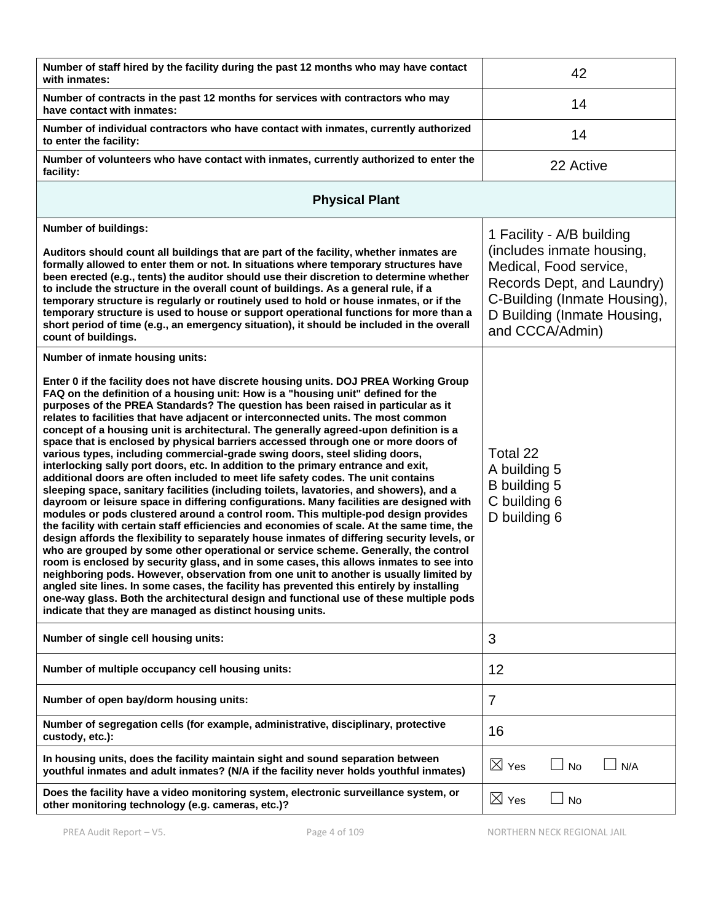| Number of staff hired by the facility during the past 12 months who may have contact<br>with inmates:                                                                                                                                                                                                                                                                                                                                                                                                                                                                                                                                                                                                                                                                                                                                                                                                                                                                                                                                                                                                                                                                                                                                                                                                                                                                                                                                                                                                                                                                                                                                                                                                                                                                                         | 42                                                                                                                                                                                               |
|-----------------------------------------------------------------------------------------------------------------------------------------------------------------------------------------------------------------------------------------------------------------------------------------------------------------------------------------------------------------------------------------------------------------------------------------------------------------------------------------------------------------------------------------------------------------------------------------------------------------------------------------------------------------------------------------------------------------------------------------------------------------------------------------------------------------------------------------------------------------------------------------------------------------------------------------------------------------------------------------------------------------------------------------------------------------------------------------------------------------------------------------------------------------------------------------------------------------------------------------------------------------------------------------------------------------------------------------------------------------------------------------------------------------------------------------------------------------------------------------------------------------------------------------------------------------------------------------------------------------------------------------------------------------------------------------------------------------------------------------------------------------------------------------------|--------------------------------------------------------------------------------------------------------------------------------------------------------------------------------------------------|
| Number of contracts in the past 12 months for services with contractors who may<br>have contact with inmates:                                                                                                                                                                                                                                                                                                                                                                                                                                                                                                                                                                                                                                                                                                                                                                                                                                                                                                                                                                                                                                                                                                                                                                                                                                                                                                                                                                                                                                                                                                                                                                                                                                                                                 | 14                                                                                                                                                                                               |
| Number of individual contractors who have contact with inmates, currently authorized<br>to enter the facility:                                                                                                                                                                                                                                                                                                                                                                                                                                                                                                                                                                                                                                                                                                                                                                                                                                                                                                                                                                                                                                                                                                                                                                                                                                                                                                                                                                                                                                                                                                                                                                                                                                                                                | 14                                                                                                                                                                                               |
| Number of volunteers who have contact with inmates, currently authorized to enter the<br>facility:                                                                                                                                                                                                                                                                                                                                                                                                                                                                                                                                                                                                                                                                                                                                                                                                                                                                                                                                                                                                                                                                                                                                                                                                                                                                                                                                                                                                                                                                                                                                                                                                                                                                                            | 22 Active                                                                                                                                                                                        |
| <b>Physical Plant</b>                                                                                                                                                                                                                                                                                                                                                                                                                                                                                                                                                                                                                                                                                                                                                                                                                                                                                                                                                                                                                                                                                                                                                                                                                                                                                                                                                                                                                                                                                                                                                                                                                                                                                                                                                                         |                                                                                                                                                                                                  |
| <b>Number of buildings:</b><br>Auditors should count all buildings that are part of the facility, whether inmates are<br>formally allowed to enter them or not. In situations where temporary structures have<br>been erected (e.g., tents) the auditor should use their discretion to determine whether<br>to include the structure in the overall count of buildings. As a general rule, if a<br>temporary structure is regularly or routinely used to hold or house inmates, or if the<br>temporary structure is used to house or support operational functions for more than a<br>short period of time (e.g., an emergency situation), it should be included in the overall<br>count of buildings.                                                                                                                                                                                                                                                                                                                                                                                                                                                                                                                                                                                                                                                                                                                                                                                                                                                                                                                                                                                                                                                                                        | 1 Facility - A/B building<br>(includes inmate housing,<br>Medical, Food service,<br>Records Dept, and Laundry)<br>C-Building (Inmate Housing),<br>D Building (Inmate Housing,<br>and CCCA/Admin) |
| Number of inmate housing units:                                                                                                                                                                                                                                                                                                                                                                                                                                                                                                                                                                                                                                                                                                                                                                                                                                                                                                                                                                                                                                                                                                                                                                                                                                                                                                                                                                                                                                                                                                                                                                                                                                                                                                                                                               |                                                                                                                                                                                                  |
| Enter 0 if the facility does not have discrete housing units. DOJ PREA Working Group<br>FAQ on the definition of a housing unit: How is a "housing unit" defined for the<br>purposes of the PREA Standards? The question has been raised in particular as it<br>relates to facilities that have adjacent or interconnected units. The most common<br>concept of a housing unit is architectural. The generally agreed-upon definition is a<br>space that is enclosed by physical barriers accessed through one or more doors of<br>various types, including commercial-grade swing doors, steel sliding doors,<br>interlocking sally port doors, etc. In addition to the primary entrance and exit,<br>additional doors are often included to meet life safety codes. The unit contains<br>sleeping space, sanitary facilities (including toilets, lavatories, and showers), and a<br>dayroom or leisure space in differing configurations. Many facilities are designed with<br>modules or pods clustered around a control room. This multiple-pod design provides<br>the facility with certain staff efficiencies and economies of scale. At the same time, the<br>design affords the flexibility to separately house inmates of differing security levels, or<br>who are grouped by some other operational or service scheme. Generally, the control<br>room is enclosed by security glass, and in some cases, this allows inmates to see into<br>neighboring pods. However, observation from one unit to another is usually limited by<br>angled site lines. In some cases, the facility has prevented this entirely by installing<br>one-way glass. Both the architectural design and functional use of these multiple pods<br>indicate that they are managed as distinct housing units. | Total 22<br>A building 5<br>B building 5<br>C building 6<br>D building 6                                                                                                                         |
| Number of single cell housing units:                                                                                                                                                                                                                                                                                                                                                                                                                                                                                                                                                                                                                                                                                                                                                                                                                                                                                                                                                                                                                                                                                                                                                                                                                                                                                                                                                                                                                                                                                                                                                                                                                                                                                                                                                          | 3                                                                                                                                                                                                |
| Number of multiple occupancy cell housing units:                                                                                                                                                                                                                                                                                                                                                                                                                                                                                                                                                                                                                                                                                                                                                                                                                                                                                                                                                                                                                                                                                                                                                                                                                                                                                                                                                                                                                                                                                                                                                                                                                                                                                                                                              | 12                                                                                                                                                                                               |
| Number of open bay/dorm housing units:                                                                                                                                                                                                                                                                                                                                                                                                                                                                                                                                                                                                                                                                                                                                                                                                                                                                                                                                                                                                                                                                                                                                                                                                                                                                                                                                                                                                                                                                                                                                                                                                                                                                                                                                                        | 7                                                                                                                                                                                                |
| Number of segregation cells (for example, administrative, disciplinary, protective<br>custody, etc.):                                                                                                                                                                                                                                                                                                                                                                                                                                                                                                                                                                                                                                                                                                                                                                                                                                                                                                                                                                                                                                                                                                                                                                                                                                                                                                                                                                                                                                                                                                                                                                                                                                                                                         | 16                                                                                                                                                                                               |
| In housing units, does the facility maintain sight and sound separation between<br>youthful inmates and adult inmates? (N/A if the facility never holds youthful inmates)                                                                                                                                                                                                                                                                                                                                                                                                                                                                                                                                                                                                                                                                                                                                                                                                                                                                                                                                                                                                                                                                                                                                                                                                                                                                                                                                                                                                                                                                                                                                                                                                                     | $\boxtimes$ Yes<br>N/A<br><b>No</b>                                                                                                                                                              |
| Does the facility have a video monitoring system, electronic surveillance system, or<br>other monitoring technology (e.g. cameras, etc.)?                                                                                                                                                                                                                                                                                                                                                                                                                                                                                                                                                                                                                                                                                                                                                                                                                                                                                                                                                                                                                                                                                                                                                                                                                                                                                                                                                                                                                                                                                                                                                                                                                                                     | $\boxtimes$ Yes<br>No                                                                                                                                                                            |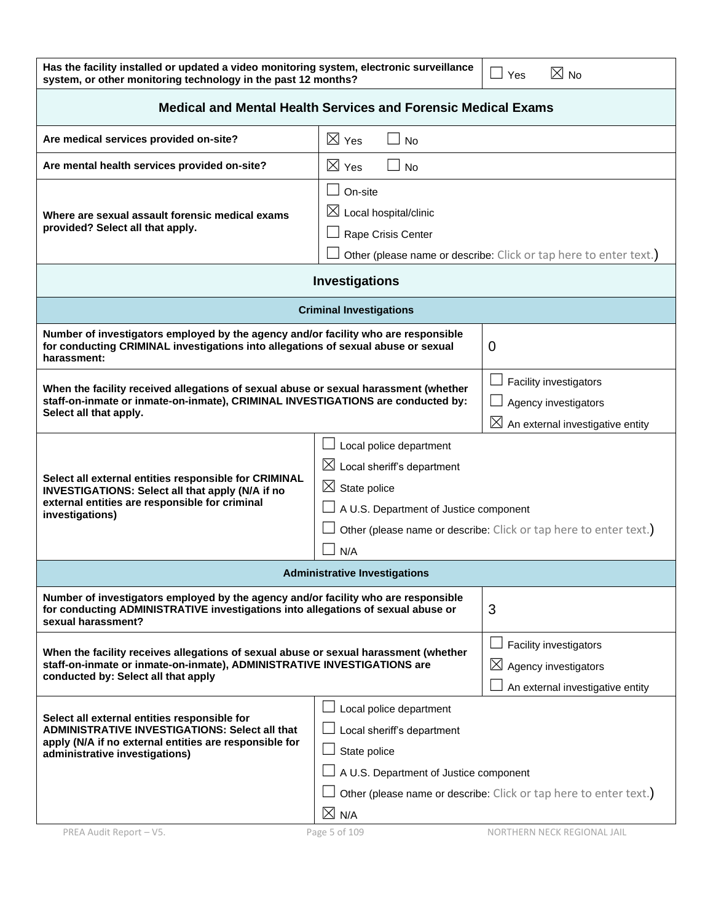| Has the facility installed or updated a video monitoring system, electronic surveillance |
|------------------------------------------------------------------------------------------|
| system, or other monitoring technology in the past 12 months?                            |

| <b>Medical and Mental Health Services and Forensic Medical Exams</b>                                                                                                                                                                                                                                                             |                                                                                                                                         |                                                                                                   |  |  |
|----------------------------------------------------------------------------------------------------------------------------------------------------------------------------------------------------------------------------------------------------------------------------------------------------------------------------------|-----------------------------------------------------------------------------------------------------------------------------------------|---------------------------------------------------------------------------------------------------|--|--|
| Are medical services provided on-site?                                                                                                                                                                                                                                                                                           | $\boxtimes$ Yes<br>$\mathbf{I}$<br><b>No</b>                                                                                            |                                                                                                   |  |  |
| Are mental health services provided on-site?                                                                                                                                                                                                                                                                                     | $\boxtimes$ Yes<br><b>No</b>                                                                                                            |                                                                                                   |  |  |
| Where are sexual assault forensic medical exams<br>provided? Select all that apply.                                                                                                                                                                                                                                              | On-site<br>$\boxtimes$ Local hospital/clinic<br>Rape Crisis Center<br>Other (please name or describe: Click or tap here to enter text.) |                                                                                                   |  |  |
|                                                                                                                                                                                                                                                                                                                                  | Investigations                                                                                                                          |                                                                                                   |  |  |
|                                                                                                                                                                                                                                                                                                                                  | <b>Criminal Investigations</b>                                                                                                          |                                                                                                   |  |  |
| Number of investigators employed by the agency and/or facility who are responsible<br>for conducting CRIMINAL investigations into allegations of sexual abuse or sexual<br>harassment:                                                                                                                                           |                                                                                                                                         | 0                                                                                                 |  |  |
| When the facility received allegations of sexual abuse or sexual harassment (whether<br>staff-on-inmate or inmate-on-inmate), CRIMINAL INVESTIGATIONS are conducted by:<br>Select all that apply.                                                                                                                                |                                                                                                                                         | Facility investigators<br>Agency investigators<br>$\boxtimes$<br>An external investigative entity |  |  |
| Local police department<br>$\boxtimes$ Local sheriff's department<br>Select all external entities responsible for CRIMINAL<br>$\boxtimes$ State police<br>INVESTIGATIONS: Select all that apply (N/A if no<br>external entities are responsible for criminal<br>A U.S. Department of Justice component<br>investigations)<br>N/A |                                                                                                                                         | Other (please name or describe: Click or tap here to enter text.)                                 |  |  |
|                                                                                                                                                                                                                                                                                                                                  | <b>Administrative Investigations</b>                                                                                                    |                                                                                                   |  |  |
| Number of investigators employed by the agency and/or facility who are responsible<br>for conducting ADMINISTRATIVE investigations into allegations of sexual abuse or<br>3<br>sexual harassment?                                                                                                                                |                                                                                                                                         |                                                                                                   |  |  |
| When the facility receives allegations of sexual abuse or sexual harassment (whether<br>staff-on-inmate or inmate-on-inmate), ADMINISTRATIVE INVESTIGATIONS are<br>conducted by: Select all that apply                                                                                                                           |                                                                                                                                         | Facility investigators<br>⊠<br>Agency investigators<br>An external investigative entity           |  |  |
| Select all external entities responsible for<br><b>ADMINISTRATIVE INVESTIGATIONS: Select all that</b><br>apply (N/A if no external entities are responsible for<br>administrative investigations)                                                                                                                                | Local police department<br>Local sheriff's department<br>State police<br>A U.S. Department of Justice component<br>$\boxtimes$ N/A      | Other (please name or describe: Click or tap here to enter text.)                                 |  |  |
| PREA Audit Report - V5.                                                                                                                                                                                                                                                                                                          | Page 5 of 109                                                                                                                           | NORTHERN NECK REGIONAL JAIL                                                                       |  |  |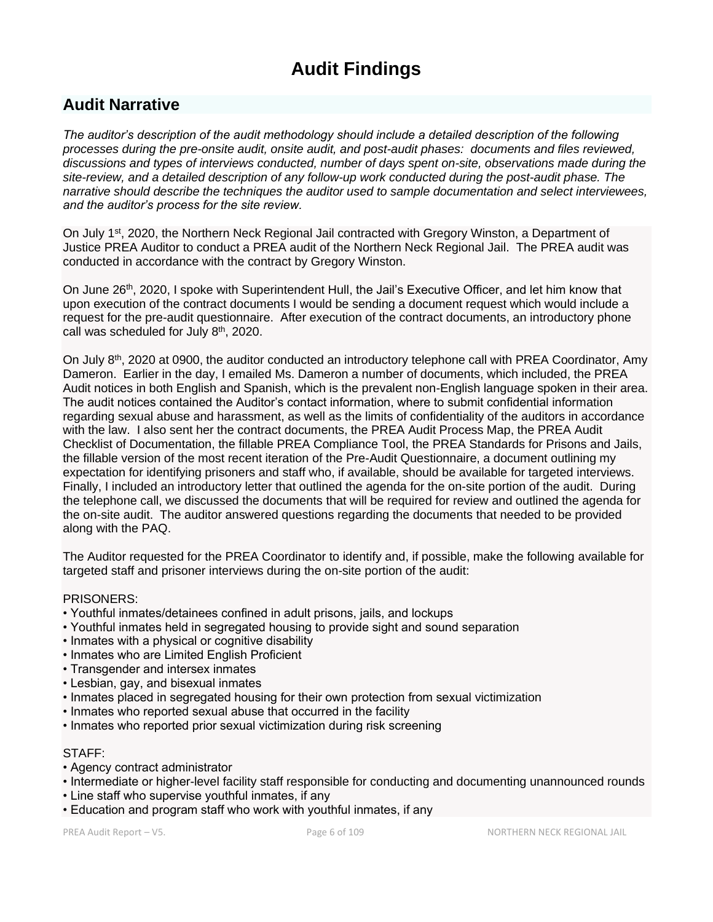# **Audit Findings**

## **Audit Narrative**

*The auditor's description of the audit methodology should include a detailed description of the following processes during the pre-onsite audit, onsite audit, and post-audit phases: documents and files reviewed, discussions and types of interviews conducted, number of days spent on-site, observations made during the site-review, and a detailed description of any follow-up work conducted during the post-audit phase. The narrative should describe the techniques the auditor used to sample documentation and select interviewees, and the auditor's process for the site review.*

On July 1<sup>st</sup>, 2020, the Northern Neck Regional Jail contracted with Gregory Winston, a Department of Justice PREA Auditor to conduct a PREA audit of the Northern Neck Regional Jail. The PREA audit was conducted in accordance with the contract by Gregory Winston.

On June 26<sup>th</sup>, 2020, I spoke with Superintendent Hull, the Jail's Executive Officer, and let him know that upon execution of the contract documents I would be sending a document request which would include a request for the pre-audit questionnaire. After execution of the contract documents, an introductory phone call was scheduled for July 8<sup>th</sup>, 2020.

On July  $8<sup>th</sup>$ , 2020 at 0900, the auditor conducted an introductory telephone call with PREA Coordinator, Amy Dameron. Earlier in the day, I emailed Ms. Dameron a number of documents, which included, the PREA Audit notices in both English and Spanish, which is the prevalent non-English language spoken in their area. The audit notices contained the Auditor's contact information, where to submit confidential information regarding sexual abuse and harassment, as well as the limits of confidentiality of the auditors in accordance with the law. I also sent her the contract documents, the PREA Audit Process Map, the PREA Audit Checklist of Documentation, the fillable PREA Compliance Tool, the PREA Standards for Prisons and Jails, the fillable version of the most recent iteration of the Pre-Audit Questionnaire, a document outlining my expectation for identifying prisoners and staff who, if available, should be available for targeted interviews. Finally, I included an introductory letter that outlined the agenda for the on-site portion of the audit. During the telephone call, we discussed the documents that will be required for review and outlined the agenda for the on-site audit. The auditor answered questions regarding the documents that needed to be provided along with the PAQ.

The Auditor requested for the PREA Coordinator to identify and, if possible, make the following available for targeted staff and prisoner interviews during the on-site portion of the audit:

#### PRISONERS:

- Youthful inmates/detainees confined in adult prisons, jails, and lockups
- Youthful inmates held in segregated housing to provide sight and sound separation
- Inmates with a physical or cognitive disability
- Inmates who are Limited English Proficient
- Transgender and intersex inmates
- Lesbian, gay, and bisexual inmates
- Inmates placed in segregated housing for their own protection from sexual victimization
- Inmates who reported sexual abuse that occurred in the facility
- Inmates who reported prior sexual victimization during risk screening

#### STAFF:

- Agency contract administrator
- Intermediate or higher-level facility staff responsible for conducting and documenting unannounced rounds
- Line staff who supervise youthful inmates, if any
- Education and program staff who work with youthful inmates, if any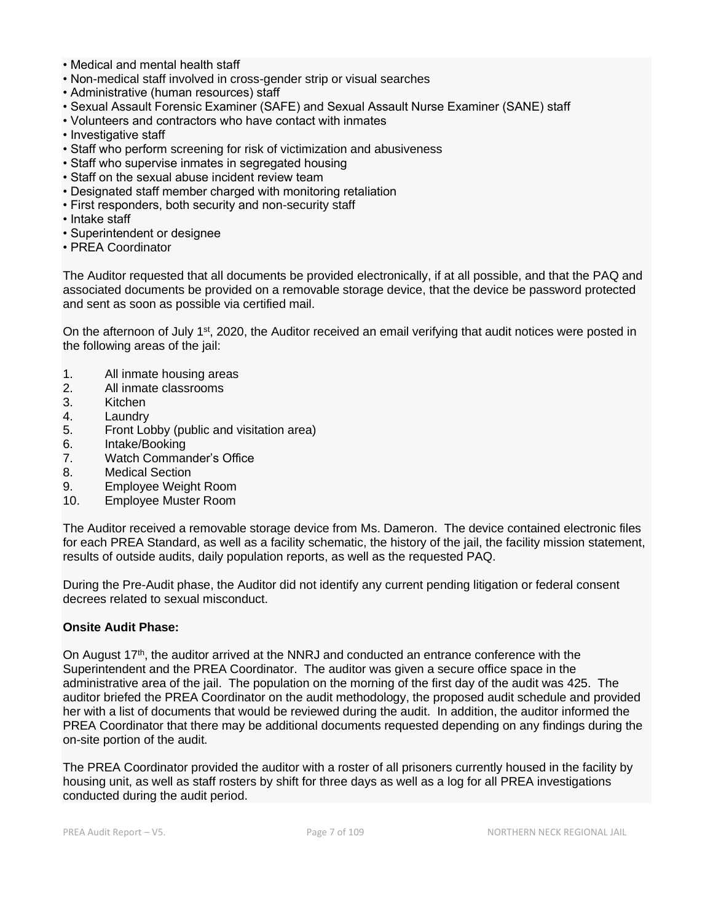- Medical and mental health staff
- Non-medical staff involved in cross-gender strip or visual searches
- Administrative (human resources) staff
- Sexual Assault Forensic Examiner (SAFE) and Sexual Assault Nurse Examiner (SANE) staff
- Volunteers and contractors who have contact with inmates
- Investigative staff
- Staff who perform screening for risk of victimization and abusiveness
- Staff who supervise inmates in segregated housing
- Staff on the sexual abuse incident review team
- Designated staff member charged with monitoring retaliation
- First responders, both security and non-security staff
- Intake staff
- Superintendent or designee
- PREA Coordinator

The Auditor requested that all documents be provided electronically, if at all possible, and that the PAQ and associated documents be provided on a removable storage device, that the device be password protected and sent as soon as possible via certified mail.

On the afternoon of July 1<sup>st</sup>, 2020, the Auditor received an email verifying that audit notices were posted in the following areas of the jail:

- 1. All inmate housing areas
- 2. All inmate classrooms
- 3. Kitchen
- 4. Laundry
- 5. Front Lobby (public and visitation area)
- 6. Intake/Booking
- 7. Watch Commander's Office
- 8. Medical Section
- 9. Employee Weight Room
- 10. Employee Muster Room

The Auditor received a removable storage device from Ms. Dameron. The device contained electronic files for each PREA Standard, as well as a facility schematic, the history of the jail, the facility mission statement, results of outside audits, daily population reports, as well as the requested PAQ.

During the Pre-Audit phase, the Auditor did not identify any current pending litigation or federal consent decrees related to sexual misconduct.

#### **Onsite Audit Phase:**

On August 17<sup>th</sup>, the auditor arrived at the NNRJ and conducted an entrance conference with the Superintendent and the PREA Coordinator. The auditor was given a secure office space in the administrative area of the jail. The population on the morning of the first day of the audit was 425. The auditor briefed the PREA Coordinator on the audit methodology, the proposed audit schedule and provided her with a list of documents that would be reviewed during the audit. In addition, the auditor informed the PREA Coordinator that there may be additional documents requested depending on any findings during the on-site portion of the audit.

The PREA Coordinator provided the auditor with a roster of all prisoners currently housed in the facility by housing unit, as well as staff rosters by shift for three days as well as a log for all PREA investigations conducted during the audit period.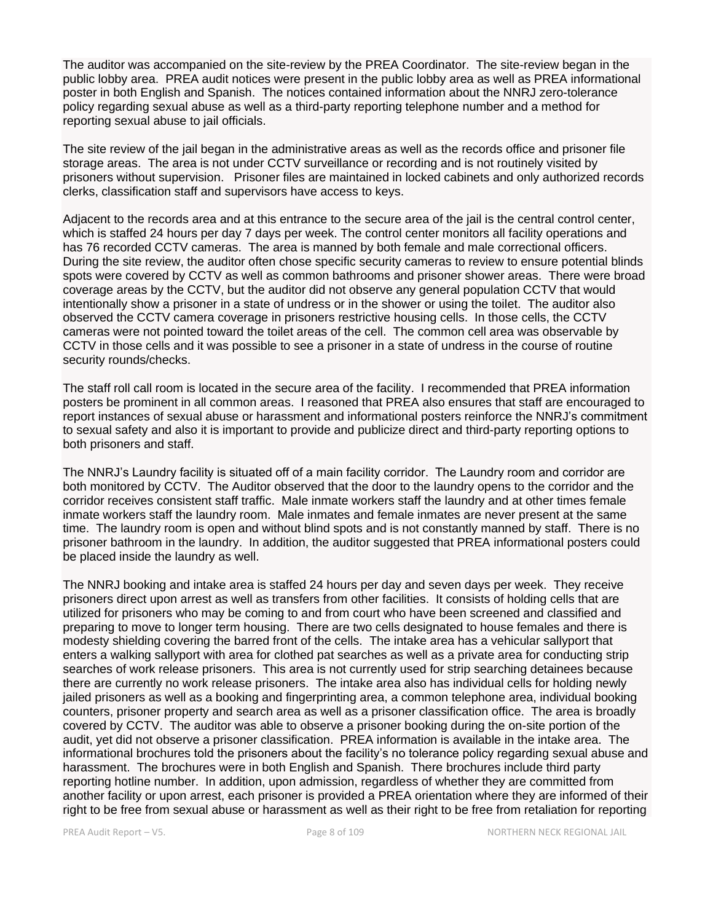The auditor was accompanied on the site-review by the PREA Coordinator. The site-review began in the public lobby area. PREA audit notices were present in the public lobby area as well as PREA informational poster in both English and Spanish. The notices contained information about the NNRJ zero-tolerance policy regarding sexual abuse as well as a third-party reporting telephone number and a method for reporting sexual abuse to jail officials.

The site review of the jail began in the administrative areas as well as the records office and prisoner file storage areas. The area is not under CCTV surveillance or recording and is not routinely visited by prisoners without supervision. Prisoner files are maintained in locked cabinets and only authorized records clerks, classification staff and supervisors have access to keys.

Adjacent to the records area and at this entrance to the secure area of the jail is the central control center, which is staffed 24 hours per day 7 days per week. The control center monitors all facility operations and has 76 recorded CCTV cameras. The area is manned by both female and male correctional officers. During the site review, the auditor often chose specific security cameras to review to ensure potential blinds spots were covered by CCTV as well as common bathrooms and prisoner shower areas. There were broad coverage areas by the CCTV, but the auditor did not observe any general population CCTV that would intentionally show a prisoner in a state of undress or in the shower or using the toilet. The auditor also observed the CCTV camera coverage in prisoners restrictive housing cells. In those cells, the CCTV cameras were not pointed toward the toilet areas of the cell. The common cell area was observable by CCTV in those cells and it was possible to see a prisoner in a state of undress in the course of routine security rounds/checks.

The staff roll call room is located in the secure area of the facility. I recommended that PREA information posters be prominent in all common areas. I reasoned that PREA also ensures that staff are encouraged to report instances of sexual abuse or harassment and informational posters reinforce the NNRJ's commitment to sexual safety and also it is important to provide and publicize direct and third-party reporting options to both prisoners and staff.

The NNRJ's Laundry facility is situated off of a main facility corridor. The Laundry room and corridor are both monitored by CCTV. The Auditor observed that the door to the laundry opens to the corridor and the corridor receives consistent staff traffic. Male inmate workers staff the laundry and at other times female inmate workers staff the laundry room. Male inmates and female inmates are never present at the same time. The laundry room is open and without blind spots and is not constantly manned by staff. There is no prisoner bathroom in the laundry. In addition, the auditor suggested that PREA informational posters could be placed inside the laundry as well.

The NNRJ booking and intake area is staffed 24 hours per day and seven days per week. They receive prisoners direct upon arrest as well as transfers from other facilities. It consists of holding cells that are utilized for prisoners who may be coming to and from court who have been screened and classified and preparing to move to longer term housing. There are two cells designated to house females and there is modesty shielding covering the barred front of the cells. The intake area has a vehicular sallyport that enters a walking sallyport with area for clothed pat searches as well as a private area for conducting strip searches of work release prisoners. This area is not currently used for strip searching detainees because there are currently no work release prisoners. The intake area also has individual cells for holding newly jailed prisoners as well as a booking and fingerprinting area, a common telephone area, individual booking counters, prisoner property and search area as well as a prisoner classification office. The area is broadly covered by CCTV. The auditor was able to observe a prisoner booking during the on-site portion of the audit, yet did not observe a prisoner classification. PREA information is available in the intake area. The informational brochures told the prisoners about the facility's no tolerance policy regarding sexual abuse and harassment. The brochures were in both English and Spanish. There brochures include third party reporting hotline number. In addition, upon admission, regardless of whether they are committed from another facility or upon arrest, each prisoner is provided a PREA orientation where they are informed of their right to be free from sexual abuse or harassment as well as their right to be free from retaliation for reporting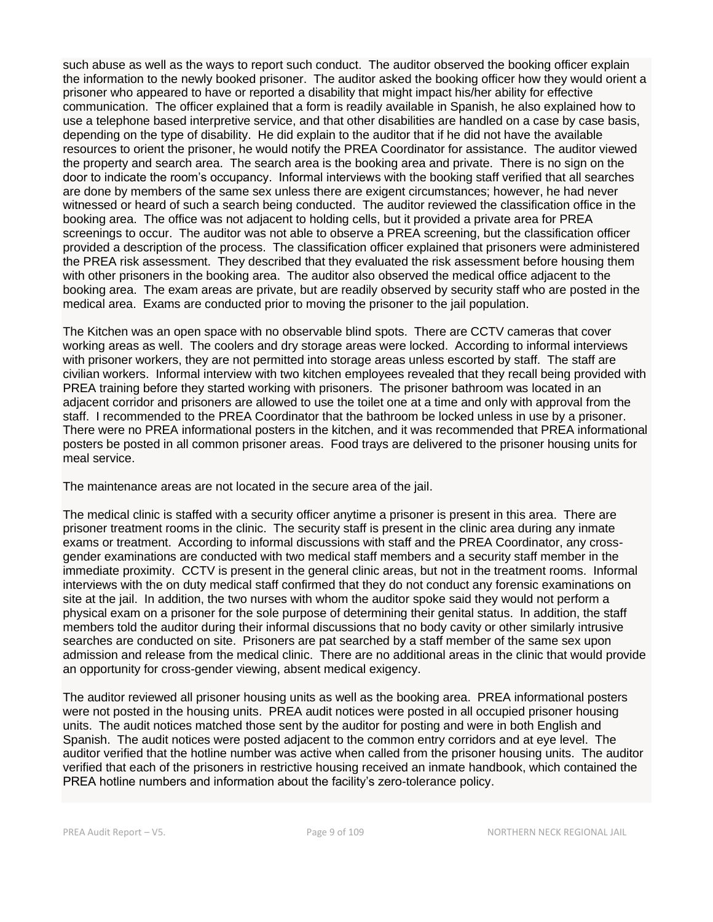such abuse as well as the ways to report such conduct. The auditor observed the booking officer explain the information to the newly booked prisoner. The auditor asked the booking officer how they would orient a prisoner who appeared to have or reported a disability that might impact his/her ability for effective communication. The officer explained that a form is readily available in Spanish, he also explained how to use a telephone based interpretive service, and that other disabilities are handled on a case by case basis, depending on the type of disability. He did explain to the auditor that if he did not have the available resources to orient the prisoner, he would notify the PREA Coordinator for assistance. The auditor viewed the property and search area. The search area is the booking area and private. There is no sign on the door to indicate the room's occupancy. Informal interviews with the booking staff verified that all searches are done by members of the same sex unless there are exigent circumstances; however, he had never witnessed or heard of such a search being conducted. The auditor reviewed the classification office in the booking area. The office was not adjacent to holding cells, but it provided a private area for PREA screenings to occur. The auditor was not able to observe a PREA screening, but the classification officer provided a description of the process. The classification officer explained that prisoners were administered the PREA risk assessment. They described that they evaluated the risk assessment before housing them with other prisoners in the booking area. The auditor also observed the medical office adjacent to the booking area. The exam areas are private, but are readily observed by security staff who are posted in the medical area. Exams are conducted prior to moving the prisoner to the jail population.

The Kitchen was an open space with no observable blind spots. There are CCTV cameras that cover working areas as well. The coolers and dry storage areas were locked. According to informal interviews with prisoner workers, they are not permitted into storage areas unless escorted by staff. The staff are civilian workers. Informal interview with two kitchen employees revealed that they recall being provided with PREA training before they started working with prisoners. The prisoner bathroom was located in an adjacent corridor and prisoners are allowed to use the toilet one at a time and only with approval from the staff. I recommended to the PREA Coordinator that the bathroom be locked unless in use by a prisoner. There were no PREA informational posters in the kitchen, and it was recommended that PREA informational posters be posted in all common prisoner areas. Food trays are delivered to the prisoner housing units for meal service.

The maintenance areas are not located in the secure area of the jail.

The medical clinic is staffed with a security officer anytime a prisoner is present in this area. There are prisoner treatment rooms in the clinic. The security staff is present in the clinic area during any inmate exams or treatment. According to informal discussions with staff and the PREA Coordinator, any crossgender examinations are conducted with two medical staff members and a security staff member in the immediate proximity. CCTV is present in the general clinic areas, but not in the treatment rooms. Informal interviews with the on duty medical staff confirmed that they do not conduct any forensic examinations on site at the jail. In addition, the two nurses with whom the auditor spoke said they would not perform a physical exam on a prisoner for the sole purpose of determining their genital status. In addition, the staff members told the auditor during their informal discussions that no body cavity or other similarly intrusive searches are conducted on site. Prisoners are pat searched by a staff member of the same sex upon admission and release from the medical clinic. There are no additional areas in the clinic that would provide an opportunity for cross-gender viewing, absent medical exigency.

The auditor reviewed all prisoner housing units as well as the booking area. PREA informational posters were not posted in the housing units. PREA audit notices were posted in all occupied prisoner housing units. The audit notices matched those sent by the auditor for posting and were in both English and Spanish. The audit notices were posted adjacent to the common entry corridors and at eye level. The auditor verified that the hotline number was active when called from the prisoner housing units. The auditor verified that each of the prisoners in restrictive housing received an inmate handbook, which contained the PREA hotline numbers and information about the facility's zero-tolerance policy.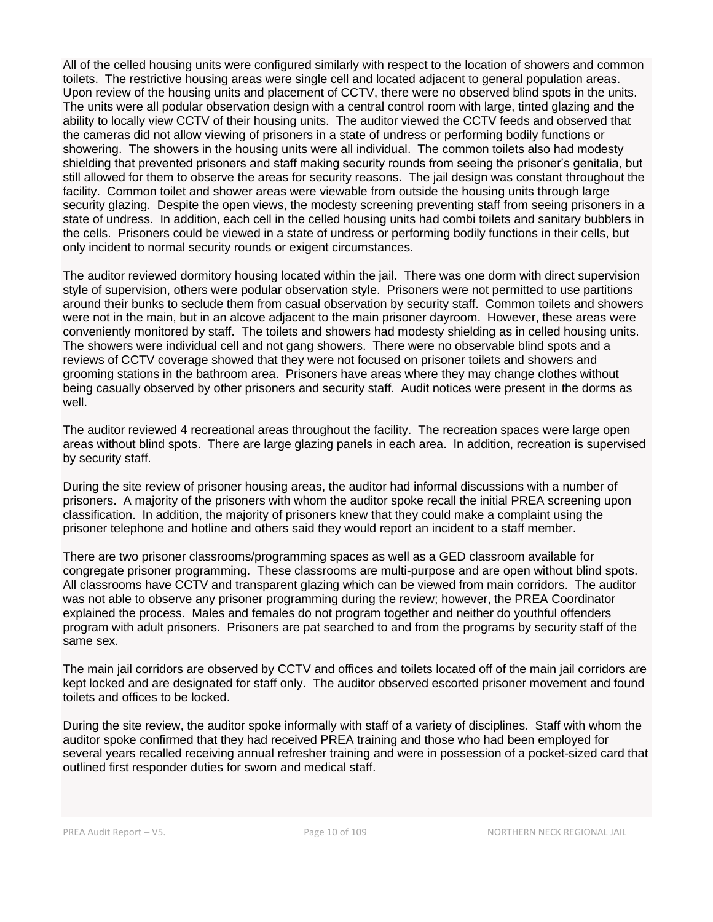All of the celled housing units were configured similarly with respect to the location of showers and common toilets. The restrictive housing areas were single cell and located adjacent to general population areas. Upon review of the housing units and placement of CCTV, there were no observed blind spots in the units. The units were all podular observation design with a central control room with large, tinted glazing and the ability to locally view CCTV of their housing units. The auditor viewed the CCTV feeds and observed that the cameras did not allow viewing of prisoners in a state of undress or performing bodily functions or showering. The showers in the housing units were all individual. The common toilets also had modesty shielding that prevented prisoners and staff making security rounds from seeing the prisoner's genitalia, but still allowed for them to observe the areas for security reasons. The jail design was constant throughout the facility. Common toilet and shower areas were viewable from outside the housing units through large security glazing. Despite the open views, the modesty screening preventing staff from seeing prisoners in a state of undress. In addition, each cell in the celled housing units had combi toilets and sanitary bubblers in the cells. Prisoners could be viewed in a state of undress or performing bodily functions in their cells, but only incident to normal security rounds or exigent circumstances.

The auditor reviewed dormitory housing located within the jail. There was one dorm with direct supervision style of supervision, others were podular observation style. Prisoners were not permitted to use partitions around their bunks to seclude them from casual observation by security staff. Common toilets and showers were not in the main, but in an alcove adjacent to the main prisoner dayroom. However, these areas were conveniently monitored by staff. The toilets and showers had modesty shielding as in celled housing units. The showers were individual cell and not gang showers. There were no observable blind spots and a reviews of CCTV coverage showed that they were not focused on prisoner toilets and showers and grooming stations in the bathroom area. Prisoners have areas where they may change clothes without being casually observed by other prisoners and security staff. Audit notices were present in the dorms as well.

The auditor reviewed 4 recreational areas throughout the facility. The recreation spaces were large open areas without blind spots. There are large glazing panels in each area. In addition, recreation is supervised by security staff.

During the site review of prisoner housing areas, the auditor had informal discussions with a number of prisoners. A majority of the prisoners with whom the auditor spoke recall the initial PREA screening upon classification. In addition, the majority of prisoners knew that they could make a complaint using the prisoner telephone and hotline and others said they would report an incident to a staff member.

There are two prisoner classrooms/programming spaces as well as a GED classroom available for congregate prisoner programming. These classrooms are multi-purpose and are open without blind spots. All classrooms have CCTV and transparent glazing which can be viewed from main corridors. The auditor was not able to observe any prisoner programming during the review; however, the PREA Coordinator explained the process. Males and females do not program together and neither do youthful offenders program with adult prisoners. Prisoners are pat searched to and from the programs by security staff of the same sex.

The main jail corridors are observed by CCTV and offices and toilets located off of the main jail corridors are kept locked and are designated for staff only. The auditor observed escorted prisoner movement and found toilets and offices to be locked.

During the site review, the auditor spoke informally with staff of a variety of disciplines. Staff with whom the auditor spoke confirmed that they had received PREA training and those who had been employed for several years recalled receiving annual refresher training and were in possession of a pocket-sized card that outlined first responder duties for sworn and medical staff.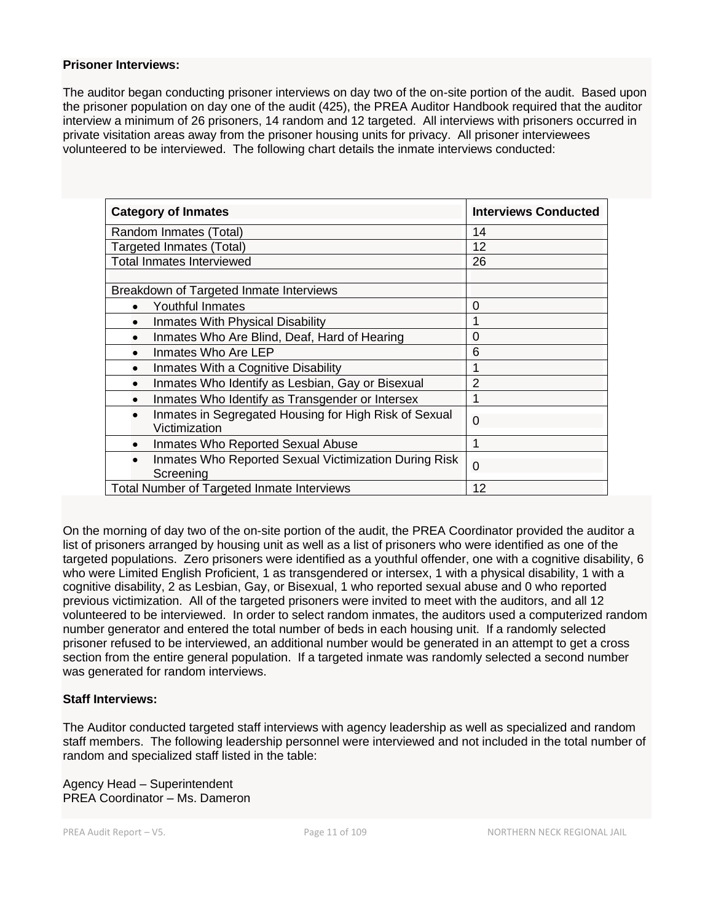#### **Prisoner Interviews:**

The auditor began conducting prisoner interviews on day two of the on-site portion of the audit. Based upon the prisoner population on day one of the audit (425), the PREA Auditor Handbook required that the auditor interview a minimum of 26 prisoners, 14 random and 12 targeted. All interviews with prisoners occurred in private visitation areas away from the prisoner housing units for privacy. All prisoner interviewees volunteered to be interviewed. The following chart details the inmate interviews conducted:

| <b>Category of Inmates</b>                                                          | <b>Interviews Conducted</b> |
|-------------------------------------------------------------------------------------|-----------------------------|
| Random Inmates (Total)                                                              | 14                          |
| <b>Targeted Inmates (Total)</b>                                                     | 12                          |
| <b>Total Inmates Interviewed</b>                                                    | 26                          |
|                                                                                     |                             |
| Breakdown of Targeted Inmate Interviews                                             |                             |
| Youthful Inmates<br>$\bullet$                                                       | $\overline{0}$              |
| Inmates With Physical Disability                                                    |                             |
| Inmates Who Are Blind, Deaf, Hard of Hearing                                        | 0                           |
| Inmates Who Are LEP                                                                 | 6                           |
| Inmates With a Cognitive Disability                                                 |                             |
| Inmates Who Identify as Lesbian, Gay or Bisexual<br>$\bullet$                       | $\overline{2}$              |
| Inmates Who Identify as Transgender or Intersex                                     |                             |
| Inmates in Segregated Housing for High Risk of Sexual<br>$\bullet$<br>Victimization | $\Omega$                    |
| Inmates Who Reported Sexual Abuse<br>$\bullet$                                      | 1                           |
| Inmates Who Reported Sexual Victimization During Risk<br>$\bullet$<br>Screening     | 0                           |
| Total Number of Targeted Inmate Interviews                                          | 12                          |

On the morning of day two of the on-site portion of the audit, the PREA Coordinator provided the auditor a list of prisoners arranged by housing unit as well as a list of prisoners who were identified as one of the targeted populations. Zero prisoners were identified as a youthful offender, one with a cognitive disability, 6 who were Limited English Proficient, 1 as transgendered or intersex, 1 with a physical disability, 1 with a cognitive disability, 2 as Lesbian, Gay, or Bisexual, 1 who reported sexual abuse and 0 who reported previous victimization. All of the targeted prisoners were invited to meet with the auditors, and all 12 volunteered to be interviewed. In order to select random inmates, the auditors used a computerized random number generator and entered the total number of beds in each housing unit. If a randomly selected prisoner refused to be interviewed, an additional number would be generated in an attempt to get a cross section from the entire general population. If a targeted inmate was randomly selected a second number was generated for random interviews.

#### **Staff Interviews:**

The Auditor conducted targeted staff interviews with agency leadership as well as specialized and random staff members. The following leadership personnel were interviewed and not included in the total number of random and specialized staff listed in the table:

Agency Head – Superintendent PREA Coordinator – Ms. Dameron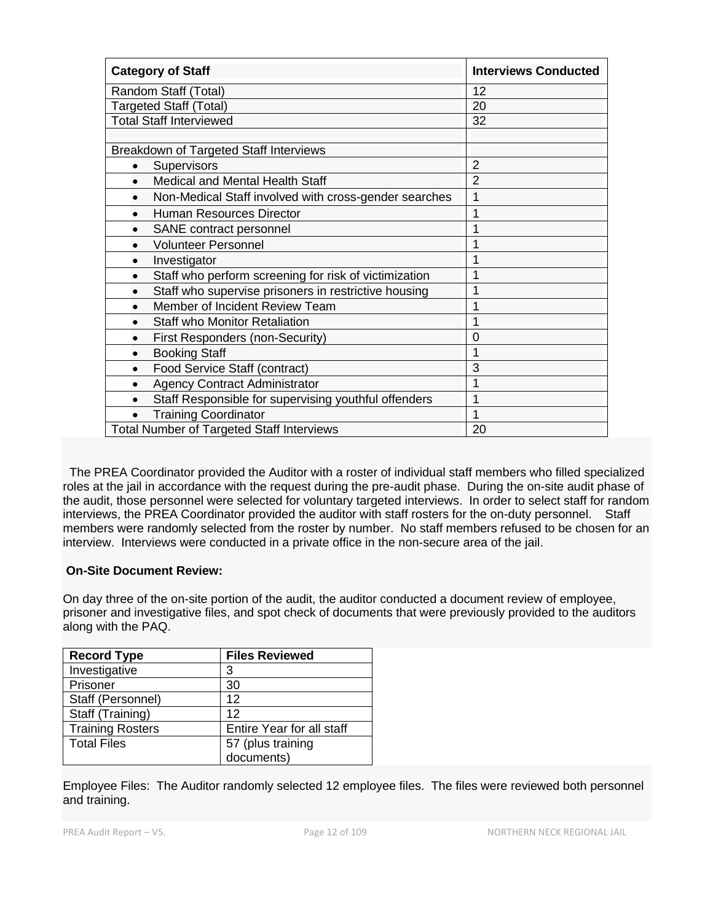| <b>Category of Staff</b>                                           | <b>Interviews Conducted</b> |
|--------------------------------------------------------------------|-----------------------------|
| Random Staff (Total)                                               | 12                          |
| <b>Targeted Staff (Total)</b>                                      | 20                          |
| <b>Total Staff Interviewed</b>                                     | 32                          |
|                                                                    |                             |
| Breakdown of Targeted Staff Interviews                             |                             |
| Supervisors                                                        | $\overline{2}$              |
| Medical and Mental Health Staff                                    | $\overline{2}$              |
| Non-Medical Staff involved with cross-gender searches<br>$\bullet$ | 1                           |
| <b>Human Resources Director</b><br>$\bullet$                       |                             |
| SANE contract personnel<br>$\bullet$                               |                             |
| <b>Volunteer Personnel</b><br>$\bullet$                            |                             |
| Investigator<br>$\bullet$                                          |                             |
| Staff who perform screening for risk of victimization<br>$\bullet$ |                             |
| Staff who supervise prisoners in restrictive housing               |                             |
| Member of Incident Review Team                                     |                             |
| <b>Staff who Monitor Retaliation</b>                               |                             |
| First Responders (non-Security)<br>$\bullet$                       | 0                           |
| <b>Booking Staff</b><br>$\bullet$                                  |                             |
| Food Service Staff (contract)<br>$\bullet$                         | 3                           |
| <b>Agency Contract Administrator</b><br>$\bullet$                  |                             |
| Staff Responsible for supervising youthful offenders<br>$\bullet$  |                             |
| <b>Training Coordinator</b><br>$\bullet$                           |                             |
| <b>Total Number of Targeted Staff Interviews</b>                   | 20                          |

 The PREA Coordinator provided the Auditor with a roster of individual staff members who filled specialized roles at the jail in accordance with the request during the pre-audit phase. During the on-site audit phase of the audit, those personnel were selected for voluntary targeted interviews. In order to select staff for random interviews, the PREA Coordinator provided the auditor with staff rosters for the on-duty personnel. Staff members were randomly selected from the roster by number. No staff members refused to be chosen for an interview. Interviews were conducted in a private office in the non-secure area of the jail.

## **On-Site Document Review:**

On day three of the on-site portion of the audit, the auditor conducted a document review of employee, prisoner and investigative files, and spot check of documents that were previously provided to the auditors along with the PAQ.

| <b>Record Type</b>      | <b>Files Reviewed</b>     |
|-------------------------|---------------------------|
| Investigative           | 3                         |
| Prisoner                | 30                        |
| Staff (Personnel)       | 12                        |
| Staff (Training)        | 12                        |
| <b>Training Rosters</b> | Entire Year for all staff |
| <b>Total Files</b>      | 57 (plus training         |
|                         | documents)                |

Employee Files: The Auditor randomly selected 12 employee files. The files were reviewed both personnel and training.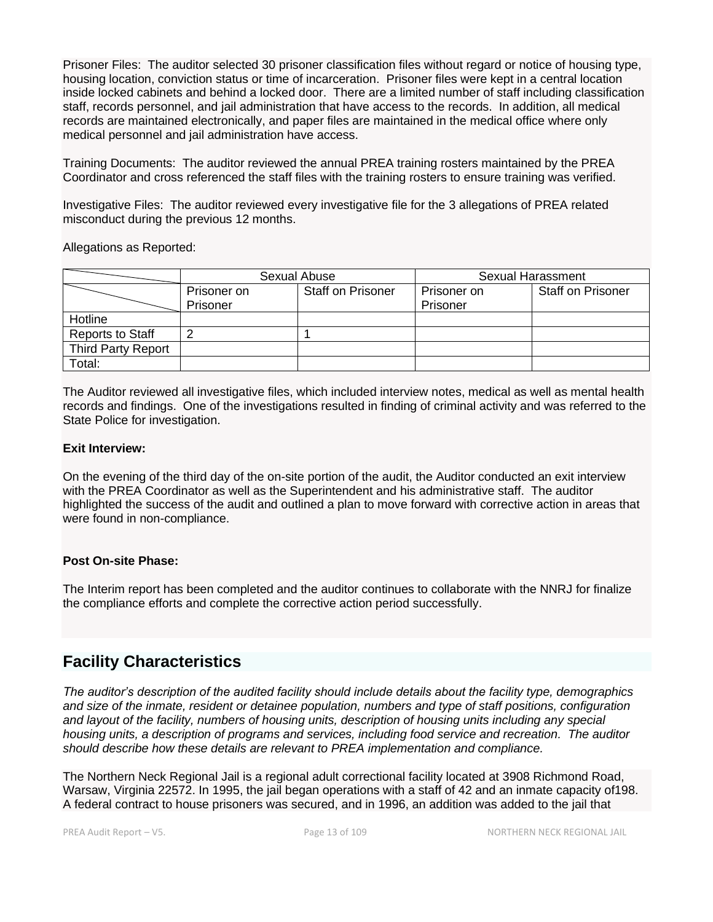Prisoner Files: The auditor selected 30 prisoner classification files without regard or notice of housing type, housing location, conviction status or time of incarceration. Prisoner files were kept in a central location inside locked cabinets and behind a locked door. There are a limited number of staff including classification staff, records personnel, and jail administration that have access to the records. In addition, all medical records are maintained electronically, and paper files are maintained in the medical office where only medical personnel and jail administration have access.

Training Documents: The auditor reviewed the annual PREA training rosters maintained by the PREA Coordinator and cross referenced the staff files with the training rosters to ensure training was verified.

Investigative Files: The auditor reviewed every investigative file for the 3 allegations of PREA related misconduct during the previous 12 months.

Allegations as Reported:

|                           | Sexual Abuse |                          | Sexual Harassment |                          |
|---------------------------|--------------|--------------------------|-------------------|--------------------------|
|                           | Prisoner on  | <b>Staff on Prisoner</b> | Prisoner on       | <b>Staff on Prisoner</b> |
|                           | Prisoner     |                          | Prisoner          |                          |
| Hotline                   |              |                          |                   |                          |
| <b>Reports to Staff</b>   | ⌒            |                          |                   |                          |
| <b>Third Party Report</b> |              |                          |                   |                          |
| Total:                    |              |                          |                   |                          |

The Auditor reviewed all investigative files, which included interview notes, medical as well as mental health records and findings. One of the investigations resulted in finding of criminal activity and was referred to the State Police for investigation.

#### **Exit Interview:**

On the evening of the third day of the on-site portion of the audit, the Auditor conducted an exit interview with the PREA Coordinator as well as the Superintendent and his administrative staff. The auditor highlighted the success of the audit and outlined a plan to move forward with corrective action in areas that were found in non-compliance.

#### **Post On-site Phase:**

The Interim report has been completed and the auditor continues to collaborate with the NNRJ for finalize the compliance efforts and complete the corrective action period successfully.

## **Facility Characteristics**

*The auditor's description of the audited facility should include details about the facility type, demographics and size of the inmate, resident or detainee population, numbers and type of staff positions, configuration and layout of the facility, numbers of housing units, description of housing units including any special housing units, a description of programs and services, including food service and recreation. The auditor should describe how these details are relevant to PREA implementation and compliance.*

The Northern Neck Regional Jail is a regional adult correctional facility located at 3908 Richmond Road, Warsaw, Virginia 22572. In 1995, the jail began operations with a staff of 42 and an inmate capacity of198. A federal contract to house prisoners was secured, and in 1996, an addition was added to the jail that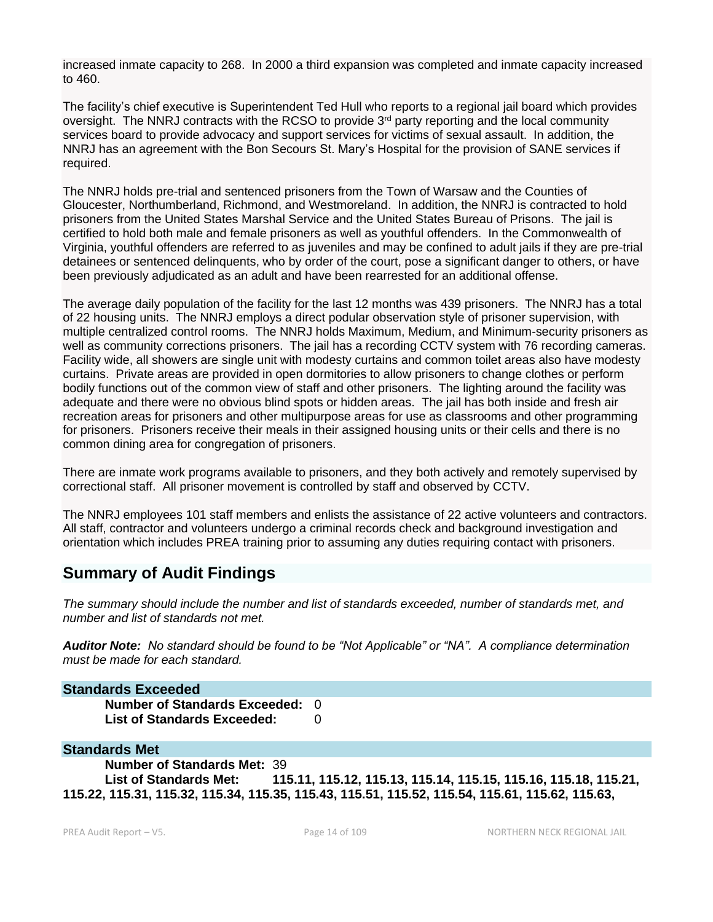increased inmate capacity to 268. In 2000 a third expansion was completed and inmate capacity increased to 460.

The facility's chief executive is Superintendent Ted Hull who reports to a regional jail board which provides oversight. The NNRJ contracts with the RCSO to provide  $3<sup>rd</sup>$  party reporting and the local community services board to provide advocacy and support services for victims of sexual assault. In addition, the NNRJ has an agreement with the Bon Secours St. Mary's Hospital for the provision of SANE services if required.

The NNRJ holds pre-trial and sentenced prisoners from the Town of Warsaw and the Counties of Gloucester, Northumberland, Richmond, and Westmoreland. In addition, the NNRJ is contracted to hold prisoners from the United States Marshal Service and the United States Bureau of Prisons. The jail is certified to hold both male and female prisoners as well as youthful offenders. In the Commonwealth of Virginia, youthful offenders are referred to as juveniles and may be confined to adult jails if they are pre-trial detainees or sentenced delinquents, who by order of the court, pose a significant danger to others, or have been previously adjudicated as an adult and have been rearrested for an additional offense.

The average daily population of the facility for the last 12 months was 439 prisoners. The NNRJ has a total of 22 housing units. The NNRJ employs a direct podular observation style of prisoner supervision, with multiple centralized control rooms. The NNRJ holds Maximum, Medium, and Minimum-security prisoners as well as community corrections prisoners. The jail has a recording CCTV system with 76 recording cameras. Facility wide, all showers are single unit with modesty curtains and common toilet areas also have modesty curtains. Private areas are provided in open dormitories to allow prisoners to change clothes or perform bodily functions out of the common view of staff and other prisoners. The lighting around the facility was adequate and there were no obvious blind spots or hidden areas. The jail has both inside and fresh air recreation areas for prisoners and other multipurpose areas for use as classrooms and other programming for prisoners. Prisoners receive their meals in their assigned housing units or their cells and there is no common dining area for congregation of prisoners.

There are inmate work programs available to prisoners, and they both actively and remotely supervised by correctional staff. All prisoner movement is controlled by staff and observed by CCTV.

The NNRJ employees 101 staff members and enlists the assistance of 22 active volunteers and contractors. All staff, contractor and volunteers undergo a criminal records check and background investigation and orientation which includes PREA training prior to assuming any duties requiring contact with prisoners.

## **Summary of Audit Findings**

*The summary should include the number and list of standards exceeded, number of standards met, and number and list of standards not met.*

*Auditor Note: No standard should be found to be "Not Applicable" or "NA". A compliance determination must be made for each standard.*

**Standards Exceeded Number of Standards Exceeded:** 0 List of Standards Exceeded: 0

## **Standards Met**

**Number of Standards Met:** 39 **List of Standards Met: 115.11, 115.12, 115.13, 115.14, 115.15, 115.16, 115.18, 115.21, 115.22, 115.31, 115.32, 115.34, 115.35, 115.43, 115.51, 115.52, 115.54, 115.61, 115.62, 115.63,**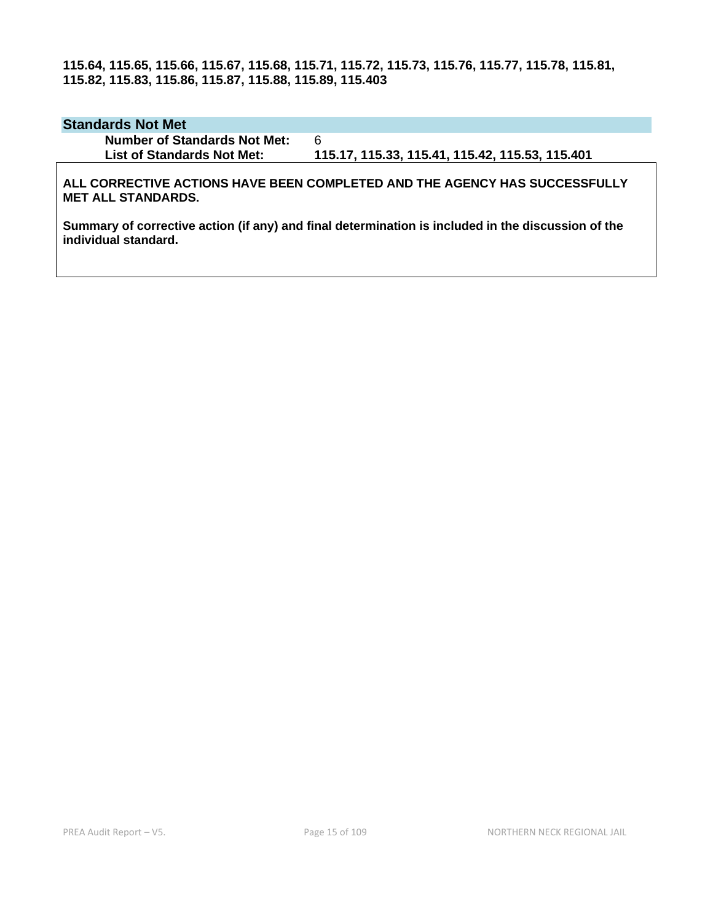**115.64, 115.65, 115.66, 115.67, 115.68, 115.71, 115.72, 115.73, 115.76, 115.77, 115.78, 115.81, 115.82, 115.83, 115.86, 115.87, 115.88, 115.89, 115.403**

#### **Standards Not Met**

**Number of Standards Not Met:** 6

**List of Standards Not Met: 115.17, 115.33, 115.41, 115.42, 115.53, 115.401**

**ALL CORRECTIVE ACTIONS HAVE BEEN COMPLETED AND THE AGENCY HAS SUCCESSFULLY MET ALL STANDARDS.**

**Summary of corrective action (if any) and final determination is included in the discussion of the individual standard.**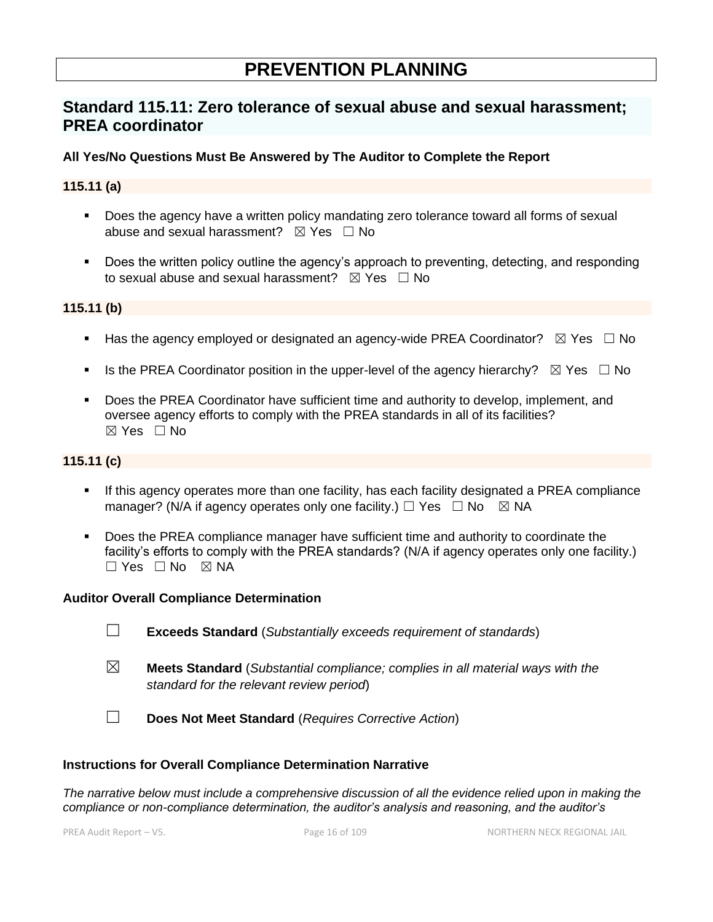# **PREVENTION PLANNING**

## **Standard 115.11: Zero tolerance of sexual abuse and sexual harassment; PREA coordinator**

## **All Yes/No Questions Must Be Answered by The Auditor to Complete the Report**

### **115.11 (a)**

- Does the agency have a written policy mandating zero tolerance toward all forms of sexual abuse and sexual harassment?  $\boxtimes$  Yes  $\Box$  No
- Does the written policy outline the agency's approach to preventing, detecting, and responding to sexual abuse and sexual harassment?  $\boxtimes$  Yes  $\Box$  No

## **115.11 (b)**

- Has the agency employed or designated an agency-wide PREA Coordinator?  $\boxtimes$  Yes  $\Box$  No
- Is the PREA Coordinator position in the upper-level of the agency hierarchy?  $\boxtimes$  Yes  $\Box$  No
- Does the PREA Coordinator have sufficient time and authority to develop, implement, and oversee agency efforts to comply with the PREA standards in all of its facilities? ☒ Yes ☐ No

## **115.11 (c)**

- If this agency operates more than one facility, has each facility designated a PREA compliance manager? (N/A if agency operates only one facility.)  $\Box$  Yes  $\Box$  No  $\boxtimes$  NA
- **•** Does the PREA compliance manager have sufficient time and authority to coordinate the facility's efforts to comply with the PREA standards? (N/A if agency operates only one facility.)  $\Box$  Yes  $\Box$  No  $\boxtimes$  NA

#### **Auditor Overall Compliance Determination**

- ☐ **Exceeds Standard** (*Substantially exceeds requirement of standards*)
- ☒ **Meets Standard** (*Substantial compliance; complies in all material ways with the standard for the relevant review period*)
- ☐ **Does Not Meet Standard** (*Requires Corrective Action*)

#### **Instructions for Overall Compliance Determination Narrative**

*The narrative below must include a comprehensive discussion of all the evidence relied upon in making the compliance or non-compliance determination, the auditor's analysis and reasoning, and the auditor's*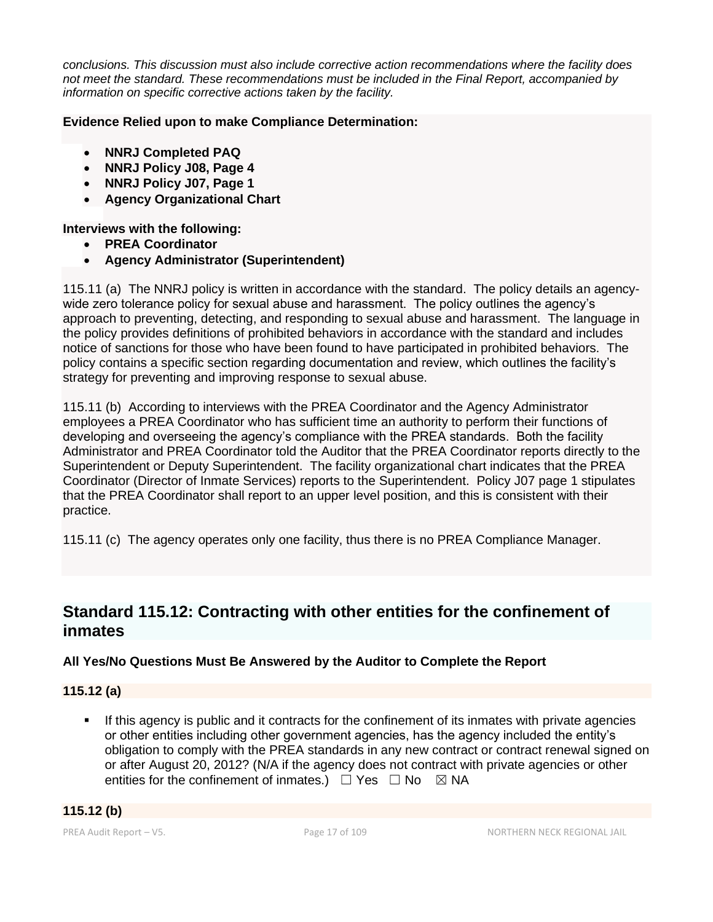*conclusions. This discussion must also include corrective action recommendations where the facility does not meet the standard. These recommendations must be included in the Final Report, accompanied by information on specific corrective actions taken by the facility.*

## **Evidence Relied upon to make Compliance Determination:**

- **NNRJ Completed PAQ**
- **NNRJ Policy J08, Page 4**
- **NNRJ Policy J07, Page 1**
- **Agency Organizational Chart**

## **Interviews with the following:**

- **PREA Coordinator**
- **Agency Administrator (Superintendent)**

115.11 (a) The NNRJ policy is written in accordance with the standard. The policy details an agencywide zero tolerance policy for sexual abuse and harassment. The policy outlines the agency's approach to preventing, detecting, and responding to sexual abuse and harassment. The language in the policy provides definitions of prohibited behaviors in accordance with the standard and includes notice of sanctions for those who have been found to have participated in prohibited behaviors. The policy contains a specific section regarding documentation and review, which outlines the facility's strategy for preventing and improving response to sexual abuse.

115.11 (b) According to interviews with the PREA Coordinator and the Agency Administrator employees a PREA Coordinator who has sufficient time an authority to perform their functions of developing and overseeing the agency's compliance with the PREA standards. Both the facility Administrator and PREA Coordinator told the Auditor that the PREA Coordinator reports directly to the Superintendent or Deputy Superintendent. The facility organizational chart indicates that the PREA Coordinator (Director of Inmate Services) reports to the Superintendent. Policy J07 page 1 stipulates that the PREA Coordinator shall report to an upper level position, and this is consistent with their practice.

115.11 (c) The agency operates only one facility, thus there is no PREA Compliance Manager.

## **Standard 115.12: Contracting with other entities for the confinement of inmates**

## **All Yes/No Questions Must Be Answered by the Auditor to Complete the Report**

## **115.12 (a)**

**.** If this agency is public and it contracts for the confinement of its inmates with private agencies or other entities including other government agencies, has the agency included the entity's obligation to comply with the PREA standards in any new contract or contract renewal signed on or after August 20, 2012? (N/A if the agency does not contract with private agencies or other entities for the confinement of inmates.)  $\Box$  Yes  $\Box$  No  $\boxtimes$  NA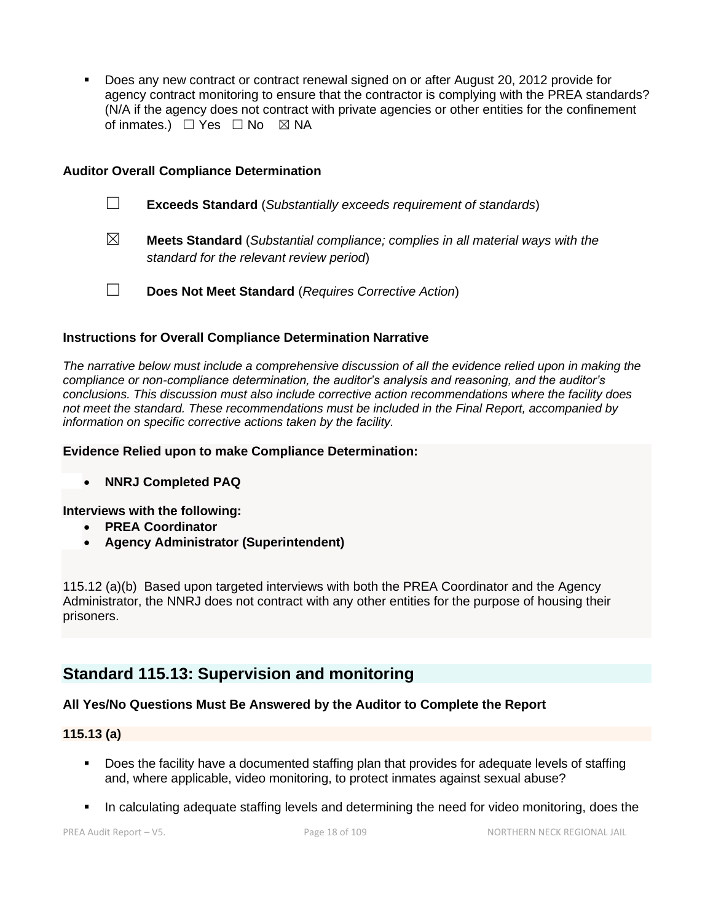▪ Does any new contract or contract renewal signed on or after August 20, 2012 provide for agency contract monitoring to ensure that the contractor is complying with the PREA standards? (N/A if the agency does not contract with private agencies or other entities for the confinement of inmates.)  $\Box$  Yes  $\Box$  No  $\boxtimes$  NA

### **Auditor Overall Compliance Determination**

- ☐ **Exceeds Standard** (*Substantially exceeds requirement of standards*)
- ☒ **Meets Standard** (*Substantial compliance; complies in all material ways with the standard for the relevant review period*)
- ☐ **Does Not Meet Standard** (*Requires Corrective Action*)

#### **Instructions for Overall Compliance Determination Narrative**

*The narrative below must include a comprehensive discussion of all the evidence relied upon in making the compliance or non-compliance determination, the auditor's analysis and reasoning, and the auditor's conclusions. This discussion must also include corrective action recommendations where the facility does not meet the standard. These recommendations must be included in the Final Report, accompanied by information on specific corrective actions taken by the facility.*

#### **Evidence Relied upon to make Compliance Determination:**

• **NNRJ Completed PAQ**

**Interviews with the following:**

- **PREA Coordinator**
- **Agency Administrator (Superintendent)**

115.12 (a)(b) Based upon targeted interviews with both the PREA Coordinator and the Agency Administrator, the NNRJ does not contract with any other entities for the purpose of housing their prisoners.

## **Standard 115.13: Supervision and monitoring**

## **All Yes/No Questions Must Be Answered by the Auditor to Complete the Report**

#### **115.13 (a)**

- Does the facility have a documented staffing plan that provides for adequate levels of staffing and, where applicable, video monitoring, to protect inmates against sexual abuse?
- In calculating adequate staffing levels and determining the need for video monitoring, does the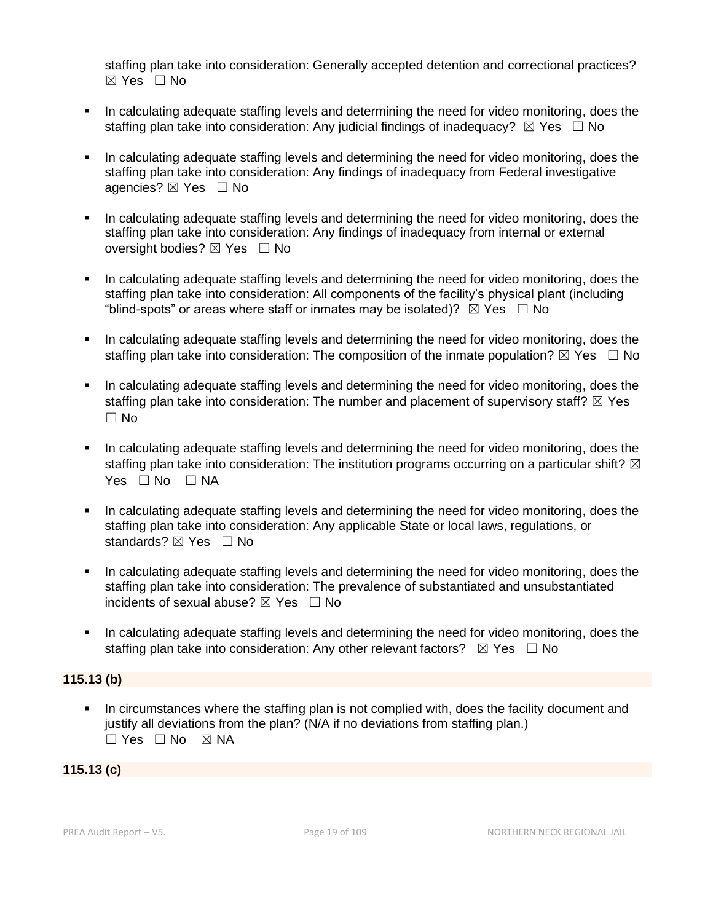staffing plan take into consideration: Generally accepted detention and correctional practices?  $\boxtimes$  Yes  $\Box$  No

- **•** In calculating adequate staffing levels and determining the need for video monitoring, does the staffing plan take into consideration: Any judicial findings of inadequacy?  $\boxtimes$  Yes  $\Box$  No
- In calculating adequate staffing levels and determining the need for video monitoring, does the staffing plan take into consideration: Any findings of inadequacy from Federal investigative agencies? ⊠ Yes □ No
- In calculating adequate staffing levels and determining the need for video monitoring, does the staffing plan take into consideration: Any findings of inadequacy from internal or external oversight bodies? ⊠ Yes □ No
- In calculating adequate staffing levels and determining the need for video monitoring, does the staffing plan take into consideration: All components of the facility's physical plant (including "blind-spots" or areas where staff or inmates may be isolated)?  $\boxtimes$  Yes  $\Box$  No
- In calculating adequate staffing levels and determining the need for video monitoring, does the staffing plan take into consideration: The composition of the inmate population?  $\boxtimes$  Yes  $\Box$  No
- In calculating adequate staffing levels and determining the need for video monitoring, does the staffing plan take into consideration: The number and placement of supervisory staff?  $\boxtimes$  Yes ☐ No
- In calculating adequate staffing levels and determining the need for video monitoring, does the staffing plan take into consideration: The institution programs occurring on a particular shift?  $\boxtimes$ Yes □ No □ NA
- In calculating adequate staffing levels and determining the need for video monitoring, does the staffing plan take into consideration: Any applicable State or local laws, regulations, or standards? ⊠ Yes □ No
- In calculating adequate staffing levels and determining the need for video monitoring, does the staffing plan take into consideration: The prevalence of substantiated and unsubstantiated incidents of sexual abuse?  $\boxtimes$  Yes  $\Box$  No
- In calculating adequate staffing levels and determining the need for video monitoring, does the staffing plan take into consideration: Any other relevant factors?  $\boxtimes$  Yes  $\Box$  No

## **115.13 (b)**

▪ In circumstances where the staffing plan is not complied with, does the facility document and justify all deviations from the plan? (N/A if no deviations from staffing plan.) ☐ Yes ☐ No ☒ NA

## **115.13 (c)**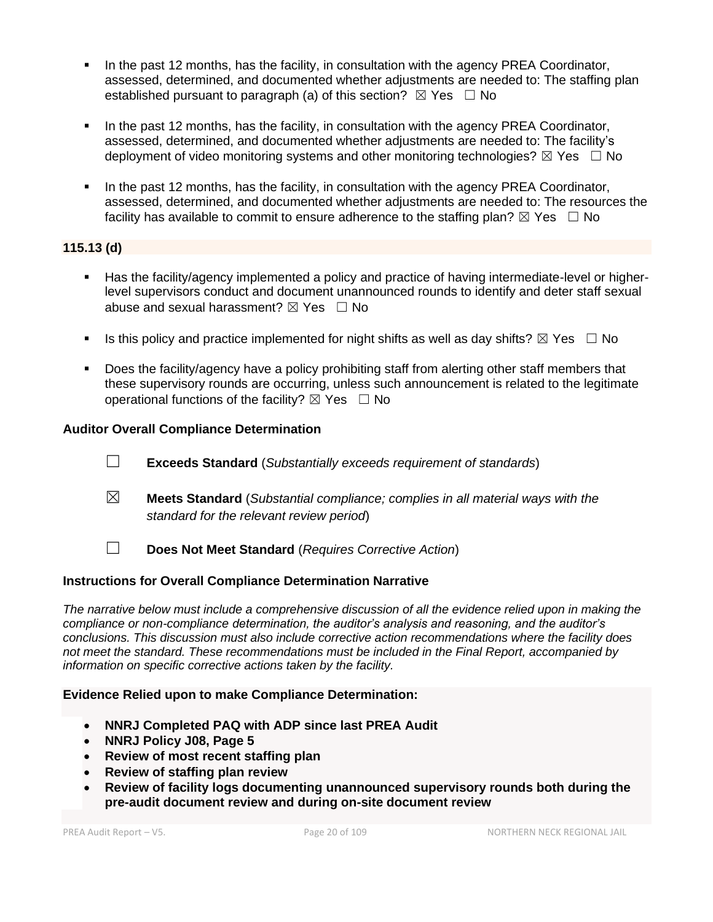- In the past 12 months, has the facility, in consultation with the agency PREA Coordinator, assessed, determined, and documented whether adjustments are needed to: The staffing plan established pursuant to paragraph (a) of this section?  $\boxtimes$  Yes  $\Box$  No
- In the past 12 months, has the facility, in consultation with the agency PREA Coordinator, assessed, determined, and documented whether adjustments are needed to: The facility's deployment of video monitoring systems and other monitoring technologies?  $\boxtimes$  Yes  $\Box$  No
- In the past 12 months, has the facility, in consultation with the agency PREA Coordinator, assessed, determined, and documented whether adjustments are needed to: The resources the facility has available to commit to ensure adherence to the staffing plan?  $\boxtimes$  Yes  $\Box$  No

## **115.13 (d)**

- Has the facility/agency implemented a policy and practice of having intermediate-level or higherlevel supervisors conduct and document unannounced rounds to identify and deter staff sexual abuse and sexual harassment?  $\boxtimes$  Yes  $\Box$  No
- **■** Is this policy and practice implemented for night shifts as well as day shifts?  $\boxtimes$  Yes  $\Box$  No
- Does the facility/agency have a policy prohibiting staff from alerting other staff members that these supervisory rounds are occurring, unless such announcement is related to the legitimate operational functions of the facility?  $\boxtimes$  Yes  $\Box$  No

## **Auditor Overall Compliance Determination**

- ☐ **Exceeds Standard** (*Substantially exceeds requirement of standards*)
- ☒ **Meets Standard** (*Substantial compliance; complies in all material ways with the standard for the relevant review period*)
- ☐ **Does Not Meet Standard** (*Requires Corrective Action*)

## **Instructions for Overall Compliance Determination Narrative**

*The narrative below must include a comprehensive discussion of all the evidence relied upon in making the compliance or non-compliance determination, the auditor's analysis and reasoning, and the auditor's conclusions. This discussion must also include corrective action recommendations where the facility does not meet the standard. These recommendations must be included in the Final Report, accompanied by information on specific corrective actions taken by the facility.*

## **Evidence Relied upon to make Compliance Determination:**

- **NNRJ Completed PAQ with ADP since last PREA Audit**
- **NNRJ Policy J08, Page 5**
- **Review of most recent staffing plan**
- **Review of staffing plan review**
- **Review of facility logs documenting unannounced supervisory rounds both during the pre-audit document review and during on-site document review**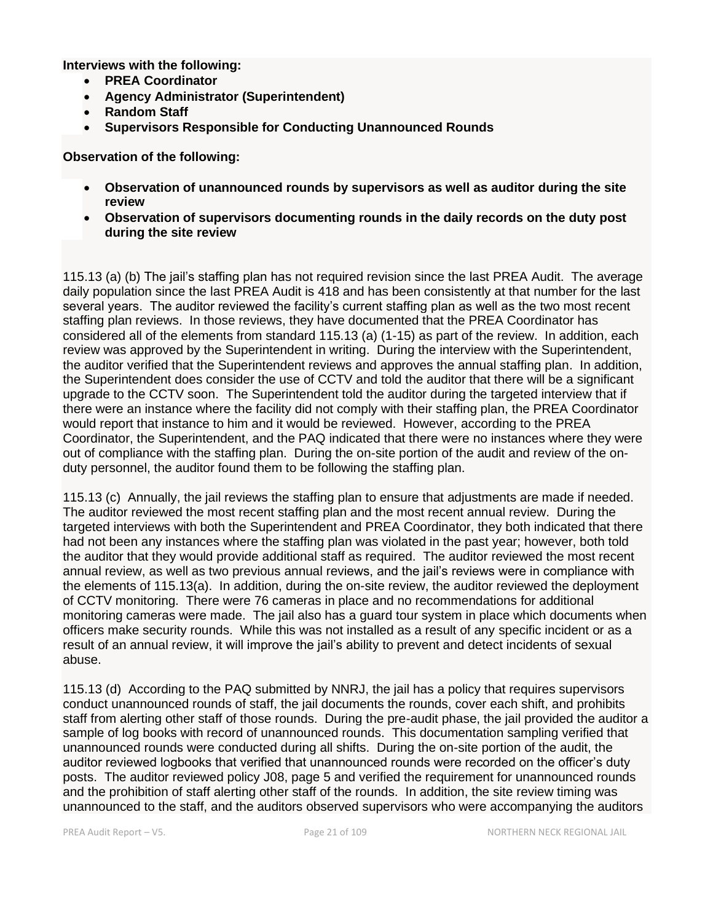**Interviews with the following:**

- **PREA Coordinator**
- **Agency Administrator (Superintendent)**
- **Random Staff**
- **Supervisors Responsible for Conducting Unannounced Rounds**

**Observation of the following:**

- **Observation of unannounced rounds by supervisors as well as auditor during the site review**
- **Observation of supervisors documenting rounds in the daily records on the duty post during the site review**

115.13 (a) (b) The jail's staffing plan has not required revision since the last PREA Audit. The average daily population since the last PREA Audit is 418 and has been consistently at that number for the last several years. The auditor reviewed the facility's current staffing plan as well as the two most recent staffing plan reviews. In those reviews, they have documented that the PREA Coordinator has considered all of the elements from standard 115.13 (a) (1-15) as part of the review. In addition, each review was approved by the Superintendent in writing. During the interview with the Superintendent, the auditor verified that the Superintendent reviews and approves the annual staffing plan. In addition, the Superintendent does consider the use of CCTV and told the auditor that there will be a significant upgrade to the CCTV soon. The Superintendent told the auditor during the targeted interview that if there were an instance where the facility did not comply with their staffing plan, the PREA Coordinator would report that instance to him and it would be reviewed. However, according to the PREA Coordinator, the Superintendent, and the PAQ indicated that there were no instances where they were out of compliance with the staffing plan. During the on-site portion of the audit and review of the onduty personnel, the auditor found them to be following the staffing plan.

115.13 (c) Annually, the jail reviews the staffing plan to ensure that adjustments are made if needed. The auditor reviewed the most recent staffing plan and the most recent annual review. During the targeted interviews with both the Superintendent and PREA Coordinator, they both indicated that there had not been any instances where the staffing plan was violated in the past year; however, both told the auditor that they would provide additional staff as required. The auditor reviewed the most recent annual review, as well as two previous annual reviews, and the jail's reviews were in compliance with the elements of 115.13(a). In addition, during the on-site review, the auditor reviewed the deployment of CCTV monitoring. There were 76 cameras in place and no recommendations for additional monitoring cameras were made. The jail also has a guard tour system in place which documents when officers make security rounds. While this was not installed as a result of any specific incident or as a result of an annual review, it will improve the jail's ability to prevent and detect incidents of sexual abuse.

115.13 (d) According to the PAQ submitted by NNRJ, the jail has a policy that requires supervisors conduct unannounced rounds of staff, the jail documents the rounds, cover each shift, and prohibits staff from alerting other staff of those rounds. During the pre-audit phase, the jail provided the auditor a sample of log books with record of unannounced rounds. This documentation sampling verified that unannounced rounds were conducted during all shifts. During the on-site portion of the audit, the auditor reviewed logbooks that verified that unannounced rounds were recorded on the officer's duty posts. The auditor reviewed policy J08, page 5 and verified the requirement for unannounced rounds and the prohibition of staff alerting other staff of the rounds. In addition, the site review timing was unannounced to the staff, and the auditors observed supervisors who were accompanying the auditors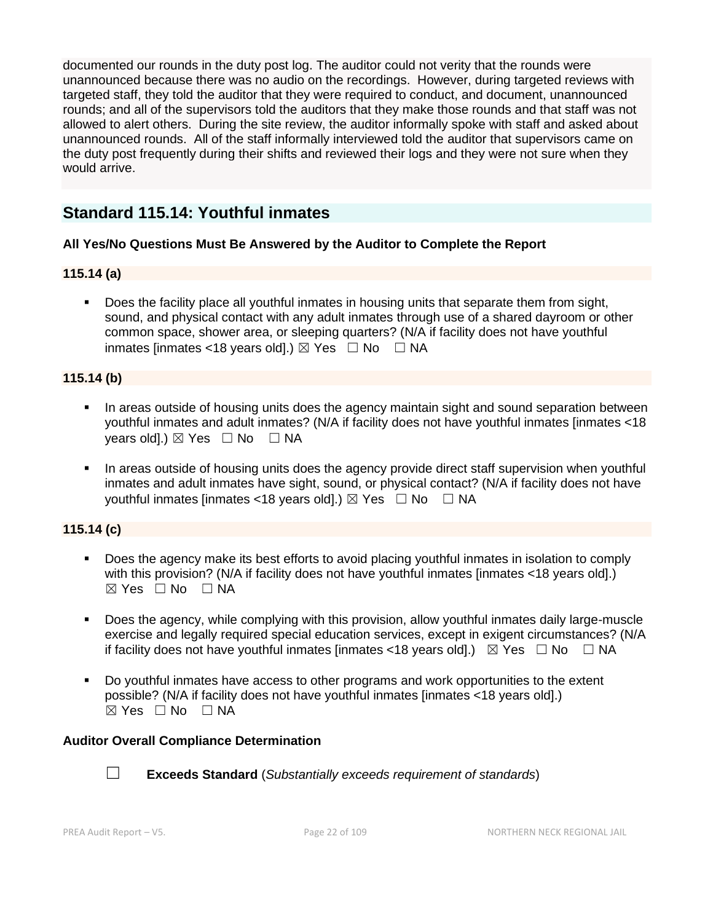documented our rounds in the duty post log. The auditor could not verity that the rounds were unannounced because there was no audio on the recordings. However, during targeted reviews with targeted staff, they told the auditor that they were required to conduct, and document, unannounced rounds; and all of the supervisors told the auditors that they make those rounds and that staff was not allowed to alert others. During the site review, the auditor informally spoke with staff and asked about unannounced rounds. All of the staff informally interviewed told the auditor that supervisors came on the duty post frequently during their shifts and reviewed their logs and they were not sure when they would arrive.

## **Standard 115.14: Youthful inmates**

## **All Yes/No Questions Must Be Answered by the Auditor to Complete the Report**

## **115.14 (a)**

**•** Does the facility place all youthful inmates in housing units that separate them from sight, sound, and physical contact with any adult inmates through use of a shared dayroom or other common space, shower area, or sleeping quarters? (N/A if facility does not have youthful inmates [inmates <18 years old].)  $\boxtimes$  Yes  $\Box$  No  $\Box$  NA

## **115.14 (b)**

- In areas outside of housing units does the agency maintain sight and sound separation between youthful inmates and adult inmates? (N/A if facility does not have youthful inmates [inmates <18 years old].)  $\boxtimes$  Yes  $\Box$  No  $\Box$  NA
- In areas outside of housing units does the agency provide direct staff supervision when youthful inmates and adult inmates have sight, sound, or physical contact? (N/A if facility does not have youthful inmates [inmates <18 years old].)  $\boxtimes$  Yes  $\Box$  No  $\Box$  NA

## **115.14 (c)**

- Does the agency make its best efforts to avoid placing youthful inmates in isolation to comply with this provision? (N/A if facility does not have youthful inmates [inmates <18 years old].)  $\boxtimes$  Yes  $\Box$  No  $\Box$  NA
- Does the agency, while complying with this provision, allow youthful inmates daily large-muscle exercise and legally required special education services, except in exigent circumstances? (N/A if facility does not have youthful inmates [inmates <18 years old].)  $\boxtimes$  Yes  $\Box$  No  $\Box$  NA
- Do youthful inmates have access to other programs and work opportunities to the extent possible? (N/A if facility does not have youthful inmates [inmates <18 years old].)  $\boxtimes$  Yes  $\Box$  No  $\Box$  NA

## **Auditor Overall Compliance Determination**



☐ **Exceeds Standard** (*Substantially exceeds requirement of standards*)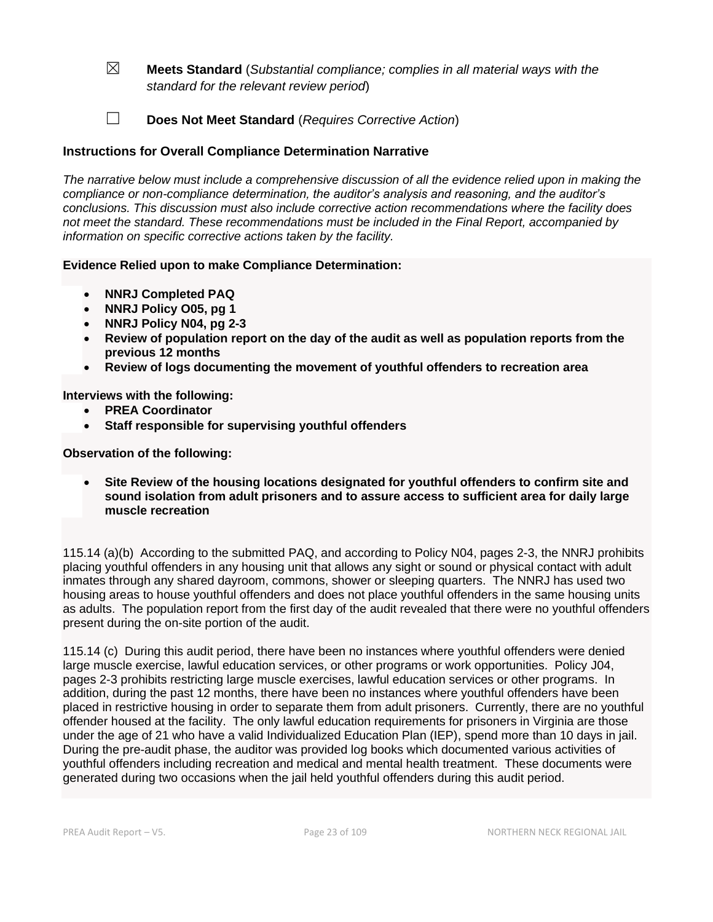- ☒ **Meets Standard** (*Substantial compliance; complies in all material ways with the standard for the relevant review period*)
- ☐ **Does Not Meet Standard** (*Requires Corrective Action*)

## **Instructions for Overall Compliance Determination Narrative**

*The narrative below must include a comprehensive discussion of all the evidence relied upon in making the compliance or non-compliance determination, the auditor's analysis and reasoning, and the auditor's conclusions. This discussion must also include corrective action recommendations where the facility does not meet the standard. These recommendations must be included in the Final Report, accompanied by information on specific corrective actions taken by the facility.*

#### **Evidence Relied upon to make Compliance Determination:**

- **NNRJ Completed PAQ**
- **NNRJ Policy O05, pg 1**
- **NNRJ Policy N04, pg 2-3**
- **Review of population report on the day of the audit as well as population reports from the previous 12 months**
- **Review of logs documenting the movement of youthful offenders to recreation area**

**Interviews with the following:**

- **PREA Coordinator**
- **Staff responsible for supervising youthful offenders**

**Observation of the following:**

• **Site Review of the housing locations designated for youthful offenders to confirm site and sound isolation from adult prisoners and to assure access to sufficient area for daily large muscle recreation**

115.14 (a)(b) According to the submitted PAQ, and according to Policy N04, pages 2-3, the NNRJ prohibits placing youthful offenders in any housing unit that allows any sight or sound or physical contact with adult inmates through any shared dayroom, commons, shower or sleeping quarters. The NNRJ has used two housing areas to house youthful offenders and does not place youthful offenders in the same housing units as adults. The population report from the first day of the audit revealed that there were no youthful offenders present during the on-site portion of the audit.

115.14 (c) During this audit period, there have been no instances where youthful offenders were denied large muscle exercise, lawful education services, or other programs or work opportunities. Policy J04, pages 2-3 prohibits restricting large muscle exercises, lawful education services or other programs. In addition, during the past 12 months, there have been no instances where youthful offenders have been placed in restrictive housing in order to separate them from adult prisoners. Currently, there are no youthful offender housed at the facility. The only lawful education requirements for prisoners in Virginia are those under the age of 21 who have a valid Individualized Education Plan (IEP), spend more than 10 days in jail. During the pre-audit phase, the auditor was provided log books which documented various activities of youthful offenders including recreation and medical and mental health treatment. These documents were generated during two occasions when the jail held youthful offenders during this audit period.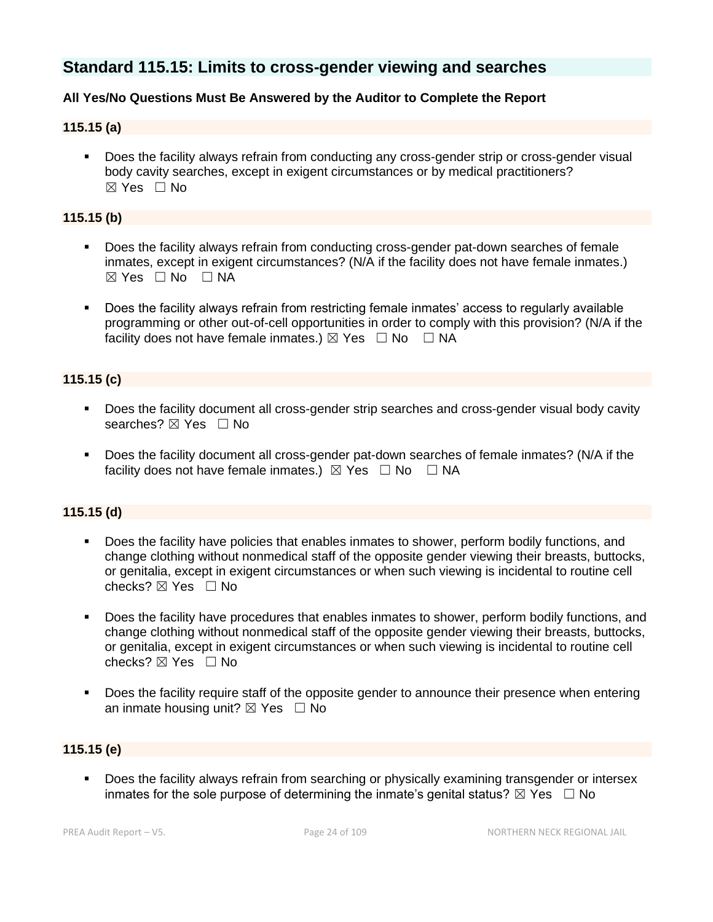## **Standard 115.15: Limits to cross-gender viewing and searches**

## **All Yes/No Questions Must Be Answered by the Auditor to Complete the Report**

## **115.15 (a)**

Does the facility always refrain from conducting any cross-gender strip or cross-gender visual body cavity searches, except in exigent circumstances or by medical practitioners? ☒ Yes ☐ No

## **115.15 (b)**

- Does the facility always refrain from conducting cross-gender pat-down searches of female inmates, except in exigent circumstances? (N/A if the facility does not have female inmates.)  $\boxtimes$  Yes  $\Box$  No  $\Box$  NA
- Does the facility always refrain from restricting female inmates' access to regularly available programming or other out-of-cell opportunities in order to comply with this provision? (N/A if the facility does not have female inmates.)  $\boxtimes$  Yes  $\Box$  No  $\Box$  NA

## **115.15 (c)**

- **•** Does the facility document all cross-gender strip searches and cross-gender visual body cavity searches? ⊠ Yes □ No
- Does the facility document all cross-gender pat-down searches of female inmates? (N/A if the facility does not have female inmates.)  $\boxtimes$  Yes  $\Box$  No  $\Box$  NA

## **115.15 (d)**

- **•** Does the facility have policies that enables inmates to shower, perform bodily functions, and change clothing without nonmedical staff of the opposite gender viewing their breasts, buttocks, or genitalia, except in exigent circumstances or when such viewing is incidental to routine cell checks?  $\boxtimes$  Yes  $\Box$  No
- Does the facility have procedures that enables inmates to shower, perform bodily functions, and change clothing without nonmedical staff of the opposite gender viewing their breasts, buttocks, or genitalia, except in exigent circumstances or when such viewing is incidental to routine cell checks?  $\boxtimes$  Yes  $\Box$  No
- Does the facility require staff of the opposite gender to announce their presence when entering an inmate housing unit?  $\boxtimes$  Yes  $\Box$  No

## **115.15 (e)**

**•** Does the facility always refrain from searching or physically examining transgender or intersex inmates for the sole purpose of determining the inmate's genital status?  $\boxtimes$  Yes  $\Box$  No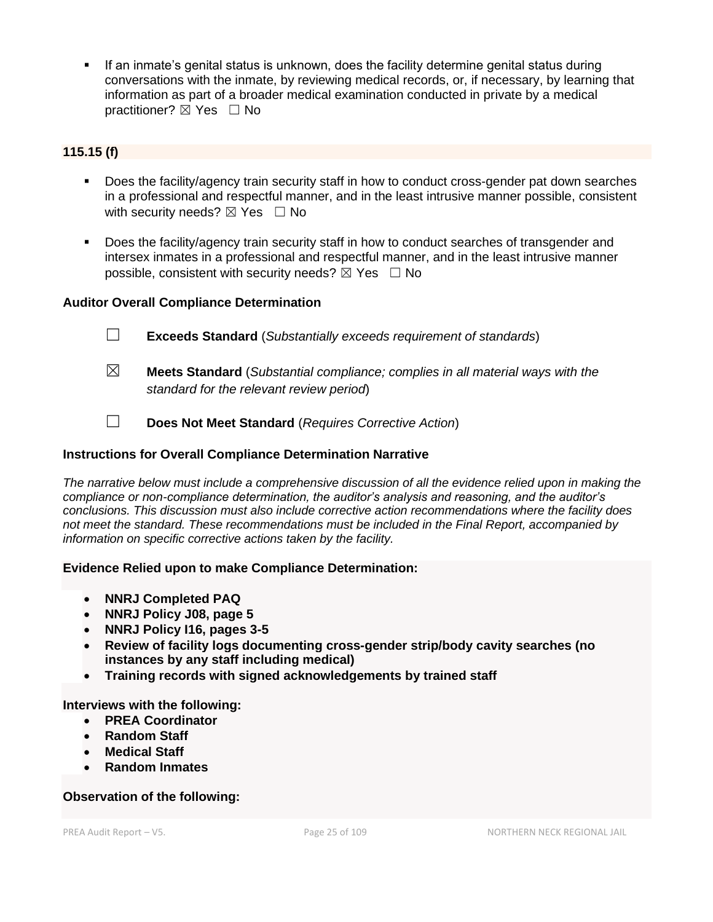If an inmate's genital status is unknown, does the facility determine genital status during conversations with the inmate, by reviewing medical records, or, if necessary, by learning that information as part of a broader medical examination conducted in private by a medical practitioner?  $\boxtimes$  Yes  $\Box$  No

## **115.15 (f)**

- Does the facility/agency train security staff in how to conduct cross-gender pat down searches in a professional and respectful manner, and in the least intrusive manner possible, consistent with security needs?  $\boxtimes$  Yes  $\Box$  No
- Does the facility/agency train security staff in how to conduct searches of transgender and intersex inmates in a professional and respectful manner, and in the least intrusive manner possible, consistent with security needs?  $\boxtimes$  Yes  $\Box$  No

## **Auditor Overall Compliance Determination**

- ☐ **Exceeds Standard** (*Substantially exceeds requirement of standards*)
- ☒ **Meets Standard** (*Substantial compliance; complies in all material ways with the standard for the relevant review period*)
- ☐ **Does Not Meet Standard** (*Requires Corrective Action*)

### **Instructions for Overall Compliance Determination Narrative**

*The narrative below must include a comprehensive discussion of all the evidence relied upon in making the compliance or non-compliance determination, the auditor's analysis and reasoning, and the auditor's conclusions. This discussion must also include corrective action recommendations where the facility does not meet the standard. These recommendations must be included in the Final Report, accompanied by information on specific corrective actions taken by the facility.*

#### **Evidence Relied upon to make Compliance Determination:**

- **NNRJ Completed PAQ**
- **NNRJ Policy J08, page 5**
- **NNRJ Policy I16, pages 3-5**
- **Review of facility logs documenting cross-gender strip/body cavity searches (no instances by any staff including medical)**
- **Training records with signed acknowledgements by trained staff**

**Interviews with the following:**

- **PREA Coordinator**
- **Random Staff**
- **Medical Staff**
- **Random Inmates**

#### **Observation of the following:**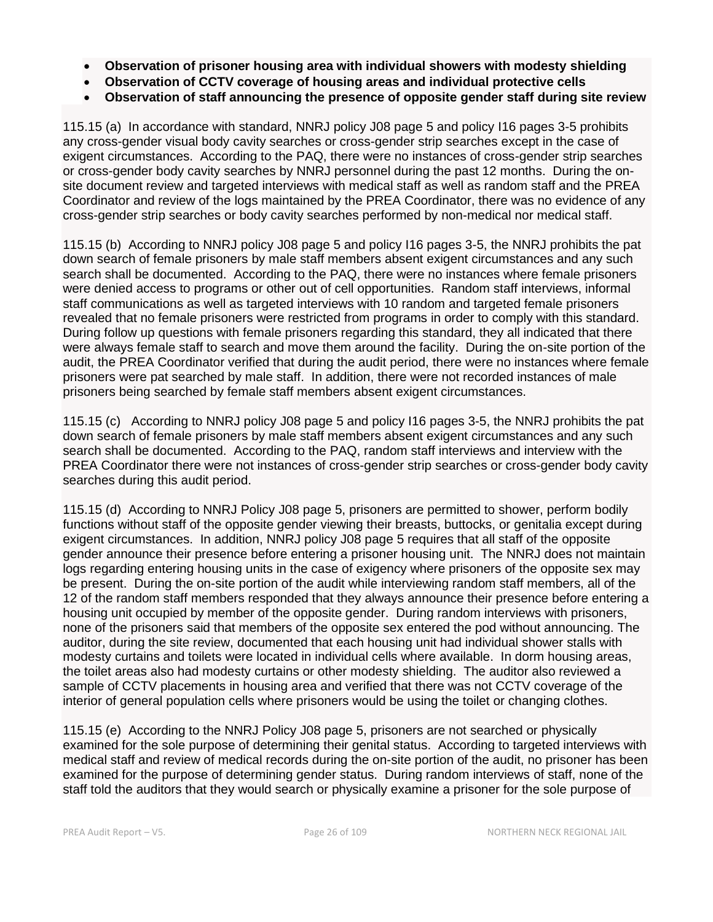- **Observation of prisoner housing area with individual showers with modesty shielding**
- **Observation of CCTV coverage of housing areas and individual protective cells**
- **Observation of staff announcing the presence of opposite gender staff during site review**

115.15 (a) In accordance with standard, NNRJ policy J08 page 5 and policy I16 pages 3-5 prohibits any cross-gender visual body cavity searches or cross-gender strip searches except in the case of exigent circumstances. According to the PAQ, there were no instances of cross-gender strip searches or cross-gender body cavity searches by NNRJ personnel during the past 12 months. During the onsite document review and targeted interviews with medical staff as well as random staff and the PREA Coordinator and review of the logs maintained by the PREA Coordinator, there was no evidence of any cross-gender strip searches or body cavity searches performed by non-medical nor medical staff.

115.15 (b) According to NNRJ policy J08 page 5 and policy I16 pages 3-5, the NNRJ prohibits the pat down search of female prisoners by male staff members absent exigent circumstances and any such search shall be documented. According to the PAQ, there were no instances where female prisoners were denied access to programs or other out of cell opportunities. Random staff interviews, informal staff communications as well as targeted interviews with 10 random and targeted female prisoners revealed that no female prisoners were restricted from programs in order to comply with this standard. During follow up questions with female prisoners regarding this standard, they all indicated that there were always female staff to search and move them around the facility. During the on-site portion of the audit, the PREA Coordinator verified that during the audit period, there were no instances where female prisoners were pat searched by male staff. In addition, there were not recorded instances of male prisoners being searched by female staff members absent exigent circumstances.

115.15 (c) According to NNRJ policy J08 page 5 and policy I16 pages 3-5, the NNRJ prohibits the pat down search of female prisoners by male staff members absent exigent circumstances and any such search shall be documented. According to the PAQ, random staff interviews and interview with the PREA Coordinator there were not instances of cross-gender strip searches or cross-gender body cavity searches during this audit period.

115.15 (d) According to NNRJ Policy J08 page 5, prisoners are permitted to shower, perform bodily functions without staff of the opposite gender viewing their breasts, buttocks, or genitalia except during exigent circumstances. In addition, NNRJ policy J08 page 5 requires that all staff of the opposite gender announce their presence before entering a prisoner housing unit. The NNRJ does not maintain logs regarding entering housing units in the case of exigency where prisoners of the opposite sex may be present. During the on-site portion of the audit while interviewing random staff members, all of the 12 of the random staff members responded that they always announce their presence before entering a housing unit occupied by member of the opposite gender. During random interviews with prisoners, none of the prisoners said that members of the opposite sex entered the pod without announcing. The auditor, during the site review, documented that each housing unit had individual shower stalls with modesty curtains and toilets were located in individual cells where available. In dorm housing areas, the toilet areas also had modesty curtains or other modesty shielding. The auditor also reviewed a sample of CCTV placements in housing area and verified that there was not CCTV coverage of the interior of general population cells where prisoners would be using the toilet or changing clothes.

115.15 (e) According to the NNRJ Policy J08 page 5, prisoners are not searched or physically examined for the sole purpose of determining their genital status. According to targeted interviews with medical staff and review of medical records during the on-site portion of the audit, no prisoner has been examined for the purpose of determining gender status. During random interviews of staff, none of the staff told the auditors that they would search or physically examine a prisoner for the sole purpose of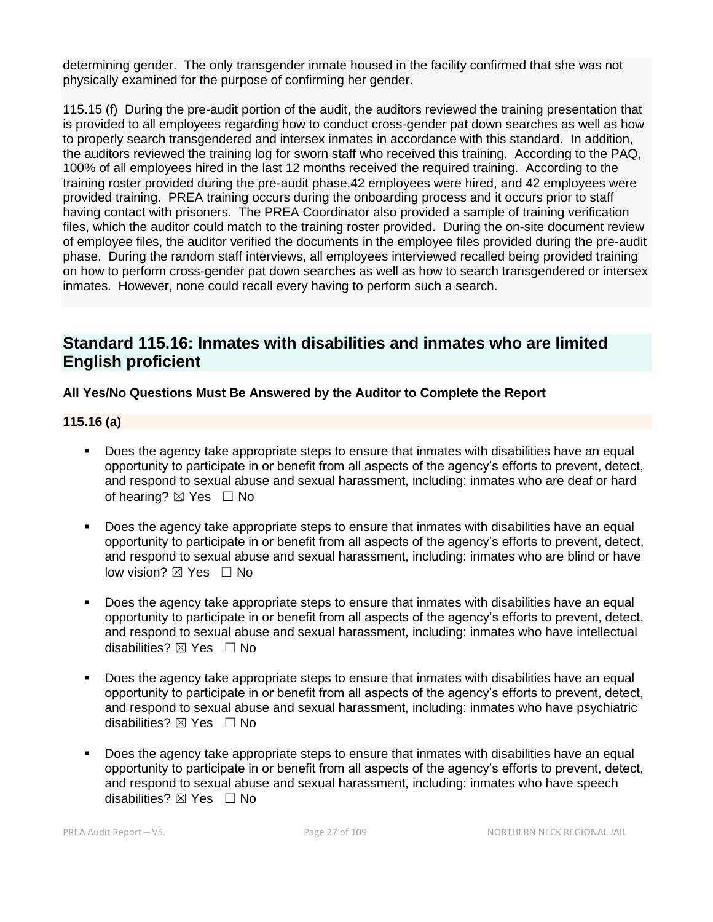determining gender. The only transgender inmate housed in the facility confirmed that she was not physically examined for the purpose of confirming her gender.

115.15 (f) During the pre-audit portion of the audit, the auditors reviewed the training presentation that is provided to all employees regarding how to conduct cross-gender pat down searches as well as how to properly search transgendered and intersex inmates in accordance with this standard. In addition, the auditors reviewed the training log for sworn staff who received this training. According to the PAQ, 100% of all employees hired in the last 12 months received the required training. According to the training roster provided during the pre-audit phase,42 employees were hired, and 42 employees were provided training. PREA training occurs during the onboarding process and it occurs prior to staff having contact with prisoners. The PREA Coordinator also provided a sample of training verification files, which the auditor could match to the training roster provided. During the on-site document review of employee files, the auditor verified the documents in the employee files provided during the pre-audit phase. During the random staff interviews, all employees interviewed recalled being provided training on how to perform cross-gender pat down searches as well as how to search transgendered or intersex inmates. However, none could recall every having to perform such a search.

## **Standard 115.16: Inmates with disabilities and inmates who are limited English proficient**

## **All Yes/No Questions Must Be Answered by the Auditor to Complete the Report**

## **115.16 (a)**

- Does the agency take appropriate steps to ensure that inmates with disabilities have an equal opportunity to participate in or benefit from all aspects of the agency's efforts to prevent, detect, and respond to sexual abuse and sexual harassment, including: inmates who are deaf or hard of hearing?  $\boxtimes$  Yes  $\Box$  No
- Does the agency take appropriate steps to ensure that inmates with disabilities have an equal opportunity to participate in or benefit from all aspects of the agency's efforts to prevent, detect, and respond to sexual abuse and sexual harassment, including: inmates who are blind or have low vision? ⊠ Yes □ No
- Does the agency take appropriate steps to ensure that inmates with disabilities have an equal opportunity to participate in or benefit from all aspects of the agency's efforts to prevent, detect, and respond to sexual abuse and sexual harassment, including: inmates who have intellectual disabilities? ⊠ Yes □ No
- Does the agency take appropriate steps to ensure that inmates with disabilities have an equal opportunity to participate in or benefit from all aspects of the agency's efforts to prevent, detect, and respond to sexual abuse and sexual harassment, including: inmates who have psychiatric disabilities? ⊠ Yes □ No
- Does the agency take appropriate steps to ensure that inmates with disabilities have an equal opportunity to participate in or benefit from all aspects of the agency's efforts to prevent, detect, and respond to sexual abuse and sexual harassment, including: inmates who have speech disabilities?  $\boxtimes$  Yes  $\Box$  No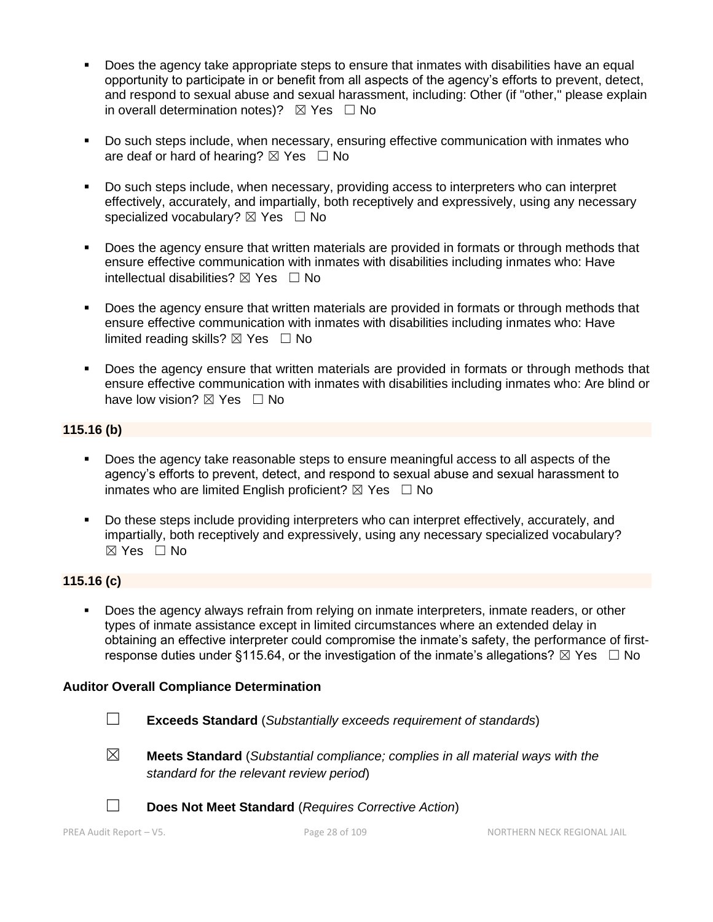- **•** Does the agency take appropriate steps to ensure that inmates with disabilities have an equal opportunity to participate in or benefit from all aspects of the agency's efforts to prevent, detect, and respond to sexual abuse and sexual harassment, including: Other (if "other," please explain in overall determination notes)?  $\boxtimes$  Yes  $\Box$  No
- Do such steps include, when necessary, ensuring effective communication with inmates who are deaf or hard of hearing?  $\boxtimes$  Yes  $\Box$  No
- Do such steps include, when necessary, providing access to interpreters who can interpret effectively, accurately, and impartially, both receptively and expressively, using any necessary specialized vocabulary?  $\boxtimes$  Yes  $\Box$  No
- **•** Does the agency ensure that written materials are provided in formats or through methods that ensure effective communication with inmates with disabilities including inmates who: Have intellectual disabilities?  $\boxtimes$  Yes  $\Box$  No
- Does the agency ensure that written materials are provided in formats or through methods that ensure effective communication with inmates with disabilities including inmates who: Have limited reading skills?  $\boxtimes$  Yes  $\Box$  No
- Does the agency ensure that written materials are provided in formats or through methods that ensure effective communication with inmates with disabilities including inmates who: Are blind or have low vision?  $\boxtimes$  Yes  $\Box$  No

## **115.16 (b)**

- Does the agency take reasonable steps to ensure meaningful access to all aspects of the agency's efforts to prevent, detect, and respond to sexual abuse and sexual harassment to inmates who are limited English proficient?  $\boxtimes$  Yes  $\Box$  No
- Do these steps include providing interpreters who can interpret effectively, accurately, and impartially, both receptively and expressively, using any necessary specialized vocabulary? ☒ Yes ☐ No

## **115.16 (c)**

Does the agency always refrain from relying on inmate interpreters, inmate readers, or other types of inmate assistance except in limited circumstances where an extended delay in obtaining an effective interpreter could compromise the inmate's safety, the performance of firstresponse duties under §115.64, or the investigation of the inmate's allegations?  $\boxtimes$  Yes  $\Box$  No

## **Auditor Overall Compliance Determination**

- ☐ **Exceeds Standard** (*Substantially exceeds requirement of standards*)
- 
- ☒ **Meets Standard** (*Substantial compliance; complies in all material ways with the standard for the relevant review period*)



☐ **Does Not Meet Standard** (*Requires Corrective Action*)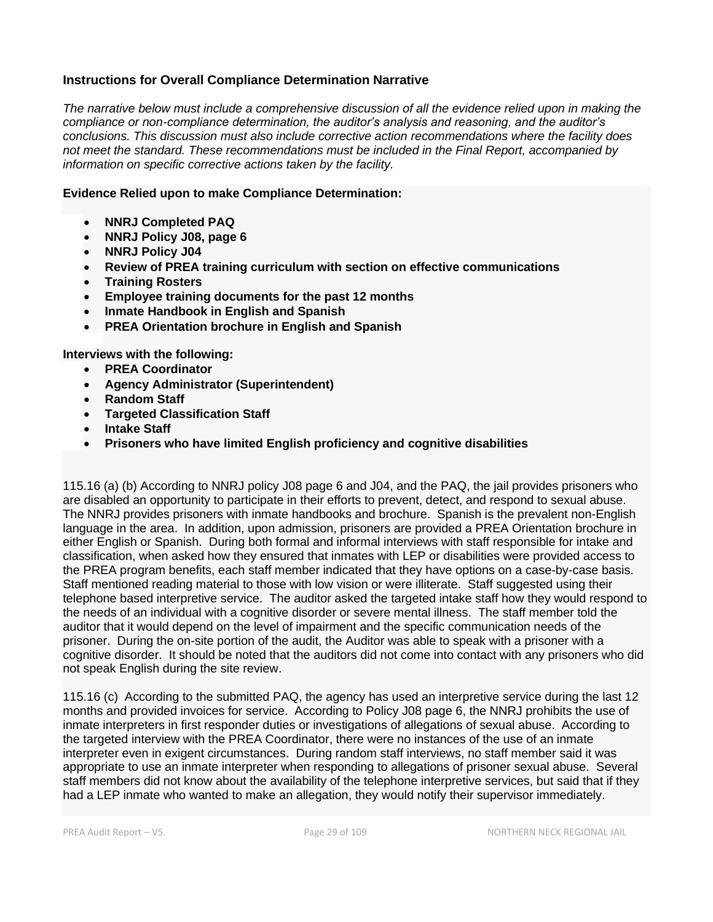## **Instructions for Overall Compliance Determination Narrative**

*The narrative below must include a comprehensive discussion of all the evidence relied upon in making the compliance or non-compliance determination, the auditor's analysis and reasoning, and the auditor's conclusions. This discussion must also include corrective action recommendations where the facility does not meet the standard. These recommendations must be included in the Final Report, accompanied by information on specific corrective actions taken by the facility.*

#### **Evidence Relied upon to make Compliance Determination:**

- **NNRJ Completed PAQ**
- **NNRJ Policy J08, page 6**
- **NNRJ Policy J04**
- **Review of PREA training curriculum with section on effective communications**
- **Training Rosters**
- **Employee training documents for the past 12 months**
- **Inmate Handbook in English and Spanish**
- **PREA Orientation brochure in English and Spanish**

**Interviews with the following:**

- **PREA Coordinator**
- **Agency Administrator (Superintendent)**
- **Random Staff**
- **Targeted Classification Staff**
- **Intake Staff**
- **Prisoners who have limited English proficiency and cognitive disabilities**

115.16 (a) (b) According to NNRJ policy J08 page 6 and J04, and the PAQ, the jail provides prisoners who are disabled an opportunity to participate in their efforts to prevent, detect, and respond to sexual abuse. The NNRJ provides prisoners with inmate handbooks and brochure. Spanish is the prevalent non-English language in the area. In addition, upon admission, prisoners are provided a PREA Orientation brochure in either English or Spanish. During both formal and informal interviews with staff responsible for intake and classification, when asked how they ensured that inmates with LEP or disabilities were provided access to the PREA program benefits, each staff member indicated that they have options on a case-by-case basis. Staff mentioned reading material to those with low vision or were illiterate. Staff suggested using their telephone based interpretive service. The auditor asked the targeted intake staff how they would respond to the needs of an individual with a cognitive disorder or severe mental illness. The staff member told the auditor that it would depend on the level of impairment and the specific communication needs of the prisoner. During the on-site portion of the audit, the Auditor was able to speak with a prisoner with a cognitive disorder. It should be noted that the auditors did not come into contact with any prisoners who did not speak English during the site review.

115.16 (c) According to the submitted PAQ, the agency has used an interpretive service during the last 12 months and provided invoices for service. According to Policy J08 page 6, the NNRJ prohibits the use of inmate interpreters in first responder duties or investigations of allegations of sexual abuse. According to the targeted interview with the PREA Coordinator, there were no instances of the use of an inmate interpreter even in exigent circumstances. During random staff interviews, no staff member said it was appropriate to use an inmate interpreter when responding to allegations of prisoner sexual abuse. Several staff members did not know about the availability of the telephone interpretive services, but said that if they had a LEP inmate who wanted to make an allegation, they would notify their supervisor immediately.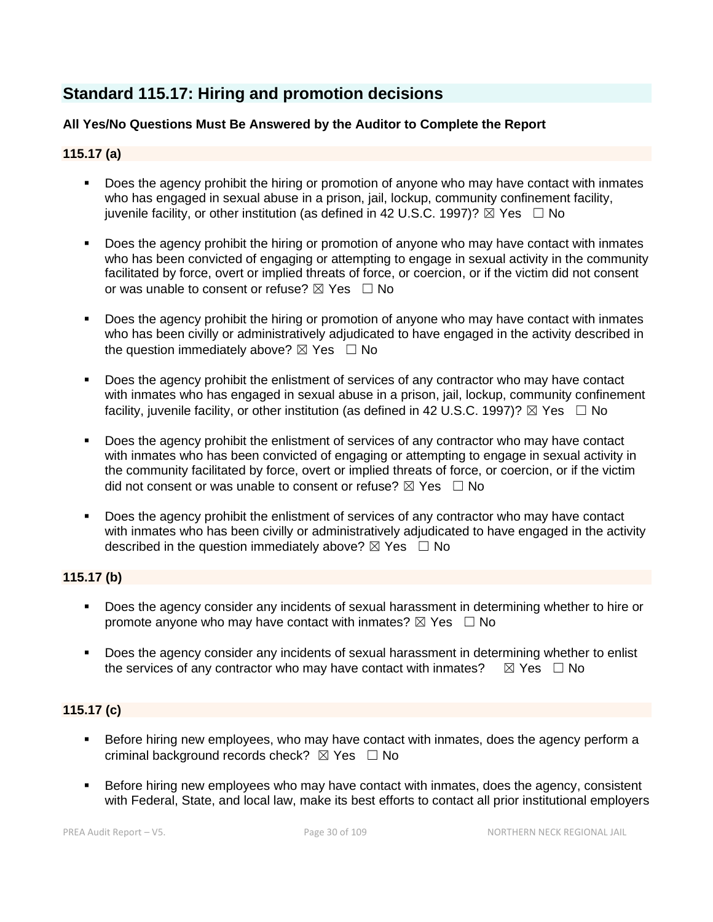## **Standard 115.17: Hiring and promotion decisions**

## **All Yes/No Questions Must Be Answered by the Auditor to Complete the Report**

## **115.17 (a)**

- Does the agency prohibit the hiring or promotion of anyone who may have contact with inmates who has engaged in sexual abuse in a prison, jail, lockup, community confinement facility, juvenile facility, or other institution (as defined in 42 U.S.C. 1997)?  $\boxtimes$  Yes  $\Box$  No
- Does the agency prohibit the hiring or promotion of anyone who may have contact with inmates who has been convicted of engaging or attempting to engage in sexual activity in the community facilitated by force, overt or implied threats of force, or coercion, or if the victim did not consent or was unable to consent or refuse?  $\boxtimes$  Yes  $\Box$  No
- Does the agency prohibit the hiring or promotion of anyone who may have contact with inmates who has been civilly or administratively adjudicated to have engaged in the activity described in the question immediately above?  $\boxtimes$  Yes  $\Box$  No
- Does the agency prohibit the enlistment of services of any contractor who may have contact with inmates who has engaged in sexual abuse in a prison, jail, lockup, community confinement facility, juvenile facility, or other institution (as defined in 42 U.S.C. 1997)?  $\boxtimes$  Yes  $\Box$  No
- Does the agency prohibit the enlistment of services of any contractor who may have contact with inmates who has been convicted of engaging or attempting to engage in sexual activity in the community facilitated by force, overt or implied threats of force, or coercion, or if the victim did not consent or was unable to consent or refuse?  $\boxtimes$  Yes  $\Box$  No
- Does the agency prohibit the enlistment of services of any contractor who may have contact with inmates who has been civilly or administratively adjudicated to have engaged in the activity described in the question immediately above?  $\boxtimes$  Yes  $\Box$  No

## **115.17 (b)**

- Does the agency consider any incidents of sexual harassment in determining whether to hire or promote anyone who may have contact with inmates?  $\boxtimes$  Yes  $\Box$  No
- Does the agency consider any incidents of sexual harassment in determining whether to enlist the services of any contractor who may have contact with inmates?  $\boxtimes$  Yes  $\Box$  No

## **115.17 (c)**

- **EXEL Before hiring new employees, who may have contact with inmates, does the agency perform a** criminal background records check?  $\boxtimes$  Yes  $\Box$  No
- Before hiring new employees who may have contact with inmates, does the agency, consistent with Federal, State, and local law, make its best efforts to contact all prior institutional employers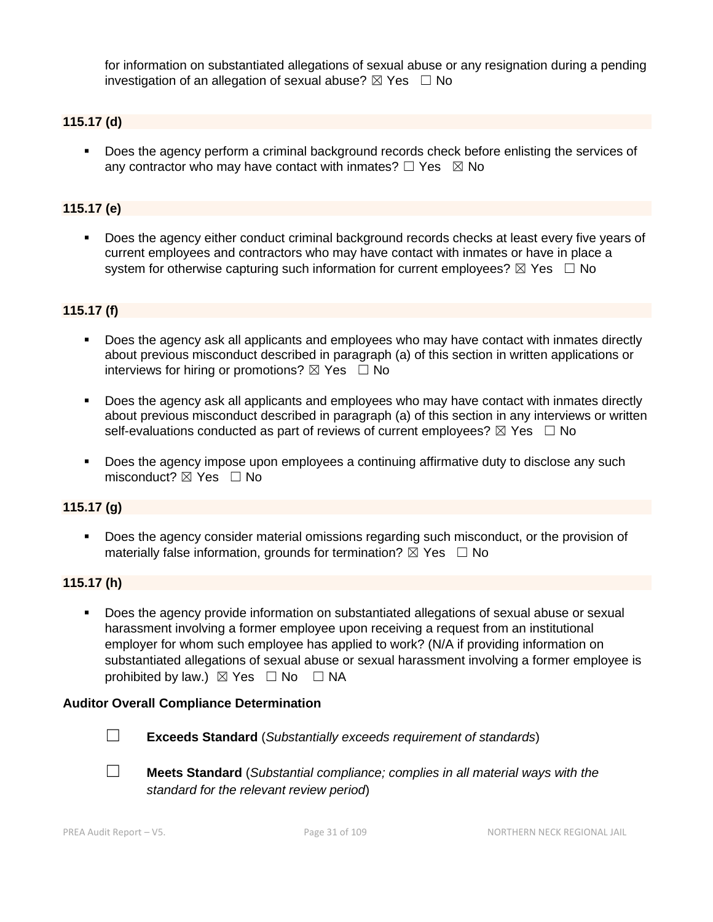for information on substantiated allegations of sexual abuse or any resignation during a pending investigation of an allegation of sexual abuse?  $\boxtimes$  Yes  $\Box$  No

## **115.17 (d)**

▪ Does the agency perform a criminal background records check before enlisting the services of any contractor who may have contact with inmates?  $\Box$  Yes  $\boxtimes$  No

#### **115.17 (e)**

▪ Does the agency either conduct criminal background records checks at least every five years of current employees and contractors who may have contact with inmates or have in place a system for otherwise capturing such information for current employees?  $\boxtimes$  Yes  $\Box$  No

#### **115.17 (f)**

- Does the agency ask all applicants and employees who may have contact with inmates directly about previous misconduct described in paragraph (a) of this section in written applications or interviews for hiring or promotions?  $\boxtimes$  Yes  $\Box$  No
- **•** Does the agency ask all applicants and employees who may have contact with inmates directly about previous misconduct described in paragraph (a) of this section in any interviews or written self-evaluations conducted as part of reviews of current employees?  $\boxtimes$  Yes  $\Box$  No
- **•** Does the agency impose upon employees a continuing affirmative duty to disclose any such misconduct?  $\boxtimes$  Yes  $\Box$  No

#### **115.17 (g)**

▪ Does the agency consider material omissions regarding such misconduct, or the provision of materially false information, grounds for termination?  $\boxtimes$  Yes  $\Box$  No

#### **115.17 (h)**

▪ Does the agency provide information on substantiated allegations of sexual abuse or sexual harassment involving a former employee upon receiving a request from an institutional employer for whom such employee has applied to work? (N/A if providing information on substantiated allegations of sexual abuse or sexual harassment involving a former employee is prohibited by law.)  $\boxtimes$  Yes  $\Box$  No  $\Box$  NA

#### **Auditor Overall Compliance Determination**



- ☐ **Exceeds Standard** (*Substantially exceeds requirement of standards*)
- ☐ **Meets Standard** (*Substantial compliance; complies in all material ways with the standard for the relevant review period*)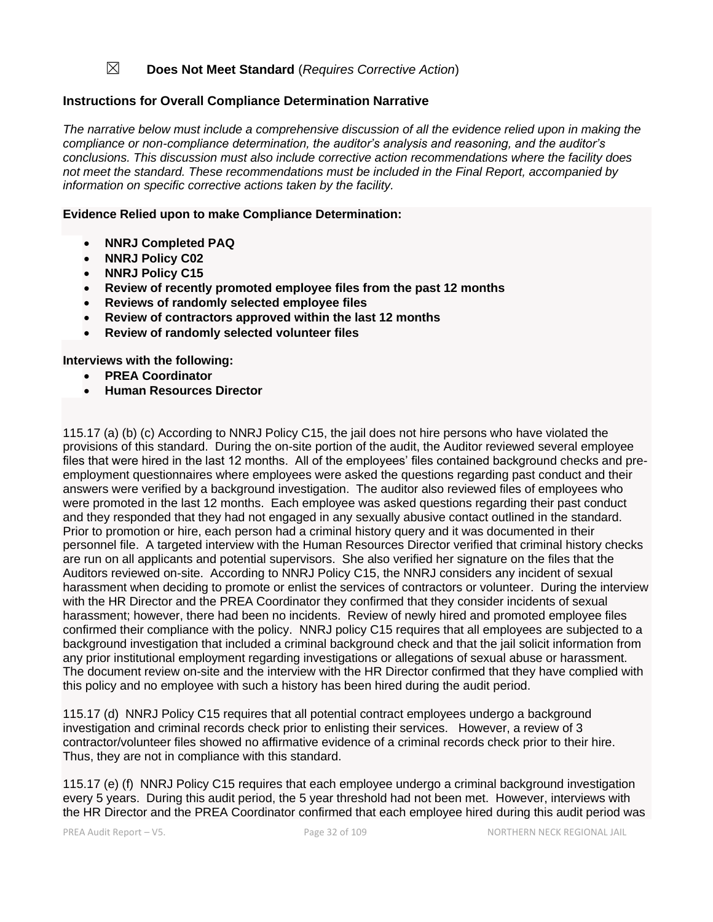## ☒ **Does Not Meet Standard** (*Requires Corrective Action*)

### **Instructions for Overall Compliance Determination Narrative**

*The narrative below must include a comprehensive discussion of all the evidence relied upon in making the compliance or non-compliance determination, the auditor's analysis and reasoning, and the auditor's conclusions. This discussion must also include corrective action recommendations where the facility does not meet the standard. These recommendations must be included in the Final Report, accompanied by information on specific corrective actions taken by the facility.*

#### **Evidence Relied upon to make Compliance Determination:**

- **NNRJ Completed PAQ**
- **NNRJ Policy C02**
- **NNRJ Policy C15**
- **Review of recently promoted employee files from the past 12 months**
- **Reviews of randomly selected employee files**
- **Review of contractors approved within the last 12 months**
- **Review of randomly selected volunteer files**

#### **Interviews with the following:**

- **PREA Coordinator**
- **Human Resources Director**

115.17 (a) (b) (c) According to NNRJ Policy C15, the jail does not hire persons who have violated the provisions of this standard. During the on-site portion of the audit, the Auditor reviewed several employee files that were hired in the last 12 months. All of the employees' files contained background checks and preemployment questionnaires where employees were asked the questions regarding past conduct and their answers were verified by a background investigation. The auditor also reviewed files of employees who were promoted in the last 12 months. Each employee was asked questions regarding their past conduct and they responded that they had not engaged in any sexually abusive contact outlined in the standard. Prior to promotion or hire, each person had a criminal history query and it was documented in their personnel file. A targeted interview with the Human Resources Director verified that criminal history checks are run on all applicants and potential supervisors. She also verified her signature on the files that the Auditors reviewed on-site. According to NNRJ Policy C15, the NNRJ considers any incident of sexual harassment when deciding to promote or enlist the services of contractors or volunteer. During the interview with the HR Director and the PREA Coordinator they confirmed that they consider incidents of sexual harassment; however, there had been no incidents. Review of newly hired and promoted employee files confirmed their compliance with the policy. NNRJ policy C15 requires that all employees are subjected to a background investigation that included a criminal background check and that the jail solicit information from any prior institutional employment regarding investigations or allegations of sexual abuse or harassment. The document review on-site and the interview with the HR Director confirmed that they have complied with this policy and no employee with such a history has been hired during the audit period.

115.17 (d) NNRJ Policy C15 requires that all potential contract employees undergo a background investigation and criminal records check prior to enlisting their services. However, a review of 3 contractor/volunteer files showed no affirmative evidence of a criminal records check prior to their hire. Thus, they are not in compliance with this standard.

115.17 (e) (f) NNRJ Policy C15 requires that each employee undergo a criminal background investigation every 5 years. During this audit period, the 5 year threshold had not been met. However, interviews with the HR Director and the PREA Coordinator confirmed that each employee hired during this audit period was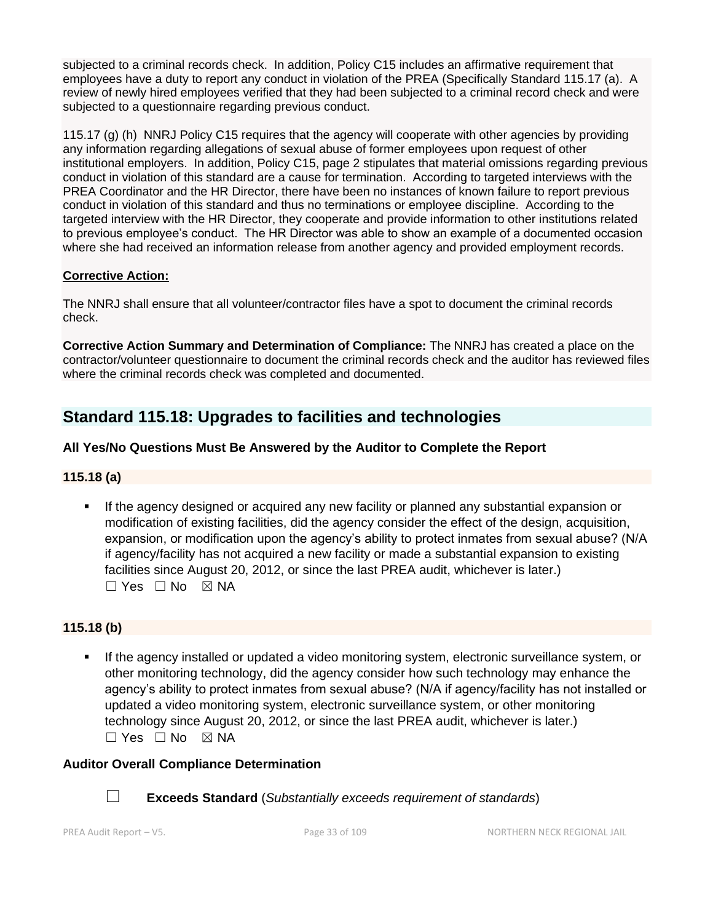subjected to a criminal records check. In addition, Policy C15 includes an affirmative requirement that employees have a duty to report any conduct in violation of the PREA (Specifically Standard 115.17 (a). A review of newly hired employees verified that they had been subjected to a criminal record check and were subjected to a questionnaire regarding previous conduct.

115.17 (g) (h) NNRJ Policy C15 requires that the agency will cooperate with other agencies by providing any information regarding allegations of sexual abuse of former employees upon request of other institutional employers. In addition, Policy C15, page 2 stipulates that material omissions regarding previous conduct in violation of this standard are a cause for termination. According to targeted interviews with the PREA Coordinator and the HR Director, there have been no instances of known failure to report previous conduct in violation of this standard and thus no terminations or employee discipline. According to the targeted interview with the HR Director, they cooperate and provide information to other institutions related to previous employee's conduct. The HR Director was able to show an example of a documented occasion where she had received an information release from another agency and provided employment records.

## **Corrective Action:**

The NNRJ shall ensure that all volunteer/contractor files have a spot to document the criminal records check.

**Corrective Action Summary and Determination of Compliance:** The NNRJ has created a place on the contractor/volunteer questionnaire to document the criminal records check and the auditor has reviewed files where the criminal records check was completed and documented.

## **Standard 115.18: Upgrades to facilities and technologies**

## **All Yes/No Questions Must Be Answered by the Auditor to Complete the Report**

## **115.18 (a)**

If the agency designed or acquired any new facility or planned any substantial expansion or modification of existing facilities, did the agency consider the effect of the design, acquisition, expansion, or modification upon the agency's ability to protect inmates from sexual abuse? (N/A if agency/facility has not acquired a new facility or made a substantial expansion to existing facilities since August 20, 2012, or since the last PREA audit, whichever is later.)  $\Box$  Yes  $\Box$  No  $\boxtimes$  NA

## **115.18 (b)**

If the agency installed or updated a video monitoring system, electronic surveillance system, or other monitoring technology, did the agency consider how such technology may enhance the agency's ability to protect inmates from sexual abuse? (N/A if agency/facility has not installed or updated a video monitoring system, electronic surveillance system, or other monitoring technology since August 20, 2012, or since the last PREA audit, whichever is later.) ☐ Yes ☐ No ☒ NA

## **Auditor Overall Compliance Determination**



☐ **Exceeds Standard** (*Substantially exceeds requirement of standards*)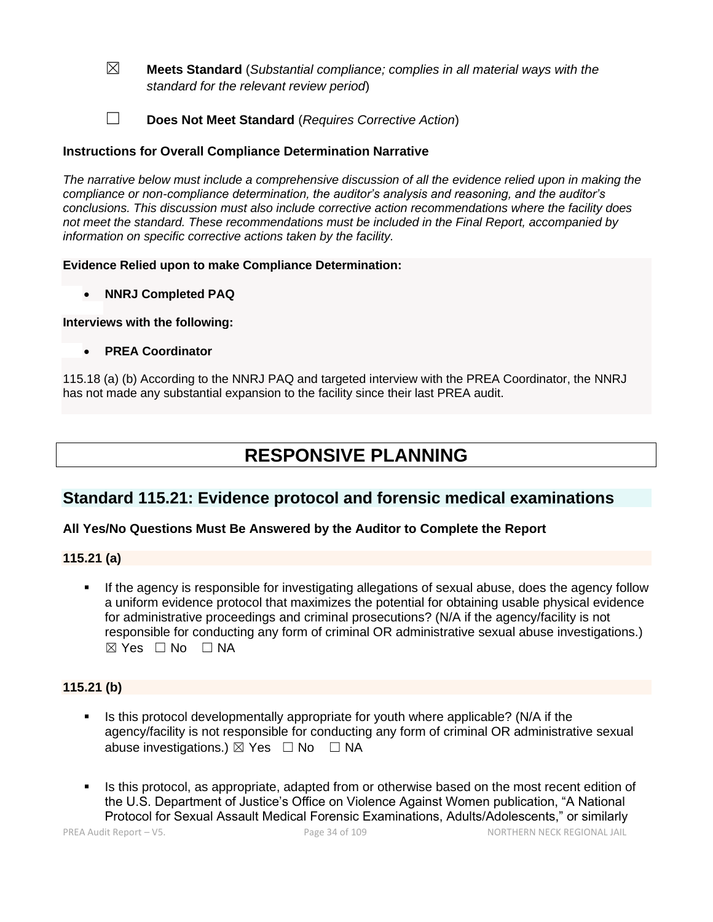- ☒ **Meets Standard** (*Substantial compliance; complies in all material ways with the standard for the relevant review period*)
- ☐ **Does Not Meet Standard** (*Requires Corrective Action*)

## **Instructions for Overall Compliance Determination Narrative**

*The narrative below must include a comprehensive discussion of all the evidence relied upon in making the compliance or non-compliance determination, the auditor's analysis and reasoning, and the auditor's conclusions. This discussion must also include corrective action recommendations where the facility does not meet the standard. These recommendations must be included in the Final Report, accompanied by information on specific corrective actions taken by the facility.*

#### **Evidence Relied upon to make Compliance Determination:**

• **NNRJ Completed PAQ** 

#### **Interviews with the following:**

• **PREA Coordinator**

115.18 (a) (b) According to the NNRJ PAQ and targeted interview with the PREA Coordinator, the NNRJ has not made any substantial expansion to the facility since their last PREA audit.

# **RESPONSIVE PLANNING**

## **Standard 115.21: Evidence protocol and forensic medical examinations**

## **All Yes/No Questions Must Be Answered by the Auditor to Complete the Report**

## **115.21 (a)**

If the agency is responsible for investigating allegations of sexual abuse, does the agency follow a uniform evidence protocol that maximizes the potential for obtaining usable physical evidence for administrative proceedings and criminal prosecutions? (N/A if the agency/facility is not responsible for conducting any form of criminal OR administrative sexual abuse investigations.) ☒ Yes ☐ No ☐ NA

## **115.21 (b)**

- Is this protocol developmentally appropriate for youth where applicable? (N/A if the agency/facility is not responsible for conducting any form of criminal OR administrative sexual abuse investigations.)  $\boxtimes$  Yes  $\Box$  No  $\Box$  NA
- Is this protocol, as appropriate, adapted from or otherwise based on the most recent edition of the U.S. Department of Justice's Office on Violence Against Women publication, "A National Protocol for Sexual Assault Medical Forensic Examinations, Adults/Adolescents," or similarly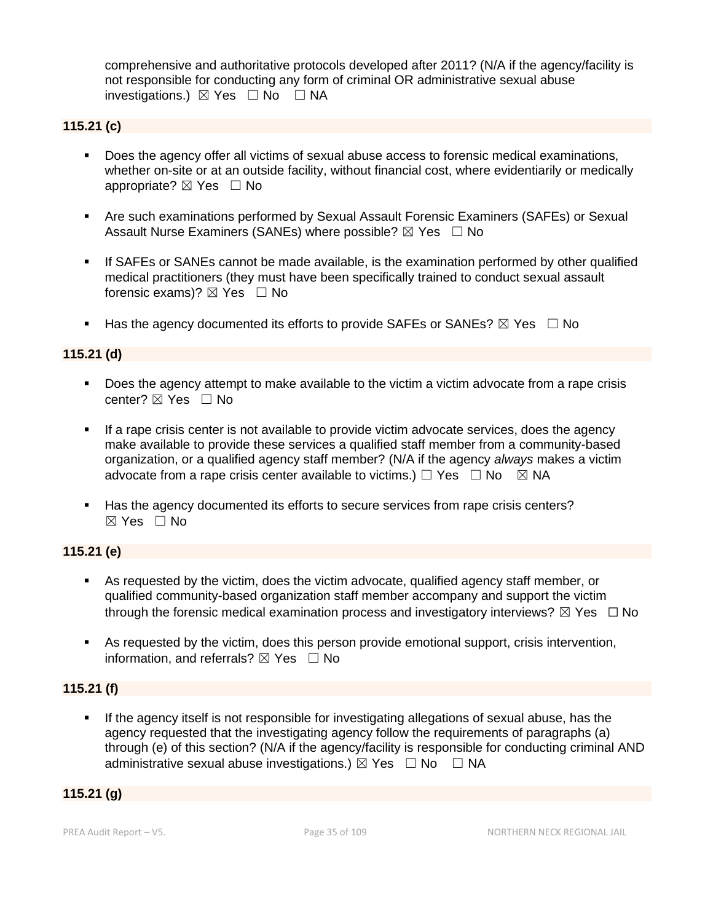comprehensive and authoritative protocols developed after 2011? (N/A if the agency/facility is not responsible for conducting any form of criminal OR administrative sexual abuse investigations.)  $\boxtimes$  Yes  $\Box$  No  $\Box$  NA

## **115.21 (c)**

- Does the agency offer all victims of sexual abuse access to forensic medical examinations, whether on-site or at an outside facility, without financial cost, where evidentiarily or medically appropriate?  $\boxtimes$  Yes  $\Box$  No
- **EXALG** Are such examinations performed by Sexual Assault Forensic Examiners (SAFEs) or Sexual Assault Nurse Examiners (SANEs) where possible?  $\boxtimes$  Yes  $\Box$  No
- **EXTES 18** SANES cannot be made available, is the examination performed by other qualified medical practitioners (they must have been specifically trained to conduct sexual assault forensic exams)?  $\boxtimes$  Yes  $\Box$  No
- **■** Has the agency documented its efforts to provide SAFEs or SANEs?  $\boxtimes$  Yes  $\Box$  No

## **115.21 (d)**

- Does the agency attempt to make available to the victim a victim advocate from a rape crisis center?  $\boxtimes$  Yes  $\Box$  No
- **EXECT** If a rape crisis center is not available to provide victim advocate services, does the agency make available to provide these services a qualified staff member from a community-based organization, or a qualified agency staff member? (N/A if the agency *always* makes a victim advocate from a rape crisis center available to victims.)  $\Box$  Yes  $\Box$  No  $\boxtimes$  NA
- Has the agency documented its efforts to secure services from rape crisis centers? ☒ Yes ☐ No

## **115.21 (e)**

- As requested by the victim, does the victim advocate, qualified agency staff member, or qualified community-based organization staff member accompany and support the victim through the forensic medical examination process and investigatory interviews?  $\boxtimes$  Yes  $\Box$  No
- As requested by the victim, does this person provide emotional support, crisis intervention, information, and referrals?  $\boxtimes$  Yes  $\Box$  No

## **115.21 (f)**

**.** If the agency itself is not responsible for investigating allegations of sexual abuse, has the agency requested that the investigating agency follow the requirements of paragraphs (a) through (e) of this section? (N/A if the agency/facility is responsible for conducting criminal AND administrative sexual abuse investigations.)  $\boxtimes$  Yes  $\Box$  No  $\Box$  NA

## **115.21 (g)**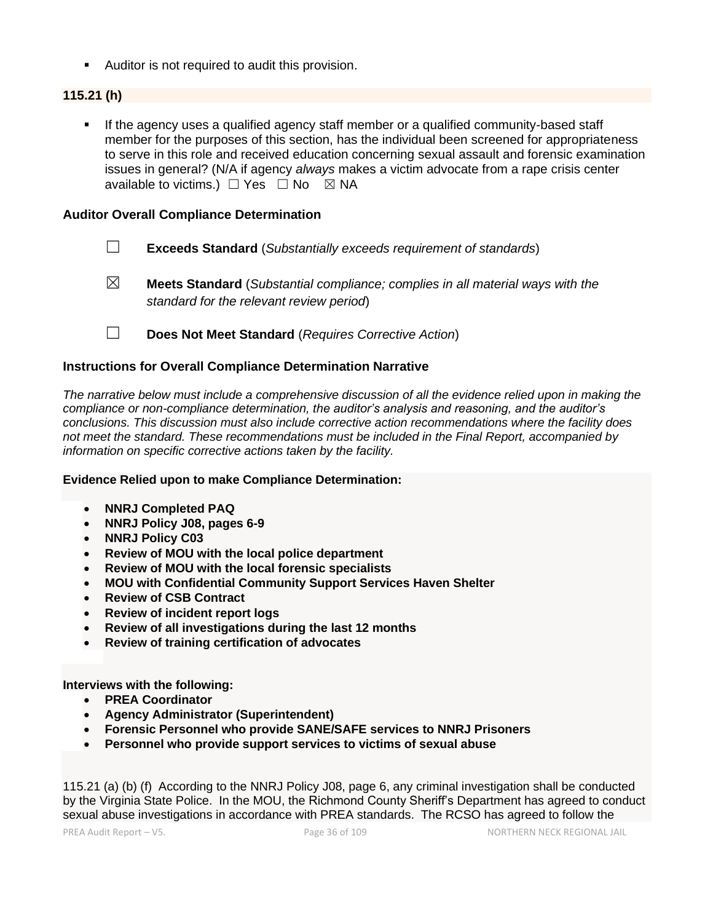■ Auditor is not required to audit this provision.

## **115.21 (h)**

▪ If the agency uses a qualified agency staff member or a qualified community-based staff member for the purposes of this section, has the individual been screened for appropriateness to serve in this role and received education concerning sexual assault and forensic examination issues in general? (N/A if agency *always* makes a victim advocate from a rape crisis center available to victims.)  $\Box$  Yes  $\Box$  No  $\boxtimes$  NA

#### **Auditor Overall Compliance Determination**

- ☐ **Exceeds Standard** (*Substantially exceeds requirement of standards*)
- 
- ☒ **Meets Standard** (*Substantial compliance; complies in all material ways with the standard for the relevant review period*)
- ☐ **Does Not Meet Standard** (*Requires Corrective Action*)

#### **Instructions for Overall Compliance Determination Narrative**

*The narrative below must include a comprehensive discussion of all the evidence relied upon in making the compliance or non-compliance determination, the auditor's analysis and reasoning, and the auditor's conclusions. This discussion must also include corrective action recommendations where the facility does not meet the standard. These recommendations must be included in the Final Report, accompanied by information on specific corrective actions taken by the facility.*

#### **Evidence Relied upon to make Compliance Determination:**

- **NNRJ Completed PAQ**
- **NNRJ Policy J08, pages 6-9**
- **NNRJ Policy C03**
- **Review of MOU with the local police department**
- **Review of MOU with the local forensic specialists**
- **MOU with Confidential Community Support Services Haven Shelter**
- **Review of CSB Contract**
- **Review of incident report logs**
- **Review of all investigations during the last 12 months**
- **Review of training certification of advocates**

**Interviews with the following:**

- **PREA Coordinator**
- **Agency Administrator (Superintendent)**
- **Forensic Personnel who provide SANE/SAFE services to NNRJ Prisoners**
- **Personnel who provide support services to victims of sexual abuse**

115.21 (a) (b) (f) According to the NNRJ Policy J08, page 6, any criminal investigation shall be conducted by the Virginia State Police. In the MOU, the Richmond County Sheriff's Department has agreed to conduct sexual abuse investigations in accordance with PREA standards. The RCSO has agreed to follow the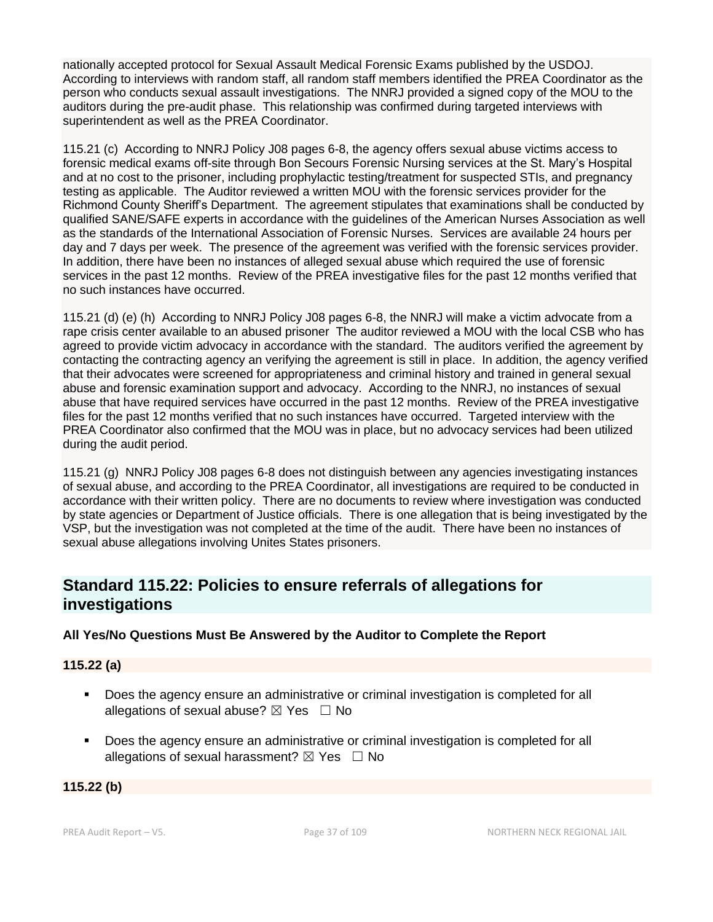nationally accepted protocol for Sexual Assault Medical Forensic Exams published by the USDOJ. According to interviews with random staff, all random staff members identified the PREA Coordinator as the person who conducts sexual assault investigations. The NNRJ provided a signed copy of the MOU to the auditors during the pre-audit phase. This relationship was confirmed during targeted interviews with superintendent as well as the PREA Coordinator.

115.21 (c) According to NNRJ Policy J08 pages 6-8, the agency offers sexual abuse victims access to forensic medical exams off-site through Bon Secours Forensic Nursing services at the St. Mary's Hospital and at no cost to the prisoner, including prophylactic testing/treatment for suspected STIs, and pregnancy testing as applicable. The Auditor reviewed a written MOU with the forensic services provider for the Richmond County Sheriff's Department. The agreement stipulates that examinations shall be conducted by qualified SANE/SAFE experts in accordance with the guidelines of the American Nurses Association as well as the standards of the International Association of Forensic Nurses. Services are available 24 hours per day and 7 days per week. The presence of the agreement was verified with the forensic services provider. In addition, there have been no instances of alleged sexual abuse which required the use of forensic services in the past 12 months. Review of the PREA investigative files for the past 12 months verified that no such instances have occurred.

115.21 (d) (e) (h) According to NNRJ Policy J08 pages 6-8, the NNRJ will make a victim advocate from a rape crisis center available to an abused prisoner The auditor reviewed a MOU with the local CSB who has agreed to provide victim advocacy in accordance with the standard. The auditors verified the agreement by contacting the contracting agency an verifying the agreement is still in place. In addition, the agency verified that their advocates were screened for appropriateness and criminal history and trained in general sexual abuse and forensic examination support and advocacy. According to the NNRJ, no instances of sexual abuse that have required services have occurred in the past 12 months. Review of the PREA investigative files for the past 12 months verified that no such instances have occurred. Targeted interview with the PREA Coordinator also confirmed that the MOU was in place, but no advocacy services had been utilized during the audit period.

115.21 (g) NNRJ Policy J08 pages 6-8 does not distinguish between any agencies investigating instances of sexual abuse, and according to the PREA Coordinator, all investigations are required to be conducted in accordance with their written policy. There are no documents to review where investigation was conducted by state agencies or Department of Justice officials. There is one allegation that is being investigated by the VSP, but the investigation was not completed at the time of the audit. There have been no instances of sexual abuse allegations involving Unites States prisoners.

# **Standard 115.22: Policies to ensure referrals of allegations for investigations**

## **All Yes/No Questions Must Be Answered by the Auditor to Complete the Report**

## **115.22 (a)**

- Does the agency ensure an administrative or criminal investigation is completed for all allegations of sexual abuse?  $\boxtimes$  Yes  $\Box$  No
- Does the agency ensure an administrative or criminal investigation is completed for all allegations of sexual harassment?  $\boxtimes$  Yes  $\Box$  No

#### **115.22 (b)**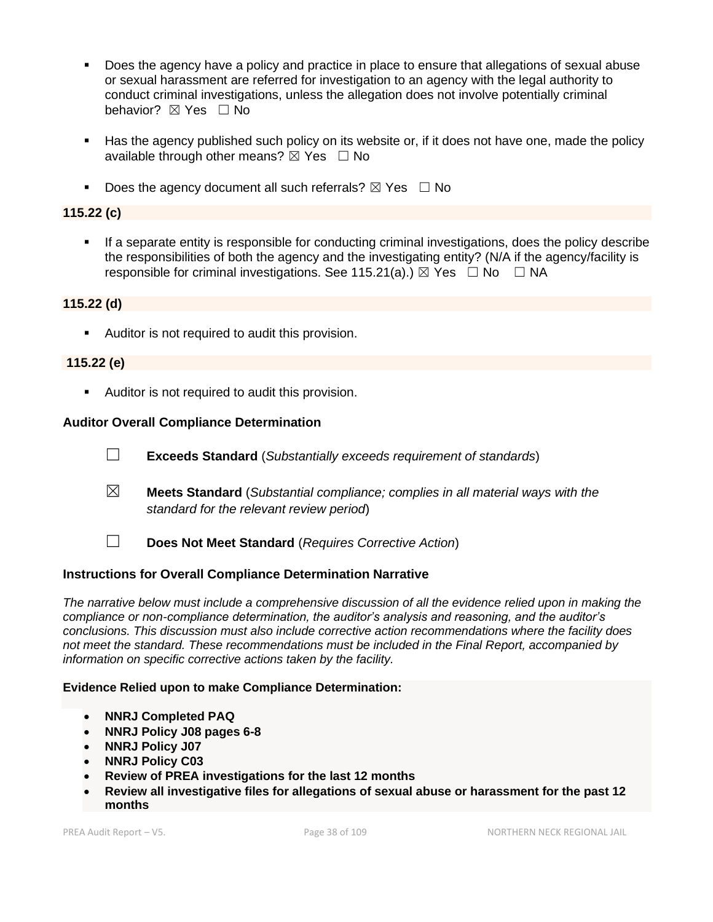- Does the agency have a policy and practice in place to ensure that allegations of sexual abuse or sexual harassment are referred for investigation to an agency with the legal authority to conduct criminal investigations, unless the allegation does not involve potentially criminal behavior? **⊠** Yes □ No
- Has the agency published such policy on its website or, if it does not have one, made the policy available through other means?  $\boxtimes$  Yes  $\Box$  No
- Does the agency document all such referrals?  $\boxtimes$  Yes  $\Box$  No

## **115.22 (c)**

**•** If a separate entity is responsible for conducting criminal investigations, does the policy describe the responsibilities of both the agency and the investigating entity? (N/A if the agency/facility is responsible for criminal investigations. See 115.21(a).)  $\boxtimes$  Yes  $\Box$  No  $\Box$  NA

## **115.22 (d)**

■ Auditor is not required to audit this provision.

#### **115.22 (e)**

■ Auditor is not required to audit this provision.

#### **Auditor Overall Compliance Determination**

- ☐ **Exceeds Standard** (*Substantially exceeds requirement of standards*)
- ☒ **Meets Standard** (*Substantial compliance; complies in all material ways with the standard for the relevant review period*)
- 
- ☐ **Does Not Meet Standard** (*Requires Corrective Action*)

## **Instructions for Overall Compliance Determination Narrative**

*The narrative below must include a comprehensive discussion of all the evidence relied upon in making the compliance or non-compliance determination, the auditor's analysis and reasoning, and the auditor's conclusions. This discussion must also include corrective action recommendations where the facility does not meet the standard. These recommendations must be included in the Final Report, accompanied by information on specific corrective actions taken by the facility.*

#### **Evidence Relied upon to make Compliance Determination:**

- **NNRJ Completed PAQ**
- **NNRJ Policy J08 pages 6-8**
- **NNRJ Policy J07**
- **NNRJ Policy C03**
- **Review of PREA investigations for the last 12 months**
- **Review all investigative files for allegations of sexual abuse or harassment for the past 12 months**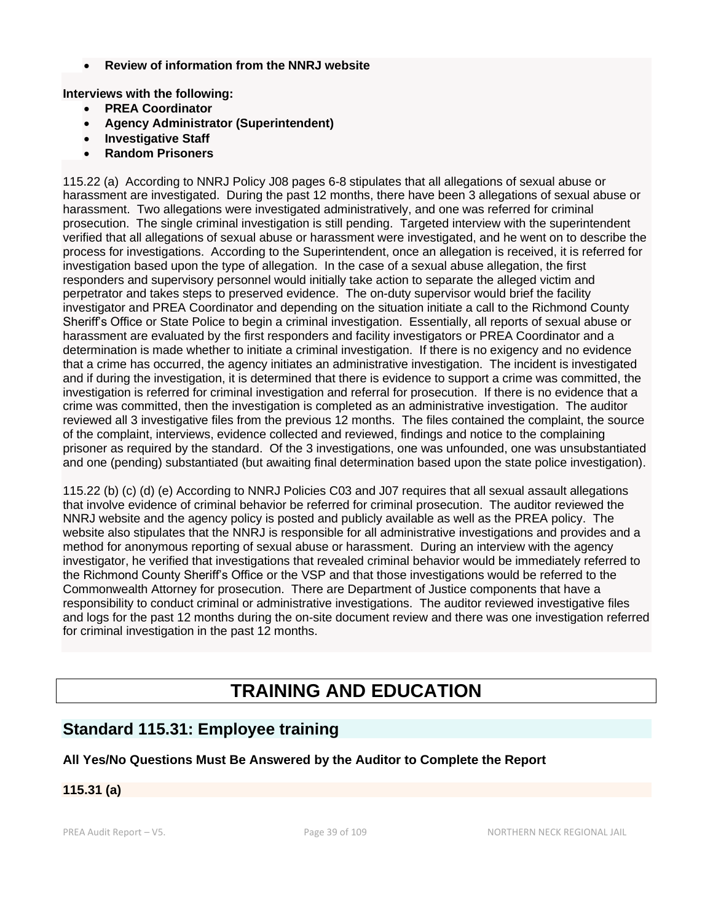• **Review of information from the NNRJ website**

**Interviews with the following:**

- **PREA Coordinator**
- **Agency Administrator (Superintendent)**
- **Investigative Staff**
- **Random Prisoners**

115.22 (a) According to NNRJ Policy J08 pages 6-8 stipulates that all allegations of sexual abuse or harassment are investigated. During the past 12 months, there have been 3 allegations of sexual abuse or harassment. Two allegations were investigated administratively, and one was referred for criminal prosecution. The single criminal investigation is still pending. Targeted interview with the superintendent verified that all allegations of sexual abuse or harassment were investigated, and he went on to describe the process for investigations. According to the Superintendent, once an allegation is received, it is referred for investigation based upon the type of allegation. In the case of a sexual abuse allegation, the first responders and supervisory personnel would initially take action to separate the alleged victim and perpetrator and takes steps to preserved evidence. The on-duty supervisor would brief the facility investigator and PREA Coordinator and depending on the situation initiate a call to the Richmond County Sheriff's Office or State Police to begin a criminal investigation. Essentially, all reports of sexual abuse or harassment are evaluated by the first responders and facility investigators or PREA Coordinator and a determination is made whether to initiate a criminal investigation. If there is no exigency and no evidence that a crime has occurred, the agency initiates an administrative investigation. The incident is investigated and if during the investigation, it is determined that there is evidence to support a crime was committed, the investigation is referred for criminal investigation and referral for prosecution. If there is no evidence that a crime was committed, then the investigation is completed as an administrative investigation. The auditor reviewed all 3 investigative files from the previous 12 months. The files contained the complaint, the source of the complaint, interviews, evidence collected and reviewed, findings and notice to the complaining prisoner as required by the standard. Of the 3 investigations, one was unfounded, one was unsubstantiated and one (pending) substantiated (but awaiting final determination based upon the state police investigation).

115.22 (b) (c) (d) (e) According to NNRJ Policies C03 and J07 requires that all sexual assault allegations that involve evidence of criminal behavior be referred for criminal prosecution. The auditor reviewed the NNRJ website and the agency policy is posted and publicly available as well as the PREA policy. The website also stipulates that the NNRJ is responsible for all administrative investigations and provides and a method for anonymous reporting of sexual abuse or harassment. During an interview with the agency investigator, he verified that investigations that revealed criminal behavior would be immediately referred to the Richmond County Sheriff's Office or the VSP and that those investigations would be referred to the Commonwealth Attorney for prosecution. There are Department of Justice components that have a responsibility to conduct criminal or administrative investigations. The auditor reviewed investigative files and logs for the past 12 months during the on-site document review and there was one investigation referred for criminal investigation in the past 12 months.

# **TRAINING AND EDUCATION**

# **Standard 115.31: Employee training**

## **All Yes/No Questions Must Be Answered by the Auditor to Complete the Report**

## **115.31 (a)**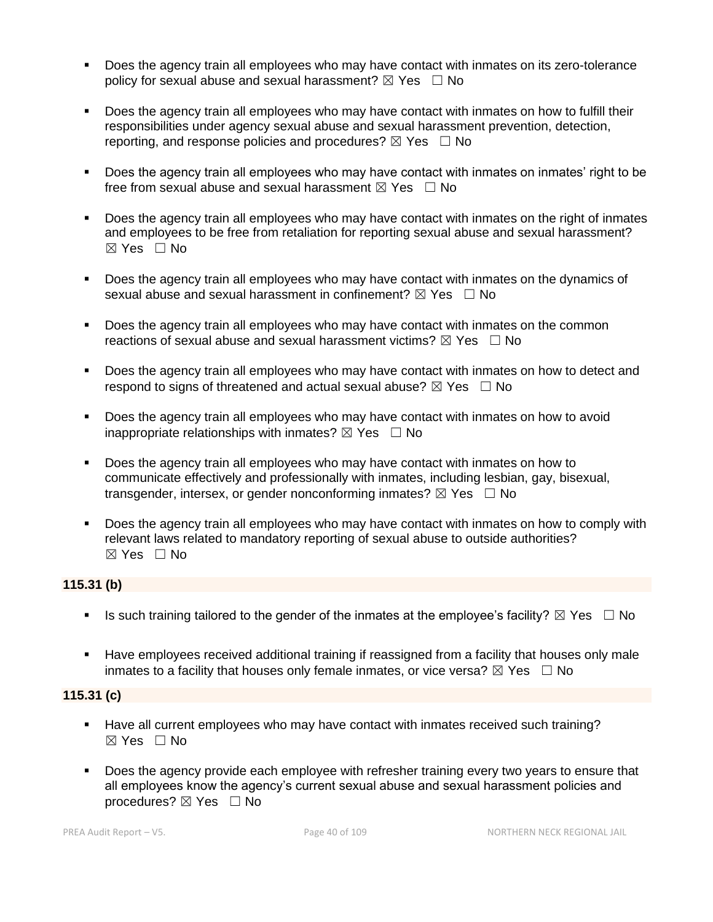- Does the agency train all employees who may have contact with inmates on its zero-tolerance policy for sexual abuse and sexual harassment?  $\boxtimes$  Yes  $\Box$  No
- Does the agency train all employees who may have contact with inmates on how to fulfill their responsibilities under agency sexual abuse and sexual harassment prevention, detection, reporting, and response policies and procedures?  $\boxtimes$  Yes  $\Box$  No
- Does the agency train all employees who may have contact with inmates on inmates' right to be free from sexual abuse and sexual harassment  $\boxtimes$  Yes  $\Box$  No
- Does the agency train all employees who may have contact with inmates on the right of inmates and employees to be free from retaliation for reporting sexual abuse and sexual harassment? ☒ Yes ☐ No
- Does the agency train all employees who may have contact with inmates on the dynamics of sexual abuse and sexual harassment in confinement?  $\boxtimes$  Yes  $\Box$  No
- Does the agency train all employees who may have contact with inmates on the common reactions of sexual abuse and sexual harassment victims?  $\boxtimes$  Yes  $\Box$  No
- Does the agency train all employees who may have contact with inmates on how to detect and respond to signs of threatened and actual sexual abuse?  $\boxtimes$  Yes  $\Box$  No
- Does the agency train all employees who may have contact with inmates on how to avoid inappropriate relationships with inmates?  $\boxtimes$  Yes  $\Box$  No
- Does the agency train all employees who may have contact with inmates on how to communicate effectively and professionally with inmates, including lesbian, gay, bisexual, transgender, intersex, or gender nonconforming inmates?  $\boxtimes$  Yes  $\Box$  No
- **•** Does the agency train all employees who may have contact with inmates on how to comply with relevant laws related to mandatory reporting of sexual abuse to outside authorities?  $\boxtimes$  Yes  $\Box$  No

## **115.31 (b)**

- **■** Is such training tailored to the gender of the inmates at the employee's facility?  $\boxtimes$  Yes  $\Box$  No
- **EXECT** Have employees received additional training if reassigned from a facility that houses only male inmates to a facility that houses only female inmates, or vice versa?  $\boxtimes$  Yes  $\Box$  No

#### **115.31 (c)**

- Have all current employees who may have contact with inmates received such training?  $\boxtimes$  Yes  $\Box$  No
- **•** Does the agency provide each employee with refresher training every two years to ensure that all employees know the agency's current sexual abuse and sexual harassment policies and procedures? ⊠ Yes □ No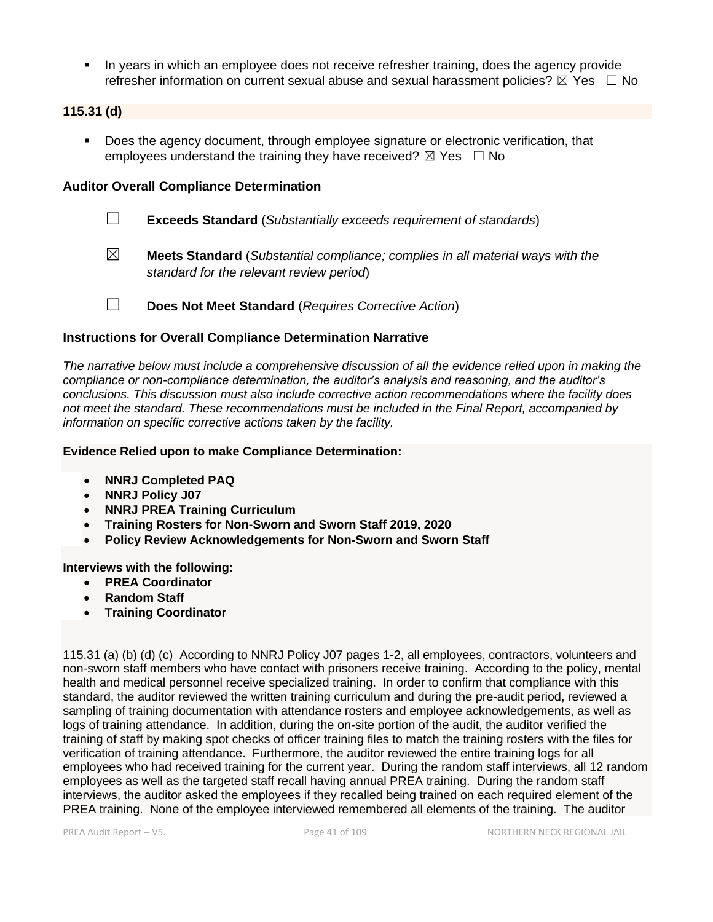▪ In years in which an employee does not receive refresher training, does the agency provide refresher information on current sexual abuse and sexual harassment policies?  $\boxtimes$  Yes  $\Box$  No

#### **115.31 (d)**

Does the agency document, through employee signature or electronic verification, that employees understand the training they have received?  $\boxtimes$  Yes  $\Box$  No

## **Auditor Overall Compliance Determination**

- ☐ **Exceeds Standard** (*Substantially exceeds requirement of standards*)
- ☒ **Meets Standard** (*Substantial compliance; complies in all material ways with the standard for the relevant review period*)
- ☐ **Does Not Meet Standard** (*Requires Corrective Action*)

#### **Instructions for Overall Compliance Determination Narrative**

*The narrative below must include a comprehensive discussion of all the evidence relied upon in making the compliance or non-compliance determination, the auditor's analysis and reasoning, and the auditor's conclusions. This discussion must also include corrective action recommendations where the facility does not meet the standard. These recommendations must be included in the Final Report, accompanied by information on specific corrective actions taken by the facility.*

#### **Evidence Relied upon to make Compliance Determination:**

- **NNRJ Completed PAQ**
- **NNRJ Policy J07**
- **NNRJ PREA Training Curriculum**
- **Training Rosters for Non-Sworn and Sworn Staff 2019, 2020**
- **Policy Review Acknowledgements for Non-Sworn and Sworn Staff**

**Interviews with the following:**

- **PREA Coordinator**
- **Random Staff**
- **Training Coordinator**

115.31 (a) (b) (d) (c) According to NNRJ Policy J07 pages 1-2, all employees, contractors, volunteers and non-sworn staff members who have contact with prisoners receive training. According to the policy, mental health and medical personnel receive specialized training. In order to confirm that compliance with this standard, the auditor reviewed the written training curriculum and during the pre-audit period, reviewed a sampling of training documentation with attendance rosters and employee acknowledgements, as well as logs of training attendance. In addition, during the on-site portion of the audit, the auditor verified the training of staff by making spot checks of officer training files to match the training rosters with the files for verification of training attendance. Furthermore, the auditor reviewed the entire training logs for all employees who had received training for the current year. During the random staff interviews, all 12 random employees as well as the targeted staff recall having annual PREA training. During the random staff interviews, the auditor asked the employees if they recalled being trained on each required element of the PREA training. None of the employee interviewed remembered all elements of the training. The auditor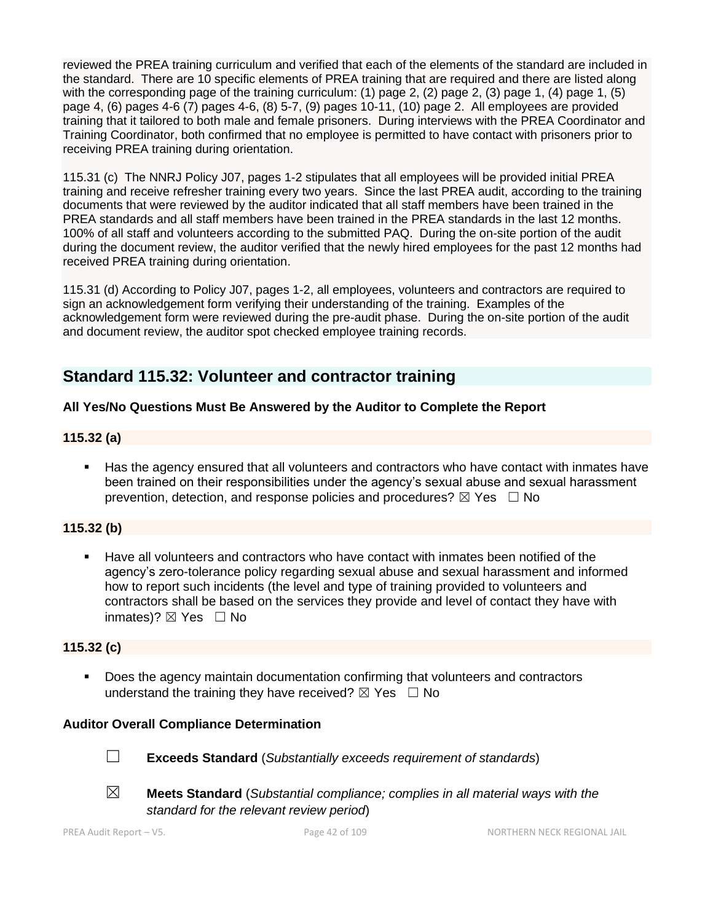reviewed the PREA training curriculum and verified that each of the elements of the standard are included in the standard. There are 10 specific elements of PREA training that are required and there are listed along with the corresponding page of the training curriculum: (1) page 2, (2) page 2, (3) page 1, (4) page 1, (5) page 4, (6) pages 4-6 (7) pages 4-6, (8) 5-7, (9) pages 10-11, (10) page 2. All employees are provided training that it tailored to both male and female prisoners. During interviews with the PREA Coordinator and Training Coordinator, both confirmed that no employee is permitted to have contact with prisoners prior to receiving PREA training during orientation.

115.31 (c) The NNRJ Policy J07, pages 1-2 stipulates that all employees will be provided initial PREA training and receive refresher training every two years. Since the last PREA audit, according to the training documents that were reviewed by the auditor indicated that all staff members have been trained in the PREA standards and all staff members have been trained in the PREA standards in the last 12 months. 100% of all staff and volunteers according to the submitted PAQ. During the on-site portion of the audit during the document review, the auditor verified that the newly hired employees for the past 12 months had received PREA training during orientation.

115.31 (d) According to Policy J07, pages 1-2, all employees, volunteers and contractors are required to sign an acknowledgement form verifying their understanding of the training. Examples of the acknowledgement form were reviewed during the pre-audit phase. During the on-site portion of the audit and document review, the auditor spot checked employee training records.

# **Standard 115.32: Volunteer and contractor training**

## **All Yes/No Questions Must Be Answered by the Auditor to Complete the Report**

## **115.32 (a)**

■ Has the agency ensured that all volunteers and contractors who have contact with inmates have been trained on their responsibilities under the agency's sexual abuse and sexual harassment prevention, detection, and response policies and procedures?  $\boxtimes$  Yes  $\Box$  No

## **115.32 (b)**

Have all volunteers and contractors who have contact with inmates been notified of the agency's zero-tolerance policy regarding sexual abuse and sexual harassment and informed how to report such incidents (the level and type of training provided to volunteers and contractors shall be based on the services they provide and level of contact they have with inmates)? ⊠ Yes □ No

#### **115.32 (c)**

■ Does the agency maintain documentation confirming that volunteers and contractors understand the training they have received?  $\boxtimes$  Yes  $\Box$  No

## **Auditor Overall Compliance Determination**



☐ **Exceeds Standard** (*Substantially exceeds requirement of standards*)



- 
- 
- ☒ **Meets Standard** (*Substantial compliance; complies in all material ways with the standard for the relevant review period*)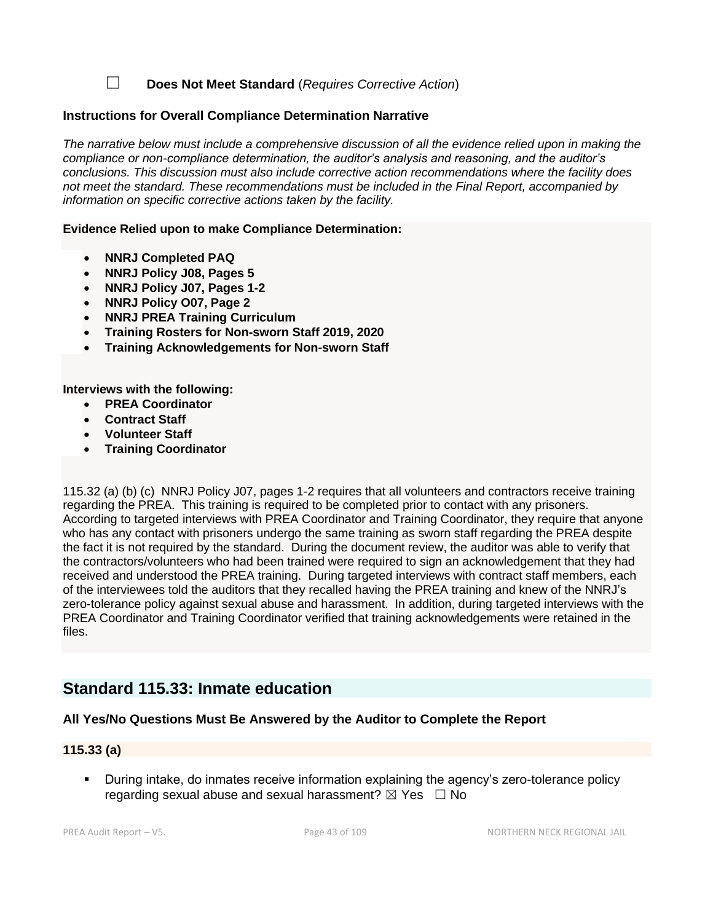☐ **Does Not Meet Standard** (*Requires Corrective Action*)

#### **Instructions for Overall Compliance Determination Narrative**

*The narrative below must include a comprehensive discussion of all the evidence relied upon in making the compliance or non-compliance determination, the auditor's analysis and reasoning, and the auditor's conclusions. This discussion must also include corrective action recommendations where the facility does not meet the standard. These recommendations must be included in the Final Report, accompanied by information on specific corrective actions taken by the facility.*

#### **Evidence Relied upon to make Compliance Determination:**

- **NNRJ Completed PAQ**
- **NNRJ Policy J08, Pages 5**
- **NNRJ Policy J07, Pages 1-2**
- **NNRJ Policy O07, Page 2**
- **NNRJ PREA Training Curriculum**
- **Training Rosters for Non-sworn Staff 2019, 2020**
- **Training Acknowledgements for Non-sworn Staff**

**Interviews with the following:**

- **PREA Coordinator**
- **Contract Staff**
- **Volunteer Staff**
- **Training Coordinator**

115.32 (a) (b) (c) NNRJ Policy J07, pages 1-2 requires that all volunteers and contractors receive training regarding the PREA. This training is required to be completed prior to contact with any prisoners. According to targeted interviews with PREA Coordinator and Training Coordinator, they require that anyone who has any contact with prisoners undergo the same training as sworn staff regarding the PREA despite the fact it is not required by the standard. During the document review, the auditor was able to verify that the contractors/volunteers who had been trained were required to sign an acknowledgement that they had received and understood the PREA training. During targeted interviews with contract staff members, each of the interviewees told the auditors that they recalled having the PREA training and knew of the NNRJ's zero-tolerance policy against sexual abuse and harassment. In addition, during targeted interviews with the PREA Coordinator and Training Coordinator verified that training acknowledgements were retained in the files.

## **Standard 115.33: Inmate education**

## **All Yes/No Questions Must Be Answered by the Auditor to Complete the Report**

#### **115.33 (a)**

During intake, do inmates receive information explaining the agency's zero-tolerance policy regarding sexual abuse and sexual harassment?  $\boxtimes$  Yes  $\Box$  No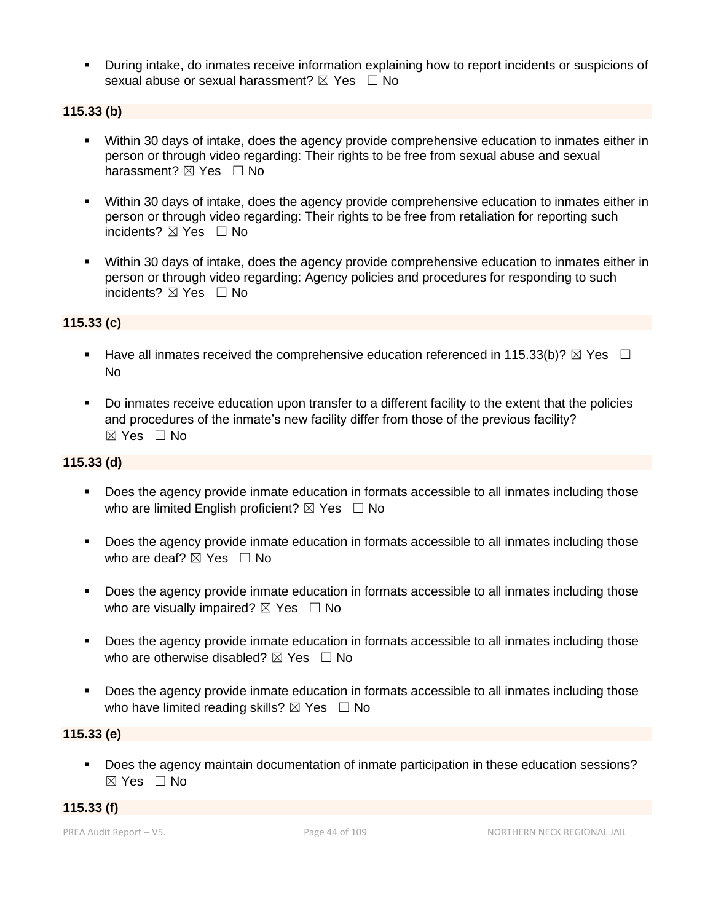▪ During intake, do inmates receive information explaining how to report incidents or suspicions of sexual abuse or sexual harassment?  $\boxtimes$  Yes  $\Box$  No

## **115.33 (b)**

- Within 30 days of intake, does the agency provide comprehensive education to inmates either in person or through video regarding: Their rights to be free from sexual abuse and sexual harassment?  $\boxtimes$  Yes  $\Box$  No
- Within 30 days of intake, does the agency provide comprehensive education to inmates either in person or through video regarding: Their rights to be free from retaliation for reporting such incidents? ⊠ Yes □ No
- Within 30 days of intake, does the agency provide comprehensive education to inmates either in person or through video regarding: Agency policies and procedures for responding to such incidents? ⊠ Yes □ No

## **115.33 (c)**

- **■** Have all inmates received the comprehensive education referenced in 115.33(b)?  $\boxtimes$  Yes  $\Box$ No
- Do inmates receive education upon transfer to a different facility to the extent that the policies and procedures of the inmate's new facility differ from those of the previous facility? ☒ Yes ☐ No

## **115.33 (d)**

- Does the agency provide inmate education in formats accessible to all inmates including those who are limited English proficient?  $\boxtimes$  Yes  $\Box$  No
- Does the agency provide inmate education in formats accessible to all inmates including those who are deaf?  $\boxtimes$  Yes  $\Box$  No
- Does the agency provide inmate education in formats accessible to all inmates including those who are visually impaired?  $\boxtimes$  Yes  $\Box$  No
- Does the agency provide inmate education in formats accessible to all inmates including those who are otherwise disabled?  $\boxtimes$  Yes  $\Box$  No
- Does the agency provide inmate education in formats accessible to all inmates including those who have limited reading skills?  $\boxtimes$  Yes  $\Box$  No

#### **115.33 (e)**

▪ Does the agency maintain documentation of inmate participation in these education sessions?  $\boxtimes$  Yes  $\Box$  No

#### **115.33 (f)**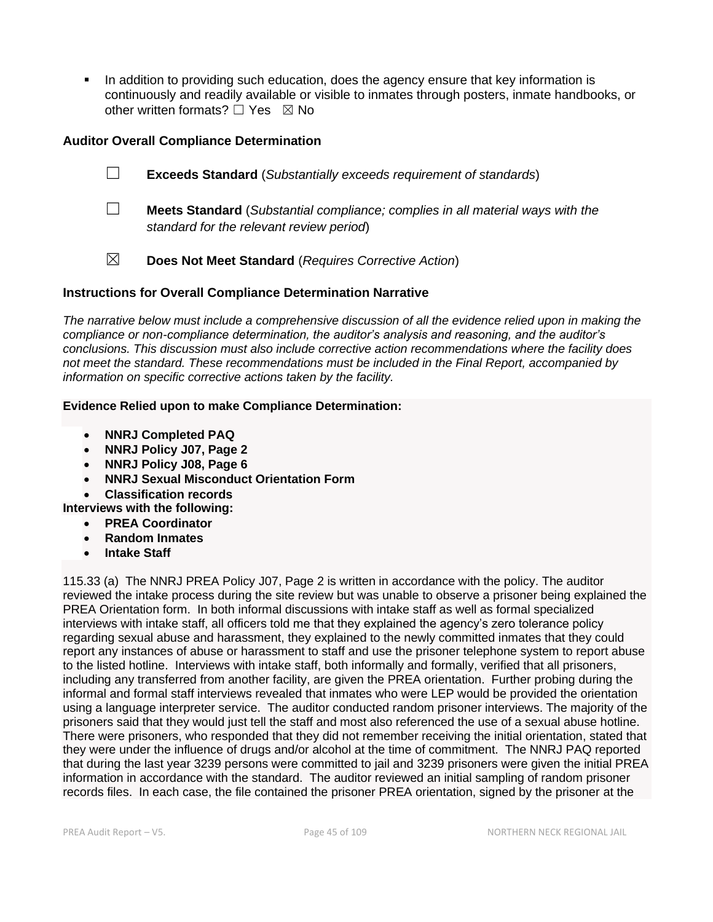In addition to providing such education, does the agency ensure that key information is continuously and readily available or visible to inmates through posters, inmate handbooks, or other written formats?  $\Box$  Yes  $\boxtimes$  No

## **Auditor Overall Compliance Determination**

- ☐ **Exceeds Standard** (*Substantially exceeds requirement of standards*)
- ☐ **Meets Standard** (*Substantial compliance; complies in all material ways with the standard for the relevant review period*)
- ☒ **Does Not Meet Standard** (*Requires Corrective Action*)

#### **Instructions for Overall Compliance Determination Narrative**

*The narrative below must include a comprehensive discussion of all the evidence relied upon in making the compliance or non-compliance determination, the auditor's analysis and reasoning, and the auditor's conclusions. This discussion must also include corrective action recommendations where the facility does not meet the standard. These recommendations must be included in the Final Report, accompanied by information on specific corrective actions taken by the facility.*

#### **Evidence Relied upon to make Compliance Determination:**

- **NNRJ Completed PAQ**
- **NNRJ Policy J07, Page 2**
- **NNRJ Policy J08, Page 6**
- **NNRJ Sexual Misconduct Orientation Form**

• **Classification records**

**Interviews with the following:**

- **PREA Coordinator**
- **Random Inmates**
- **Intake Staff**

115.33 (a) The NNRJ PREA Policy J07, Page 2 is written in accordance with the policy. The auditor reviewed the intake process during the site review but was unable to observe a prisoner being explained the PREA Orientation form. In both informal discussions with intake staff as well as formal specialized interviews with intake staff, all officers told me that they explained the agency's zero tolerance policy regarding sexual abuse and harassment, they explained to the newly committed inmates that they could report any instances of abuse or harassment to staff and use the prisoner telephone system to report abuse to the listed hotline. Interviews with intake staff, both informally and formally, verified that all prisoners, including any transferred from another facility, are given the PREA orientation. Further probing during the informal and formal staff interviews revealed that inmates who were LEP would be provided the orientation using a language interpreter service. The auditor conducted random prisoner interviews. The majority of the prisoners said that they would just tell the staff and most also referenced the use of a sexual abuse hotline. There were prisoners, who responded that they did not remember receiving the initial orientation, stated that they were under the influence of drugs and/or alcohol at the time of commitment. The NNRJ PAQ reported that during the last year 3239 persons were committed to jail and 3239 prisoners were given the initial PREA information in accordance with the standard. The auditor reviewed an initial sampling of random prisoner records files. In each case, the file contained the prisoner PREA orientation, signed by the prisoner at the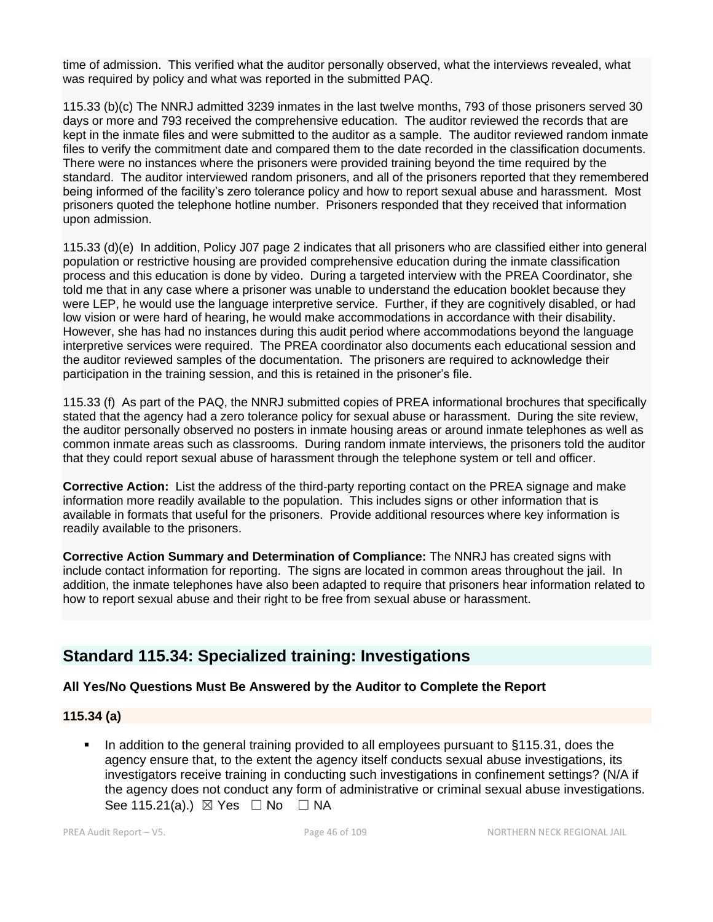time of admission. This verified what the auditor personally observed, what the interviews revealed, what was required by policy and what was reported in the submitted PAQ.

115.33 (b)(c) The NNRJ admitted 3239 inmates in the last twelve months, 793 of those prisoners served 30 days or more and 793 received the comprehensive education. The auditor reviewed the records that are kept in the inmate files and were submitted to the auditor as a sample. The auditor reviewed random inmate files to verify the commitment date and compared them to the date recorded in the classification documents. There were no instances where the prisoners were provided training beyond the time required by the standard. The auditor interviewed random prisoners, and all of the prisoners reported that they remembered being informed of the facility's zero tolerance policy and how to report sexual abuse and harassment. Most prisoners quoted the telephone hotline number. Prisoners responded that they received that information upon admission.

115.33 (d)(e) In addition, Policy J07 page 2 indicates that all prisoners who are classified either into general population or restrictive housing are provided comprehensive education during the inmate classification process and this education is done by video. During a targeted interview with the PREA Coordinator, she told me that in any case where a prisoner was unable to understand the education booklet because they were LEP, he would use the language interpretive service. Further, if they are cognitively disabled, or had low vision or were hard of hearing, he would make accommodations in accordance with their disability. However, she has had no instances during this audit period where accommodations beyond the language interpretive services were required. The PREA coordinator also documents each educational session and the auditor reviewed samples of the documentation. The prisoners are required to acknowledge their participation in the training session, and this is retained in the prisoner's file.

115.33 (f) As part of the PAQ, the NNRJ submitted copies of PREA informational brochures that specifically stated that the agency had a zero tolerance policy for sexual abuse or harassment. During the site review, the auditor personally observed no posters in inmate housing areas or around inmate telephones as well as common inmate areas such as classrooms. During random inmate interviews, the prisoners told the auditor that they could report sexual abuse of harassment through the telephone system or tell and officer.

**Corrective Action:** List the address of the third-party reporting contact on the PREA signage and make information more readily available to the population. This includes signs or other information that is available in formats that useful for the prisoners. Provide additional resources where key information is readily available to the prisoners.

**Corrective Action Summary and Determination of Compliance:** The NNRJ has created signs with include contact information for reporting. The signs are located in common areas throughout the jail. In addition, the inmate telephones have also been adapted to require that prisoners hear information related to how to report sexual abuse and their right to be free from sexual abuse or harassment.

# **Standard 115.34: Specialized training: Investigations**

## **All Yes/No Questions Must Be Answered by the Auditor to Complete the Report**

## **115.34 (a)**

In addition to the general training provided to all employees pursuant to §115.31, does the agency ensure that, to the extent the agency itself conducts sexual abuse investigations, its investigators receive training in conducting such investigations in confinement settings? (N/A if the agency does not conduct any form of administrative or criminal sexual abuse investigations. See 115.21(a).)  $\boxtimes$  Yes  $\Box$  No  $\Box$  NA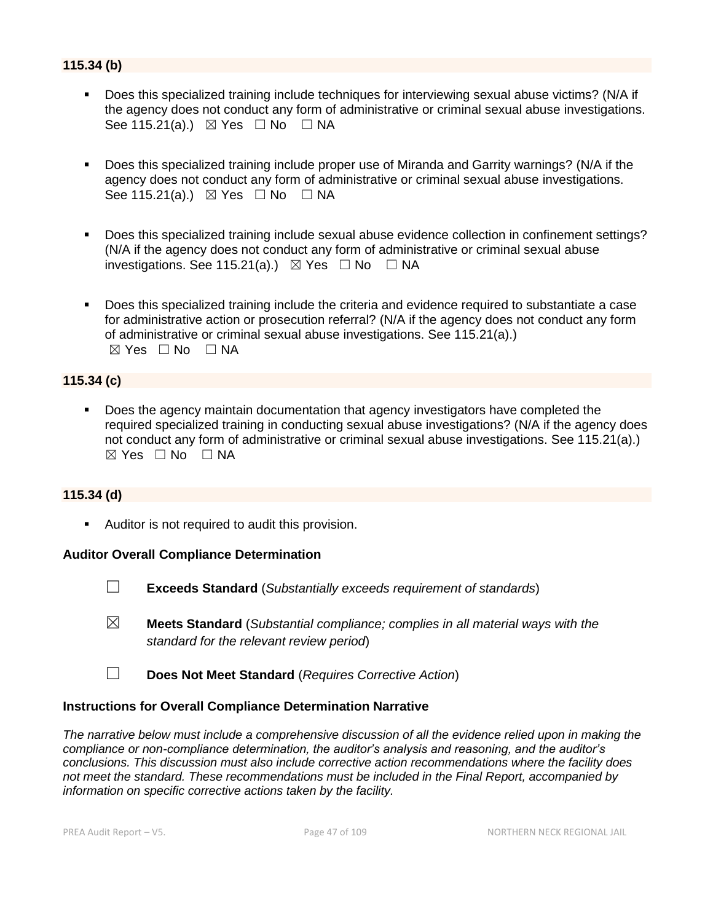## **115.34 (b)**

- Does this specialized training include techniques for interviewing sexual abuse victims? (N/A if the agency does not conduct any form of administrative or criminal sexual abuse investigations. See 115.21(a).)  $\boxtimes$  Yes  $\Box$  No  $\Box$  NA
- Does this specialized training include proper use of Miranda and Garrity warnings? (N/A if the agency does not conduct any form of administrative or criminal sexual abuse investigations. See 115.21(a).)  $\boxtimes$  Yes  $\Box$  No  $\Box$  NA
- Does this specialized training include sexual abuse evidence collection in confinement settings? (N/A if the agency does not conduct any form of administrative or criminal sexual abuse investigations. See 115.21(a).)  $\boxtimes$  Yes  $\Box$  No  $\Box$  NA
- Does this specialized training include the criteria and evidence required to substantiate a case for administrative action or prosecution referral? (N/A if the agency does not conduct any form of administrative or criminal sexual abuse investigations. See 115.21(a).)  $\boxtimes$  Yes  $\Box$  No  $\Box$  NA

## **115.34 (c)**

Does the agency maintain documentation that agency investigators have completed the required specialized training in conducting sexual abuse investigations? (N/A if the agency does not conduct any form of administrative or criminal sexual abuse investigations. See 115.21(a).)  $\boxtimes$  Yes  $\Box$  No  $\Box$  NA

#### **115.34 (d)**

■ Auditor is not required to audit this provision.

#### **Auditor Overall Compliance Determination**

- ☐ **Exceeds Standard** (*Substantially exceeds requirement of standards*)
- ☒ **Meets Standard** (*Substantial compliance; complies in all material ways with the standard for the relevant review period*)
- ☐ **Does Not Meet Standard** (*Requires Corrective Action*)

#### **Instructions for Overall Compliance Determination Narrative**

*The narrative below must include a comprehensive discussion of all the evidence relied upon in making the compliance or non-compliance determination, the auditor's analysis and reasoning, and the auditor's conclusions. This discussion must also include corrective action recommendations where the facility does not meet the standard. These recommendations must be included in the Final Report, accompanied by information on specific corrective actions taken by the facility.*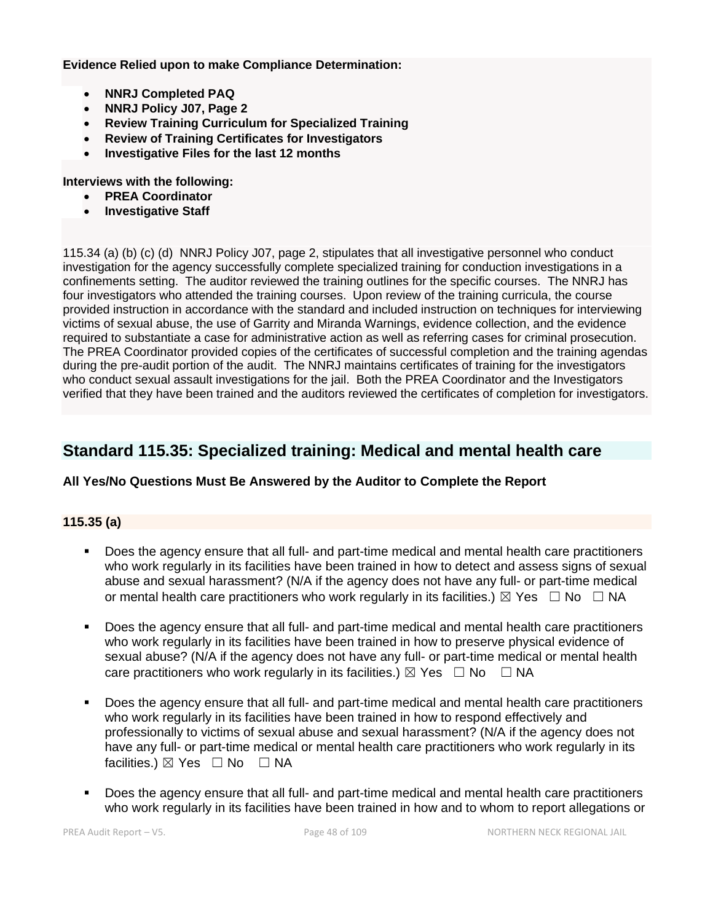**Evidence Relied upon to make Compliance Determination:**

- **NNRJ Completed PAQ**
- **NNRJ Policy J07, Page 2**
- **Review Training Curriculum for Specialized Training**
- **Review of Training Certificates for Investigators**
- **Investigative Files for the last 12 months**

**Interviews with the following:**

- **PREA Coordinator**
- **Investigative Staff**

115.34 (a) (b) (c) (d) NNRJ Policy J07, page 2, stipulates that all investigative personnel who conduct investigation for the agency successfully complete specialized training for conduction investigations in a confinements setting. The auditor reviewed the training outlines for the specific courses. The NNRJ has four investigators who attended the training courses. Upon review of the training curricula, the course provided instruction in accordance with the standard and included instruction on techniques for interviewing victims of sexual abuse, the use of Garrity and Miranda Warnings, evidence collection, and the evidence required to substantiate a case for administrative action as well as referring cases for criminal prosecution. The PREA Coordinator provided copies of the certificates of successful completion and the training agendas during the pre-audit portion of the audit. The NNRJ maintains certificates of training for the investigators who conduct sexual assault investigations for the jail. Both the PREA Coordinator and the Investigators verified that they have been trained and the auditors reviewed the certificates of completion for investigators.

# **Standard 115.35: Specialized training: Medical and mental health care**

## **All Yes/No Questions Must Be Answered by the Auditor to Complete the Report**

## **115.35 (a)**

- Does the agency ensure that all full- and part-time medical and mental health care practitioners who work regularly in its facilities have been trained in how to detect and assess signs of sexual abuse and sexual harassment? (N/A if the agency does not have any full- or part-time medical or mental health care practitioners who work regularly in its facilities.)  $\boxtimes$  Yes  $\Box$  No  $\Box$  NA
- Does the agency ensure that all full- and part-time medical and mental health care practitioners who work regularly in its facilities have been trained in how to preserve physical evidence of sexual abuse? (N/A if the agency does not have any full- or part-time medical or mental health care practitioners who work regularly in its facilities.)  $\boxtimes$  Yes  $\Box$  No  $\Box$  NA
- Does the agency ensure that all full- and part-time medical and mental health care practitioners who work regularly in its facilities have been trained in how to respond effectively and professionally to victims of sexual abuse and sexual harassment? (N/A if the agency does not have any full- or part-time medical or mental health care practitioners who work regularly in its facilities.)  $\boxtimes$  Yes  $\Box$  No  $\Box$  NA
- Does the agency ensure that all full- and part-time medical and mental health care practitioners who work regularly in its facilities have been trained in how and to whom to report allegations or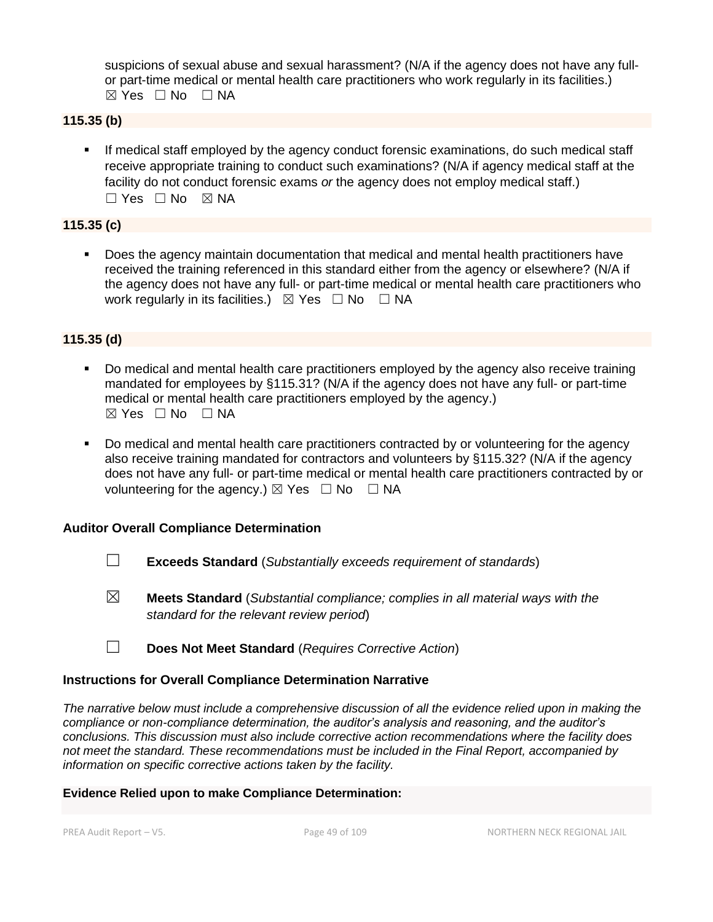suspicions of sexual abuse and sexual harassment? (N/A if the agency does not have any fullor part-time medical or mental health care practitioners who work regularly in its facilities.)  $\boxtimes$  Yes  $\Box$  No  $\Box$  NA

## **115.35 (b)**

**■** If medical staff employed by the agency conduct forensic examinations, do such medical staff receive appropriate training to conduct such examinations? (N/A if agency medical staff at the facility do not conduct forensic exams *or* the agency does not employ medical staff.) ☐ Yes ☐ No ☒ NA

#### **115.35 (c)**

Does the agency maintain documentation that medical and mental health practitioners have received the training referenced in this standard either from the agency or elsewhere? (N/A if the agency does not have any full- or part-time medical or mental health care practitioners who work regularly in its facilities.)  $\boxtimes$  Yes  $\Box$  No  $\Box$  NA

#### **115.35 (d)**

- Do medical and mental health care practitioners employed by the agency also receive training mandated for employees by §115.31? (N/A if the agency does not have any full- or part-time medical or mental health care practitioners employed by the agency.)  $\boxtimes$  Yes  $\Box$  No  $\Box$  NA
- Do medical and mental health care practitioners contracted by or volunteering for the agency also receive training mandated for contractors and volunteers by §115.32? (N/A if the agency does not have any full- or part-time medical or mental health care practitioners contracted by or volunteering for the agency.)  $\boxtimes$  Yes  $\Box$  No  $\Box$  NA

#### **Auditor Overall Compliance Determination**

- ☐ **Exceeds Standard** (*Substantially exceeds requirement of standards*)
- ☒ **Meets Standard** (*Substantial compliance; complies in all material ways with the standard for the relevant review period*)
- ☐ **Does Not Meet Standard** (*Requires Corrective Action*)

#### **Instructions for Overall Compliance Determination Narrative**

*The narrative below must include a comprehensive discussion of all the evidence relied upon in making the compliance or non-compliance determination, the auditor's analysis and reasoning, and the auditor's conclusions. This discussion must also include corrective action recommendations where the facility does not meet the standard. These recommendations must be included in the Final Report, accompanied by information on specific corrective actions taken by the facility.*

## **Evidence Relied upon to make Compliance Determination:**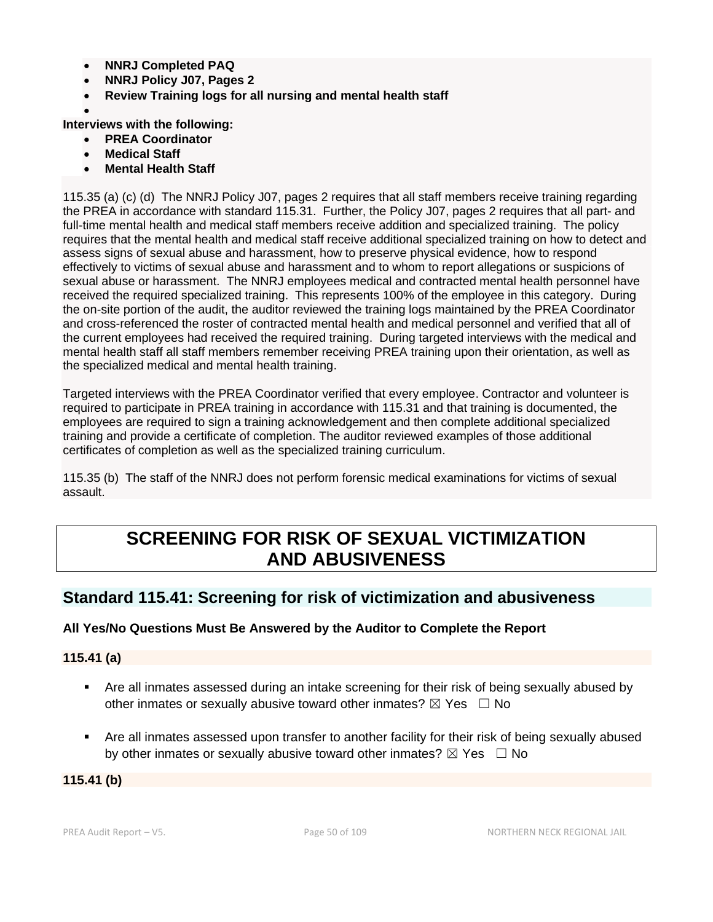- **NNRJ Completed PAQ**
- **NNRJ Policy J07, Pages 2**
- **Review Training logs for all nursing and mental health staff**
- •

**Interviews with the following:**

- **PREA Coordinator**
- **Medical Staff**
- **Mental Health Staff**

115.35 (a) (c) (d) The NNRJ Policy J07, pages 2 requires that all staff members receive training regarding the PREA in accordance with standard 115.31. Further, the Policy J07, pages 2 requires that all part- and full-time mental health and medical staff members receive addition and specialized training. The policy requires that the mental health and medical staff receive additional specialized training on how to detect and assess signs of sexual abuse and harassment, how to preserve physical evidence, how to respond effectively to victims of sexual abuse and harassment and to whom to report allegations or suspicions of sexual abuse or harassment. The NNRJ employees medical and contracted mental health personnel have received the required specialized training. This represents 100% of the employee in this category. During the on-site portion of the audit, the auditor reviewed the training logs maintained by the PREA Coordinator and cross-referenced the roster of contracted mental health and medical personnel and verified that all of the current employees had received the required training. During targeted interviews with the medical and mental health staff all staff members remember receiving PREA training upon their orientation, as well as the specialized medical and mental health training.

Targeted interviews with the PREA Coordinator verified that every employee. Contractor and volunteer is required to participate in PREA training in accordance with 115.31 and that training is documented, the employees are required to sign a training acknowledgement and then complete additional specialized training and provide a certificate of completion. The auditor reviewed examples of those additional certificates of completion as well as the specialized training curriculum.

115.35 (b) The staff of the NNRJ does not perform forensic medical examinations for victims of sexual assault.

# **SCREENING FOR RISK OF SEXUAL VICTIMIZATION AND ABUSIVENESS**

# **Standard 115.41: Screening for risk of victimization and abusiveness**

## **All Yes/No Questions Must Be Answered by the Auditor to Complete the Report**

**115.41 (a)**

- Are all inmates assessed during an intake screening for their risk of being sexually abused by other inmates or sexually abusive toward other inmates?  $\boxtimes$  Yes  $\Box$  No
- Are all inmates assessed upon transfer to another facility for their risk of being sexually abused by other inmates or sexually abusive toward other inmates?  $\boxtimes$  Yes  $\Box$  No

**115.41 (b)**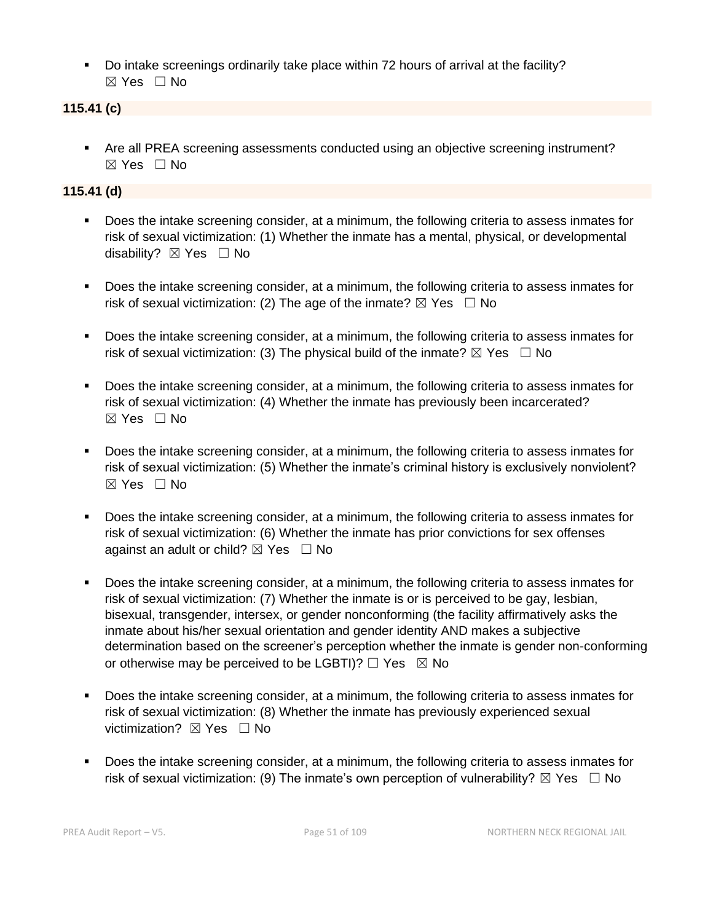▪ Do intake screenings ordinarily take place within 72 hours of arrival at the facility? ☒ Yes ☐ No

## **115.41 (c)**

■ Are all PREA screening assessments conducted using an objective screening instrument? ☒ Yes ☐ No

## **115.41 (d)**

- Does the intake screening consider, at a minimum, the following criteria to assess inmates for risk of sexual victimization: (1) Whether the inmate has a mental, physical, or developmental disability?  $\boxtimes$  Yes  $\Box$  No
- Does the intake screening consider, at a minimum, the following criteria to assess inmates for risk of sexual victimization: (2) The age of the inmate?  $\boxtimes$  Yes  $\Box$  No
- Does the intake screening consider, at a minimum, the following criteria to assess inmates for risk of sexual victimization: (3) The physical build of the inmate?  $\boxtimes$  Yes  $\Box$  No
- Does the intake screening consider, at a minimum, the following criteria to assess inmates for risk of sexual victimization: (4) Whether the inmate has previously been incarcerated?  $\boxtimes$  Yes  $\Box$  No
- Does the intake screening consider, at a minimum, the following criteria to assess inmates for risk of sexual victimization: (5) Whether the inmate's criminal history is exclusively nonviolent?  $\boxtimes$  Yes  $\Box$  No
- Does the intake screening consider, at a minimum, the following criteria to assess inmates for risk of sexual victimization: (6) Whether the inmate has prior convictions for sex offenses against an adult or child?  $\boxtimes$  Yes  $\Box$  No
- Does the intake screening consider, at a minimum, the following criteria to assess inmates for risk of sexual victimization: (7) Whether the inmate is or is perceived to be gay, lesbian, bisexual, transgender, intersex, or gender nonconforming (the facility affirmatively asks the inmate about his/her sexual orientation and gender identity AND makes a subjective determination based on the screener's perception whether the inmate is gender non-conforming or otherwise may be perceived to be LGBTI)?  $\Box$  Yes  $\boxtimes$  No
- Does the intake screening consider, at a minimum, the following criteria to assess inmates for risk of sexual victimization: (8) Whether the inmate has previously experienced sexual victimization?  $\boxtimes$  Yes  $\Box$  No
- Does the intake screening consider, at a minimum, the following criteria to assess inmates for risk of sexual victimization: (9) The inmate's own perception of vulnerability?  $\boxtimes$  Yes  $\Box$  No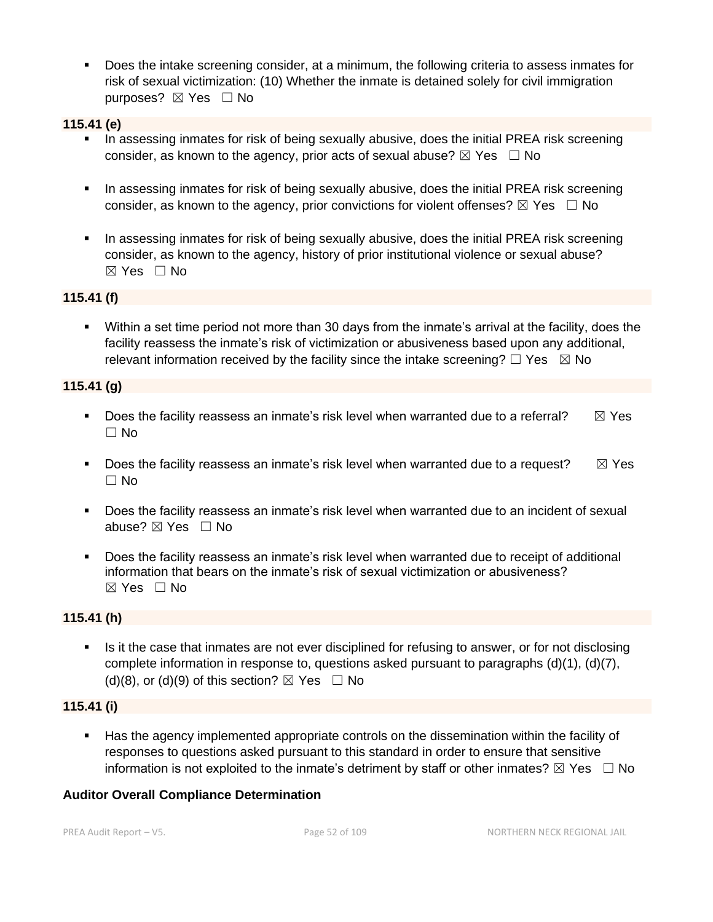▪ Does the intake screening consider, at a minimum, the following criteria to assess inmates for risk of sexual victimization: (10) Whether the inmate is detained solely for civil immigration purposes? ⊠ Yes □ No

## **115.41 (e)**

- **•** In assessing inmates for risk of being sexually abusive, does the initial PREA risk screening consider, as known to the agency, prior acts of sexual abuse?  $\boxtimes$  Yes  $\Box$  No
- **•** In assessing inmates for risk of being sexually abusive, does the initial PREA risk screening consider, as known to the agency, prior convictions for violent offenses?  $\boxtimes$  Yes  $\Box$  No
- **In assessing inmates for risk of being sexually abusive, does the initial PREA risk screening** consider, as known to the agency, history of prior institutional violence or sexual abuse?  $\boxtimes$  Yes  $\Box$  No

## **115.41 (f)**

▪ Within a set time period not more than 30 days from the inmate's arrival at the facility, does the facility reassess the inmate's risk of victimization or abusiveness based upon any additional, relevant information received by the facility since the intake screening?  $\Box$  Yes  $\boxtimes$  No

## **115.41 (g)**

- **•** Does the facility reassess an inmate's risk level when warranted due to a referral?  $\boxtimes$  Yes  $\Box$  No
- **•** Does the facility reassess an inmate's risk level when warranted due to a request?  $\boxtimes$  Yes ☐ No
- Does the facility reassess an inmate's risk level when warranted due to an incident of sexual abuse? ⊠ Yes □ No
- Does the facility reassess an inmate's risk level when warranted due to receipt of additional information that bears on the inmate's risk of sexual victimization or abusiveness?  $\boxtimes$  Yes  $\Box$  No

## **115.41 (h)**

**•** Is it the case that inmates are not ever disciplined for refusing to answer, or for not disclosing complete information in response to, questions asked pursuant to paragraphs (d)(1), (d)(7), (d)(8), or (d)(9) of this section?  $\boxtimes$  Yes  $\Box$  No

## **115.41 (i)**

■ Has the agency implemented appropriate controls on the dissemination within the facility of responses to questions asked pursuant to this standard in order to ensure that sensitive information is not exploited to the inmate's detriment by staff or other inmates?  $\boxtimes$  Yes  $\Box$  No

## **Auditor Overall Compliance Determination**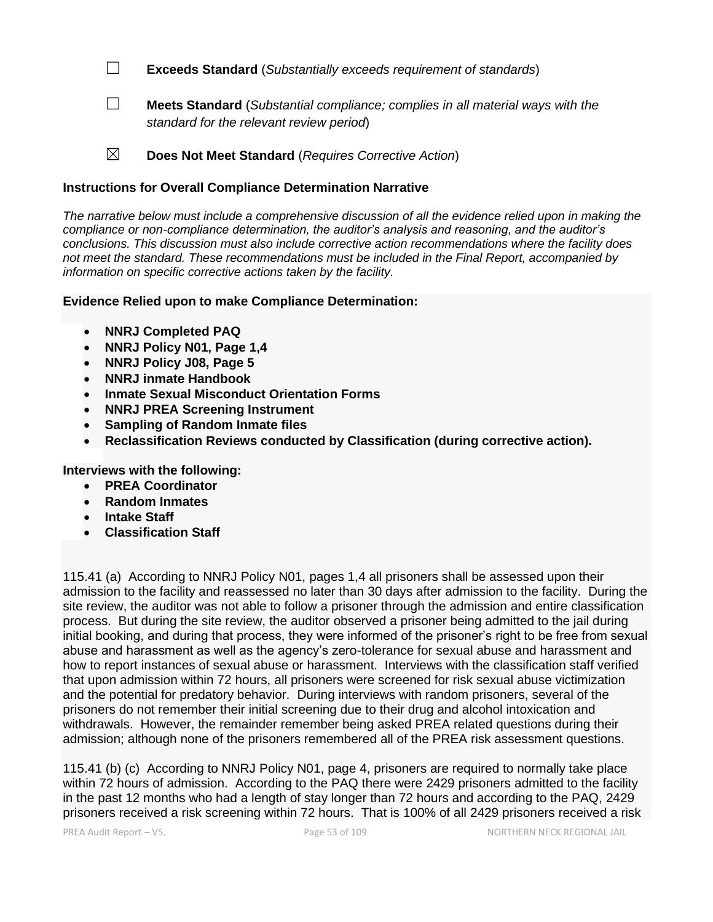☐ **Exceeds Standard** (*Substantially exceeds requirement of standards*)

- ☐ **Meets Standard** (*Substantial compliance; complies in all material ways with the standard for the relevant review period*)
- ☒ **Does Not Meet Standard** (*Requires Corrective Action*)

## **Instructions for Overall Compliance Determination Narrative**

*The narrative below must include a comprehensive discussion of all the evidence relied upon in making the compliance or non-compliance determination, the auditor's analysis and reasoning, and the auditor's conclusions. This discussion must also include corrective action recommendations where the facility does not meet the standard. These recommendations must be included in the Final Report, accompanied by information on specific corrective actions taken by the facility.*

## **Evidence Relied upon to make Compliance Determination:**

- **NNRJ Completed PAQ**
- **NNRJ Policy N01, Page 1,4**
- **NNRJ Policy J08, Page 5**
- **NNRJ inmate Handbook**
- **Inmate Sexual Misconduct Orientation Forms**
- **NNRJ PREA Screening Instrument**
- **Sampling of Random Inmate files**
- **Reclassification Reviews conducted by Classification (during corrective action).**

**Interviews with the following:**

- **PREA Coordinator**
- **Random Inmates**
- **Intake Staff**
- **Classification Staff**

115.41 (a) According to NNRJ Policy N01, pages 1,4 all prisoners shall be assessed upon their admission to the facility and reassessed no later than 30 days after admission to the facility. During the site review, the auditor was not able to follow a prisoner through the admission and entire classification process. But during the site review, the auditor observed a prisoner being admitted to the jail during initial booking, and during that process, they were informed of the prisoner's right to be free from sexual abuse and harassment as well as the agency's zero-tolerance for sexual abuse and harassment and how to report instances of sexual abuse or harassment. Interviews with the classification staff verified that upon admission within 72 hours, all prisoners were screened for risk sexual abuse victimization and the potential for predatory behavior. During interviews with random prisoners, several of the prisoners do not remember their initial screening due to their drug and alcohol intoxication and withdrawals. However, the remainder remember being asked PREA related questions during their admission; although none of the prisoners remembered all of the PREA risk assessment questions.

115.41 (b) (c) According to NNRJ Policy N01, page 4, prisoners are required to normally take place within 72 hours of admission. According to the PAQ there were 2429 prisoners admitted to the facility in the past 12 months who had a length of stay longer than 72 hours and according to the PAQ, 2429 prisoners received a risk screening within 72 hours. That is 100% of all 2429 prisoners received a risk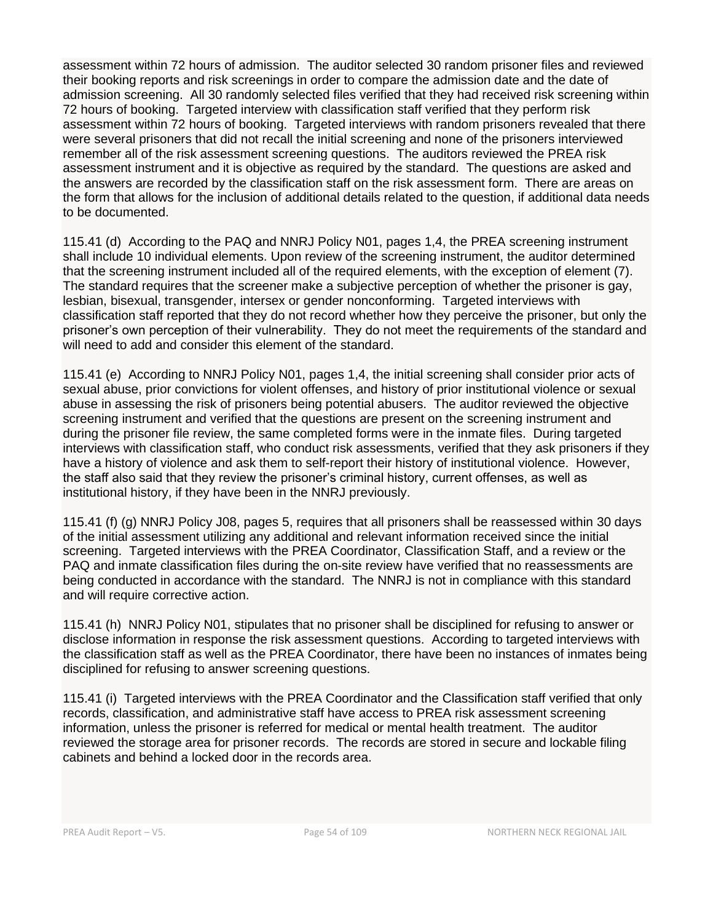assessment within 72 hours of admission. The auditor selected 30 random prisoner files and reviewed their booking reports and risk screenings in order to compare the admission date and the date of admission screening. All 30 randomly selected files verified that they had received risk screening within 72 hours of booking. Targeted interview with classification staff verified that they perform risk assessment within 72 hours of booking. Targeted interviews with random prisoners revealed that there were several prisoners that did not recall the initial screening and none of the prisoners interviewed remember all of the risk assessment screening questions. The auditors reviewed the PREA risk assessment instrument and it is objective as required by the standard. The questions are asked and the answers are recorded by the classification staff on the risk assessment form. There are areas on the form that allows for the inclusion of additional details related to the question, if additional data needs to be documented.

115.41 (d) According to the PAQ and NNRJ Policy N01, pages 1,4, the PREA screening instrument shall include 10 individual elements. Upon review of the screening instrument, the auditor determined that the screening instrument included all of the required elements, with the exception of element (7). The standard requires that the screener make a subjective perception of whether the prisoner is gay, lesbian, bisexual, transgender, intersex or gender nonconforming. Targeted interviews with classification staff reported that they do not record whether how they perceive the prisoner, but only the prisoner's own perception of their vulnerability. They do not meet the requirements of the standard and will need to add and consider this element of the standard.

115.41 (e) According to NNRJ Policy N01, pages 1,4, the initial screening shall consider prior acts of sexual abuse, prior convictions for violent offenses, and history of prior institutional violence or sexual abuse in assessing the risk of prisoners being potential abusers. The auditor reviewed the objective screening instrument and verified that the questions are present on the screening instrument and during the prisoner file review, the same completed forms were in the inmate files. During targeted interviews with classification staff, who conduct risk assessments, verified that they ask prisoners if they have a history of violence and ask them to self-report their history of institutional violence. However, the staff also said that they review the prisoner's criminal history, current offenses, as well as institutional history, if they have been in the NNRJ previously.

115.41 (f) (g) NNRJ Policy J08, pages 5, requires that all prisoners shall be reassessed within 30 days of the initial assessment utilizing any additional and relevant information received since the initial screening. Targeted interviews with the PREA Coordinator, Classification Staff, and a review or the PAQ and inmate classification files during the on-site review have verified that no reassessments are being conducted in accordance with the standard. The NNRJ is not in compliance with this standard and will require corrective action.

115.41 (h) NNRJ Policy N01, stipulates that no prisoner shall be disciplined for refusing to answer or disclose information in response the risk assessment questions. According to targeted interviews with the classification staff as well as the PREA Coordinator, there have been no instances of inmates being disciplined for refusing to answer screening questions.

115.41 (i) Targeted interviews with the PREA Coordinator and the Classification staff verified that only records, classification, and administrative staff have access to PREA risk assessment screening information, unless the prisoner is referred for medical or mental health treatment. The auditor reviewed the storage area for prisoner records. The records are stored in secure and lockable filing cabinets and behind a locked door in the records area.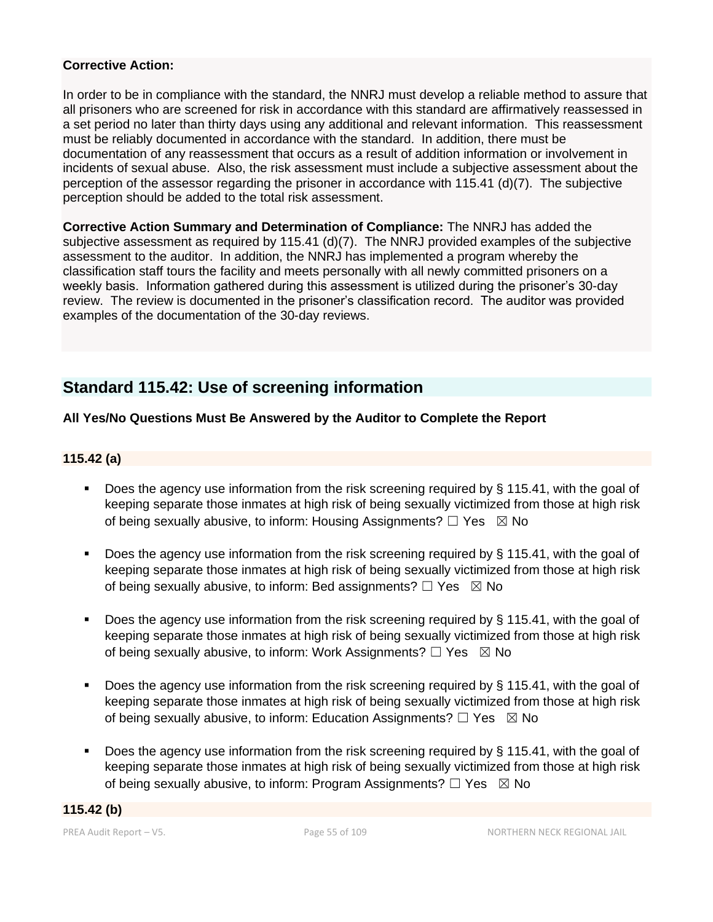## **Corrective Action:**

In order to be in compliance with the standard, the NNRJ must develop a reliable method to assure that all prisoners who are screened for risk in accordance with this standard are affirmatively reassessed in a set period no later than thirty days using any additional and relevant information. This reassessment must be reliably documented in accordance with the standard. In addition, there must be documentation of any reassessment that occurs as a result of addition information or involvement in incidents of sexual abuse. Also, the risk assessment must include a subjective assessment about the perception of the assessor regarding the prisoner in accordance with 115.41 (d)(7). The subjective perception should be added to the total risk assessment.

**Corrective Action Summary and Determination of Compliance:** The NNRJ has added the subjective assessment as required by 115.41 (d)(7). The NNRJ provided examples of the subjective assessment to the auditor. In addition, the NNRJ has implemented a program whereby the classification staff tours the facility and meets personally with all newly committed prisoners on a weekly basis. Information gathered during this assessment is utilized during the prisoner's 30-day review. The review is documented in the prisoner's classification record. The auditor was provided examples of the documentation of the 30-day reviews.

# **Standard 115.42: Use of screening information**

## **All Yes/No Questions Must Be Answered by the Auditor to Complete the Report**

## **115.42 (a)**

- Does the agency use information from the risk screening required by § 115.41, with the goal of keeping separate those inmates at high risk of being sexually victimized from those at high risk of being sexually abusive, to inform: Housing Assignments?  $\Box$  Yes  $\boxtimes$  No
- **•** Does the agency use information from the risk screening required by  $\S$  115.41, with the goal of keeping separate those inmates at high risk of being sexually victimized from those at high risk of being sexually abusive, to inform: Bed assignments?  $\Box$  Yes  $\boxtimes$  No
- Does the agency use information from the risk screening required by § 115.41, with the goal of keeping separate those inmates at high risk of being sexually victimized from those at high risk of being sexually abusive, to inform: Work Assignments?  $\Box$  Yes  $\boxtimes$  No
- Does the agency use information from the risk screening required by § 115.41, with the goal of keeping separate those inmates at high risk of being sexually victimized from those at high risk of being sexually abusive, to inform: Education Assignments?  $\Box$  Yes  $\boxtimes$  No
- **Does the agency use information from the risk screening required by**  $\S$  **115.41, with the goal of** keeping separate those inmates at high risk of being sexually victimized from those at high risk of being sexually abusive, to inform: Program Assignments?  $\Box$  Yes  $\boxtimes$  No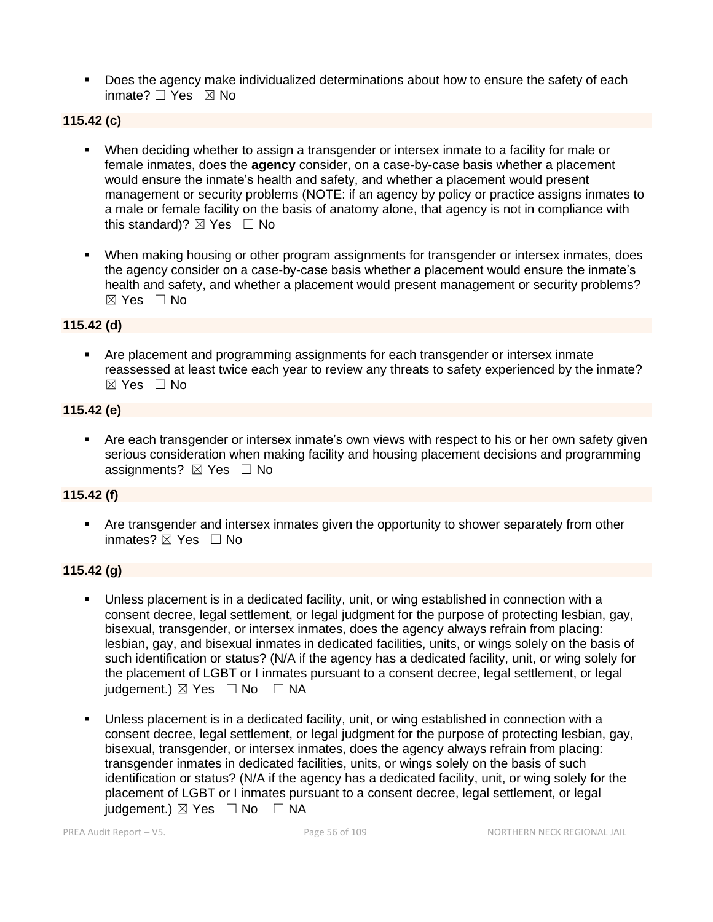**•** Does the agency make individualized determinations about how to ensure the safety of each inmate? □ Yes ⊠ No

## **115.42 (c)**

- When deciding whether to assign a transgender or intersex inmate to a facility for male or female inmates, does the **agency** consider, on a case-by-case basis whether a placement would ensure the inmate's health and safety, and whether a placement would present management or security problems (NOTE: if an agency by policy or practice assigns inmates to a male or female facility on the basis of anatomy alone, that agency is not in compliance with this standard)?  $\boxtimes$  Yes  $\Box$  No
- **When making housing or other program assignments for transgender or intersex inmates, does** the agency consider on a case-by-case basis whether a placement would ensure the inmate's health and safety, and whether a placement would present management or security problems? ☒ Yes ☐ No

## **115.42 (d)**

▪ Are placement and programming assignments for each transgender or intersex inmate reassessed at least twice each year to review any threats to safety experienced by the inmate? ☒ Yes ☐ No

## **115.42 (e)**

Are each transgender or intersex inmate's own views with respect to his or her own safety given serious consideration when making facility and housing placement decisions and programming assignments? ⊠ Yes □ No

## **115.42 (f)**

Are transgender and intersex inmates given the opportunity to shower separately from other inmates? **⊠** Yes □ No

## **115.42 (g)**

- Unless placement is in a dedicated facility, unit, or wing established in connection with a consent decree, legal settlement, or legal judgment for the purpose of protecting lesbian, gay, bisexual, transgender, or intersex inmates, does the agency always refrain from placing: lesbian, gay, and bisexual inmates in dedicated facilities, units, or wings solely on the basis of such identification or status? (N/A if the agency has a dedicated facility, unit, or wing solely for the placement of LGBT or I inmates pursuant to a consent decree, legal settlement, or legal  $judgement.$   $\boxtimes$  Yes  $\Box$  No  $\Box$  NA
- Unless placement is in a dedicated facility, unit, or wing established in connection with a consent decree, legal settlement, or legal judgment for the purpose of protecting lesbian, gay, bisexual, transgender, or intersex inmates, does the agency always refrain from placing: transgender inmates in dedicated facilities, units, or wings solely on the basis of such identification or status? (N/A if the agency has a dedicated facility, unit, or wing solely for the placement of LGBT or I inmates pursuant to a consent decree, legal settlement, or legal judgement.)  $\boxtimes$  Yes  $\Box$  No  $\Box$  NA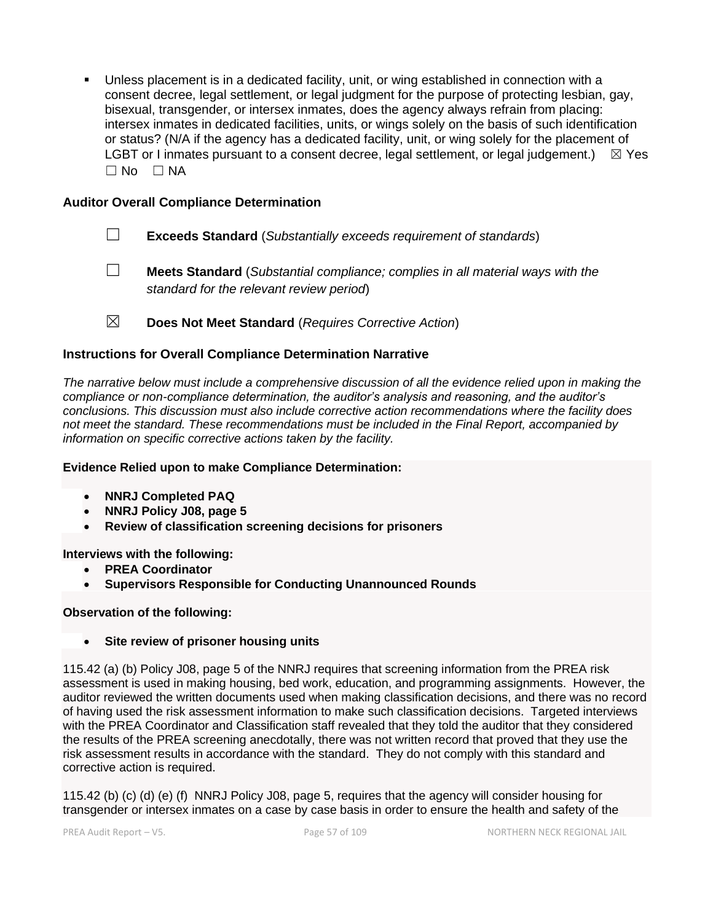Unless placement is in a dedicated facility, unit, or wing established in connection with a consent decree, legal settlement, or legal judgment for the purpose of protecting lesbian, gay, bisexual, transgender, or intersex inmates, does the agency always refrain from placing: intersex inmates in dedicated facilities, units, or wings solely on the basis of such identification or status? (N/A if the agency has a dedicated facility, unit, or wing solely for the placement of LGBT or I inmates pursuant to a consent decree, legal settlement, or legal judgement.)  $\boxtimes$  Yes  $\Box$  No  $\Box$  NA

## **Auditor Overall Compliance Determination**

- ☐ **Exceeds Standard** (*Substantially exceeds requirement of standards*)
- ☐ **Meets Standard** (*Substantial compliance; complies in all material ways with the standard for the relevant review period*)
- ☒ **Does Not Meet Standard** (*Requires Corrective Action*)

## **Instructions for Overall Compliance Determination Narrative**

*The narrative below must include a comprehensive discussion of all the evidence relied upon in making the compliance or non-compliance determination, the auditor's analysis and reasoning, and the auditor's conclusions. This discussion must also include corrective action recommendations where the facility does not meet the standard. These recommendations must be included in the Final Report, accompanied by information on specific corrective actions taken by the facility.*

#### **Evidence Relied upon to make Compliance Determination:**

- **NNRJ Completed PAQ**
- **NNRJ Policy J08, page 5**
- **Review of classification screening decisions for prisoners**

#### **Interviews with the following:**

- **PREA Coordinator**
- **Supervisors Responsible for Conducting Unannounced Rounds**

#### **Observation of the following:**

• **Site review of prisoner housing units**

115.42 (a) (b) Policy J08, page 5 of the NNRJ requires that screening information from the PREA risk assessment is used in making housing, bed work, education, and programming assignments. However, the auditor reviewed the written documents used when making classification decisions, and there was no record of having used the risk assessment information to make such classification decisions. Targeted interviews with the PREA Coordinator and Classification staff revealed that they told the auditor that they considered the results of the PREA screening anecdotally, there was not written record that proved that they use the risk assessment results in accordance with the standard. They do not comply with this standard and corrective action is required.

115.42 (b) (c) (d) (e) (f) NNRJ Policy J08, page 5, requires that the agency will consider housing for transgender or intersex inmates on a case by case basis in order to ensure the health and safety of the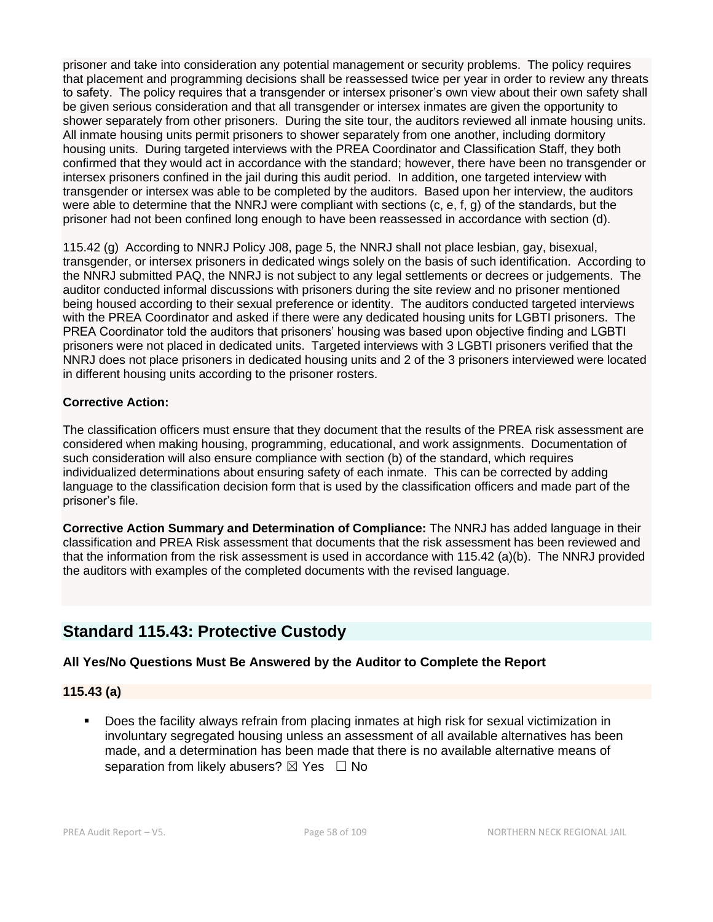prisoner and take into consideration any potential management or security problems. The policy requires that placement and programming decisions shall be reassessed twice per year in order to review any threats to safety. The policy requires that a transgender or intersex prisoner's own view about their own safety shall be given serious consideration and that all transgender or intersex inmates are given the opportunity to shower separately from other prisoners. During the site tour, the auditors reviewed all inmate housing units. All inmate housing units permit prisoners to shower separately from one another, including dormitory housing units. During targeted interviews with the PREA Coordinator and Classification Staff, they both confirmed that they would act in accordance with the standard; however, there have been no transgender or intersex prisoners confined in the jail during this audit period. In addition, one targeted interview with transgender or intersex was able to be completed by the auditors. Based upon her interview, the auditors were able to determine that the NNRJ were compliant with sections (c, e, f, g) of the standards, but the prisoner had not been confined long enough to have been reassessed in accordance with section (d).

115.42 (g) According to NNRJ Policy J08, page 5, the NNRJ shall not place lesbian, gay, bisexual, transgender, or intersex prisoners in dedicated wings solely on the basis of such identification. According to the NNRJ submitted PAQ, the NNRJ is not subject to any legal settlements or decrees or judgements. The auditor conducted informal discussions with prisoners during the site review and no prisoner mentioned being housed according to their sexual preference or identity. The auditors conducted targeted interviews with the PREA Coordinator and asked if there were any dedicated housing units for LGBTI prisoners. The PREA Coordinator told the auditors that prisoners' housing was based upon objective finding and LGBTI prisoners were not placed in dedicated units. Targeted interviews with 3 LGBTI prisoners verified that the NNRJ does not place prisoners in dedicated housing units and 2 of the 3 prisoners interviewed were located in different housing units according to the prisoner rosters.

#### **Corrective Action:**

The classification officers must ensure that they document that the results of the PREA risk assessment are considered when making housing, programming, educational, and work assignments. Documentation of such consideration will also ensure compliance with section (b) of the standard, which requires individualized determinations about ensuring safety of each inmate. This can be corrected by adding language to the classification decision form that is used by the classification officers and made part of the prisoner's file.

**Corrective Action Summary and Determination of Compliance:** The NNRJ has added language in their classification and PREA Risk assessment that documents that the risk assessment has been reviewed and that the information from the risk assessment is used in accordance with 115.42 (a)(b). The NNRJ provided the auditors with examples of the completed documents with the revised language.

# **Standard 115.43: Protective Custody**

## **All Yes/No Questions Must Be Answered by the Auditor to Complete the Report**

## **115.43 (a)**

Does the facility always refrain from placing inmates at high risk for sexual victimization in involuntary segregated housing unless an assessment of all available alternatives has been made, and a determination has been made that there is no available alternative means of separation from likely abusers?  $\boxtimes$  Yes  $\Box$  No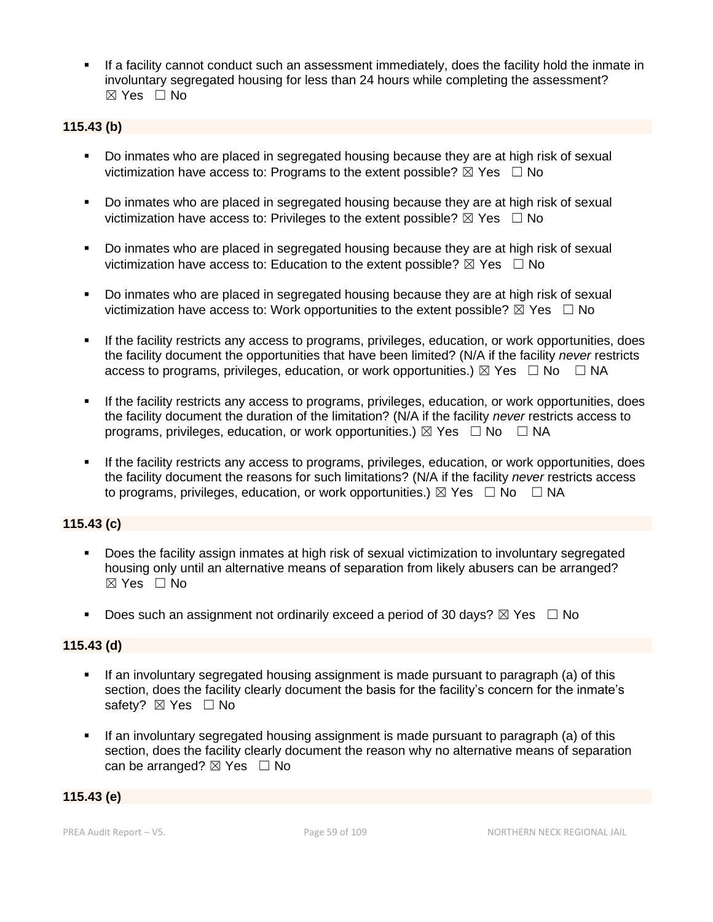If a facility cannot conduct such an assessment immediately, does the facility hold the inmate in involuntary segregated housing for less than 24 hours while completing the assessment? ☒ Yes ☐ No

## **115.43 (b)**

- Do inmates who are placed in segregated housing because they are at high risk of sexual victimization have access to: Programs to the extent possible?  $\boxtimes$  Yes  $\Box$  No
- Do inmates who are placed in segregated housing because they are at high risk of sexual victimization have access to: Privileges to the extent possible?  $\boxtimes$  Yes  $\Box$  No
- Do inmates who are placed in segregated housing because they are at high risk of sexual victimization have access to: Education to the extent possible?  $\boxtimes$  Yes  $\Box$  No
- Do inmates who are placed in segregated housing because they are at high risk of sexual victimization have access to: Work opportunities to the extent possible?  $\boxtimes$  Yes  $\Box$  No
- If the facility restricts any access to programs, privileges, education, or work opportunities, does the facility document the opportunities that have been limited? (N/A if the facility *never* restricts access to programs, privileges, education, or work opportunities.)  $\boxtimes$  Yes  $\Box$  No  $\Box$  NA
- If the facility restricts any access to programs, privileges, education, or work opportunities, does the facility document the duration of the limitation? (N/A if the facility *never* restricts access to programs, privileges, education, or work opportunities.)  $\boxtimes$  Yes  $\Box$  No  $\Box$  NA
- If the facility restricts any access to programs, privileges, education, or work opportunities, does the facility document the reasons for such limitations? (N/A if the facility *never* restricts access to programs, privileges, education, or work opportunities.)  $\boxtimes$  Yes  $\Box$  No  $\Box$  NA

## **115.43 (c)**

- Does the facility assign inmates at high risk of sexual victimization to involuntary segregated housing only until an alternative means of separation from likely abusers can be arranged?  $\boxtimes$  Yes  $\Box$  No
- **•** Does such an assignment not ordinarily exceed a period of 30 days?  $\boxtimes$  Yes  $\Box$  No

## **115.43 (d)**

- If an involuntary segregated housing assignment is made pursuant to paragraph (a) of this section, does the facility clearly document the basis for the facility's concern for the inmate's safety? ⊠ Yes □ No
- If an involuntary segregated housing assignment is made pursuant to paragraph (a) of this section, does the facility clearly document the reason why no alternative means of separation can be arranged?  $\boxtimes$  Yes  $\Box$  No

#### **115.43 (e)**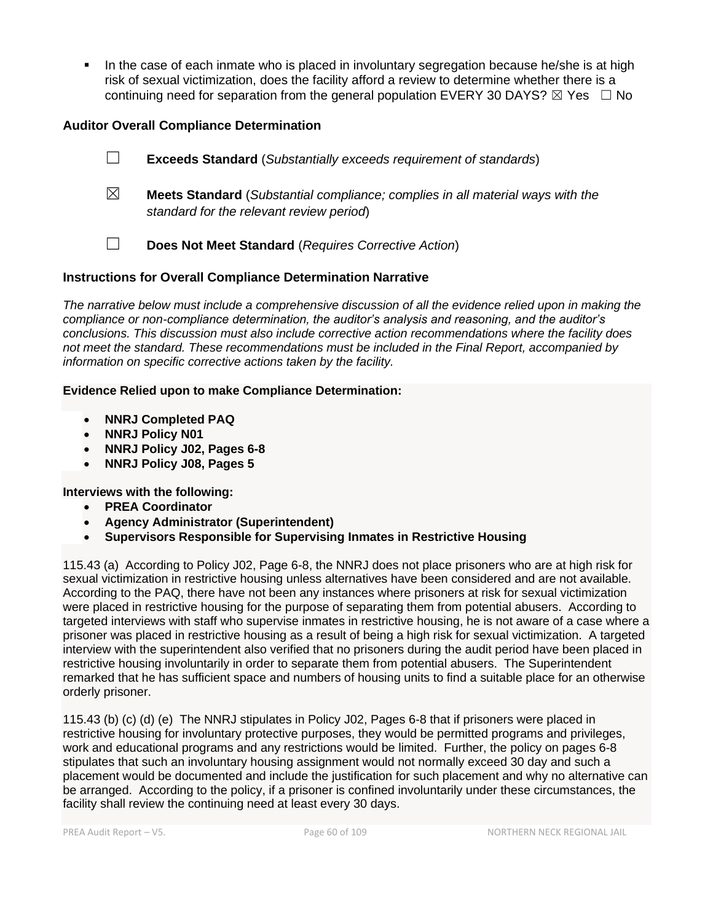**•** In the case of each inmate who is placed in involuntary segregation because he/she is at high risk of sexual victimization, does the facility afford a review to determine whether there is a continuing need for separation from the general population EVERY 30 DAYS?  $\boxtimes$  Yes  $\Box$  No

## **Auditor Overall Compliance Determination**

☐ **Exceeds Standard** (*Substantially exceeds requirement of standards*) ☒ **Meets Standard** (*Substantial compliance; complies in all material ways with the standard for the relevant review period*) ☐ **Does Not Meet Standard** (*Requires Corrective Action*)

## **Instructions for Overall Compliance Determination Narrative**

*The narrative below must include a comprehensive discussion of all the evidence relied upon in making the compliance or non-compliance determination, the auditor's analysis and reasoning, and the auditor's conclusions. This discussion must also include corrective action recommendations where the facility does not meet the standard. These recommendations must be included in the Final Report, accompanied by information on specific corrective actions taken by the facility.*

#### **Evidence Relied upon to make Compliance Determination:**

- **NNRJ Completed PAQ**
- **NNRJ Policy N01**
- **NNRJ Policy J02, Pages 6-8**
- **NNRJ Policy J08, Pages 5**

#### **Interviews with the following:**

- **PREA Coordinator**
- **Agency Administrator (Superintendent)**
- **Supervisors Responsible for Supervising Inmates in Restrictive Housing**

115.43 (a) According to Policy J02, Page 6-8, the NNRJ does not place prisoners who are at high risk for sexual victimization in restrictive housing unless alternatives have been considered and are not available. According to the PAQ, there have not been any instances where prisoners at risk for sexual victimization were placed in restrictive housing for the purpose of separating them from potential abusers. According to targeted interviews with staff who supervise inmates in restrictive housing, he is not aware of a case where a prisoner was placed in restrictive housing as a result of being a high risk for sexual victimization. A targeted interview with the superintendent also verified that no prisoners during the audit period have been placed in restrictive housing involuntarily in order to separate them from potential abusers. The Superintendent remarked that he has sufficient space and numbers of housing units to find a suitable place for an otherwise orderly prisoner.

115.43 (b) (c) (d) (e) The NNRJ stipulates in Policy J02, Pages 6-8 that if prisoners were placed in restrictive housing for involuntary protective purposes, they would be permitted programs and privileges, work and educational programs and any restrictions would be limited. Further, the policy on pages 6-8 stipulates that such an involuntary housing assignment would not normally exceed 30 day and such a placement would be documented and include the justification for such placement and why no alternative can be arranged. According to the policy, if a prisoner is confined involuntarily under these circumstances, the facility shall review the continuing need at least every 30 days.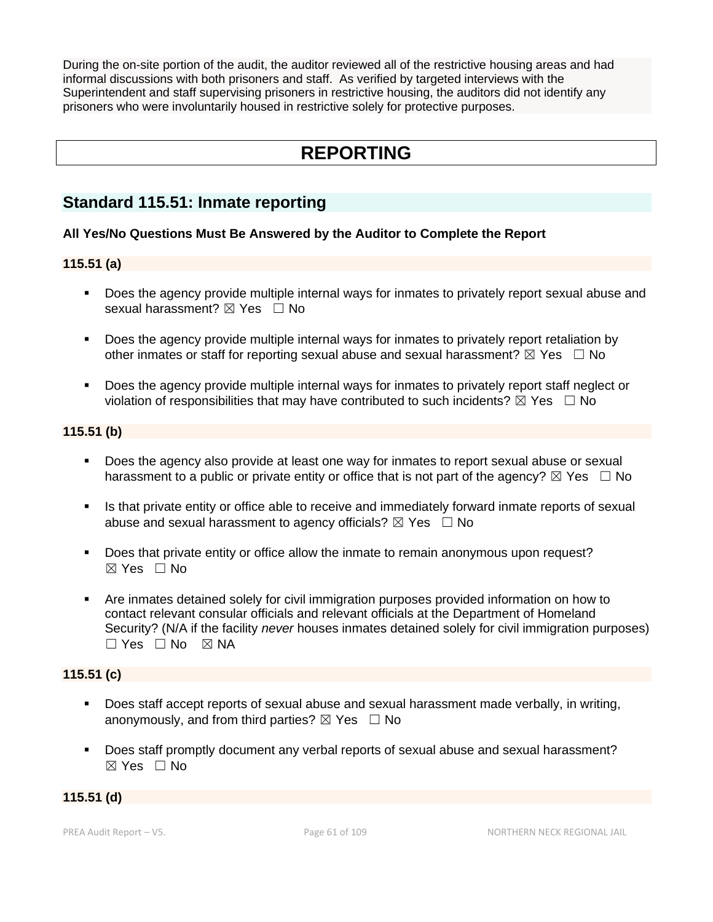During the on-site portion of the audit, the auditor reviewed all of the restrictive housing areas and had informal discussions with both prisoners and staff. As verified by targeted interviews with the Superintendent and staff supervising prisoners in restrictive housing, the auditors did not identify any prisoners who were involuntarily housed in restrictive solely for protective purposes.

# **REPORTING**

# **Standard 115.51: Inmate reporting**

## **All Yes/No Questions Must Be Answered by the Auditor to Complete the Report**

## **115.51 (a)**

- Does the agency provide multiple internal ways for inmates to privately report sexual abuse and sexual harassment? ⊠ Yes □ No
- Does the agency provide multiple internal ways for inmates to privately report retaliation by other inmates or staff for reporting sexual abuse and sexual harassment?  $\boxtimes$  Yes  $\Box$  No
- Does the agency provide multiple internal ways for inmates to privately report staff neglect or violation of responsibilities that may have contributed to such incidents?  $\boxtimes$  Yes  $\Box$  No

## **115.51 (b)**

- Does the agency also provide at least one way for inmates to report sexual abuse or sexual harassment to a public or private entity or office that is not part of the agency?  $\boxtimes$  Yes  $\Box$  No
- **■** Is that private entity or office able to receive and immediately forward inmate reports of sexual abuse and sexual harassment to agency officials?  $\boxtimes$  Yes  $\Box$  No
- Does that private entity or office allow the inmate to remain anonymous upon request?  $\boxtimes$  Yes  $\Box$  No
- Are inmates detained solely for civil immigration purposes provided information on how to contact relevant consular officials and relevant officials at the Department of Homeland Security? (N/A if the facility *never* houses inmates detained solely for civil immigration purposes)  $\Box$  Yes  $\Box$  No  $\boxtimes$  NA

## **115.51 (c)**

- Does staff accept reports of sexual abuse and sexual harassment made verbally, in writing, anonymously, and from third parties?  $\boxtimes$  Yes  $\Box$  No
- Does staff promptly document any verbal reports of sexual abuse and sexual harassment?  $\boxtimes$  Yes  $\Box$  No

## **115.51 (d)**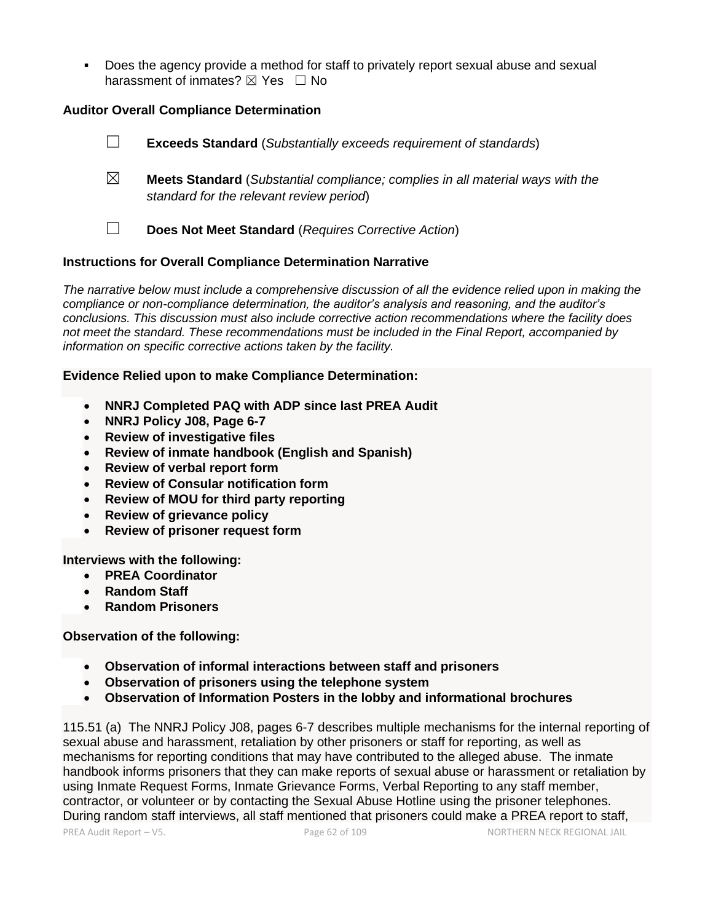▪ Does the agency provide a method for staff to privately report sexual abuse and sexual harassment of inmates?  $\boxtimes$  Yes  $\Box$  No

## **Auditor Overall Compliance Determination**

☐ **Exceeds Standard** (*Substantially exceeds requirement of standards*) ☒ **Meets Standard** (*Substantial compliance; complies in all material ways with the standard for the relevant review period*) ☐ **Does Not Meet Standard** (*Requires Corrective Action*)

#### **Instructions for Overall Compliance Determination Narrative**

*The narrative below must include a comprehensive discussion of all the evidence relied upon in making the compliance or non-compliance determination, the auditor's analysis and reasoning, and the auditor's conclusions. This discussion must also include corrective action recommendations where the facility does not meet the standard. These recommendations must be included in the Final Report, accompanied by information on specific corrective actions taken by the facility.*

#### **Evidence Relied upon to make Compliance Determination:**

- **NNRJ Completed PAQ with ADP since last PREA Audit**
- **NNRJ Policy J08, Page 6-7**
- **Review of investigative files**
- **Review of inmate handbook (English and Spanish)**
- **Review of verbal report form**
- **Review of Consular notification form**
- **Review of MOU for third party reporting**
- **Review of grievance policy**
- **Review of prisoner request form**

**Interviews with the following:**

- **PREA Coordinator**
- **Random Staff**
- **Random Prisoners**

#### **Observation of the following:**

- **Observation of informal interactions between staff and prisoners**
- **Observation of prisoners using the telephone system**
- **Observation of Information Posters in the lobby and informational brochures**

115.51 (a) The NNRJ Policy J08, pages 6-7 describes multiple mechanisms for the internal reporting of sexual abuse and harassment, retaliation by other prisoners or staff for reporting, as well as mechanisms for reporting conditions that may have contributed to the alleged abuse. The inmate handbook informs prisoners that they can make reports of sexual abuse or harassment or retaliation by using Inmate Request Forms, Inmate Grievance Forms, Verbal Reporting to any staff member, contractor, or volunteer or by contacting the Sexual Abuse Hotline using the prisoner telephones. During random staff interviews, all staff mentioned that prisoners could make a PREA report to staff,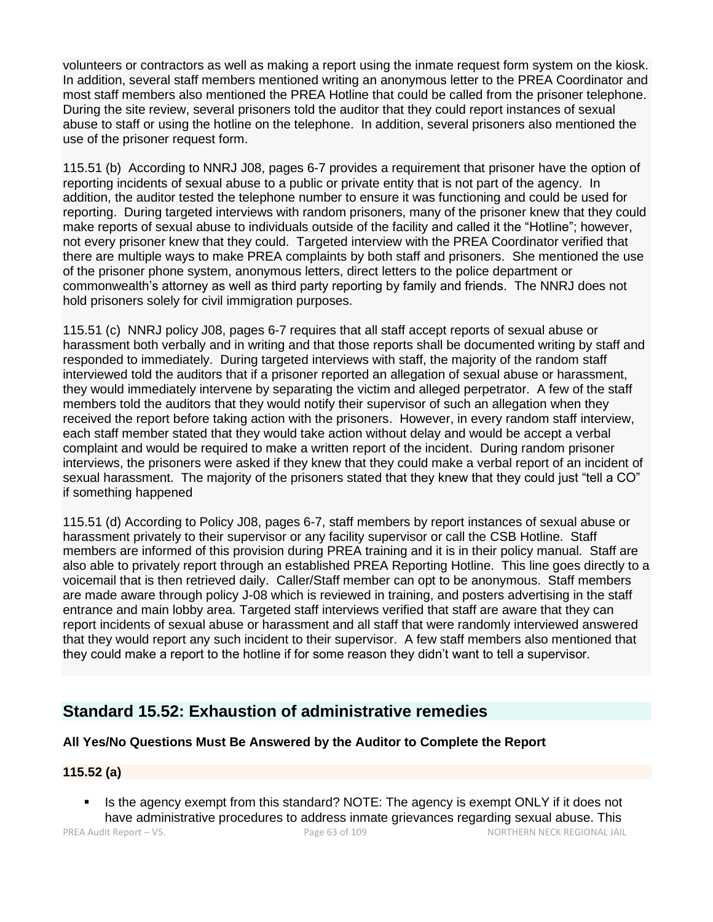volunteers or contractors as well as making a report using the inmate request form system on the kiosk. In addition, several staff members mentioned writing an anonymous letter to the PREA Coordinator and most staff members also mentioned the PREA Hotline that could be called from the prisoner telephone. During the site review, several prisoners told the auditor that they could report instances of sexual abuse to staff or using the hotline on the telephone. In addition, several prisoners also mentioned the use of the prisoner request form.

115.51 (b) According to NNRJ J08, pages 6-7 provides a requirement that prisoner have the option of reporting incidents of sexual abuse to a public or private entity that is not part of the agency. In addition, the auditor tested the telephone number to ensure it was functioning and could be used for reporting. During targeted interviews with random prisoners, many of the prisoner knew that they could make reports of sexual abuse to individuals outside of the facility and called it the "Hotline"; however, not every prisoner knew that they could. Targeted interview with the PREA Coordinator verified that there are multiple ways to make PREA complaints by both staff and prisoners. She mentioned the use of the prisoner phone system, anonymous letters, direct letters to the police department or commonwealth's attorney as well as third party reporting by family and friends. The NNRJ does not hold prisoners solely for civil immigration purposes.

115.51 (c) NNRJ policy J08, pages 6-7 requires that all staff accept reports of sexual abuse or harassment both verbally and in writing and that those reports shall be documented writing by staff and responded to immediately. During targeted interviews with staff, the majority of the random staff interviewed told the auditors that if a prisoner reported an allegation of sexual abuse or harassment, they would immediately intervene by separating the victim and alleged perpetrator. A few of the staff members told the auditors that they would notify their supervisor of such an allegation when they received the report before taking action with the prisoners. However, in every random staff interview, each staff member stated that they would take action without delay and would be accept a verbal complaint and would be required to make a written report of the incident. During random prisoner interviews, the prisoners were asked if they knew that they could make a verbal report of an incident of sexual harassment. The majority of the prisoners stated that they knew that they could just "tell a CO" if something happened

115.51 (d) According to Policy J08, pages 6-7, staff members by report instances of sexual abuse or harassment privately to their supervisor or any facility supervisor or call the CSB Hotline. Staff members are informed of this provision during PREA training and it is in their policy manual. Staff are also able to privately report through an established PREA Reporting Hotline. This line goes directly to a voicemail that is then retrieved daily. Caller/Staff member can opt to be anonymous. Staff members are made aware through policy J-08 which is reviewed in training, and posters advertising in the staff entrance and main lobby area. Targeted staff interviews verified that staff are aware that they can report incidents of sexual abuse or harassment and all staff that were randomly interviewed answered that they would report any such incident to their supervisor. A few staff members also mentioned that they could make a report to the hotline if for some reason they didn't want to tell a supervisor.

# **Standard 15.52: Exhaustion of administrative remedies**

## **All Yes/No Questions Must Be Answered by the Auditor to Complete the Report**

## **115.52 (a)**

**.** Is the agency exempt from this standard? NOTE: The agency is exempt ONLY if it does not have administrative procedures to address inmate grievances regarding sexual abuse. This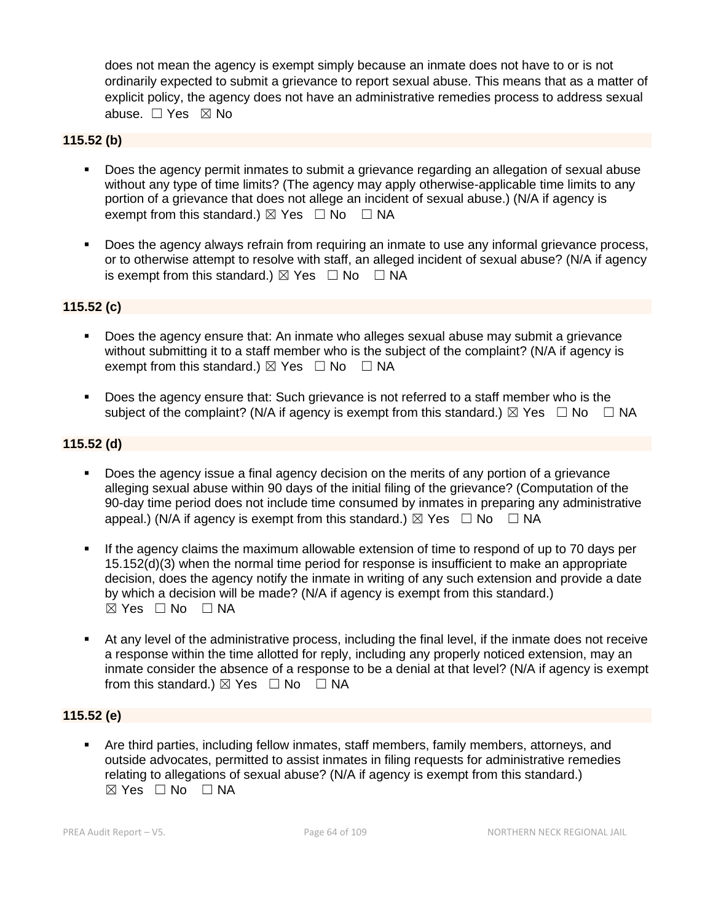does not mean the agency is exempt simply because an inmate does not have to or is not ordinarily expected to submit a grievance to report sexual abuse. This means that as a matter of explicit policy, the agency does not have an administrative remedies process to address sexual abuse. ☐ Yes ☒ No

## **115.52 (b)**

- Does the agency permit inmates to submit a grievance regarding an allegation of sexual abuse without any type of time limits? (The agency may apply otherwise-applicable time limits to any portion of a grievance that does not allege an incident of sexual abuse.) (N/A if agency is exempt from this standard.)  $\boxtimes$  Yes  $\Box$  No  $\Box$  NA
- Does the agency always refrain from requiring an inmate to use any informal grievance process, or to otherwise attempt to resolve with staff, an alleged incident of sexual abuse? (N/A if agency is exempt from this standard.)  $\boxtimes$  Yes  $\Box$  No  $\Box$  NA

## **115.52 (c)**

- Does the agency ensure that: An inmate who alleges sexual abuse may submit a grievance without submitting it to a staff member who is the subject of the complaint? (N/A if agency is exempt from this standard.)  $\boxtimes$  Yes  $\Box$  No  $\Box$  NA
- Does the agency ensure that: Such grievance is not referred to a staff member who is the subject of the complaint? (N/A if agency is exempt from this standard.)  $\boxtimes$  Yes  $\Box$  No  $\Box$  NA

## **115.52 (d)**

- Does the agency issue a final agency decision on the merits of any portion of a grievance alleging sexual abuse within 90 days of the initial filing of the grievance? (Computation of the 90-day time period does not include time consumed by inmates in preparing any administrative appeal.) (N/A if agency is exempt from this standard.)  $\boxtimes$  Yes  $\Box$  No  $\Box$  NA
- **.** If the agency claims the maximum allowable extension of time to respond of up to 70 days per 15.152(d)(3) when the normal time period for response is insufficient to make an appropriate decision, does the agency notify the inmate in writing of any such extension and provide a date by which a decision will be made? (N/A if agency is exempt from this standard.)  $⊠ Yes ⊡ No ⊡ NA$
- At any level of the administrative process, including the final level, if the inmate does not receive a response within the time allotted for reply, including any properly noticed extension, may an inmate consider the absence of a response to be a denial at that level? (N/A if agency is exempt from this standard.)  $\boxtimes$  Yes  $\Box$  No  $\Box$  NA

## **115.52 (e)**

Are third parties, including fellow inmates, staff members, family members, attorneys, and outside advocates, permitted to assist inmates in filing requests for administrative remedies relating to allegations of sexual abuse? (N/A if agency is exempt from this standard.)  $\boxtimes$  Yes  $\Box$  No  $\Box$  NA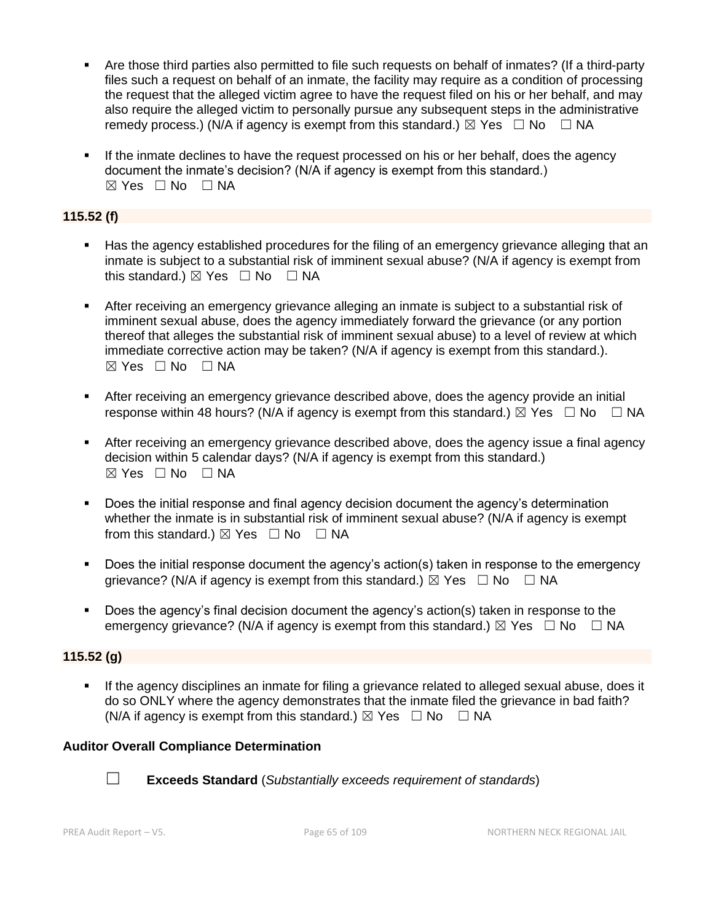- Are those third parties also permitted to file such requests on behalf of inmates? (If a third-party files such a request on behalf of an inmate, the facility may require as a condition of processing the request that the alleged victim agree to have the request filed on his or her behalf, and may also require the alleged victim to personally pursue any subsequent steps in the administrative remedy process.) (N/A if agency is exempt from this standard.)  $\boxtimes$  Yes  $\Box$  No  $\Box$  NA
- **.** If the inmate declines to have the request processed on his or her behalf, does the agency document the inmate's decision? (N/A if agency is exempt from this standard.)  $\boxtimes$  Yes  $\Box$  No  $\Box$  NA

## **115.52 (f)**

- Has the agency established procedures for the filing of an emergency grievance alleging that an inmate is subject to a substantial risk of imminent sexual abuse? (N/A if agency is exempt from this standard.)  $\boxtimes$  Yes  $\Box$  No  $\Box$  NA
- **EXECT** After receiving an emergency grievance alleging an inmate is subject to a substantial risk of imminent sexual abuse, does the agency immediately forward the grievance (or any portion thereof that alleges the substantial risk of imminent sexual abuse) to a level of review at which immediate corrective action may be taken? (N/A if agency is exempt from this standard.).  $⊠ Yes ⊡ No ⊡ NA$
- **EXTER 15 After receiving an emergency grievance described above, does the agency provide an initial** response within 48 hours? (N/A if agency is exempt from this standard.)  $\boxtimes$  Yes  $\Box$  No  $\Box$  NA
- After receiving an emergency grievance described above, does the agency issue a final agency decision within 5 calendar days? (N/A if agency is exempt from this standard.)  $⊠ Yes ⊡ No ⊡ NA$
- Does the initial response and final agency decision document the agency's determination whether the inmate is in substantial risk of imminent sexual abuse? (N/A if agency is exempt from this standard.)  $\boxtimes$  Yes  $\Box$  No  $\Box$  NA
- Does the initial response document the agency's action(s) taken in response to the emergency grievance? (N/A if agency is exempt from this standard.)  $\boxtimes$  Yes  $\Box$  No  $\Box$  NA
- Does the agency's final decision document the agency's action(s) taken in response to the emergency grievance? (N/A if agency is exempt from this standard.)  $\boxtimes$  Yes  $\Box$  No  $\Box$  NA

## **115.52 (g)**

If the agency disciplines an inmate for filing a grievance related to alleged sexual abuse, does it do so ONLY where the agency demonstrates that the inmate filed the grievance in bad faith? (N/A if agency is exempt from this standard.)  $\boxtimes$  Yes  $\Box$  No  $\Box$  NA

## **Auditor Overall Compliance Determination**



☐ **Exceeds Standard** (*Substantially exceeds requirement of standards*)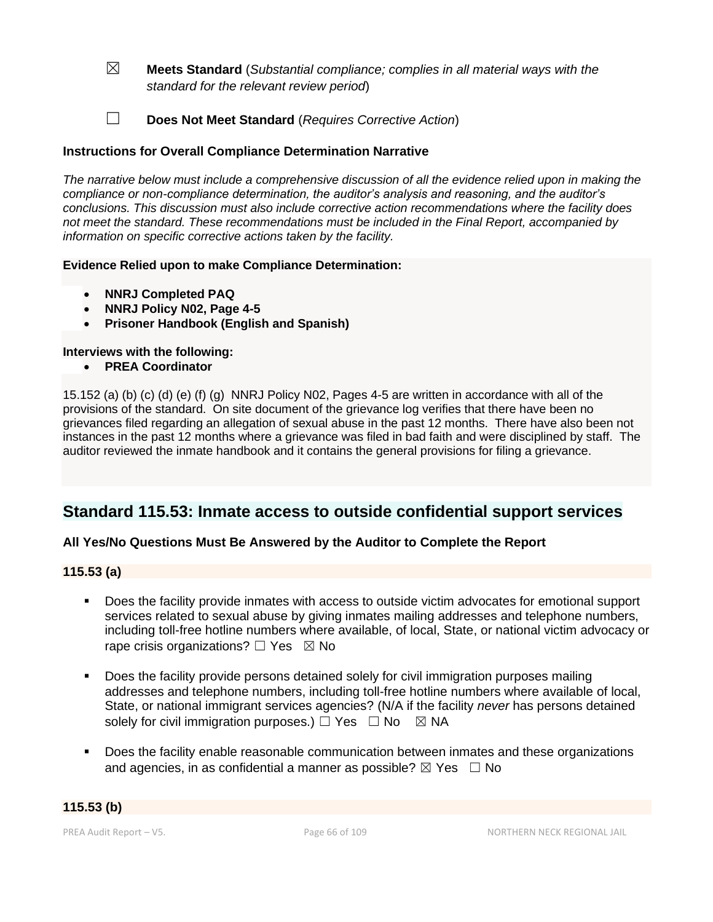- ☒ **Meets Standard** (*Substantial compliance; complies in all material ways with the standard for the relevant review period*)
- ☐ **Does Not Meet Standard** (*Requires Corrective Action*)

## **Instructions for Overall Compliance Determination Narrative**

*The narrative below must include a comprehensive discussion of all the evidence relied upon in making the compliance or non-compliance determination, the auditor's analysis and reasoning, and the auditor's conclusions. This discussion must also include corrective action recommendations where the facility does not meet the standard. These recommendations must be included in the Final Report, accompanied by information on specific corrective actions taken by the facility.*

#### **Evidence Relied upon to make Compliance Determination:**

- **NNRJ Completed PAQ**
- **NNRJ Policy N02, Page 4-5**
- **Prisoner Handbook (English and Spanish)**

#### **Interviews with the following:**

• **PREA Coordinator**

15.152 (a) (b) (c) (d) (e) (f) (g) NNRJ Policy N02, Pages 4-5 are written in accordance with all of the provisions of the standard. On site document of the grievance log verifies that there have been no grievances filed regarding an allegation of sexual abuse in the past 12 months. There have also been not instances in the past 12 months where a grievance was filed in bad faith and were disciplined by staff. The auditor reviewed the inmate handbook and it contains the general provisions for filing a grievance.

# **Standard 115.53: Inmate access to outside confidential support services**

## **All Yes/No Questions Must Be Answered by the Auditor to Complete the Report**

#### **115.53 (a)**

- Does the facility provide inmates with access to outside victim advocates for emotional support services related to sexual abuse by giving inmates mailing addresses and telephone numbers, including toll-free hotline numbers where available, of local, State, or national victim advocacy or rape crisis organizations?  $\Box$  Yes  $\boxtimes$  No
- Does the facility provide persons detained solely for civil immigration purposes mailing addresses and telephone numbers, including toll-free hotline numbers where available of local, State, or national immigrant services agencies? (N/A if the facility *never* has persons detained solely for civil immigration purposes.)  $\Box$  Yes  $\Box$  No  $\boxtimes$  NA
- Does the facility enable reasonable communication between inmates and these organizations and agencies, in as confidential a manner as possible?  $\boxtimes$  Yes  $\Box$  No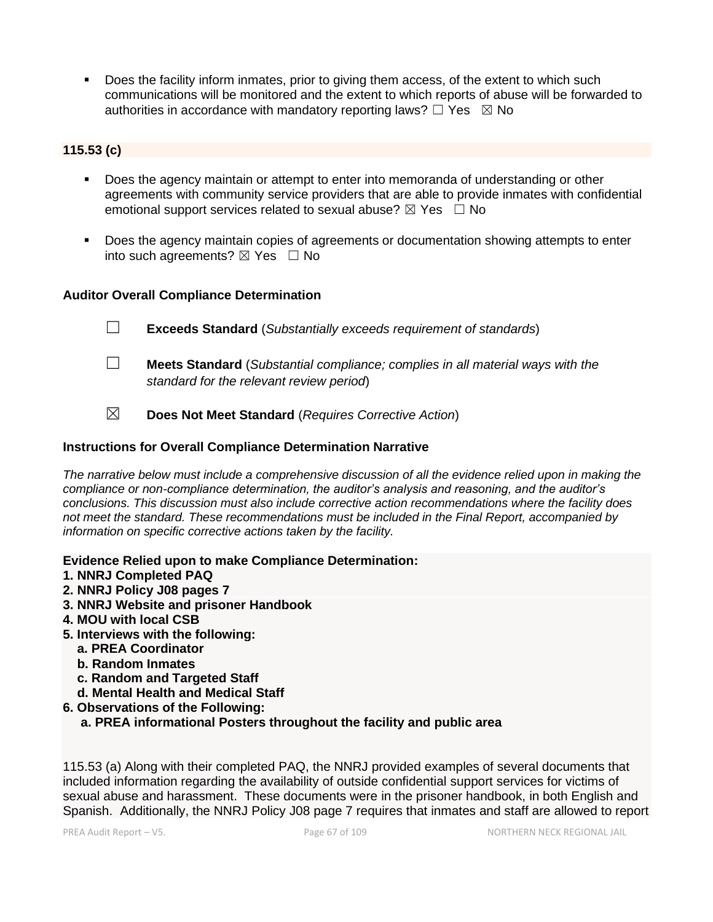Does the facility inform inmates, prior to giving them access, of the extent to which such communications will be monitored and the extent to which reports of abuse will be forwarded to authorities in accordance with mandatory reporting laws?  $\Box$  Yes  $\boxtimes$  No

## **115.53 (c)**

- **•** Does the agency maintain or attempt to enter into memoranda of understanding or other agreements with community service providers that are able to provide inmates with confidential emotional support services related to sexual abuse?  $\boxtimes$  Yes  $\Box$  No
- Does the agency maintain copies of agreements or documentation showing attempts to enter into such agreements?  $\boxtimes$  Yes  $\Box$  No

## **Auditor Overall Compliance Determination**

- ☐ **Exceeds Standard** (*Substantially exceeds requirement of standards*)
- ☐ **Meets Standard** (*Substantial compliance; complies in all material ways with the standard for the relevant review period*)
- ☒ **Does Not Meet Standard** (*Requires Corrective Action*)

## **Instructions for Overall Compliance Determination Narrative**

*The narrative below must include a comprehensive discussion of all the evidence relied upon in making the compliance or non-compliance determination, the auditor's analysis and reasoning, and the auditor's conclusions. This discussion must also include corrective action recommendations where the facility does not meet the standard. These recommendations must be included in the Final Report, accompanied by information on specific corrective actions taken by the facility.*

## **Evidence Relied upon to make Compliance Determination:**

- **1. NNRJ Completed PAQ**
- **2. NNRJ Policy J08 pages 7**
- **3. NNRJ Website and prisoner Handbook**
- **4. MOU with local CSB**
- **5. Interviews with the following:**
	- **a. PREA Coordinator**
	- **b. Random Inmates**
	- **c. Random and Targeted Staff**
	- **d. Mental Health and Medical Staff**
- **6. Observations of the Following:**

 **a. PREA informational Posters throughout the facility and public area**

115.53 (a) Along with their completed PAQ, the NNRJ provided examples of several documents that included information regarding the availability of outside confidential support services for victims of sexual abuse and harassment. These documents were in the prisoner handbook, in both English and Spanish. Additionally, the NNRJ Policy J08 page 7 requires that inmates and staff are allowed to report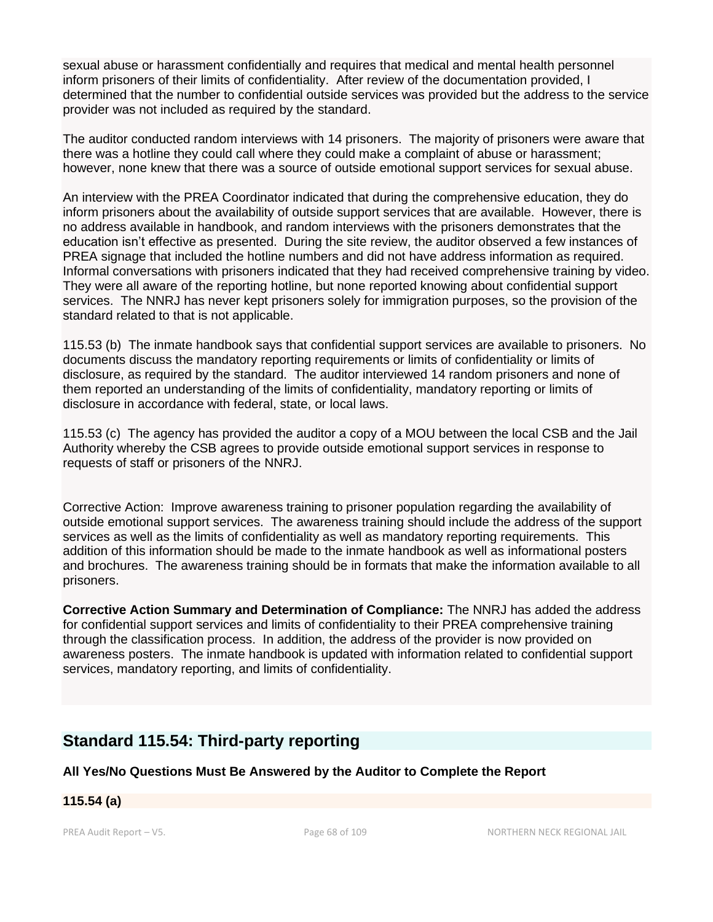sexual abuse or harassment confidentially and requires that medical and mental health personnel inform prisoners of their limits of confidentiality. After review of the documentation provided, I determined that the number to confidential outside services was provided but the address to the service provider was not included as required by the standard.

The auditor conducted random interviews with 14 prisoners. The majority of prisoners were aware that there was a hotline they could call where they could make a complaint of abuse or harassment; however, none knew that there was a source of outside emotional support services for sexual abuse.

An interview with the PREA Coordinator indicated that during the comprehensive education, they do inform prisoners about the availability of outside support services that are available. However, there is no address available in handbook, and random interviews with the prisoners demonstrates that the education isn't effective as presented. During the site review, the auditor observed a few instances of PREA signage that included the hotline numbers and did not have address information as required. Informal conversations with prisoners indicated that they had received comprehensive training by video. They were all aware of the reporting hotline, but none reported knowing about confidential support services. The NNRJ has never kept prisoners solely for immigration purposes, so the provision of the standard related to that is not applicable.

115.53 (b) The inmate handbook says that confidential support services are available to prisoners. No documents discuss the mandatory reporting requirements or limits of confidentiality or limits of disclosure, as required by the standard. The auditor interviewed 14 random prisoners and none of them reported an understanding of the limits of confidentiality, mandatory reporting or limits of disclosure in accordance with federal, state, or local laws.

115.53 (c) The agency has provided the auditor a copy of a MOU between the local CSB and the Jail Authority whereby the CSB agrees to provide outside emotional support services in response to requests of staff or prisoners of the NNRJ.

Corrective Action: Improve awareness training to prisoner population regarding the availability of outside emotional support services. The awareness training should include the address of the support services as well as the limits of confidentiality as well as mandatory reporting requirements. This addition of this information should be made to the inmate handbook as well as informational posters and brochures. The awareness training should be in formats that make the information available to all prisoners.

**Corrective Action Summary and Determination of Compliance:** The NNRJ has added the address for confidential support services and limits of confidentiality to their PREA comprehensive training through the classification process. In addition, the address of the provider is now provided on awareness posters. The inmate handbook is updated with information related to confidential support services, mandatory reporting, and limits of confidentiality.

# **Standard 115.54: Third-party reporting**

**All Yes/No Questions Must Be Answered by the Auditor to Complete the Report**

## **115.54 (a)**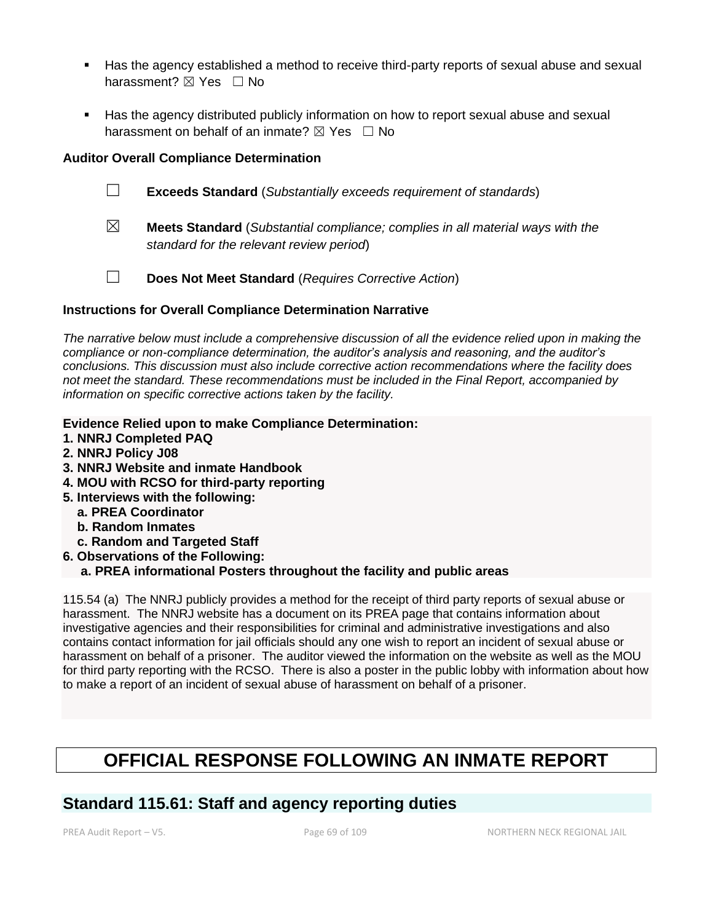- Has the agency established a method to receive third-party reports of sexual abuse and sexual harassment? ⊠ Yes □ No
- Has the agency distributed publicly information on how to report sexual abuse and sexual harassment on behalf of an inmate?  $\boxtimes$  Yes  $\Box$  No

## **Auditor Overall Compliance Determination**

- ☐ **Exceeds Standard** (*Substantially exceeds requirement of standards*)
- ☒ **Meets Standard** (*Substantial compliance; complies in all material ways with the standard for the relevant review period*)
- ☐ **Does Not Meet Standard** (*Requires Corrective Action*)

## **Instructions for Overall Compliance Determination Narrative**

*The narrative below must include a comprehensive discussion of all the evidence relied upon in making the compliance or non-compliance determination, the auditor's analysis and reasoning, and the auditor's conclusions. This discussion must also include corrective action recommendations where the facility does not meet the standard. These recommendations must be included in the Final Report, accompanied by information on specific corrective actions taken by the facility.*

- **Evidence Relied upon to make Compliance Determination:**
- **1. NNRJ Completed PAQ**
- **2. NNRJ Policy J08**
- **3. NNRJ Website and inmate Handbook**
- **4. MOU with RCSO for third-party reporting**
- **5. Interviews with the following:**
	- **a. PREA Coordinator**
	- **b. Random Inmates**
	- **c. Random and Targeted Staff**
- **6. Observations of the Following:**

## **a. PREA informational Posters throughout the facility and public areas**

115.54 (a) The NNRJ publicly provides a method for the receipt of third party reports of sexual abuse or harassment. The NNRJ website has a document on its PREA page that contains information about investigative agencies and their responsibilities for criminal and administrative investigations and also contains contact information for jail officials should any one wish to report an incident of sexual abuse or harassment on behalf of a prisoner. The auditor viewed the information on the website as well as the MOU for third party reporting with the RCSO. There is also a poster in the public lobby with information about how to make a report of an incident of sexual abuse of harassment on behalf of a prisoner.

# **OFFICIAL RESPONSE FOLLOWING AN INMATE REPORT**

# **Standard 115.61: Staff and agency reporting duties**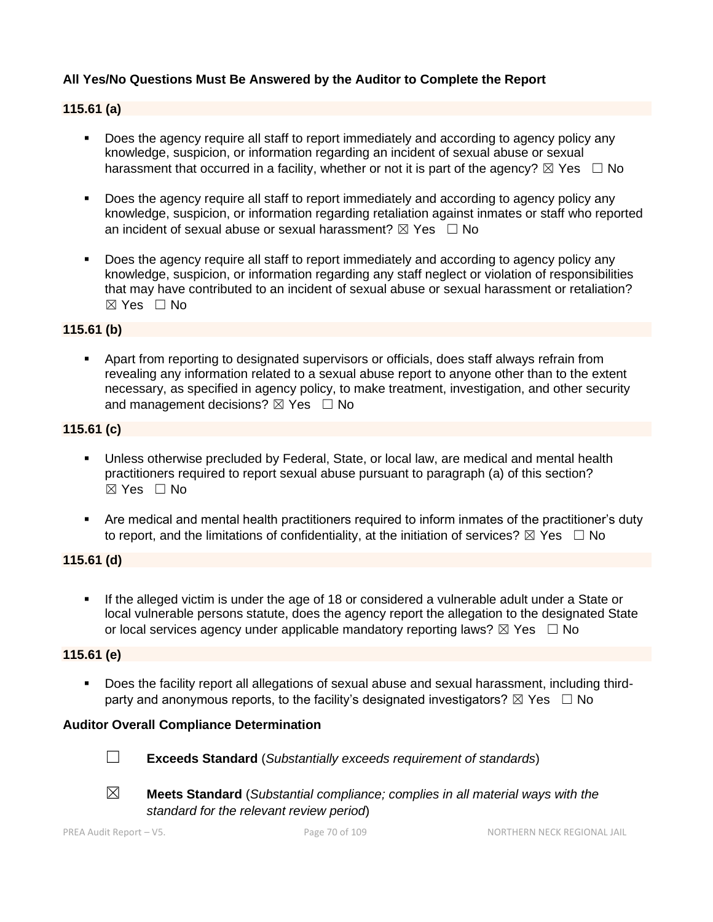## **All Yes/No Questions Must Be Answered by the Auditor to Complete the Report**

#### **115.61 (a)**

- Does the agency require all staff to report immediately and according to agency policy any knowledge, suspicion, or information regarding an incident of sexual abuse or sexual harassment that occurred in a facility, whether or not it is part of the agency?  $\boxtimes$  Yes  $\Box$  No
- Does the agency require all staff to report immediately and according to agency policy any knowledge, suspicion, or information regarding retaliation against inmates or staff who reported an incident of sexual abuse or sexual harassment?  $\boxtimes$  Yes  $\Box$  No
- **•** Does the agency require all staff to report immediately and according to agency policy any knowledge, suspicion, or information regarding any staff neglect or violation of responsibilities that may have contributed to an incident of sexual abuse or sexual harassment or retaliation?  $\boxtimes$  Yes  $\Box$  No

#### **115.61 (b)**

▪ Apart from reporting to designated supervisors or officials, does staff always refrain from revealing any information related to a sexual abuse report to anyone other than to the extent necessary, as specified in agency policy, to make treatment, investigation, and other security and management decisions?  $\boxtimes$  Yes  $\Box$  No

## **115.61 (c)**

- **E** Unless otherwise precluded by Federal, State, or local law, are medical and mental health practitioners required to report sexual abuse pursuant to paragraph (a) of this section?  $\boxtimes$  Yes  $\Box$  No
- Are medical and mental health practitioners required to inform inmates of the practitioner's duty to report, and the limitations of confidentiality, at the initiation of services?  $\boxtimes$  Yes  $\Box$  No

## **115.61 (d)**

▪ If the alleged victim is under the age of 18 or considered a vulnerable adult under a State or local vulnerable persons statute, does the agency report the allegation to the designated State or local services agency under applicable mandatory reporting laws?  $\boxtimes$  Yes  $\Box$  No

#### **115.61 (e)**

▪ Does the facility report all allegations of sexual abuse and sexual harassment, including thirdparty and anonymous reports, to the facility's designated investigators?  $\boxtimes$  Yes  $\Box$  No

#### **Auditor Overall Compliance Determination**



☐ **Exceeds Standard** (*Substantially exceeds requirement of standards*)



☒ **Meets Standard** (*Substantial compliance; complies in all material ways with the standard for the relevant review period*)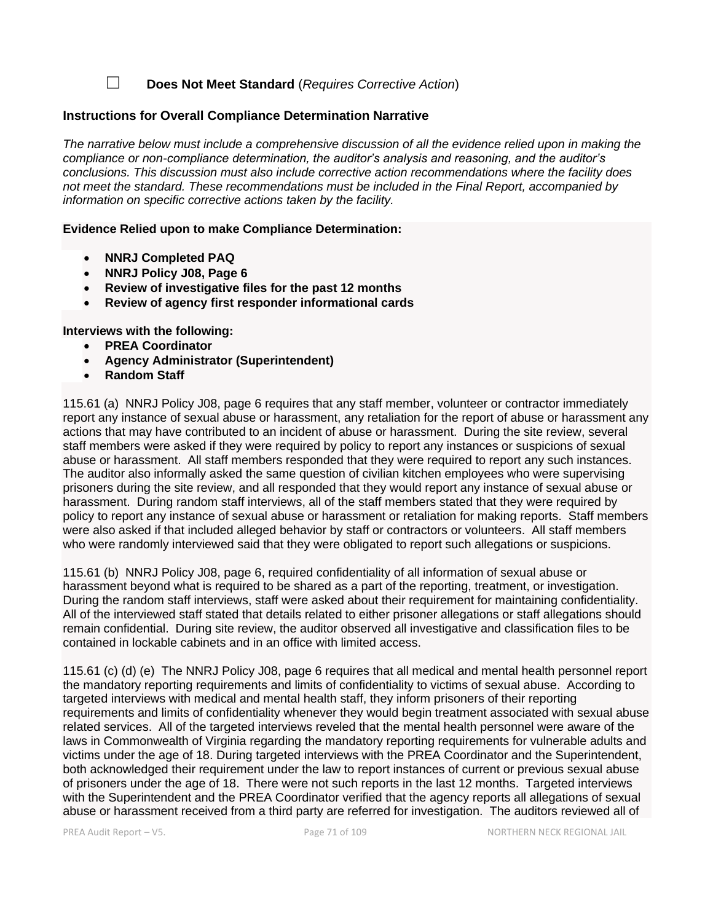☐ **Does Not Meet Standard** (*Requires Corrective Action*)

#### **Instructions for Overall Compliance Determination Narrative**

*The narrative below must include a comprehensive discussion of all the evidence relied upon in making the compliance or non-compliance determination, the auditor's analysis and reasoning, and the auditor's conclusions. This discussion must also include corrective action recommendations where the facility does not meet the standard. These recommendations must be included in the Final Report, accompanied by information on specific corrective actions taken by the facility.*

**Evidence Relied upon to make Compliance Determination:**

- **NNRJ Completed PAQ**
- **NNRJ Policy J08, Page 6**
- **Review of investigative files for the past 12 months**
- **Review of agency first responder informational cards**

**Interviews with the following:**

- **PREA Coordinator**
- **Agency Administrator (Superintendent)**
- **Random Staff**

115.61 (a) NNRJ Policy J08, page 6 requires that any staff member, volunteer or contractor immediately report any instance of sexual abuse or harassment, any retaliation for the report of abuse or harassment any actions that may have contributed to an incident of abuse or harassment. During the site review, several staff members were asked if they were required by policy to report any instances or suspicions of sexual abuse or harassment. All staff members responded that they were required to report any such instances. The auditor also informally asked the same question of civilian kitchen employees who were supervising prisoners during the site review, and all responded that they would report any instance of sexual abuse or harassment. During random staff interviews, all of the staff members stated that they were required by policy to report any instance of sexual abuse or harassment or retaliation for making reports. Staff members were also asked if that included alleged behavior by staff or contractors or volunteers. All staff members who were randomly interviewed said that they were obligated to report such allegations or suspicions.

115.61 (b) NNRJ Policy J08, page 6, required confidentiality of all information of sexual abuse or harassment beyond what is required to be shared as a part of the reporting, treatment, or investigation. During the random staff interviews, staff were asked about their requirement for maintaining confidentiality. All of the interviewed staff stated that details related to either prisoner allegations or staff allegations should remain confidential. During site review, the auditor observed all investigative and classification files to be contained in lockable cabinets and in an office with limited access.

115.61 (c) (d) (e) The NNRJ Policy J08, page 6 requires that all medical and mental health personnel report the mandatory reporting requirements and limits of confidentiality to victims of sexual abuse. According to targeted interviews with medical and mental health staff, they inform prisoners of their reporting requirements and limits of confidentiality whenever they would begin treatment associated with sexual abuse related services. All of the targeted interviews reveled that the mental health personnel were aware of the laws in Commonwealth of Virginia regarding the mandatory reporting requirements for vulnerable adults and victims under the age of 18. During targeted interviews with the PREA Coordinator and the Superintendent, both acknowledged their requirement under the law to report instances of current or previous sexual abuse of prisoners under the age of 18. There were not such reports in the last 12 months. Targeted interviews with the Superintendent and the PREA Coordinator verified that the agency reports all allegations of sexual abuse or harassment received from a third party are referred for investigation. The auditors reviewed all of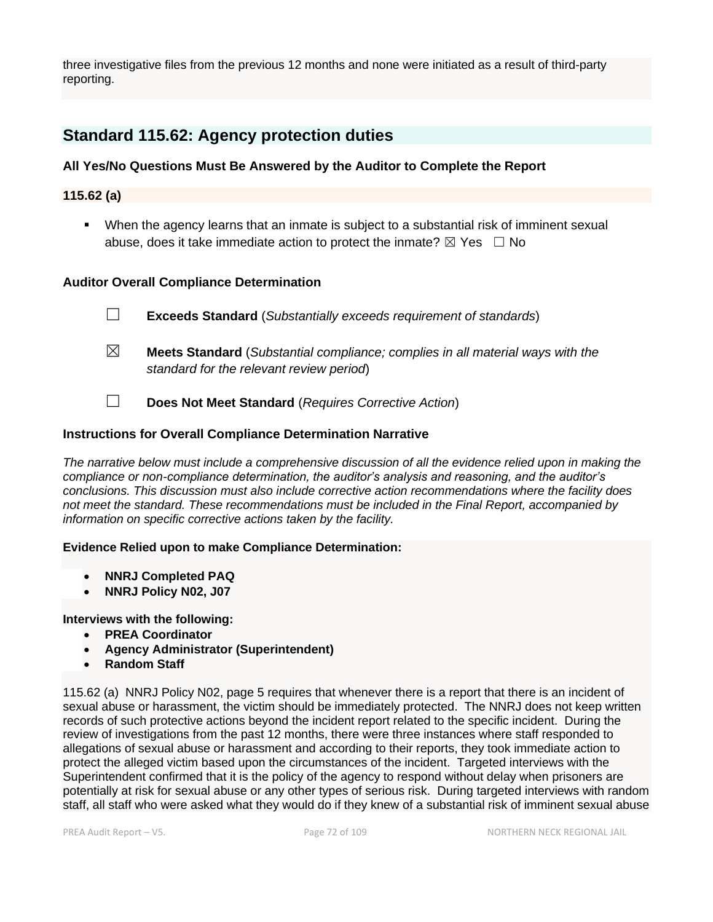three investigative files from the previous 12 months and none were initiated as a result of third-party reporting.

# **Standard 115.62: Agency protection duties**

## **All Yes/No Questions Must Be Answered by the Auditor to Complete the Report**

**115.62 (a)**

▪ When the agency learns that an inmate is subject to a substantial risk of imminent sexual abuse, does it take immediate action to protect the inmate?  $\boxtimes$  Yes  $\Box$  No

#### **Auditor Overall Compliance Determination**

☐ **Exceeds Standard** (*Substantially exceeds requirement of standards*)

- ☒ **Meets Standard** (*Substantial compliance; complies in all material ways with the standard for the relevant review period*)
- ☐ **Does Not Meet Standard** (*Requires Corrective Action*)

#### **Instructions for Overall Compliance Determination Narrative**

*The narrative below must include a comprehensive discussion of all the evidence relied upon in making the compliance or non-compliance determination, the auditor's analysis and reasoning, and the auditor's conclusions. This discussion must also include corrective action recommendations where the facility does not meet the standard. These recommendations must be included in the Final Report, accompanied by information on specific corrective actions taken by the facility.*

#### **Evidence Relied upon to make Compliance Determination:**

- **NNRJ Completed PAQ**
- **NNRJ Policy N02, J07**

#### **Interviews with the following:**

- **PREA Coordinator**
- **Agency Administrator (Superintendent)**
- **Random Staff**

115.62 (a) NNRJ Policy N02, page 5 requires that whenever there is a report that there is an incident of sexual abuse or harassment, the victim should be immediately protected. The NNRJ does not keep written records of such protective actions beyond the incident report related to the specific incident. During the review of investigations from the past 12 months, there were three instances where staff responded to allegations of sexual abuse or harassment and according to their reports, they took immediate action to protect the alleged victim based upon the circumstances of the incident. Targeted interviews with the Superintendent confirmed that it is the policy of the agency to respond without delay when prisoners are potentially at risk for sexual abuse or any other types of serious risk. During targeted interviews with random staff, all staff who were asked what they would do if they knew of a substantial risk of imminent sexual abuse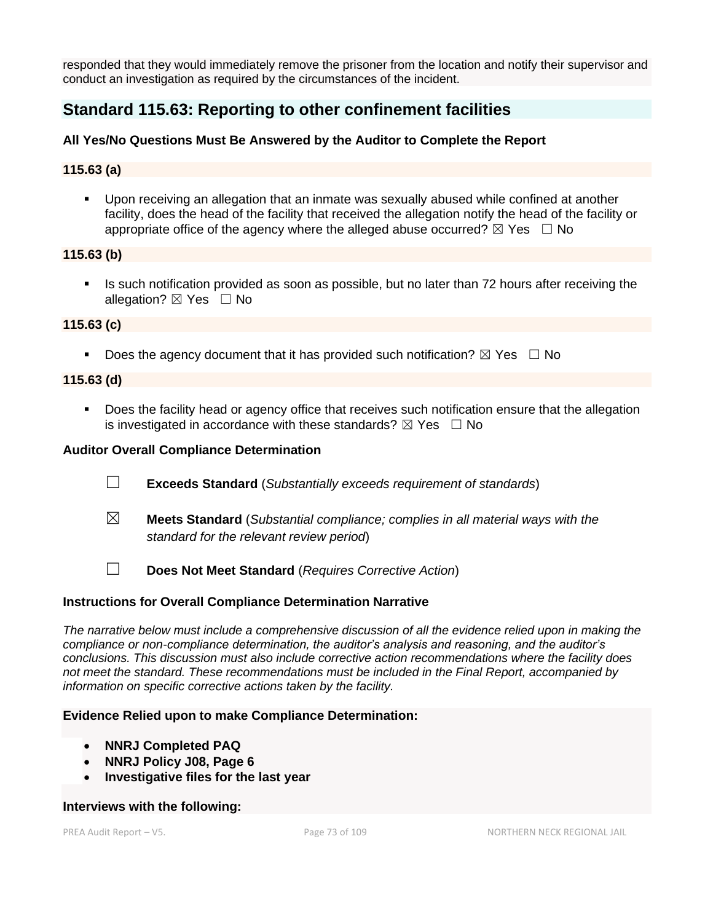responded that they would immediately remove the prisoner from the location and notify their supervisor and conduct an investigation as required by the circumstances of the incident.

# **Standard 115.63: Reporting to other confinement facilities**

### **All Yes/No Questions Must Be Answered by the Auditor to Complete the Report**

### **115.63 (a)**

▪ Upon receiving an allegation that an inmate was sexually abused while confined at another facility, does the head of the facility that received the allegation notify the head of the facility or appropriate office of the agency where the alleged abuse occurred?  $\boxtimes$  Yes  $\Box$  No

### **115.63 (b)**

Is such notification provided as soon as possible, but no later than 72 hours after receiving the allegation?  $\boxtimes$  Yes  $\Box$  No

### **115.63 (c)**

**•** Does the agency document that it has provided such notification?  $\boxtimes$  Yes  $\Box$  No

### **115.63 (d)**

■ Does the facility head or agency office that receives such notification ensure that the allegation is investigated in accordance with these standards?  $\boxtimes$  Yes  $\Box$  No

### **Auditor Overall Compliance Determination**

- ☐ **Exceeds Standard** (*Substantially exceeds requirement of standards*)
- ☒ **Meets Standard** (*Substantial compliance; complies in all material ways with the standard for the relevant review period*)
- ☐ **Does Not Meet Standard** (*Requires Corrective Action*)

### **Instructions for Overall Compliance Determination Narrative**

*The narrative below must include a comprehensive discussion of all the evidence relied upon in making the compliance or non-compliance determination, the auditor's analysis and reasoning, and the auditor's conclusions. This discussion must also include corrective action recommendations where the facility does not meet the standard. These recommendations must be included in the Final Report, accompanied by information on specific corrective actions taken by the facility.*

#### **Evidence Relied upon to make Compliance Determination:**

- **NNRJ Completed PAQ**
- **NNRJ Policy J08, Page 6**
- **Investigative files for the last year**

#### **Interviews with the following:**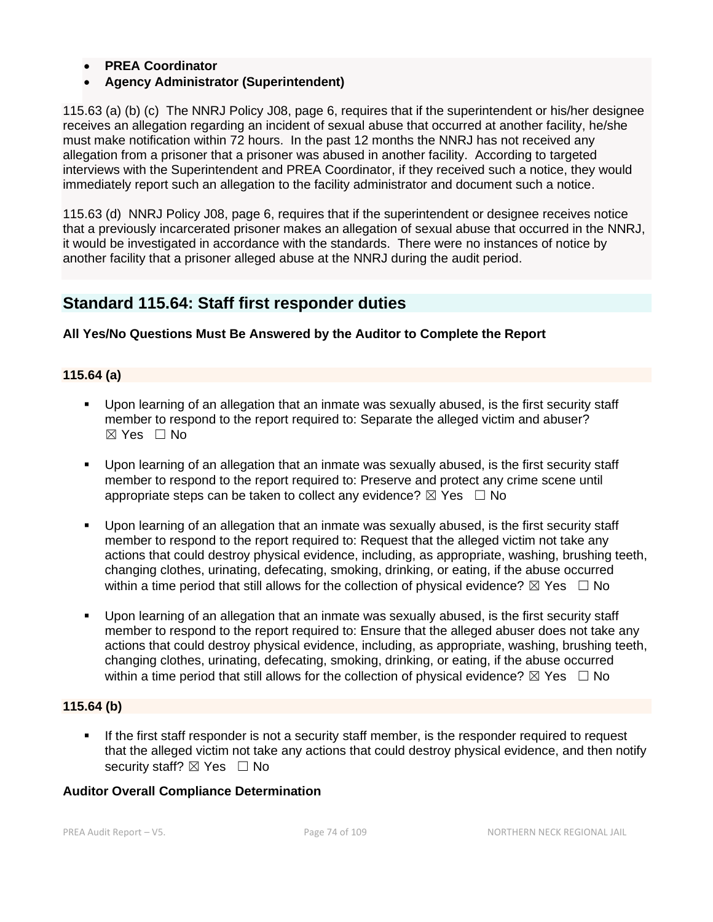- **PREA Coordinator**
- **Agency Administrator (Superintendent)**

115.63 (a) (b) (c) The NNRJ Policy J08, page 6, requires that if the superintendent or his/her designee receives an allegation regarding an incident of sexual abuse that occurred at another facility, he/she must make notification within 72 hours. In the past 12 months the NNRJ has not received any allegation from a prisoner that a prisoner was abused in another facility. According to targeted interviews with the Superintendent and PREA Coordinator, if they received such a notice, they would immediately report such an allegation to the facility administrator and document such a notice.

115.63 (d) NNRJ Policy J08, page 6, requires that if the superintendent or designee receives notice that a previously incarcerated prisoner makes an allegation of sexual abuse that occurred in the NNRJ, it would be investigated in accordance with the standards. There were no instances of notice by another facility that a prisoner alleged abuse at the NNRJ during the audit period.

# **Standard 115.64: Staff first responder duties**

### **All Yes/No Questions Must Be Answered by the Auditor to Complete the Report**

### **115.64 (a)**

- Upon learning of an allegation that an inmate was sexually abused, is the first security staff member to respond to the report required to: Separate the alleged victim and abuser?  $\boxtimes$  Yes  $\Box$  No
- Upon learning of an allegation that an inmate was sexually abused, is the first security staff member to respond to the report required to: Preserve and protect any crime scene until appropriate steps can be taken to collect any evidence?  $\boxtimes$  Yes  $\Box$  No
- Upon learning of an allegation that an inmate was sexually abused, is the first security staff member to respond to the report required to: Request that the alleged victim not take any actions that could destroy physical evidence, including, as appropriate, washing, brushing teeth, changing clothes, urinating, defecating, smoking, drinking, or eating, if the abuse occurred within a time period that still allows for the collection of physical evidence?  $\boxtimes$  Yes  $\Box$  No
- Upon learning of an allegation that an inmate was sexually abused, is the first security staff member to respond to the report required to: Ensure that the alleged abuser does not take any actions that could destroy physical evidence, including, as appropriate, washing, brushing teeth, changing clothes, urinating, defecating, smoking, drinking, or eating, if the abuse occurred within a time period that still allows for the collection of physical evidence?  $\boxtimes$  Yes  $\Box$  No

### **115.64 (b)**

**EXPLUM** If the first staff responder is not a security staff member, is the responder required to request that the alleged victim not take any actions that could destroy physical evidence, and then notify security staff?  $\boxtimes$  Yes  $\Box$  No

### **Auditor Overall Compliance Determination**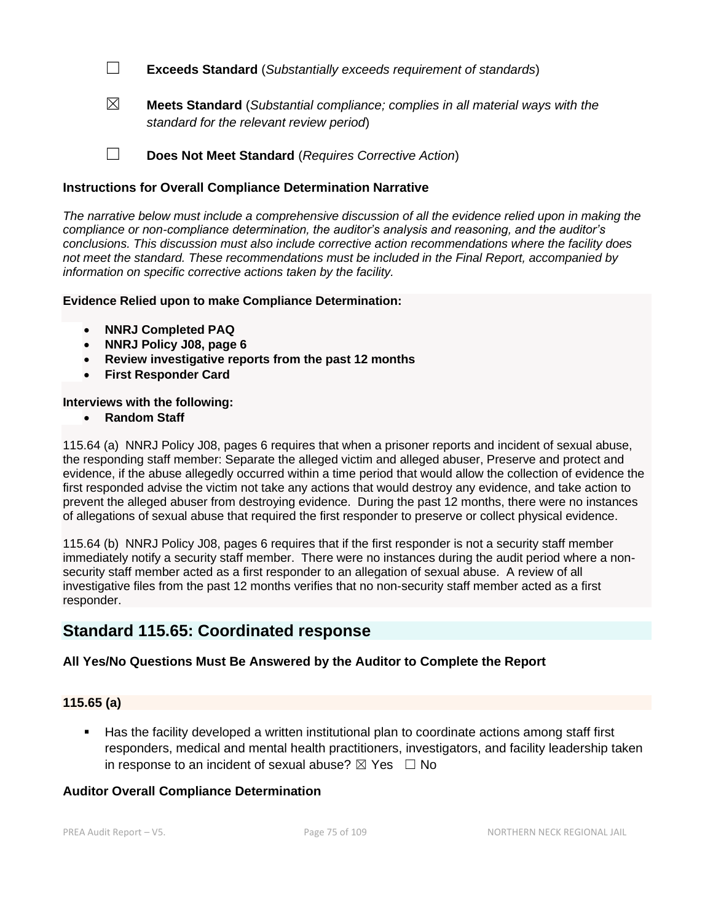☐ **Exceeds Standard** (*Substantially exceeds requirement of standards*)

☒ **Meets Standard** (*Substantial compliance; complies in all material ways with the standard for the relevant review period*)

☐ **Does Not Meet Standard** (*Requires Corrective Action*)

## **Instructions for Overall Compliance Determination Narrative**

*The narrative below must include a comprehensive discussion of all the evidence relied upon in making the compliance or non-compliance determination, the auditor's analysis and reasoning, and the auditor's conclusions. This discussion must also include corrective action recommendations where the facility does not meet the standard. These recommendations must be included in the Final Report, accompanied by information on specific corrective actions taken by the facility.*

### **Evidence Relied upon to make Compliance Determination:**

- **NNRJ Completed PAQ**
- **NNRJ Policy J08, page 6**
- **Review investigative reports from the past 12 months**
- **First Responder Card**

### **Interviews with the following:**

• **Random Staff**

115.64 (a) NNRJ Policy J08, pages 6 requires that when a prisoner reports and incident of sexual abuse, the responding staff member: Separate the alleged victim and alleged abuser, Preserve and protect and evidence, if the abuse allegedly occurred within a time period that would allow the collection of evidence the first responded advise the victim not take any actions that would destroy any evidence, and take action to prevent the alleged abuser from destroying evidence. During the past 12 months, there were no instances of allegations of sexual abuse that required the first responder to preserve or collect physical evidence.

115.64 (b) NNRJ Policy J08, pages 6 requires that if the first responder is not a security staff member immediately notify a security staff member. There were no instances during the audit period where a nonsecurity staff member acted as a first responder to an allegation of sexual abuse. A review of all investigative files from the past 12 months verifies that no non-security staff member acted as a first responder.

# **Standard 115.65: Coordinated response**

# **All Yes/No Questions Must Be Answered by the Auditor to Complete the Report**

### **115.65 (a)**

■ Has the facility developed a written institutional plan to coordinate actions among staff first responders, medical and mental health practitioners, investigators, and facility leadership taken in response to an incident of sexual abuse?  $\boxtimes$  Yes  $\Box$  No

### **Auditor Overall Compliance Determination**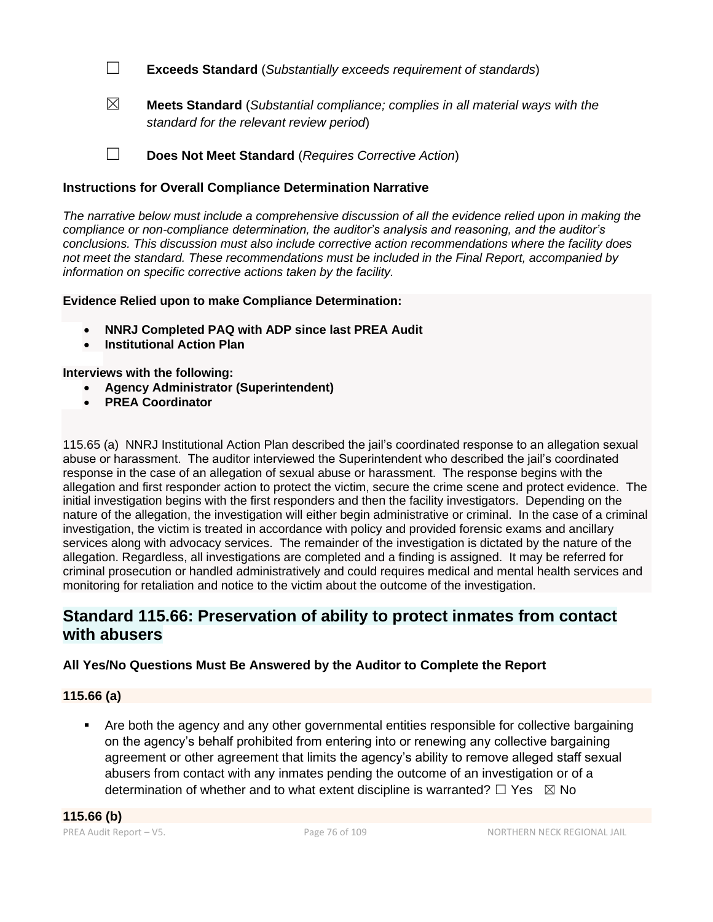☐ **Exceeds Standard** (*Substantially exceeds requirement of standards*)

☒ **Meets Standard** (*Substantial compliance; complies in all material ways with the standard for the relevant review period*)

☐ **Does Not Meet Standard** (*Requires Corrective Action*)

## **Instructions for Overall Compliance Determination Narrative**

*The narrative below must include a comprehensive discussion of all the evidence relied upon in making the compliance or non-compliance determination, the auditor's analysis and reasoning, and the auditor's conclusions. This discussion must also include corrective action recommendations where the facility does not meet the standard. These recommendations must be included in the Final Report, accompanied by information on specific corrective actions taken by the facility.*

### **Evidence Relied upon to make Compliance Determination:**

- **NNRJ Completed PAQ with ADP since last PREA Audit**
- **Institutional Action Plan**

### **Interviews with the following:**

- **Agency Administrator (Superintendent)**
- **PREA Coordinator**

115.65 (a) NNRJ Institutional Action Plan described the jail's coordinated response to an allegation sexual abuse or harassment. The auditor interviewed the Superintendent who described the jail's coordinated response in the case of an allegation of sexual abuse or harassment. The response begins with the allegation and first responder action to protect the victim, secure the crime scene and protect evidence. The initial investigation begins with the first responders and then the facility investigators. Depending on the nature of the allegation, the investigation will either begin administrative or criminal. In the case of a criminal investigation, the victim is treated in accordance with policy and provided forensic exams and ancillary services along with advocacy services. The remainder of the investigation is dictated by the nature of the allegation. Regardless, all investigations are completed and a finding is assigned. It may be referred for criminal prosecution or handled administratively and could requires medical and mental health services and monitoring for retaliation and notice to the victim about the outcome of the investigation.

# **Standard 115.66: Preservation of ability to protect inmates from contact with abusers**

# **All Yes/No Questions Must Be Answered by the Auditor to Complete the Report**

### **115.66 (a)**

Are both the agency and any other governmental entities responsible for collective bargaining on the agency's behalf prohibited from entering into or renewing any collective bargaining agreement or other agreement that limits the agency's ability to remove alleged staff sexual abusers from contact with any inmates pending the outcome of an investigation or of a determination of whether and to what extent discipline is warranted?  $□$  Yes  $□$  No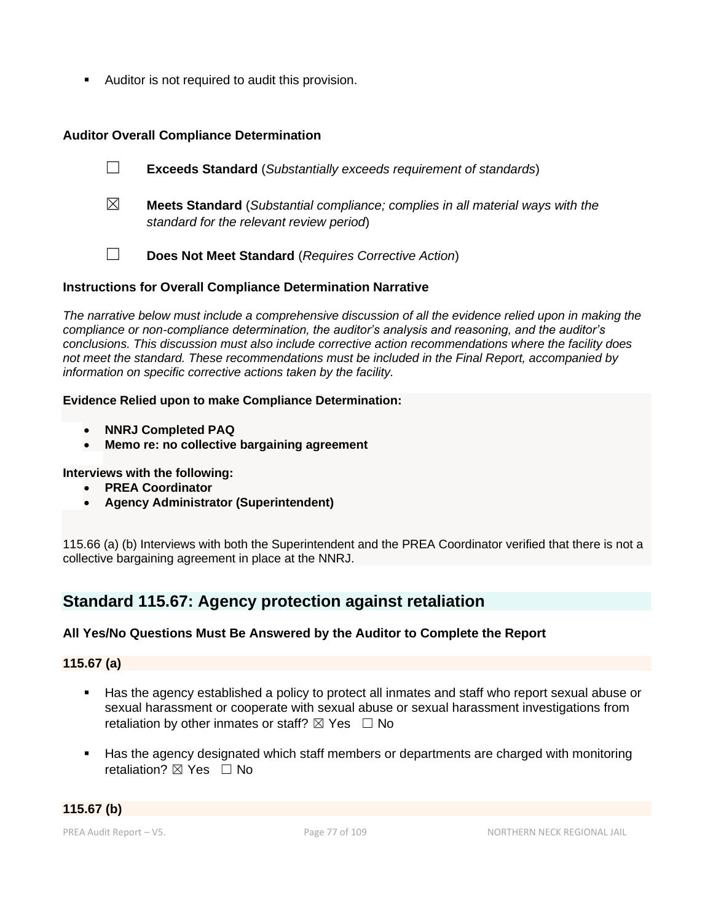Auditor is not required to audit this provision.

# **Auditor Overall Compliance Determination**

☐ **Exceeds Standard** (*Substantially exceeds requirement of standards*)

- ☒ **Meets Standard** (*Substantial compliance; complies in all material ways with the standard for the relevant review period*)
- ☐ **Does Not Meet Standard** (*Requires Corrective Action*)

## **Instructions for Overall Compliance Determination Narrative**

*The narrative below must include a comprehensive discussion of all the evidence relied upon in making the compliance or non-compliance determination, the auditor's analysis and reasoning, and the auditor's conclusions. This discussion must also include corrective action recommendations where the facility does not meet the standard. These recommendations must be included in the Final Report, accompanied by information on specific corrective actions taken by the facility.*

### **Evidence Relied upon to make Compliance Determination:**

- **NNRJ Completed PAQ**
- **Memo re: no collective bargaining agreement**

### **Interviews with the following:**

- **PREA Coordinator**
- **Agency Administrator (Superintendent)**

115.66 (a) (b) Interviews with both the Superintendent and the PREA Coordinator verified that there is not a collective bargaining agreement in place at the NNRJ.

# **Standard 115.67: Agency protection against retaliation**

### **All Yes/No Questions Must Be Answered by the Auditor to Complete the Report**

### **115.67 (a)**

- Has the agency established a policy to protect all inmates and staff who report sexual abuse or sexual harassment or cooperate with sexual abuse or sexual harassment investigations from retaliation by other inmates or staff?  $\boxtimes$  Yes  $\Box$  No
- Has the agency designated which staff members or departments are charged with monitoring retaliation?  $\nabla$  Yes  $\Box$  No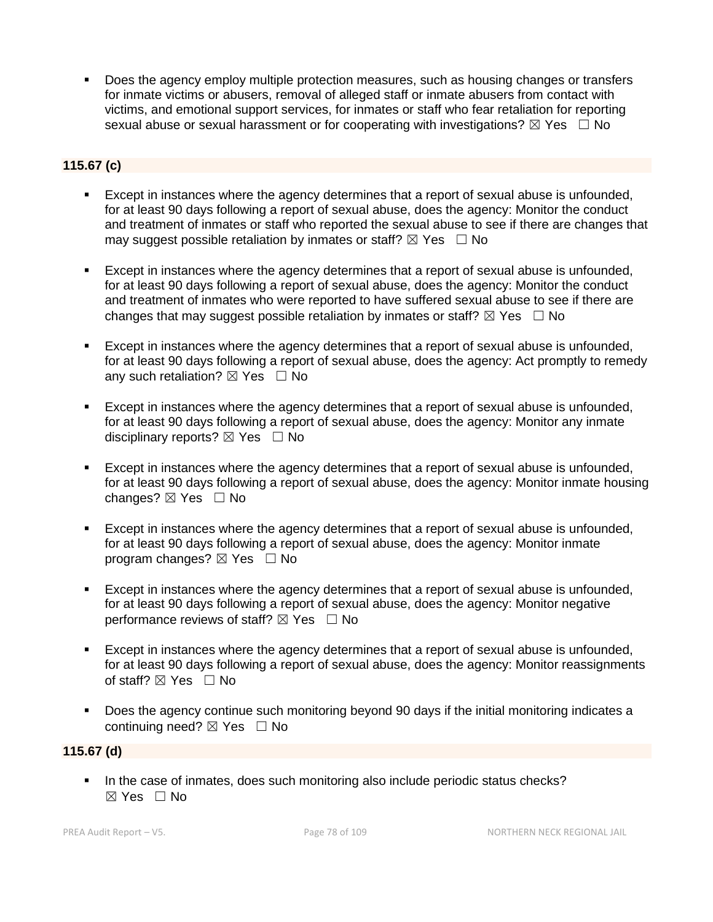Does the agency employ multiple protection measures, such as housing changes or transfers for inmate victims or abusers, removal of alleged staff or inmate abusers from contact with victims, and emotional support services, for inmates or staff who fear retaliation for reporting sexual abuse or sexual harassment or for cooperating with investigations?  $\boxtimes$  Yes  $\Box$  No

# **115.67 (c)**

- Except in instances where the agency determines that a report of sexual abuse is unfounded, for at least 90 days following a report of sexual abuse, does the agency: Monitor the conduct and treatment of inmates or staff who reported the sexual abuse to see if there are changes that may suggest possible retaliation by inmates or staff?  $\boxtimes$  Yes  $\Box$  No
- Except in instances where the agency determines that a report of sexual abuse is unfounded, for at least 90 days following a report of sexual abuse, does the agency: Monitor the conduct and treatment of inmates who were reported to have suffered sexual abuse to see if there are changes that may suggest possible retaliation by inmates or staff?  $\boxtimes$  Yes  $\Box$  No
- Except in instances where the agency determines that a report of sexual abuse is unfounded, for at least 90 days following a report of sexual abuse, does the agency: Act promptly to remedy any such retaliation?  $\boxtimes$  Yes  $\Box$  No
- Except in instances where the agency determines that a report of sexual abuse is unfounded, for at least 90 days following a report of sexual abuse, does the agency: Monitor any inmate disciplinary reports?  $\boxtimes$  Yes  $\Box$  No
- Except in instances where the agency determines that a report of sexual abuse is unfounded, for at least 90 days following a report of sexual abuse, does the agency: Monitor inmate housing changes?  $\boxtimes$  Yes  $\Box$  No
- Except in instances where the agency determines that a report of sexual abuse is unfounded, for at least 90 days following a report of sexual abuse, does the agency: Monitor inmate program changes?  $\boxtimes$  Yes  $\Box$  No
- Except in instances where the agency determines that a report of sexual abuse is unfounded, for at least 90 days following a report of sexual abuse, does the agency: Monitor negative performance reviews of staff?  $\boxtimes$  Yes  $\Box$  No
- **Except in instances where the agency determines that a report of sexual abuse is unfounded,** for at least 90 days following a report of sexual abuse, does the agency: Monitor reassignments of staff? ⊠ Yes □ No
- Does the agency continue such monitoring beyond 90 days if the initial monitoring indicates a continuing need? ⊠ Yes □ No

### **115.67 (d)**

**.** In the case of inmates, does such monitoring also include periodic status checks?  $\boxtimes$  Yes  $\Box$  No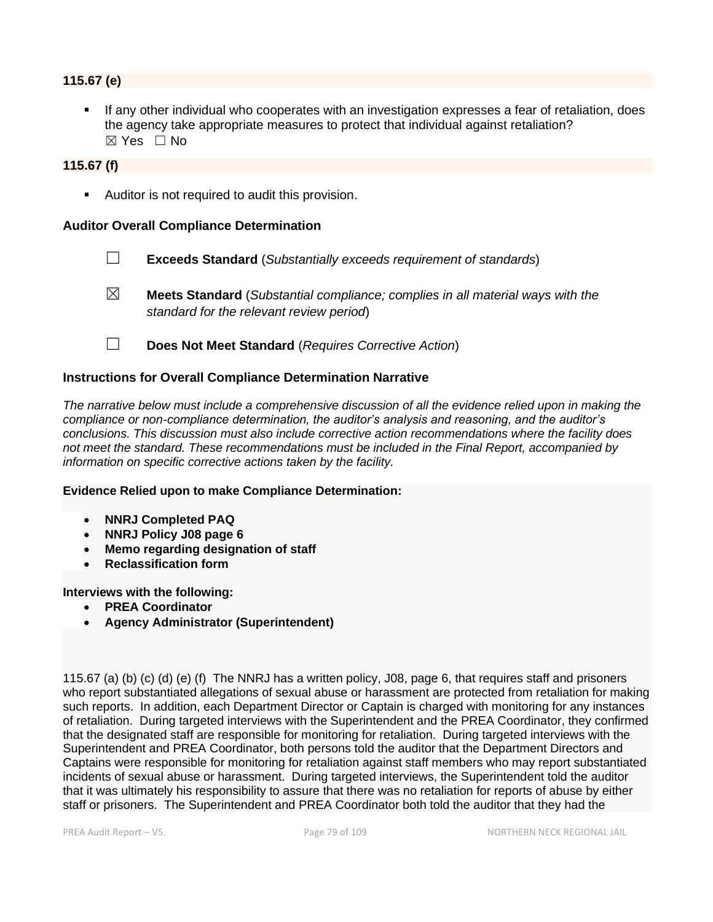### **115.67 (e)**

If any other individual who cooperates with an investigation expresses a fear of retaliation, does the agency take appropriate measures to protect that individual against retaliation? ☒ Yes ☐ No

## **115.67 (f)**

■ Auditor is not required to audit this provision.

### **Auditor Overall Compliance Determination**

- ☐ **Exceeds Standard** (*Substantially exceeds requirement of standards*)
- ☒ **Meets Standard** (*Substantial compliance; complies in all material ways with the standard for the relevant review period*)
- ☐ **Does Not Meet Standard** (*Requires Corrective Action*)

### **Instructions for Overall Compliance Determination Narrative**

*The narrative below must include a comprehensive discussion of all the evidence relied upon in making the compliance or non-compliance determination, the auditor's analysis and reasoning, and the auditor's conclusions. This discussion must also include corrective action recommendations where the facility does not meet the standard. These recommendations must be included in the Final Report, accompanied by information on specific corrective actions taken by the facility.*

### **Evidence Relied upon to make Compliance Determination:**

- **NNRJ Completed PAQ**
- **NNRJ Policy J08 page 6**
- **Memo regarding designation of staff**
- **Reclassification form**

**Interviews with the following:**

- **PREA Coordinator**
- **Agency Administrator (Superintendent)**

115.67 (a) (b) (c) (d) (e) (f) The NNRJ has a written policy, J08, page 6, that requires staff and prisoners who report substantiated allegations of sexual abuse or harassment are protected from retaliation for making such reports. In addition, each Department Director or Captain is charged with monitoring for any instances of retaliation. During targeted interviews with the Superintendent and the PREA Coordinator, they confirmed that the designated staff are responsible for monitoring for retaliation. During targeted interviews with the Superintendent and PREA Coordinator, both persons told the auditor that the Department Directors and Captains were responsible for monitoring for retaliation against staff members who may report substantiated incidents of sexual abuse or harassment. During targeted interviews, the Superintendent told the auditor that it was ultimately his responsibility to assure that there was no retaliation for reports of abuse by either staff or prisoners. The Superintendent and PREA Coordinator both told the auditor that they had the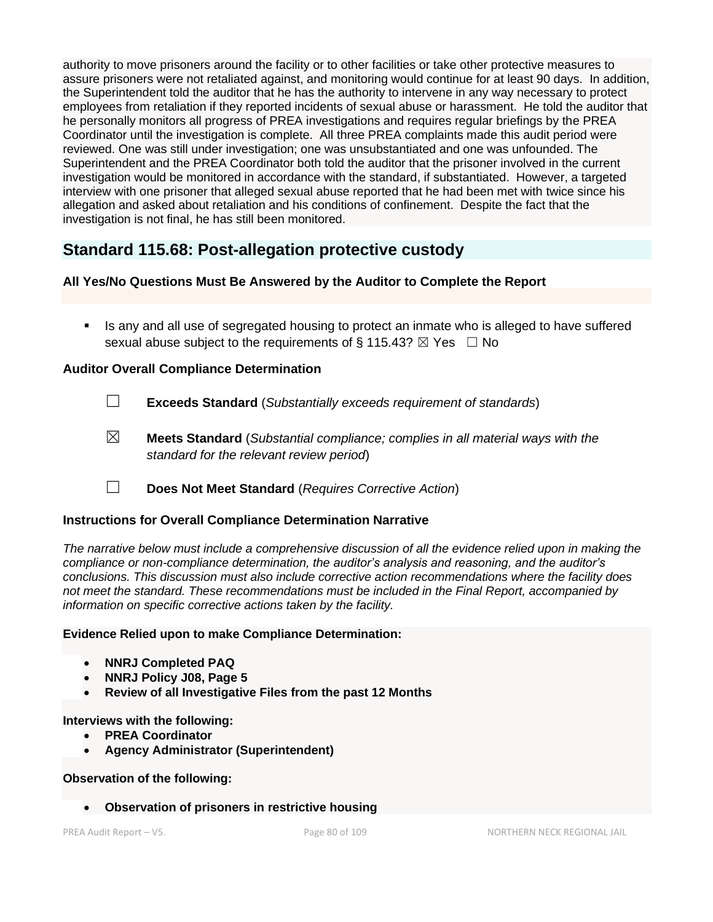authority to move prisoners around the facility or to other facilities or take other protective measures to assure prisoners were not retaliated against, and monitoring would continue for at least 90 days. In addition, the Superintendent told the auditor that he has the authority to intervene in any way necessary to protect employees from retaliation if they reported incidents of sexual abuse or harassment. He told the auditor that he personally monitors all progress of PREA investigations and requires regular briefings by the PREA Coordinator until the investigation is complete. All three PREA complaints made this audit period were reviewed. One was still under investigation; one was unsubstantiated and one was unfounded. The Superintendent and the PREA Coordinator both told the auditor that the prisoner involved in the current investigation would be monitored in accordance with the standard, if substantiated. However, a targeted interview with one prisoner that alleged sexual abuse reported that he had been met with twice since his allegation and asked about retaliation and his conditions of confinement. Despite the fact that the investigation is not final, he has still been monitored.

# **Standard 115.68: Post-allegation protective custody**

# **All Yes/No Questions Must Be Answered by the Auditor to Complete the Report**

**EXT** Is any and all use of segregated housing to protect an inmate who is alleged to have suffered sexual abuse subject to the requirements of § 115.43?  $\boxtimes$  Yes  $\Box$  No

### **Auditor Overall Compliance Determination**

- ☐ **Exceeds Standard** (*Substantially exceeds requirement of standards*)
- ☒ **Meets Standard** (*Substantial compliance; complies in all material ways with the standard for the relevant review period*)
- ☐ **Does Not Meet Standard** (*Requires Corrective Action*)

### **Instructions for Overall Compliance Determination Narrative**

*The narrative below must include a comprehensive discussion of all the evidence relied upon in making the compliance or non-compliance determination, the auditor's analysis and reasoning, and the auditor's conclusions. This discussion must also include corrective action recommendations where the facility does not meet the standard. These recommendations must be included in the Final Report, accompanied by information on specific corrective actions taken by the facility.*

### **Evidence Relied upon to make Compliance Determination:**

- **NNRJ Completed PAQ**
- **NNRJ Policy J08, Page 5**
- **Review of all Investigative Files from the past 12 Months**

### **Interviews with the following:**

- **PREA Coordinator**
- **Agency Administrator (Superintendent)**

### **Observation of the following:**

• **Observation of prisoners in restrictive housing**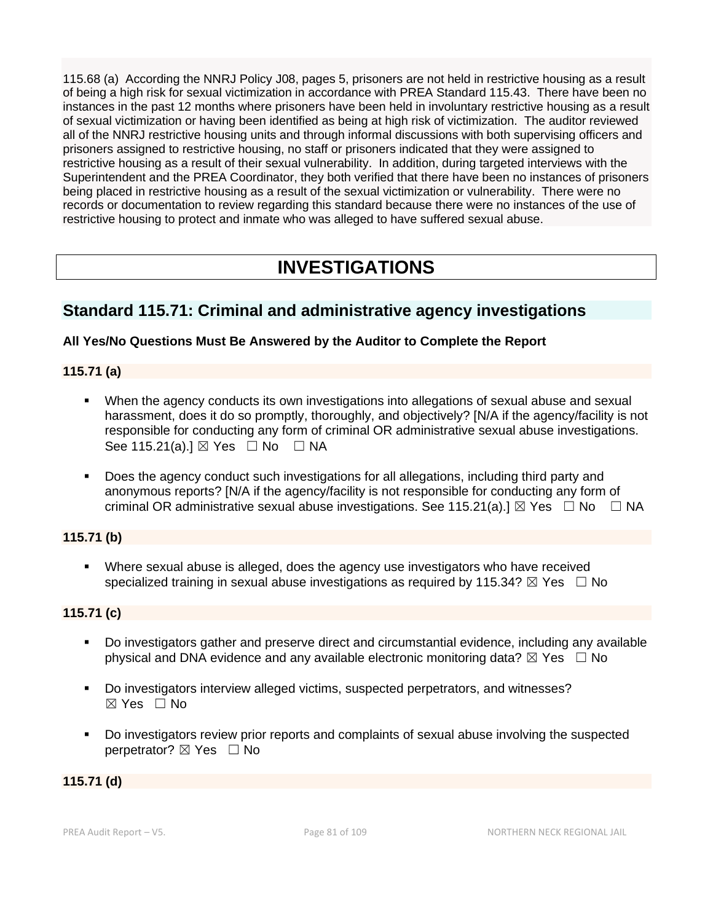115.68 (a) According the NNRJ Policy J08, pages 5, prisoners are not held in restrictive housing as a result of being a high risk for sexual victimization in accordance with PREA Standard 115.43. There have been no instances in the past 12 months where prisoners have been held in involuntary restrictive housing as a result of sexual victimization or having been identified as being at high risk of victimization. The auditor reviewed all of the NNRJ restrictive housing units and through informal discussions with both supervising officers and prisoners assigned to restrictive housing, no staff or prisoners indicated that they were assigned to restrictive housing as a result of their sexual vulnerability. In addition, during targeted interviews with the Superintendent and the PREA Coordinator, they both verified that there have been no instances of prisoners being placed in restrictive housing as a result of the sexual victimization or vulnerability. There were no records or documentation to review regarding this standard because there were no instances of the use of restrictive housing to protect and inmate who was alleged to have suffered sexual abuse.

# **INVESTIGATIONS**

# **Standard 115.71: Criminal and administrative agency investigations**

### **All Yes/No Questions Must Be Answered by the Auditor to Complete the Report**

### **115.71 (a)**

- When the agency conducts its own investigations into allegations of sexual abuse and sexual harassment, does it do so promptly, thoroughly, and objectively? [N/A if the agency/facility is not responsible for conducting any form of criminal OR administrative sexual abuse investigations. See 115.21(a).]  $\boxtimes$  Yes  $\Box$  No  $\Box$  NA
- Does the agency conduct such investigations for all allegations, including third party and anonymous reports? [N/A if the agency/facility is not responsible for conducting any form of criminal OR administrative sexual abuse investigations. See 115.21(a).]  $\boxtimes$  Yes  $\Box$  No  $\Box$  NA

### **115.71 (b)**

**•** Where sexual abuse is alleged, does the agency use investigators who have received specialized training in sexual abuse investigations as required by 115.34?  $\boxtimes$  Yes  $\Box$  No

### **115.71 (c)**

- Do investigators gather and preserve direct and circumstantial evidence, including any available physical and DNA evidence and any available electronic monitoring data?  $\boxtimes$  Yes  $\Box$  No
- Do investigators interview alleged victims, suspected perpetrators, and witnesses? ☒ Yes ☐ No
- Do investigators review prior reports and complaints of sexual abuse involving the suspected perpetrator? ⊠ Yes □ No

### **115.71 (d)**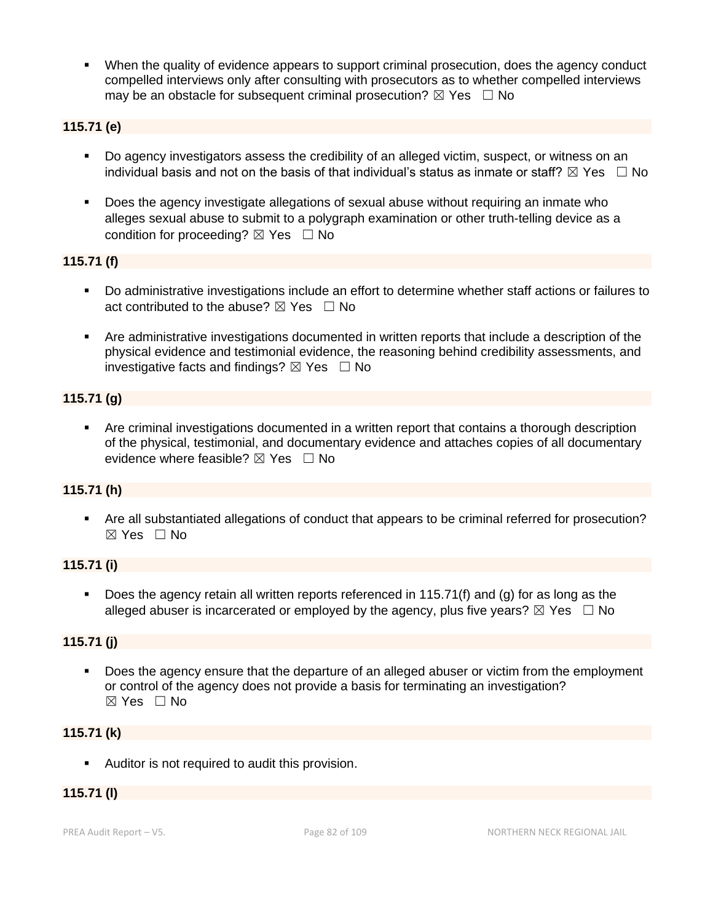When the quality of evidence appears to support criminal prosecution, does the agency conduct compelled interviews only after consulting with prosecutors as to whether compelled interviews may be an obstacle for subsequent criminal prosecution?  $\boxtimes$  Yes  $\Box$  No

## **115.71 (e)**

- Do agency investigators assess the credibility of an alleged victim, suspect, or witness on an individual basis and not on the basis of that individual's status as inmate or staff?  $\boxtimes$  Yes  $\;\;\Box$  No
- Does the agency investigate allegations of sexual abuse without requiring an inmate who alleges sexual abuse to submit to a polygraph examination or other truth-telling device as a condition for proceeding?  $\boxtimes$  Yes  $\Box$  No

### **115.71 (f)**

- Do administrative investigations include an effort to determine whether staff actions or failures to act contributed to the abuse?  $\boxtimes$  Yes  $\Box$  No
- Are administrative investigations documented in written reports that include a description of the physical evidence and testimonial evidence, the reasoning behind credibility assessments, and investigative facts and findings?  $\boxtimes$  Yes  $\Box$  No

### **115.71 (g)**

Are criminal investigations documented in a written report that contains a thorough description of the physical, testimonial, and documentary evidence and attaches copies of all documentary evidence where feasible?  $\boxtimes$  Yes  $\Box$  No

### **115.71 (h)**

▪ Are all substantiated allegations of conduct that appears to be criminal referred for prosecution?  $\boxtimes$  Yes  $\Box$  No

### **115.71 (i)**

■ Does the agency retain all written reports referenced in 115.71(f) and (g) for as long as the alleged abuser is incarcerated or employed by the agency, plus five years?  $\boxtimes$  Yes  $\Box$  No

### **115.71 (j)**

Does the agency ensure that the departure of an alleged abuser or victim from the employment or control of the agency does not provide a basis for terminating an investigation?  $\boxtimes$  Yes  $\Box$  No

### **115.71 (k)**

■ Auditor is not required to audit this provision.

### **115.71 (l)**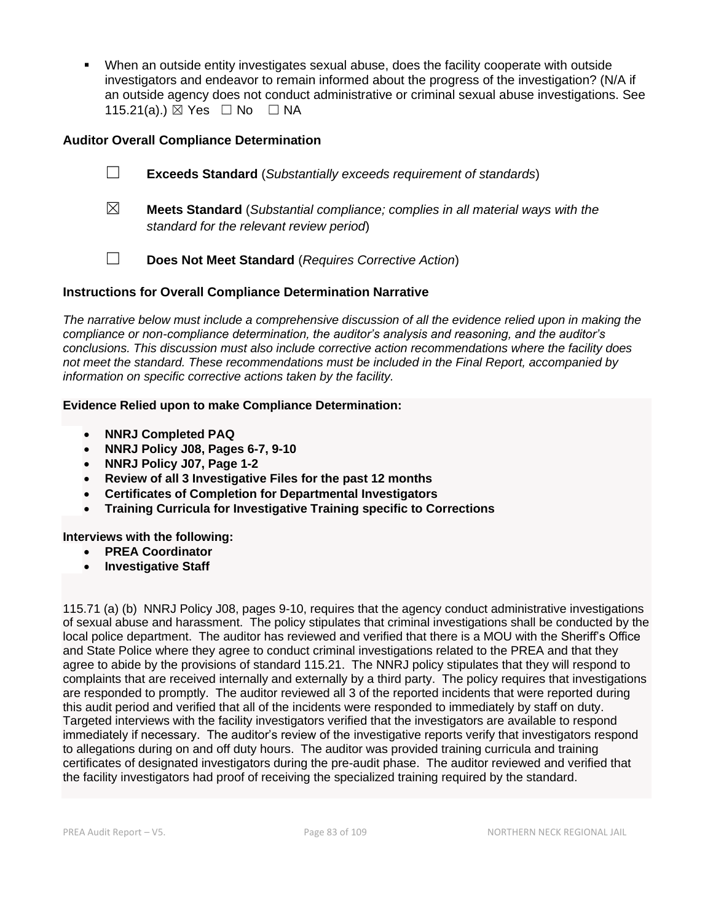When an outside entity investigates sexual abuse, does the facility cooperate with outside investigators and endeavor to remain informed about the progress of the investigation? (N/A if an outside agency does not conduct administrative or criminal sexual abuse investigations. See 115.21(a).)  $\boxtimes$  Yes  $\Box$  No  $\Box$  NA

### **Auditor Overall Compliance Determination**

|                | <b>Exceeds Standard</b> (Substantially exceeds requirement of standards) |  |
|----------------|--------------------------------------------------------------------------|--|
| $\overline{ }$ |                                                                          |  |

- ☒ **Meets Standard** (*Substantial compliance; complies in all material ways with the standard for the relevant review period*)
- ☐ **Does Not Meet Standard** (*Requires Corrective Action*)

### **Instructions for Overall Compliance Determination Narrative**

*The narrative below must include a comprehensive discussion of all the evidence relied upon in making the compliance or non-compliance determination, the auditor's analysis and reasoning, and the auditor's conclusions. This discussion must also include corrective action recommendations where the facility does not meet the standard. These recommendations must be included in the Final Report, accompanied by information on specific corrective actions taken by the facility.*

#### **Evidence Relied upon to make Compliance Determination:**

- **NNRJ Completed PAQ**
- **NNRJ Policy J08, Pages 6-7, 9-10**
- **NNRJ Policy J07, Page 1-2**
- **Review of all 3 Investigative Files for the past 12 months**
- **Certificates of Completion for Departmental Investigators**
- **Training Curricula for Investigative Training specific to Corrections**

### **Interviews with the following:**

- **PREA Coordinator**
- **Investigative Staff**

115.71 (a) (b) NNRJ Policy J08, pages 9-10, requires that the agency conduct administrative investigations of sexual abuse and harassment. The policy stipulates that criminal investigations shall be conducted by the local police department. The auditor has reviewed and verified that there is a MOU with the Sheriff's Office and State Police where they agree to conduct criminal investigations related to the PREA and that they agree to abide by the provisions of standard 115.21. The NNRJ policy stipulates that they will respond to complaints that are received internally and externally by a third party. The policy requires that investigations are responded to promptly. The auditor reviewed all 3 of the reported incidents that were reported during this audit period and verified that all of the incidents were responded to immediately by staff on duty. Targeted interviews with the facility investigators verified that the investigators are available to respond immediately if necessary. The auditor's review of the investigative reports verify that investigators respond to allegations during on and off duty hours. The auditor was provided training curricula and training certificates of designated investigators during the pre-audit phase. The auditor reviewed and verified that the facility investigators had proof of receiving the specialized training required by the standard.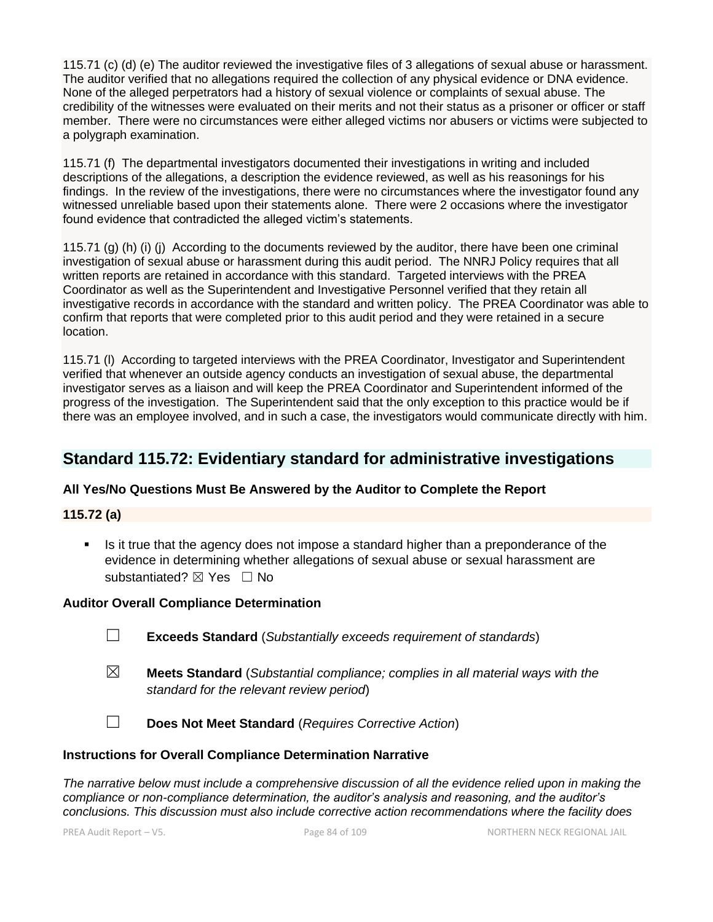115.71 (c) (d) (e) The auditor reviewed the investigative files of 3 allegations of sexual abuse or harassment. The auditor verified that no allegations required the collection of any physical evidence or DNA evidence. None of the alleged perpetrators had a history of sexual violence or complaints of sexual abuse. The credibility of the witnesses were evaluated on their merits and not their status as a prisoner or officer or staff member. There were no circumstances were either alleged victims nor abusers or victims were subjected to a polygraph examination.

115.71 (f) The departmental investigators documented their investigations in writing and included descriptions of the allegations, a description the evidence reviewed, as well as his reasonings for his findings. In the review of the investigations, there were no circumstances where the investigator found any witnessed unreliable based upon their statements alone. There were 2 occasions where the investigator found evidence that contradicted the alleged victim's statements.

115.71 (g) (h) (i) (j) According to the documents reviewed by the auditor, there have been one criminal investigation of sexual abuse or harassment during this audit period. The NNRJ Policy requires that all written reports are retained in accordance with this standard. Targeted interviews with the PREA Coordinator as well as the Superintendent and Investigative Personnel verified that they retain all investigative records in accordance with the standard and written policy. The PREA Coordinator was able to confirm that reports that were completed prior to this audit period and they were retained in a secure location.

115.71 (l) According to targeted interviews with the PREA Coordinator, Investigator and Superintendent verified that whenever an outside agency conducts an investigation of sexual abuse, the departmental investigator serves as a liaison and will keep the PREA Coordinator and Superintendent informed of the progress of the investigation. The Superintendent said that the only exception to this practice would be if there was an employee involved, and in such a case, the investigators would communicate directly with him.

# **Standard 115.72: Evidentiary standard for administrative investigations**

### **All Yes/No Questions Must Be Answered by the Auditor to Complete the Report**

### **115.72 (a)**

■ Is it true that the agency does not impose a standard higher than a preponderance of the evidence in determining whether allegations of sexual abuse or sexual harassment are substantiated? ⊠ Yes □ No

### **Auditor Overall Compliance Determination**

- ☐ **Exceeds Standard** (*Substantially exceeds requirement of standards*)
- ☒ **Meets Standard** (*Substantial compliance; complies in all material ways with the standard for the relevant review period*)
- ☐ **Does Not Meet Standard** (*Requires Corrective Action*)

### **Instructions for Overall Compliance Determination Narrative**

*The narrative below must include a comprehensive discussion of all the evidence relied upon in making the compliance or non-compliance determination, the auditor's analysis and reasoning, and the auditor's conclusions. This discussion must also include corrective action recommendations where the facility does*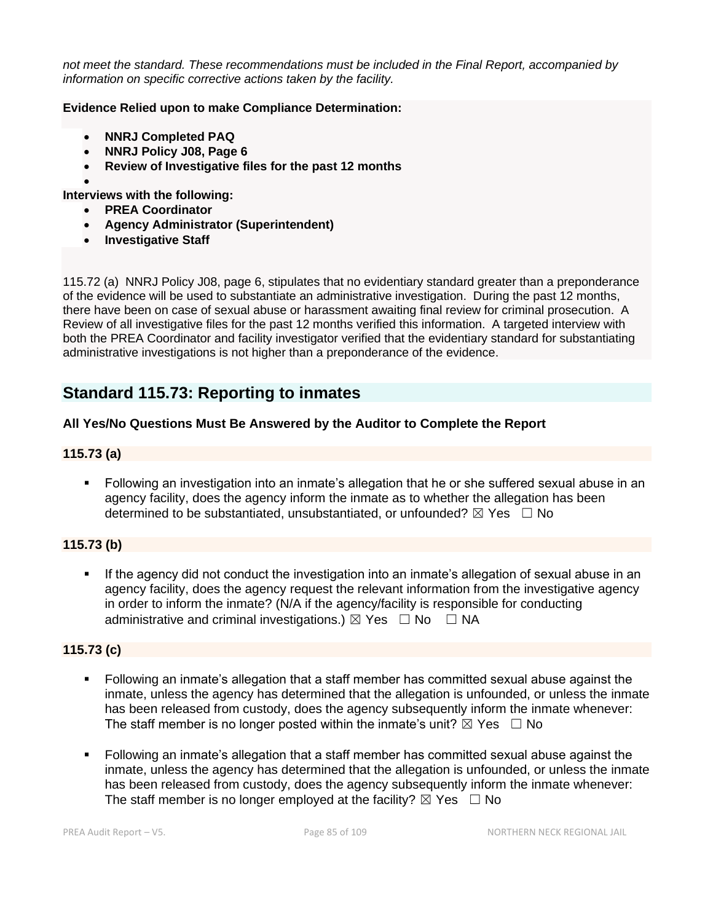*not meet the standard. These recommendations must be included in the Final Report, accompanied by information on specific corrective actions taken by the facility.*

### **Evidence Relied upon to make Compliance Determination:**

- **NNRJ Completed PAQ**
- **NNRJ Policy J08, Page 6**
- **Review of Investigative files for the past 12 months**
- •

**Interviews with the following:**

- **PREA Coordinator**
- **Agency Administrator (Superintendent)**
- **Investigative Staff**

115.72 (a) NNRJ Policy J08, page 6, stipulates that no evidentiary standard greater than a preponderance of the evidence will be used to substantiate an administrative investigation. During the past 12 months, there have been on case of sexual abuse or harassment awaiting final review for criminal prosecution. A Review of all investigative files for the past 12 months verified this information. A targeted interview with both the PREA Coordinator and facility investigator verified that the evidentiary standard for substantiating administrative investigations is not higher than a preponderance of the evidence.

# **Standard 115.73: Reporting to inmates**

### **All Yes/No Questions Must Be Answered by the Auditor to Complete the Report**

### **115.73 (a)**

■ Following an investigation into an inmate's allegation that he or she suffered sexual abuse in an agency facility, does the agency inform the inmate as to whether the allegation has been determined to be substantiated, unsubstantiated, or unfounded?  $\boxtimes$  Yes  $\Box$  No

### **115.73 (b)**

If the agency did not conduct the investigation into an inmate's allegation of sexual abuse in an agency facility, does the agency request the relevant information from the investigative agency in order to inform the inmate? (N/A if the agency/facility is responsible for conducting administrative and criminal investigations.)  $\boxtimes$  Yes  $\Box$  No  $\Box$  NA

### **115.73 (c)**

- Following an inmate's allegation that a staff member has committed sexual abuse against the inmate, unless the agency has determined that the allegation is unfounded, or unless the inmate has been released from custody, does the agency subsequently inform the inmate whenever: The staff member is no longer posted within the inmate's unit?  $\boxtimes$  Yes  $\Box$  No
- Following an inmate's allegation that a staff member has committed sexual abuse against the inmate, unless the agency has determined that the allegation is unfounded, or unless the inmate has been released from custody, does the agency subsequently inform the inmate whenever: The staff member is no longer employed at the facility?  $\boxtimes$  Yes  $\Box$  No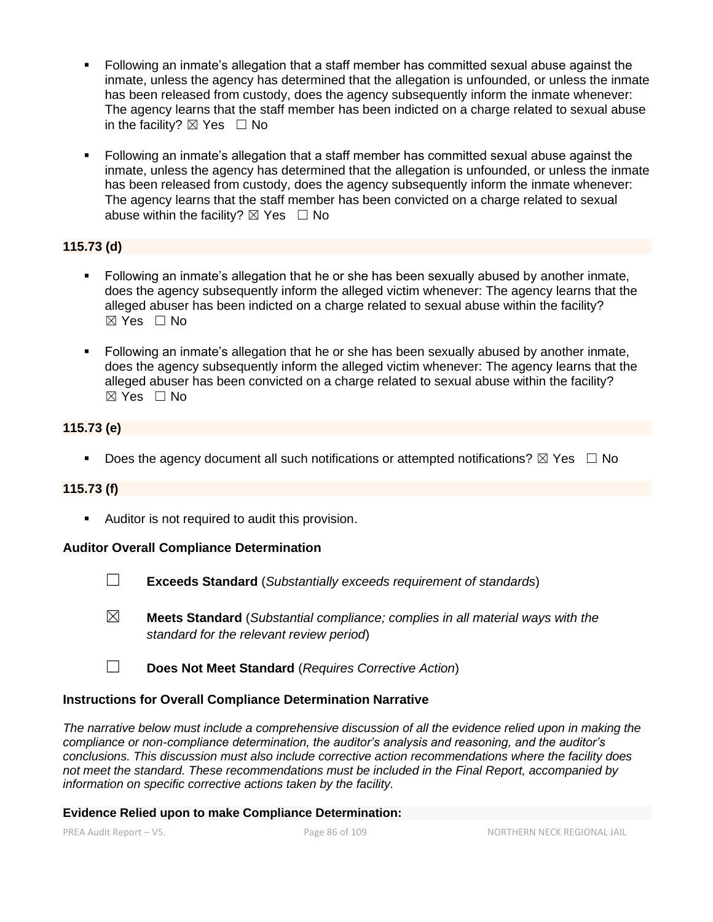- Following an inmate's allegation that a staff member has committed sexual abuse against the inmate, unless the agency has determined that the allegation is unfounded, or unless the inmate has been released from custody, does the agency subsequently inform the inmate whenever: The agency learns that the staff member has been indicted on a charge related to sexual abuse in the facility?  $\boxtimes$  Yes  $\Box$  No
- Following an inmate's allegation that a staff member has committed sexual abuse against the inmate, unless the agency has determined that the allegation is unfounded, or unless the inmate has been released from custody, does the agency subsequently inform the inmate whenever: The agency learns that the staff member has been convicted on a charge related to sexual abuse within the facility?  $\boxtimes$  Yes  $\Box$  No

# **115.73 (d)**

- Following an inmate's allegation that he or she has been sexually abused by another inmate, does the agency subsequently inform the alleged victim whenever: The agency learns that the alleged abuser has been indicted on a charge related to sexual abuse within the facility? ☒ Yes ☐ No
- Following an inmate's allegation that he or she has been sexually abused by another inmate, does the agency subsequently inform the alleged victim whenever: The agency learns that the alleged abuser has been convicted on a charge related to sexual abuse within the facility? ☒ Yes ☐ No

# **115.73 (e)**

**•** Does the agency document all such notifications or attempted notifications?  $\boxtimes$  Yes  $\Box$  No

# **115.73 (f)**

■ Auditor is not required to audit this provision.

### **Auditor Overall Compliance Determination**

- ☐ **Exceeds Standard** (*Substantially exceeds requirement of standards*)
- ☒ **Meets Standard** (*Substantial compliance; complies in all material ways with the standard for the relevant review period*)
- ☐ **Does Not Meet Standard** (*Requires Corrective Action*)

### **Instructions for Overall Compliance Determination Narrative**

*The narrative below must include a comprehensive discussion of all the evidence relied upon in making the compliance or non-compliance determination, the auditor's analysis and reasoning, and the auditor's conclusions. This discussion must also include corrective action recommendations where the facility does not meet the standard. These recommendations must be included in the Final Report, accompanied by information on specific corrective actions taken by the facility.*

### **Evidence Relied upon to make Compliance Determination:**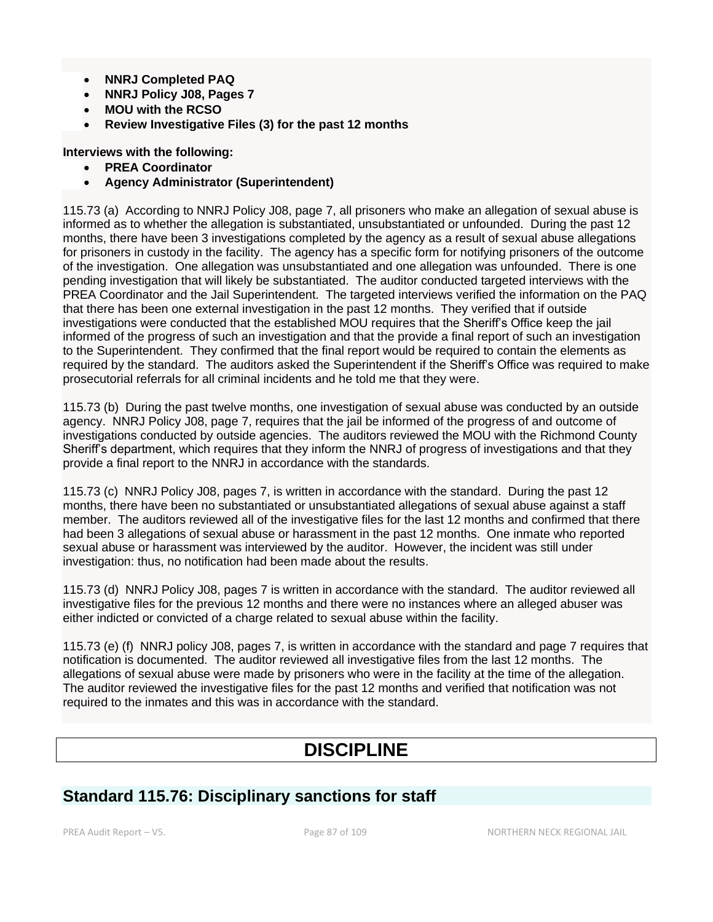- **NNRJ Completed PAQ**
- **NNRJ Policy J08, Pages 7**
- **MOU with the RCSO**
- **Review Investigative Files (3) for the past 12 months**
- **Interviews with the following:**
	- **PREA Coordinator**
	- **Agency Administrator (Superintendent)**

115.73 (a) According to NNRJ Policy J08, page 7, all prisoners who make an allegation of sexual abuse is informed as to whether the allegation is substantiated, unsubstantiated or unfounded. During the past 12 months, there have been 3 investigations completed by the agency as a result of sexual abuse allegations for prisoners in custody in the facility. The agency has a specific form for notifying prisoners of the outcome of the investigation. One allegation was unsubstantiated and one allegation was unfounded. There is one pending investigation that will likely be substantiated. The auditor conducted targeted interviews with the PREA Coordinator and the Jail Superintendent. The targeted interviews verified the information on the PAQ that there has been one external investigation in the past 12 months. They verified that if outside investigations were conducted that the established MOU requires that the Sheriff's Office keep the jail informed of the progress of such an investigation and that the provide a final report of such an investigation to the Superintendent. They confirmed that the final report would be required to contain the elements as required by the standard. The auditors asked the Superintendent if the Sheriff's Office was required to make prosecutorial referrals for all criminal incidents and he told me that they were.

115.73 (b) During the past twelve months, one investigation of sexual abuse was conducted by an outside agency. NNRJ Policy J08, page 7, requires that the jail be informed of the progress of and outcome of investigations conducted by outside agencies. The auditors reviewed the MOU with the Richmond County Sheriff's department, which requires that they inform the NNRJ of progress of investigations and that they provide a final report to the NNRJ in accordance with the standards.

115.73 (c) NNRJ Policy J08, pages 7, is written in accordance with the standard. During the past 12 months, there have been no substantiated or unsubstantiated allegations of sexual abuse against a staff member. The auditors reviewed all of the investigative files for the last 12 months and confirmed that there had been 3 allegations of sexual abuse or harassment in the past 12 months. One inmate who reported sexual abuse or harassment was interviewed by the auditor. However, the incident was still under investigation: thus, no notification had been made about the results.

115.73 (d) NNRJ Policy J08, pages 7 is written in accordance with the standard. The auditor reviewed all investigative files for the previous 12 months and there were no instances where an alleged abuser was either indicted or convicted of a charge related to sexual abuse within the facility.

115.73 (e) (f) NNRJ policy J08, pages 7, is written in accordance with the standard and page 7 requires that notification is documented. The auditor reviewed all investigative files from the last 12 months. The allegations of sexual abuse were made by prisoners who were in the facility at the time of the allegation. The auditor reviewed the investigative files for the past 12 months and verified that notification was not required to the inmates and this was in accordance with the standard.

# **DISCIPLINE**

# **Standard 115.76: Disciplinary sanctions for staff**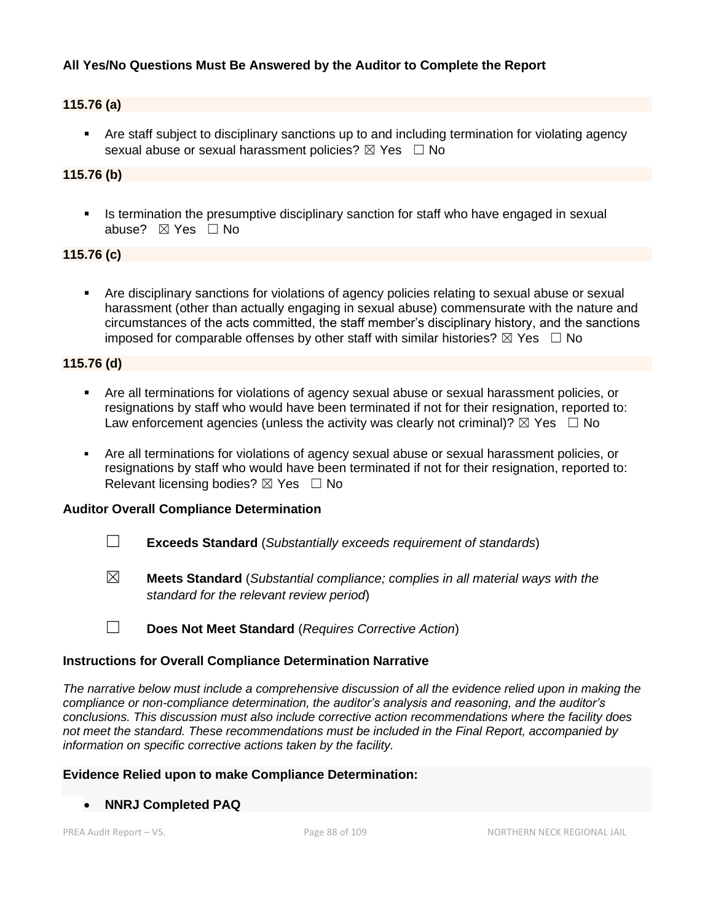### **All Yes/No Questions Must Be Answered by the Auditor to Complete the Report**

### **115.76 (a)**

• Are staff subject to disciplinary sanctions up to and including termination for violating agency sexual abuse or sexual harassment policies?  $\boxtimes$  Yes  $\Box$  No

# **115.76 (b)**

**•** Is termination the presumptive disciplinary sanction for staff who have engaged in sexual abuse? ☒ Yes ☐ No

### **115.76 (c)**

Are disciplinary sanctions for violations of agency policies relating to sexual abuse or sexual harassment (other than actually engaging in sexual abuse) commensurate with the nature and circumstances of the acts committed, the staff member's disciplinary history, and the sanctions imposed for comparable offenses by other staff with similar histories?  $\boxtimes$  Yes  $\Box$  No

### **115.76 (d)**

- Are all terminations for violations of agency sexual abuse or sexual harassment policies, or resignations by staff who would have been terminated if not for their resignation, reported to: Law enforcement agencies (unless the activity was clearly not criminal)?  $\boxtimes$  Yes  $\Box$  No
- Are all terminations for violations of agency sexual abuse or sexual harassment policies, or resignations by staff who would have been terminated if not for their resignation, reported to: Relevant licensing bodies?  $\boxtimes$  Yes  $\Box$  No

### **Auditor Overall Compliance Determination**

- ☐ **Exceeds Standard** (*Substantially exceeds requirement of standards*)
- ☒ **Meets Standard** (*Substantial compliance; complies in all material ways with the standard for the relevant review period*)

### **Instructions for Overall Compliance Determination Narrative**

*The narrative below must include a comprehensive discussion of all the evidence relied upon in making the compliance or non-compliance determination, the auditor's analysis and reasoning, and the auditor's conclusions. This discussion must also include corrective action recommendations where the facility does not meet the standard. These recommendations must be included in the Final Report, accompanied by information on specific corrective actions taken by the facility.*

#### **Evidence Relied upon to make Compliance Determination:**

• **NNRJ Completed PAQ** 

<sup>☐</sup> **Does Not Meet Standard** (*Requires Corrective Action*)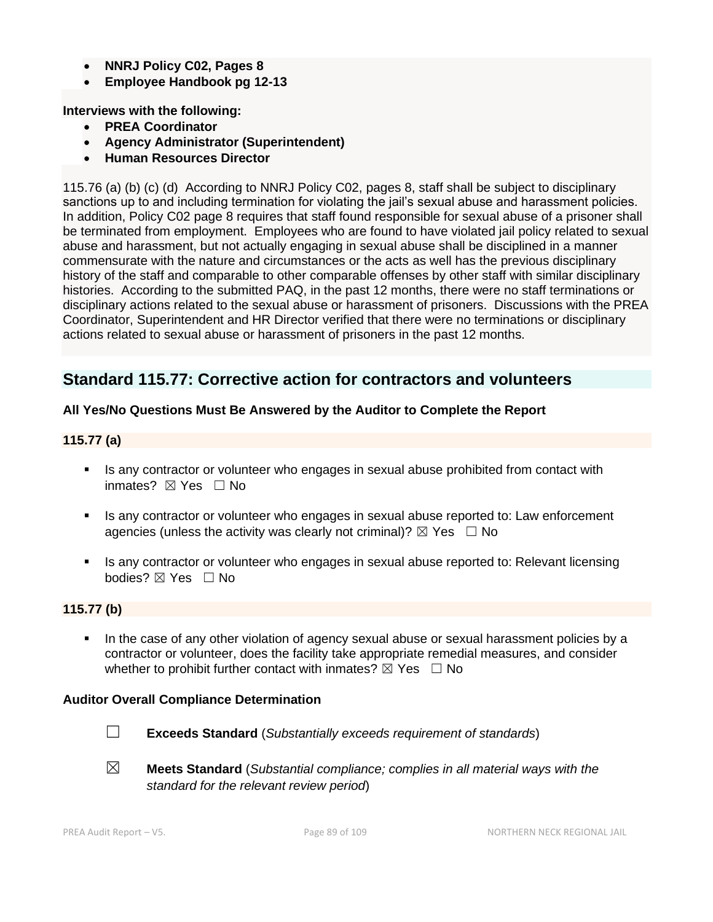- **NNRJ Policy C02, Pages 8**
- **Employee Handbook pg 12-13**

**Interviews with the following:**

- **PREA Coordinator**
- **Agency Administrator (Superintendent)**
- **Human Resources Director**

115.76 (a) (b) (c) (d) According to NNRJ Policy C02, pages 8, staff shall be subject to disciplinary sanctions up to and including termination for violating the jail's sexual abuse and harassment policies. In addition, Policy C02 page 8 requires that staff found responsible for sexual abuse of a prisoner shall be terminated from employment. Employees who are found to have violated jail policy related to sexual abuse and harassment, but not actually engaging in sexual abuse shall be disciplined in a manner commensurate with the nature and circumstances or the acts as well has the previous disciplinary history of the staff and comparable to other comparable offenses by other staff with similar disciplinary histories. According to the submitted PAQ, in the past 12 months, there were no staff terminations or disciplinary actions related to the sexual abuse or harassment of prisoners. Discussions with the PREA Coordinator, Superintendent and HR Director verified that there were no terminations or disciplinary actions related to sexual abuse or harassment of prisoners in the past 12 months.

# **Standard 115.77: Corrective action for contractors and volunteers**

### **All Yes/No Questions Must Be Answered by the Auditor to Complete the Report**

### **115.77 (a)**

- **EXECT** Is any contractor or volunteer who engages in sexual abuse prohibited from contact with inmates?  $⊠$  Yes  $□$  No
- Is any contractor or volunteer who engages in sexual abuse reported to: Law enforcement agencies (unless the activity was clearly not criminal)?  $\boxtimes$  Yes  $\Box$  No
- Is any contractor or volunteer who engages in sexual abuse reported to: Relevant licensing bodies? ⊠ Yes □ No

### **115.77 (b)**

In the case of any other violation of agency sexual abuse or sexual harassment policies by a contractor or volunteer, does the facility take appropriate remedial measures, and consider whether to prohibit further contact with inmates?  $\boxtimes$  Yes  $\Box$  No

### **Auditor Overall Compliance Determination**



☐ **Exceeds Standard** (*Substantially exceeds requirement of standards*)

☒ **Meets Standard** (*Substantial compliance; complies in all material ways with the standard for the relevant review period*)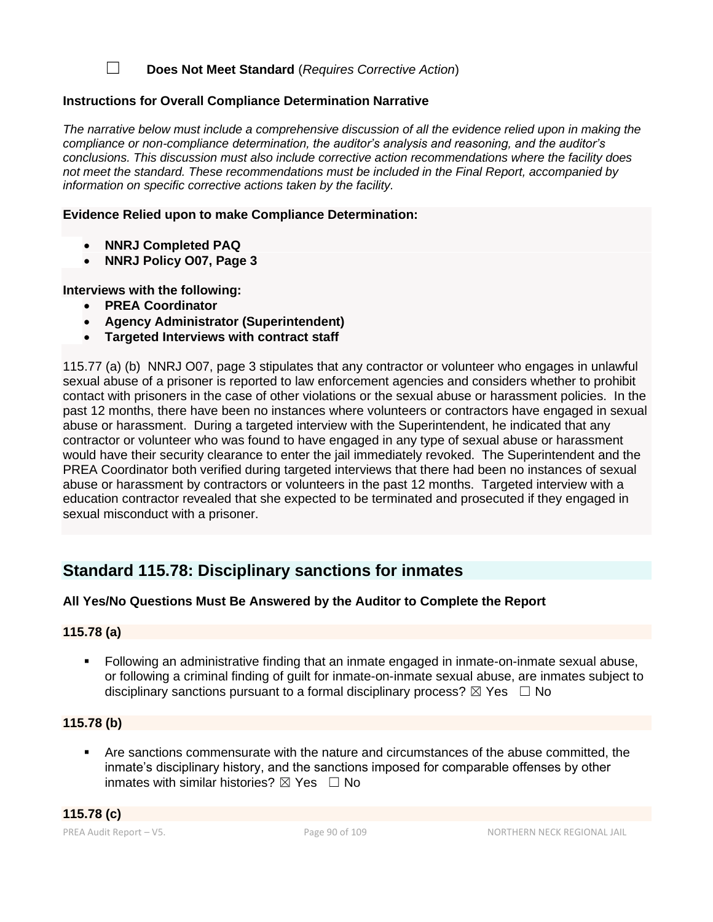☐ **Does Not Meet Standard** (*Requires Corrective Action*)

### **Instructions for Overall Compliance Determination Narrative**

*The narrative below must include a comprehensive discussion of all the evidence relied upon in making the compliance or non-compliance determination, the auditor's analysis and reasoning, and the auditor's conclusions. This discussion must also include corrective action recommendations where the facility does not meet the standard. These recommendations must be included in the Final Report, accompanied by information on specific corrective actions taken by the facility.*

### **Evidence Relied upon to make Compliance Determination:**

- **NNRJ Completed PAQ**
- **NNRJ Policy O07, Page 3**

**Interviews with the following:**

- **PREA Coordinator**
- **Agency Administrator (Superintendent)**
- **Targeted Interviews with contract staff**

115.77 (a) (b) NNRJ O07, page 3 stipulates that any contractor or volunteer who engages in unlawful sexual abuse of a prisoner is reported to law enforcement agencies and considers whether to prohibit contact with prisoners in the case of other violations or the sexual abuse or harassment policies. In the past 12 months, there have been no instances where volunteers or contractors have engaged in sexual abuse or harassment. During a targeted interview with the Superintendent, he indicated that any contractor or volunteer who was found to have engaged in any type of sexual abuse or harassment would have their security clearance to enter the jail immediately revoked. The Superintendent and the PREA Coordinator both verified during targeted interviews that there had been no instances of sexual abuse or harassment by contractors or volunteers in the past 12 months. Targeted interview with a education contractor revealed that she expected to be terminated and prosecuted if they engaged in sexual misconduct with a prisoner.

# **Standard 115.78: Disciplinary sanctions for inmates**

### **All Yes/No Questions Must Be Answered by the Auditor to Complete the Report**

### **115.78 (a)**

▪ Following an administrative finding that an inmate engaged in inmate-on-inmate sexual abuse, or following a criminal finding of guilt for inmate-on-inmate sexual abuse, are inmates subject to disciplinary sanctions pursuant to a formal disciplinary process?  $\boxtimes$  Yes  $\Box$  No

# **115.78 (b)**

Are sanctions commensurate with the nature and circumstances of the abuse committed, the inmate's disciplinary history, and the sanctions imposed for comparable offenses by other inmates with similar histories?  $\boxtimes$  Yes  $\Box$  No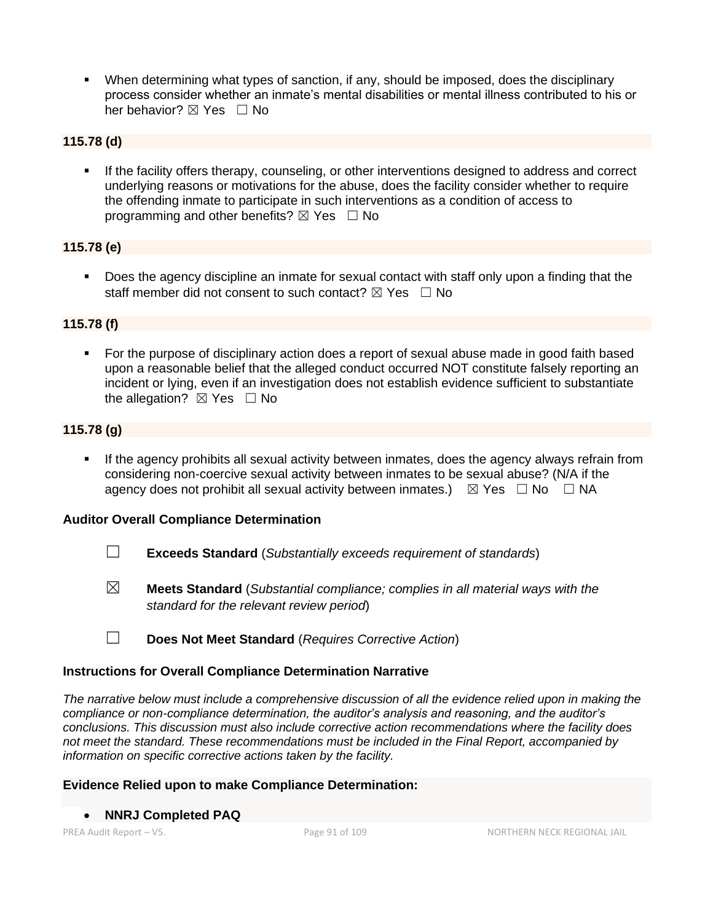When determining what types of sanction, if any, should be imposed, does the disciplinary process consider whether an inmate's mental disabilities or mental illness contributed to his or her behavior? ⊠ Yes □ No

### **115.78 (d)**

If the facility offers therapy, counseling, or other interventions designed to address and correct underlying reasons or motivations for the abuse, does the facility consider whether to require the offending inmate to participate in such interventions as a condition of access to programming and other benefits?  $\boxtimes$  Yes  $\Box$  No

## **115.78 (e)**

▪ Does the agency discipline an inmate for sexual contact with staff only upon a finding that the staff member did not consent to such contact?  $\boxtimes$  Yes  $\Box$  No

## **115.78 (f)**

For the purpose of disciplinary action does a report of sexual abuse made in good faith based upon a reasonable belief that the alleged conduct occurred NOT constitute falsely reporting an incident or lying, even if an investigation does not establish evidence sufficient to substantiate the allegation?  $\boxtimes$  Yes  $\Box$  No

## **115.78 (g)**

If the agency prohibits all sexual activity between inmates, does the agency always refrain from considering non-coercive sexual activity between inmates to be sexual abuse? (N/A if the agency does not prohibit all sexual activity between inmates.)  $\boxtimes$  Yes  $\Box$  No  $\Box$  NA

### **Auditor Overall Compliance Determination**

- ☐ **Exceeds Standard** (*Substantially exceeds requirement of standards*)
- ☒ **Meets Standard** (*Substantial compliance; complies in all material ways with the standard for the relevant review period*)
- ☐ **Does Not Meet Standard** (*Requires Corrective Action*)

### **Instructions for Overall Compliance Determination Narrative**

*The narrative below must include a comprehensive discussion of all the evidence relied upon in making the compliance or non-compliance determination, the auditor's analysis and reasoning, and the auditor's conclusions. This discussion must also include corrective action recommendations where the facility does not meet the standard. These recommendations must be included in the Final Report, accompanied by information on specific corrective actions taken by the facility.*

### **Evidence Relied upon to make Compliance Determination:**

### • **NNRJ Completed PAQ**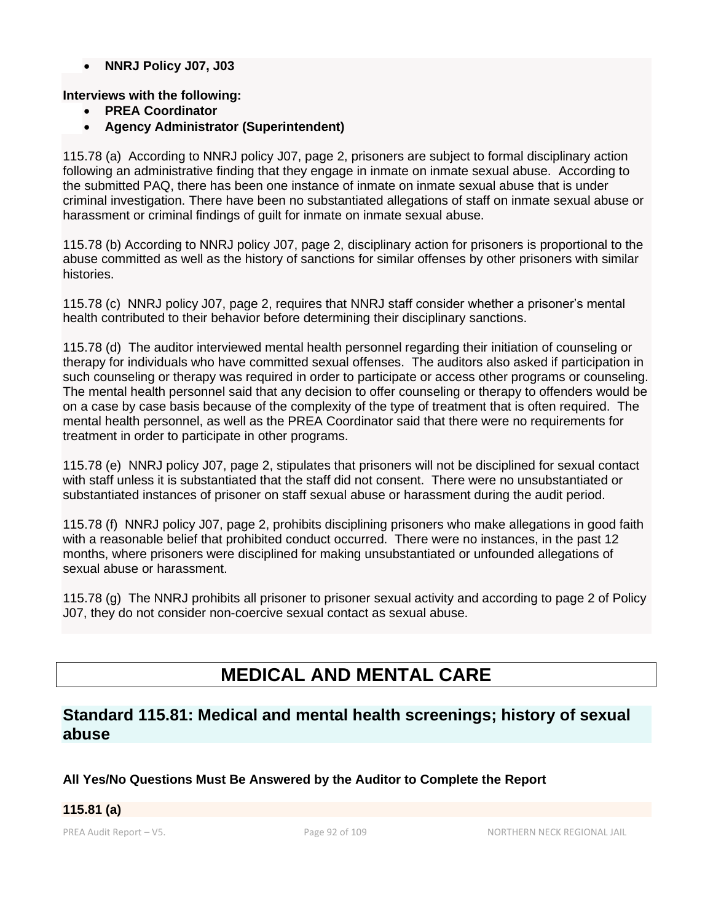• **NNRJ Policy J07, J03**

### **Interviews with the following:**

- **PREA Coordinator**
- **Agency Administrator (Superintendent)**

115.78 (a) According to NNRJ policy J07, page 2, prisoners are subject to formal disciplinary action following an administrative finding that they engage in inmate on inmate sexual abuse. According to the submitted PAQ, there has been one instance of inmate on inmate sexual abuse that is under criminal investigation. There have been no substantiated allegations of staff on inmate sexual abuse or harassment or criminal findings of guilt for inmate on inmate sexual abuse.

115.78 (b) According to NNRJ policy J07, page 2, disciplinary action for prisoners is proportional to the abuse committed as well as the history of sanctions for similar offenses by other prisoners with similar histories.

115.78 (c) NNRJ policy J07, page 2, requires that NNRJ staff consider whether a prisoner's mental health contributed to their behavior before determining their disciplinary sanctions.

115.78 (d) The auditor interviewed mental health personnel regarding their initiation of counseling or therapy for individuals who have committed sexual offenses. The auditors also asked if participation in such counseling or therapy was required in order to participate or access other programs or counseling. The mental health personnel said that any decision to offer counseling or therapy to offenders would be on a case by case basis because of the complexity of the type of treatment that is often required. The mental health personnel, as well as the PREA Coordinator said that there were no requirements for treatment in order to participate in other programs.

115.78 (e) NNRJ policy J07, page 2, stipulates that prisoners will not be disciplined for sexual contact with staff unless it is substantiated that the staff did not consent. There were no unsubstantiated or substantiated instances of prisoner on staff sexual abuse or harassment during the audit period.

115.78 (f) NNRJ policy J07, page 2, prohibits disciplining prisoners who make allegations in good faith with a reasonable belief that prohibited conduct occurred. There were no instances, in the past 12 months, where prisoners were disciplined for making unsubstantiated or unfounded allegations of sexual abuse or harassment.

115.78 (g) The NNRJ prohibits all prisoner to prisoner sexual activity and according to page 2 of Policy J07, they do not consider non-coercive sexual contact as sexual abuse.

# **MEDICAL AND MENTAL CARE**

# **Standard 115.81: Medical and mental health screenings; history of sexual abuse**

# **All Yes/No Questions Must Be Answered by the Auditor to Complete the Report**

### **115.81 (a)**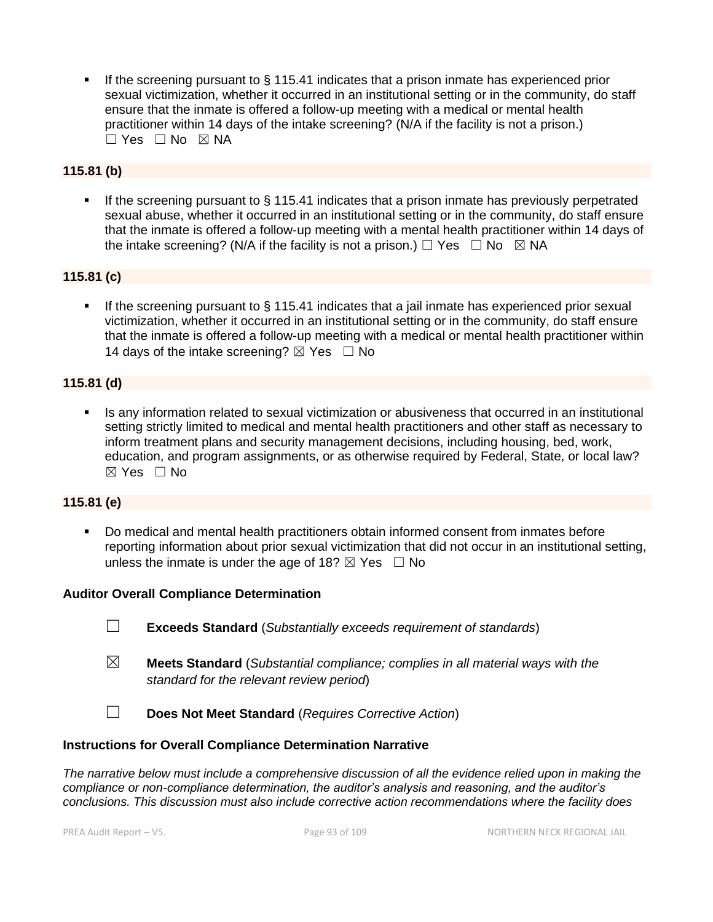If the screening pursuant to  $\S$  115.41 indicates that a prison inmate has experienced prior sexual victimization, whether it occurred in an institutional setting or in the community, do staff ensure that the inmate is offered a follow-up meeting with a medical or mental health practitioner within 14 days of the intake screening? (N/A if the facility is not a prison.)  $\Box$  Yes  $\Box$  No  $\boxtimes$  NA

# **115.81 (b)**

**.** If the screening pursuant to  $\S$  115.41 indicates that a prison inmate has previously perpetrated sexual abuse, whether it occurred in an institutional setting or in the community, do staff ensure that the inmate is offered a follow-up meeting with a mental health practitioner within 14 days of the intake screening? (N/A if the facility is not a prison.)  $\Box$  Yes  $\Box$  No  $\boxtimes$  NA

### **115.81 (c)**

If the screening pursuant to  $\S$  115.41 indicates that a jail inmate has experienced prior sexual victimization, whether it occurred in an institutional setting or in the community, do staff ensure that the inmate is offered a follow-up meeting with a medical or mental health practitioner within 14 days of the intake screening?  $\boxtimes$  Yes  $\Box$  No

### **115.81 (d)**

Is any information related to sexual victimization or abusiveness that occurred in an institutional setting strictly limited to medical and mental health practitioners and other staff as necessary to inform treatment plans and security management decisions, including housing, bed, work, education, and program assignments, or as otherwise required by Federal, State, or local law?  $\boxtimes$  Yes  $\Box$  No

### **115.81 (e)**

Do medical and mental health practitioners obtain informed consent from inmates before reporting information about prior sexual victimization that did not occur in an institutional setting, unless the inmate is under the age of 18?  $\boxtimes$  Yes  $\Box$  No

### **Auditor Overall Compliance Determination**

- ☐ **Exceeds Standard** (*Substantially exceeds requirement of standards*)
- ☒ **Meets Standard** (*Substantial compliance; complies in all material ways with the standard for the relevant review period*)
- ☐ **Does Not Meet Standard** (*Requires Corrective Action*)

### **Instructions for Overall Compliance Determination Narrative**

*The narrative below must include a comprehensive discussion of all the evidence relied upon in making the compliance or non-compliance determination, the auditor's analysis and reasoning, and the auditor's conclusions. This discussion must also include corrective action recommendations where the facility does*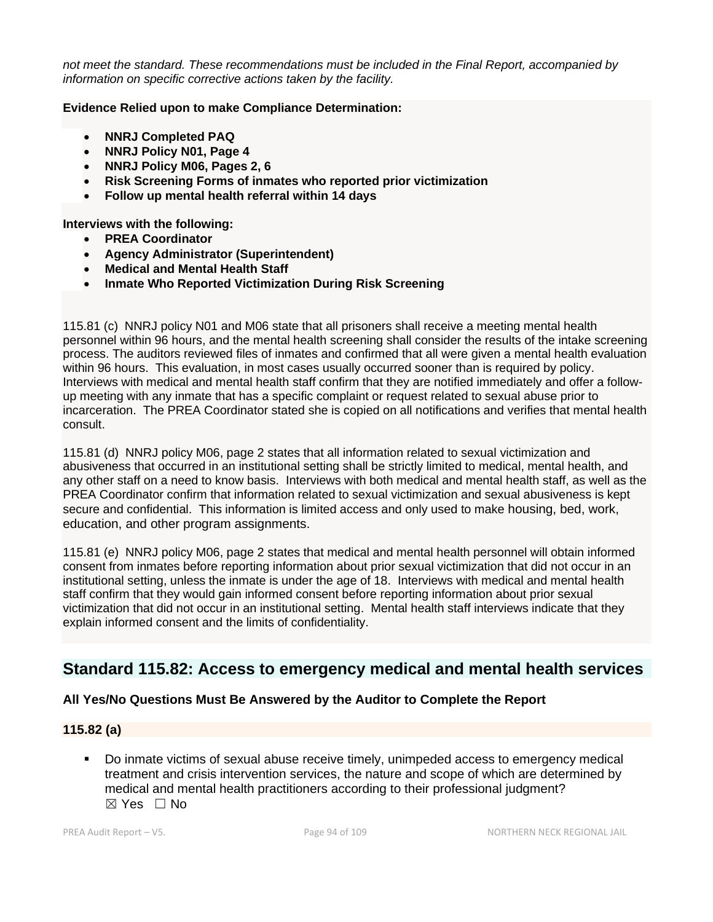*not meet the standard. These recommendations must be included in the Final Report, accompanied by information on specific corrective actions taken by the facility.*

#### **Evidence Relied upon to make Compliance Determination:**

- **NNRJ Completed PAQ**
- **NNRJ Policy N01, Page 4**
- **NNRJ Policy M06, Pages 2, 6**
- **Risk Screening Forms of inmates who reported prior victimization**
- **Follow up mental health referral within 14 days**

**Interviews with the following:**

- **PREA Coordinator**
- **Agency Administrator (Superintendent)**
- **Medical and Mental Health Staff**
- **Inmate Who Reported Victimization During Risk Screening**

115.81 (c) NNRJ policy N01 and M06 state that all prisoners shall receive a meeting mental health personnel within 96 hours, and the mental health screening shall consider the results of the intake screening process. The auditors reviewed files of inmates and confirmed that all were given a mental health evaluation within 96 hours. This evaluation, in most cases usually occurred sooner than is required by policy. Interviews with medical and mental health staff confirm that they are notified immediately and offer a followup meeting with any inmate that has a specific complaint or request related to sexual abuse prior to incarceration. The PREA Coordinator stated she is copied on all notifications and verifies that mental health consult.

115.81 (d) NNRJ policy M06, page 2 states that all information related to sexual victimization and abusiveness that occurred in an institutional setting shall be strictly limited to medical, mental health, and any other staff on a need to know basis. Interviews with both medical and mental health staff, as well as the PREA Coordinator confirm that information related to sexual victimization and sexual abusiveness is kept secure and confidential. This information is limited access and only used to make housing, bed, work, education, and other program assignments.

115.81 (e) NNRJ policy M06, page 2 states that medical and mental health personnel will obtain informed consent from inmates before reporting information about prior sexual victimization that did not occur in an institutional setting, unless the inmate is under the age of 18. Interviews with medical and mental health staff confirm that they would gain informed consent before reporting information about prior sexual victimization that did not occur in an institutional setting. Mental health staff interviews indicate that they explain informed consent and the limits of confidentiality.

# **Standard 115.82: Access to emergency medical and mental health services**

### **All Yes/No Questions Must Be Answered by the Auditor to Complete the Report**

### **115.82 (a)**

Do inmate victims of sexual abuse receive timely, unimpeded access to emergency medical treatment and crisis intervention services, the nature and scope of which are determined by medical and mental health practitioners according to their professional judgment?  $\boxtimes$  Yes  $\Box$  No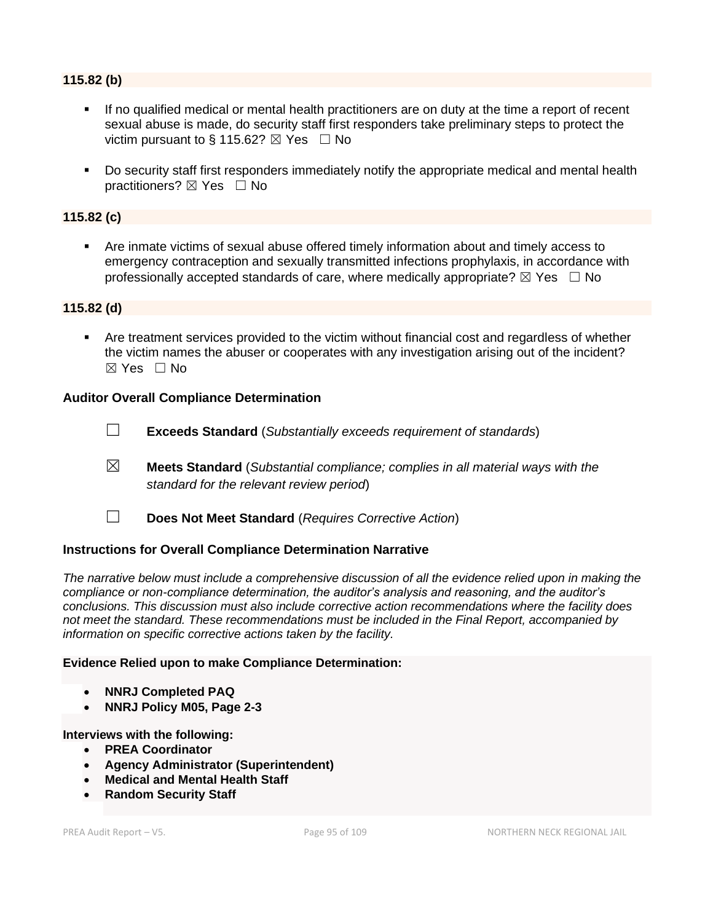### **115.82 (b)**

- If no qualified medical or mental health practitioners are on duty at the time a report of recent sexual abuse is made, do security staff first responders take preliminary steps to protect the victim pursuant to § 115.62?  $\boxtimes$  Yes  $\Box$  No
- Do security staff first responders immediately notify the appropriate medical and mental health practitioners? ⊠ Yes □ No

### **115.82 (c)**

■ Are inmate victims of sexual abuse offered timely information about and timely access to emergency contraception and sexually transmitted infections prophylaxis, in accordance with professionally accepted standards of care, where medically appropriate?  $\boxtimes$  Yes  $\Box$  No

### **115.82 (d)**

Are treatment services provided to the victim without financial cost and regardless of whether the victim names the abuser or cooperates with any investigation arising out of the incident?  $\boxtimes$  Yes  $\Box$  No

### **Auditor Overall Compliance Determination**

- ☐ **Exceeds Standard** (*Substantially exceeds requirement of standards*)
- ☒ **Meets Standard** (*Substantial compliance; complies in all material ways with the standard for the relevant review period*)
- ☐ **Does Not Meet Standard** (*Requires Corrective Action*)

### **Instructions for Overall Compliance Determination Narrative**

*The narrative below must include a comprehensive discussion of all the evidence relied upon in making the compliance or non-compliance determination, the auditor's analysis and reasoning, and the auditor's conclusions. This discussion must also include corrective action recommendations where the facility does not meet the standard. These recommendations must be included in the Final Report, accompanied by information on specific corrective actions taken by the facility.*

### **Evidence Relied upon to make Compliance Determination:**

- **NNRJ Completed PAQ**
- **NNRJ Policy M05, Page 2-3**

### **Interviews with the following:**

- **PREA Coordinator**
- **Agency Administrator (Superintendent)**
- **Medical and Mental Health Staff**
- **Random Security Staff**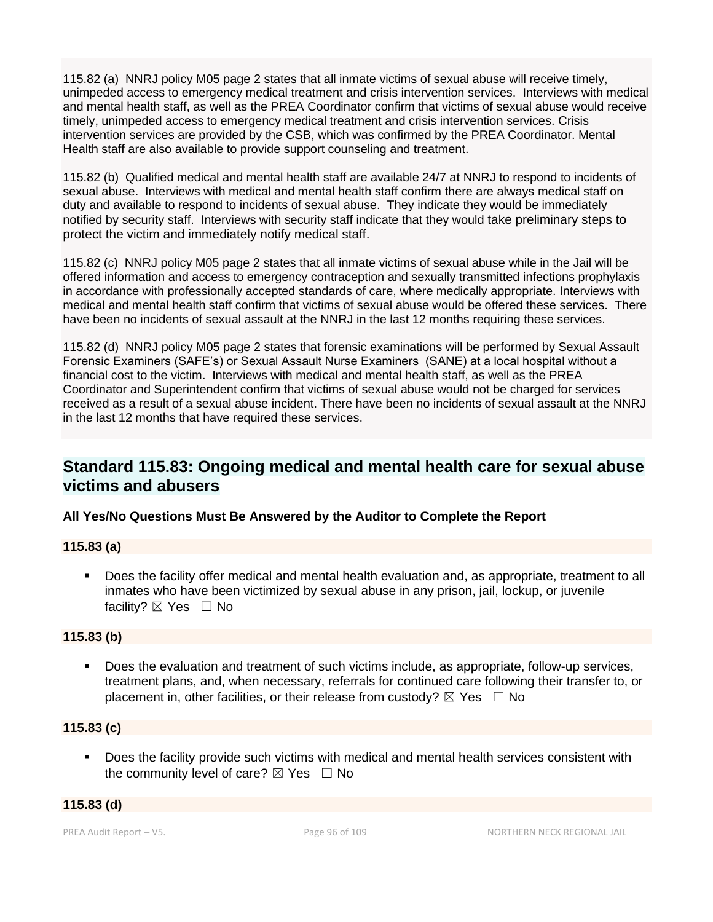115.82 (a) NNRJ policy M05 page 2 states that all inmate victims of sexual abuse will receive timely, unimpeded access to emergency medical treatment and crisis intervention services. Interviews with medical and mental health staff, as well as the PREA Coordinator confirm that victims of sexual abuse would receive timely, unimpeded access to emergency medical treatment and crisis intervention services. Crisis intervention services are provided by the CSB, which was confirmed by the PREA Coordinator. Mental Health staff are also available to provide support counseling and treatment.

115.82 (b) Qualified medical and mental health staff are available 24/7 at NNRJ to respond to incidents of sexual abuse. Interviews with medical and mental health staff confirm there are always medical staff on duty and available to respond to incidents of sexual abuse. They indicate they would be immediately notified by security staff. Interviews with security staff indicate that they would take preliminary steps to protect the victim and immediately notify medical staff.

115.82 (c) NNRJ policy M05 page 2 states that all inmate victims of sexual abuse while in the Jail will be offered information and access to emergency contraception and sexually transmitted infections prophylaxis in accordance with professionally accepted standards of care, where medically appropriate. Interviews with medical and mental health staff confirm that victims of sexual abuse would be offered these services. There have been no incidents of sexual assault at the NNRJ in the last 12 months requiring these services.

115.82 (d) NNRJ policy M05 page 2 states that forensic examinations will be performed by Sexual Assault Forensic Examiners (SAFE's) or Sexual Assault Nurse Examiners (SANE) at a local hospital without a financial cost to the victim. Interviews with medical and mental health staff, as well as the PREA Coordinator and Superintendent confirm that victims of sexual abuse would not be charged for services received as a result of a sexual abuse incident. There have been no incidents of sexual assault at the NNRJ in the last 12 months that have required these services.

# **Standard 115.83: Ongoing medical and mental health care for sexual abuse victims and abusers**

# **All Yes/No Questions Must Be Answered by the Auditor to Complete the Report**

### **115.83 (a)**

Does the facility offer medical and mental health evaluation and, as appropriate, treatment to all inmates who have been victimized by sexual abuse in any prison, jail, lockup, or juvenile facility?  $\boxtimes$  Yes  $\Box$  No

### **115.83 (b)**

▪ Does the evaluation and treatment of such victims include, as appropriate, follow-up services, treatment plans, and, when necessary, referrals for continued care following their transfer to, or placement in, other facilities, or their release from custody?  $\boxtimes$  Yes  $\Box$  No

### **115.83 (c)**

▪ Does the facility provide such victims with medical and mental health services consistent with the community level of care?  $\boxtimes$  Yes  $\Box$  No

### **115.83 (d)**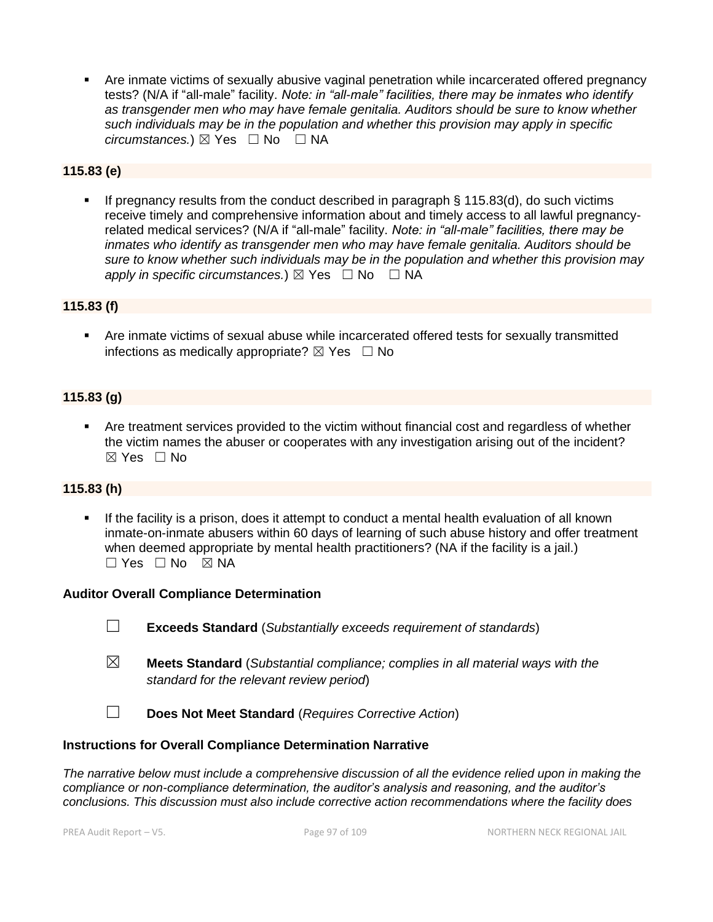Are inmate victims of sexually abusive vaginal penetration while incarcerated offered pregnancy tests? (N/A if "all-male" facility. *Note: in "all-male" facilities, there may be inmates who identify as transgender men who may have female genitalia. Auditors should be sure to know whether such individuals may be in the population and whether this provision may apply in specific circumstances.*) ⊠ Yes  $□$  No  $□$  NA

# **115.83 (e)**

**•** If pregnancy results from the conduct described in paragraph  $\S$  115.83(d), do such victims receive timely and comprehensive information about and timely access to all lawful pregnancyrelated medical services? (N/A if "all-male" facility. *Note: in "all-male" facilities, there may be inmates who identify as transgender men who may have female genitalia. Auditors should be sure to know whether such individuals may be in the population and whether this provision may apply in specific circumstances.*)  $\boxtimes$  Yes  $\Box$  No  $\Box$  NA

### **115.83 (f)**

▪ Are inmate victims of sexual abuse while incarcerated offered tests for sexually transmitted infections as medically appropriate?  $\boxtimes$  Yes  $\Box$  No

### **115.83 (g)**

Are treatment services provided to the victim without financial cost and regardless of whether the victim names the abuser or cooperates with any investigation arising out of the incident?  $\boxtimes$  Yes  $\Box$  No

### **115.83 (h)**

**.** If the facility is a prison, does it attempt to conduct a mental health evaluation of all known inmate-on-inmate abusers within 60 days of learning of such abuse history and offer treatment when deemed appropriate by mental health practitioners? (NA if the facility is a jail.)  $\Box$  Yes  $\Box$  No  $\boxtimes$  NA

### **Auditor Overall Compliance Determination**

- ☐ **Exceeds Standard** (*Substantially exceeds requirement of standards*)
- ☒ **Meets Standard** (*Substantial compliance; complies in all material ways with the standard for the relevant review period*)
- ☐ **Does Not Meet Standard** (*Requires Corrective Action*)

### **Instructions for Overall Compliance Determination Narrative**

*The narrative below must include a comprehensive discussion of all the evidence relied upon in making the compliance or non-compliance determination, the auditor's analysis and reasoning, and the auditor's conclusions. This discussion must also include corrective action recommendations where the facility does*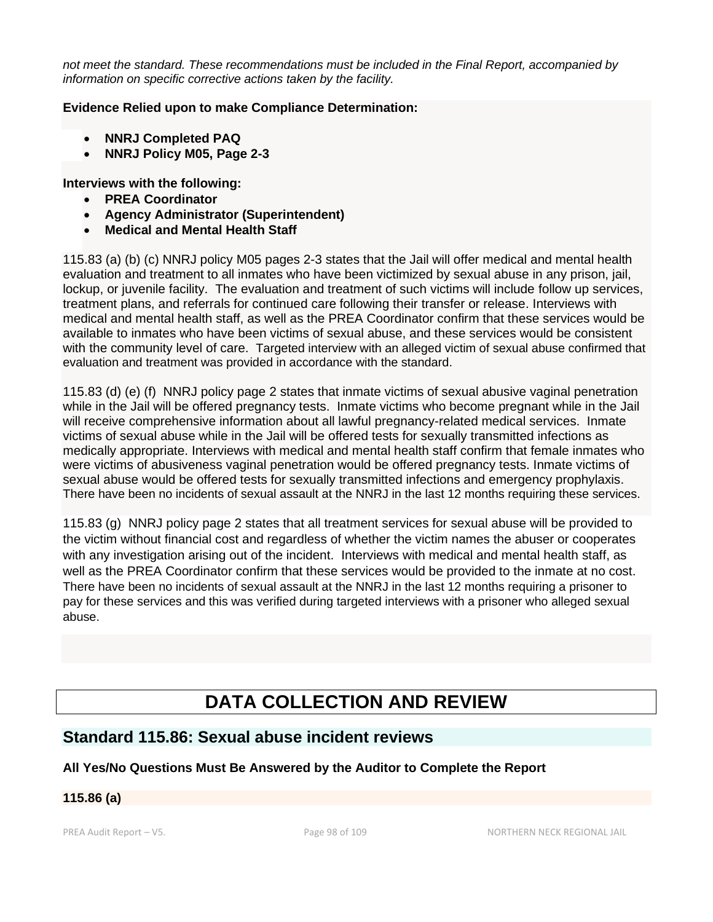*not meet the standard. These recommendations must be included in the Final Report, accompanied by information on specific corrective actions taken by the facility.*

### **Evidence Relied upon to make Compliance Determination:**

- **NNRJ Completed PAQ**
- **NNRJ Policy M05, Page 2-3**

### **Interviews with the following:**

- **PREA Coordinator**
- **Agency Administrator (Superintendent)**
- **Medical and Mental Health Staff**

115.83 (a) (b) (c) NNRJ policy M05 pages 2-3 states that the Jail will offer medical and mental health evaluation and treatment to all inmates who have been victimized by sexual abuse in any prison, jail, lockup, or juvenile facility. The evaluation and treatment of such victims will include follow up services, treatment plans, and referrals for continued care following their transfer or release. Interviews with medical and mental health staff, as well as the PREA Coordinator confirm that these services would be available to inmates who have been victims of sexual abuse, and these services would be consistent with the community level of care. Targeted interview with an alleged victim of sexual abuse confirmed that evaluation and treatment was provided in accordance with the standard.

115.83 (d) (e) (f) NNRJ policy page 2 states that inmate victims of sexual abusive vaginal penetration while in the Jail will be offered pregnancy tests. Inmate victims who become pregnant while in the Jail will receive comprehensive information about all lawful pregnancy-related medical services. Inmate victims of sexual abuse while in the Jail will be offered tests for sexually transmitted infections as medically appropriate. Interviews with medical and mental health staff confirm that female inmates who were victims of abusiveness vaginal penetration would be offered pregnancy tests. Inmate victims of sexual abuse would be offered tests for sexually transmitted infections and emergency prophylaxis. There have been no incidents of sexual assault at the NNRJ in the last 12 months requiring these services.

115.83 (g) NNRJ policy page 2 states that all treatment services for sexual abuse will be provided to the victim without financial cost and regardless of whether the victim names the abuser or cooperates with any investigation arising out of the incident. Interviews with medical and mental health staff, as well as the PREA Coordinator confirm that these services would be provided to the inmate at no cost. There have been no incidents of sexual assault at the NNRJ in the last 12 months requiring a prisoner to pay for these services and this was verified during targeted interviews with a prisoner who alleged sexual abuse.

# **DATA COLLECTION AND REVIEW**

# **Standard 115.86: Sexual abuse incident reviews**

# **All Yes/No Questions Must Be Answered by the Auditor to Complete the Report**

# **115.86 (a)**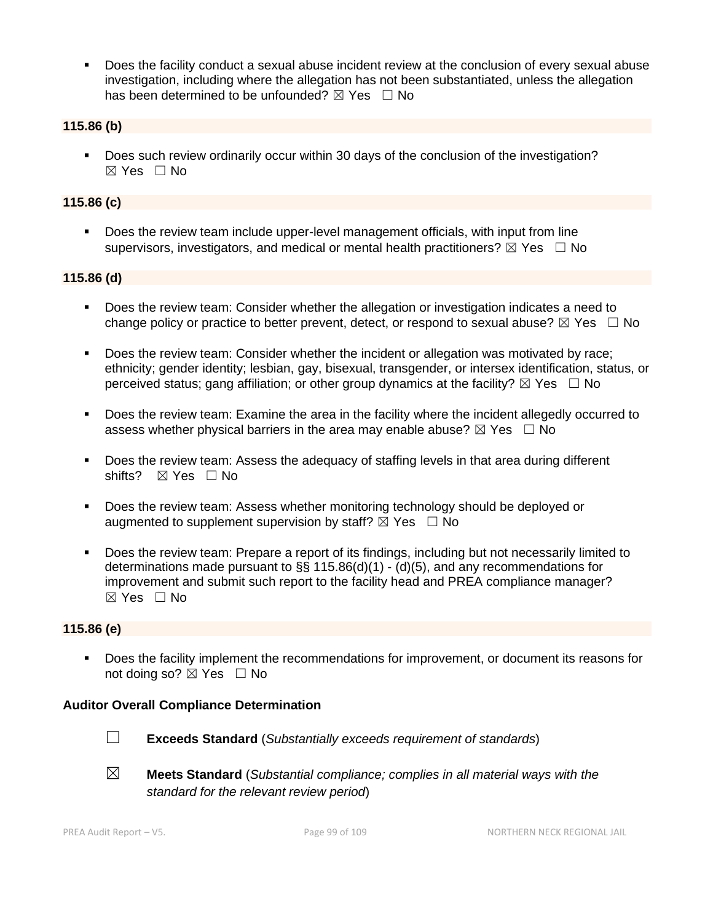Does the facility conduct a sexual abuse incident review at the conclusion of every sexual abuse investigation, including where the allegation has not been substantiated, unless the allegation has been determined to be unfounded?  $\boxtimes$  Yes  $\Box$  No

### **115.86 (b)**

▪ Does such review ordinarily occur within 30 days of the conclusion of the investigation? ☒ Yes ☐ No

### **115.86 (c)**

**•** Does the review team include upper-level management officials, with input from line supervisors, investigators, and medical or mental health practitioners?  $\boxtimes$  Yes  $\Box$  No

### **115.86 (d)**

- Does the review team: Consider whether the allegation or investigation indicates a need to change policy or practice to better prevent, detect, or respond to sexual abuse?  $\boxtimes$  Yes  $\Box$  No
- Does the review team: Consider whether the incident or allegation was motivated by race; ethnicity; gender identity; lesbian, gay, bisexual, transgender, or intersex identification, status, or perceived status; gang affiliation; or other group dynamics at the facility?  $\boxtimes$  Yes  $\Box$  No
- Does the review team: Examine the area in the facility where the incident allegedly occurred to assess whether physical barriers in the area may enable abuse?  $\boxtimes$  Yes  $\Box$  No
- Does the review team: Assess the adequacy of staffing levels in that area during different shifts? ⊠ Yes □ No
- Does the review team: Assess whether monitoring technology should be deployed or augmented to supplement supervision by staff?  $\boxtimes$  Yes  $\Box$  No
- Does the review team: Prepare a report of its findings, including but not necessarily limited to determinations made pursuant to §§ 115.86(d)(1) - (d)(5), and any recommendations for improvement and submit such report to the facility head and PREA compliance manager? ☒ Yes ☐ No

### **115.86 (e)**

■ Does the facility implement the recommendations for improvement, or document its reasons for not doing so?  $\boxtimes$  Yes  $\Box$  No

### **Auditor Overall Compliance Determination**



☐ **Exceeds Standard** (*Substantially exceeds requirement of standards*)

☒ **Meets Standard** (*Substantial compliance; complies in all material ways with the standard for the relevant review period*)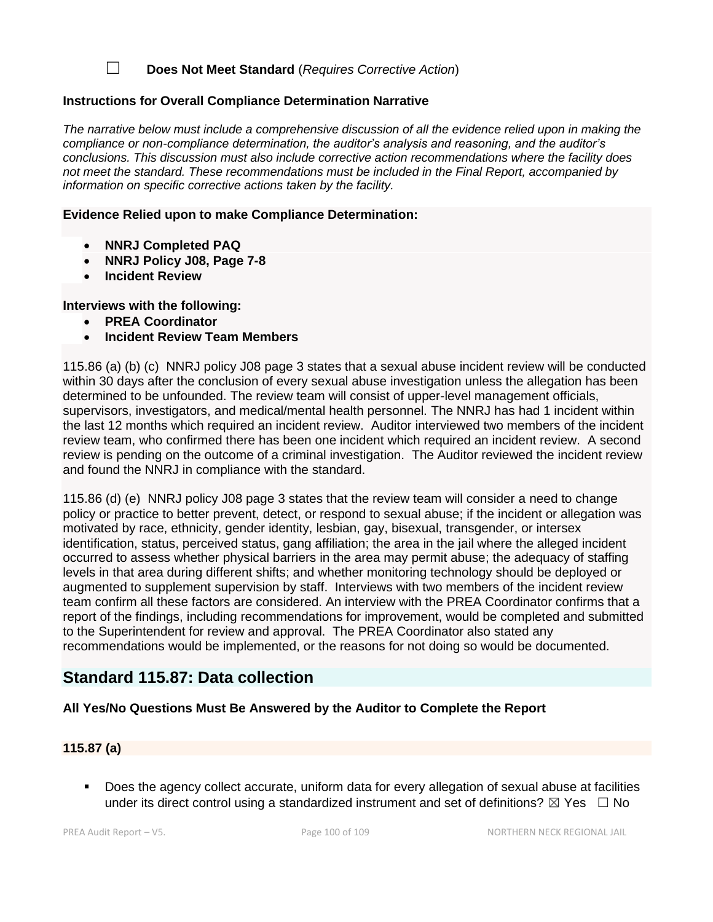☐ **Does Not Meet Standard** (*Requires Corrective Action*)

### **Instructions for Overall Compliance Determination Narrative**

*The narrative below must include a comprehensive discussion of all the evidence relied upon in making the compliance or non-compliance determination, the auditor's analysis and reasoning, and the auditor's conclusions. This discussion must also include corrective action recommendations where the facility does not meet the standard. These recommendations must be included in the Final Report, accompanied by information on specific corrective actions taken by the facility.*

### **Evidence Relied upon to make Compliance Determination:**

- **NNRJ Completed PAQ**
- **NNRJ Policy J08, Page 7-8**
- **Incident Review**

**Interviews with the following:**

- **PREA Coordinator**
- **Incident Review Team Members**

115.86 (a) (b) (c) NNRJ policy J08 page 3 states that a sexual abuse incident review will be conducted within 30 days after the conclusion of every sexual abuse investigation unless the allegation has been determined to be unfounded. The review team will consist of upper-level management officials, supervisors, investigators, and medical/mental health personnel. The NNRJ has had 1 incident within the last 12 months which required an incident review. Auditor interviewed two members of the incident review team, who confirmed there has been one incident which required an incident review. A second review is pending on the outcome of a criminal investigation. The Auditor reviewed the incident review and found the NNRJ in compliance with the standard.

115.86 (d) (e) NNRJ policy J08 page 3 states that the review team will consider a need to change policy or practice to better prevent, detect, or respond to sexual abuse; if the incident or allegation was motivated by race, ethnicity, gender identity, lesbian, gay, bisexual, transgender, or intersex identification, status, perceived status, gang affiliation; the area in the jail where the alleged incident occurred to assess whether physical barriers in the area may permit abuse; the adequacy of staffing levels in that area during different shifts; and whether monitoring technology should be deployed or augmented to supplement supervision by staff. Interviews with two members of the incident review team confirm all these factors are considered. An interview with the PREA Coordinator confirms that a report of the findings, including recommendations for improvement, would be completed and submitted to the Superintendent for review and approval. The PREA Coordinator also stated any recommendations would be implemented, or the reasons for not doing so would be documented.

# **Standard 115.87: Data collection**

# **All Yes/No Questions Must Be Answered by the Auditor to Complete the Report**

# **115.87 (a)**

Does the agency collect accurate, uniform data for every allegation of sexual abuse at facilities under its direct control using a standardized instrument and set of definitions?  $\boxtimes$  Yes  $\Box$  No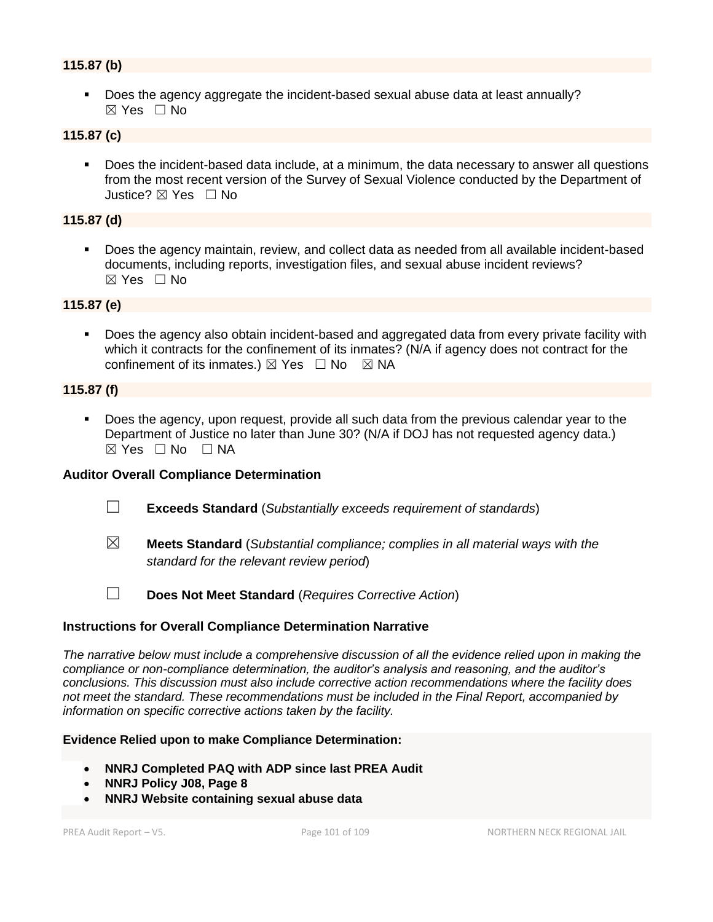### **115.87 (b)**

▪ Does the agency aggregate the incident-based sexual abuse data at least annually? ☒ Yes ☐ No

## **115.87 (c)**

▪ Does the incident-based data include, at a minimum, the data necessary to answer all questions from the most recent version of the Survey of Sexual Violence conducted by the Department of Justice? ☒ Yes ☐ No

### **115.87 (d)**

▪ Does the agency maintain, review, and collect data as needed from all available incident-based documents, including reports, investigation files, and sexual abuse incident reviews? ☒ Yes ☐ No

### **115.87 (e)**

Does the agency also obtain incident-based and aggregated data from every private facility with which it contracts for the confinement of its inmates? (N/A if agency does not contract for the confinement of its inmates.)  $\boxtimes$  Yes  $\Box$  No  $\boxtimes$  NA

### **115.87 (f)**

▪ Does the agency, upon request, provide all such data from the previous calendar year to the Department of Justice no later than June 30? (N/A if DOJ has not requested agency data.)  $\boxtimes$  Yes  $\Box$  No  $\Box$  NA

### **Auditor Overall Compliance Determination**

- ☐ **Exceeds Standard** (*Substantially exceeds requirement of standards*)
- ☒ **Meets Standard** (*Substantial compliance; complies in all material ways with the standard for the relevant review period*)

☐ **Does Not Meet Standard** (*Requires Corrective Action*)

### **Instructions for Overall Compliance Determination Narrative**

*The narrative below must include a comprehensive discussion of all the evidence relied upon in making the compliance or non-compliance determination, the auditor's analysis and reasoning, and the auditor's conclusions. This discussion must also include corrective action recommendations where the facility does not meet the standard. These recommendations must be included in the Final Report, accompanied by information on specific corrective actions taken by the facility.*

#### **Evidence Relied upon to make Compliance Determination:**

- **NNRJ Completed PAQ with ADP since last PREA Audit**
- **NNRJ Policy J08, Page 8**
- **NNRJ Website containing sexual abuse data**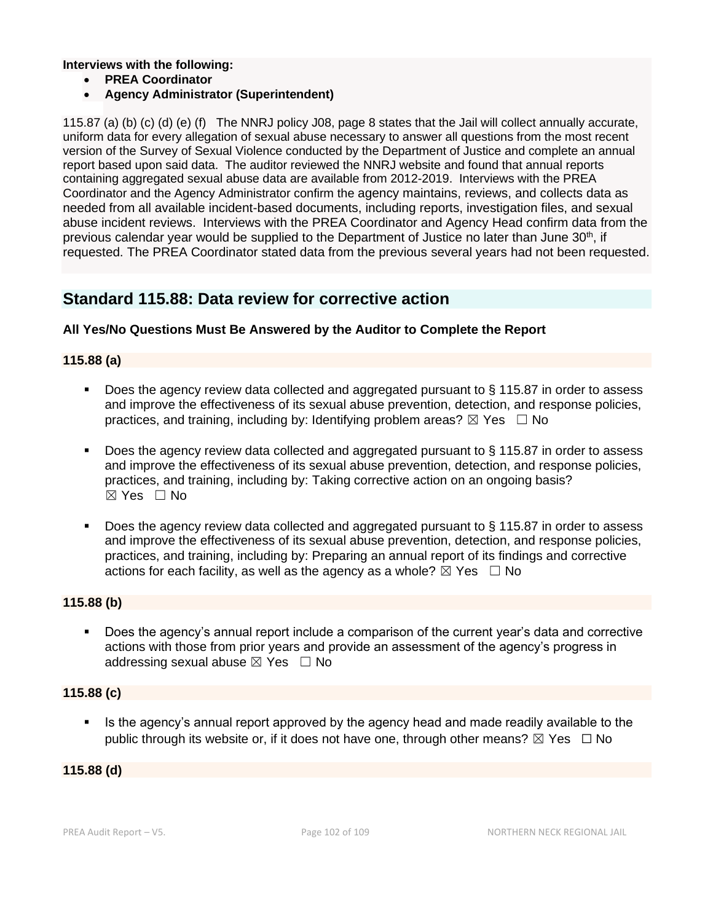**Interviews with the following:**

- **PREA Coordinator**
- **Agency Administrator (Superintendent)**

115.87 (a) (b) (c) (d) (e) (f) The NNRJ policy J08, page 8 states that the Jail will collect annually accurate, uniform data for every allegation of sexual abuse necessary to answer all questions from the most recent version of the Survey of Sexual Violence conducted by the Department of Justice and complete an annual report based upon said data. The auditor reviewed the NNRJ website and found that annual reports containing aggregated sexual abuse data are available from 2012-2019. Interviews with the PREA Coordinator and the Agency Administrator confirm the agency maintains, reviews, and collects data as needed from all available incident-based documents, including reports, investigation files, and sexual abuse incident reviews. Interviews with the PREA Coordinator and Agency Head confirm data from the previous calendar year would be supplied to the Department of Justice no later than June 30<sup>th</sup>, if requested. The PREA Coordinator stated data from the previous several years had not been requested.

# **Standard 115.88: Data review for corrective action**

### **All Yes/No Questions Must Be Answered by the Auditor to Complete the Report**

### **115.88 (a)**

- Does the agency review data collected and aggregated pursuant to § 115.87 in order to assess and improve the effectiveness of its sexual abuse prevention, detection, and response policies, practices, and training, including by: Identifying problem areas?  $\boxtimes$  Yes  $\Box$  No
- Does the agency review data collected and aggregated pursuant to § 115.87 in order to assess and improve the effectiveness of its sexual abuse prevention, detection, and response policies, practices, and training, including by: Taking corrective action on an ongoing basis?  $\boxtimes$  Yes  $\Box$  No
- Does the agency review data collected and aggregated pursuant to § 115.87 in order to assess and improve the effectiveness of its sexual abuse prevention, detection, and response policies, practices, and training, including by: Preparing an annual report of its findings and corrective actions for each facility, as well as the agency as a whole?  $\boxtimes$  Yes  $\Box$  No

### **115.88 (b)**

■ Does the agency's annual report include a comparison of the current year's data and corrective actions with those from prior years and provide an assessment of the agency's progress in addressing sexual abuse  $\boxtimes$  Yes  $\Box$  No

### **115.88 (c)**

Is the agency's annual report approved by the agency head and made readily available to the public through its website or, if it does not have one, through other means?  $\boxtimes$  Yes  $\Box$  No

### **115.88 (d)**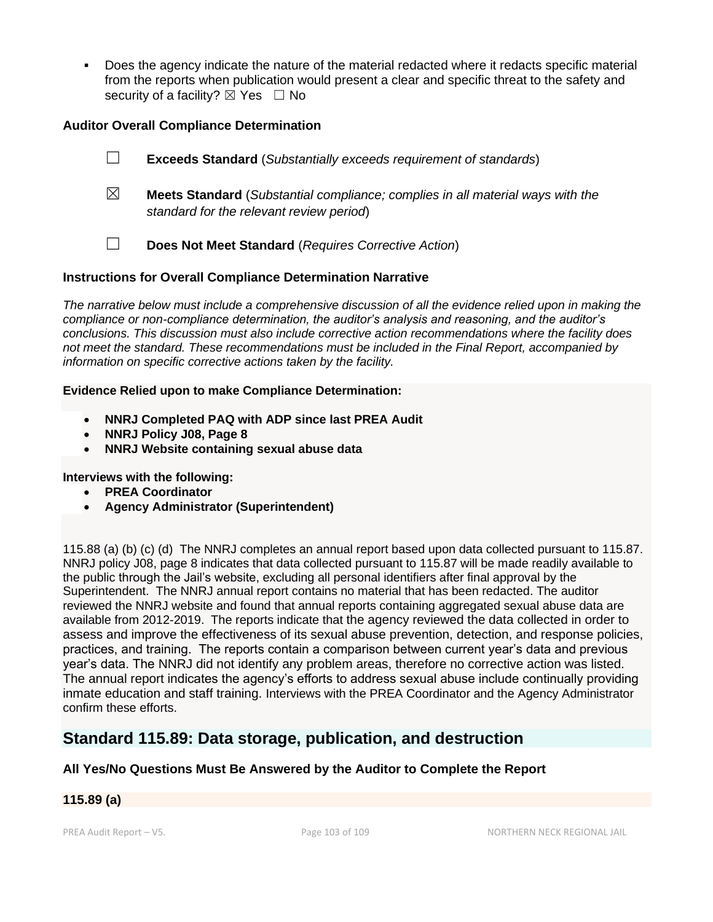Does the agency indicate the nature of the material redacted where it redacts specific material from the reports when publication would present a clear and specific threat to the safety and security of a facility?  $\boxtimes$  Yes  $\Box$  No

### **Auditor Overall Compliance Determination**

|             | <b>Exceeds Standard</b> (Substantially exceeds requirement of standards)                                                          |
|-------------|-----------------------------------------------------------------------------------------------------------------------------------|
| $\boxtimes$ | <b>Meets Standard</b> (Substantial compliance; complies in all material ways with the<br>standard for the relevant review period) |
|             | Does Not Meet Standard (Requires Corrective Action)                                                                               |

### **Instructions for Overall Compliance Determination Narrative**

*The narrative below must include a comprehensive discussion of all the evidence relied upon in making the compliance or non-compliance determination, the auditor's analysis and reasoning, and the auditor's conclusions. This discussion must also include corrective action recommendations where the facility does not meet the standard. These recommendations must be included in the Final Report, accompanied by information on specific corrective actions taken by the facility.*

### **Evidence Relied upon to make Compliance Determination:**

- **NNRJ Completed PAQ with ADP since last PREA Audit**
- **NNRJ Policy J08, Page 8**
- **NNRJ Website containing sexual abuse data**

### **Interviews with the following:**

- **PREA Coordinator**
- **Agency Administrator (Superintendent)**

115.88 (a) (b) (c) (d) The NNRJ completes an annual report based upon data collected pursuant to 115.87. NNRJ policy J08, page 8 indicates that data collected pursuant to 115.87 will be made readily available to the public through the Jail's website, excluding all personal identifiers after final approval by the Superintendent. The NNRJ annual report contains no material that has been redacted. The auditor reviewed the NNRJ website and found that annual reports containing aggregated sexual abuse data are available from 2012-2019. The reports indicate that the agency reviewed the data collected in order to assess and improve the effectiveness of its sexual abuse prevention, detection, and response policies, practices, and training. The reports contain a comparison between current year's data and previous year's data. The NNRJ did not identify any problem areas, therefore no corrective action was listed. The annual report indicates the agency's efforts to address sexual abuse include continually providing inmate education and staff training. Interviews with the PREA Coordinator and the Agency Administrator confirm these efforts.

# **Standard 115.89: Data storage, publication, and destruction**

# **All Yes/No Questions Must Be Answered by the Auditor to Complete the Report**

# **115.89 (a)**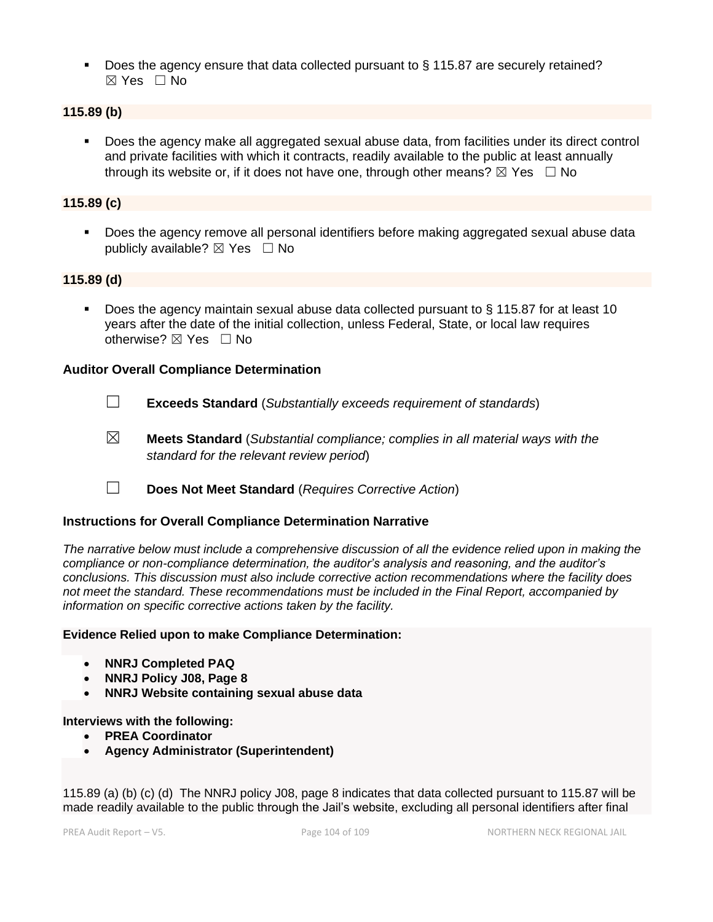■ Does the agency ensure that data collected pursuant to § 115.87 are securely retained? ☒ Yes ☐ No

### **115.89 (b)**

■ Does the agency make all aggregated sexual abuse data, from facilities under its direct control and private facilities with which it contracts, readily available to the public at least annually through its website or, if it does not have one, through other means?  $\boxtimes$  Yes  $\Box$  No

### **115.89 (c)**

■ Does the agency remove all personal identifiers before making aggregated sexual abuse data publicly available?  $\boxtimes$  Yes  $\Box$  No

### **115.89 (d)**

Does the agency maintain sexual abuse data collected pursuant to § 115.87 for at least 10 years after the date of the initial collection, unless Federal, State, or local law requires otherwise? ⊠ Yes □ No

### **Auditor Overall Compliance Determination**

- 
- ☐ **Exceeds Standard** (*Substantially exceeds requirement of standards*)
- ☒ **Meets Standard** (*Substantial compliance; complies in all material ways with the standard for the relevant review period*)
- ☐ **Does Not Meet Standard** (*Requires Corrective Action*)

### **Instructions for Overall Compliance Determination Narrative**

*The narrative below must include a comprehensive discussion of all the evidence relied upon in making the compliance or non-compliance determination, the auditor's analysis and reasoning, and the auditor's conclusions. This discussion must also include corrective action recommendations where the facility does not meet the standard. These recommendations must be included in the Final Report, accompanied by information on specific corrective actions taken by the facility.*

### **Evidence Relied upon to make Compliance Determination:**

- **NNRJ Completed PAQ**
- **NNRJ Policy J08, Page 8**
- **NNRJ Website containing sexual abuse data**

### **Interviews with the following:**

- **PREA Coordinator**
- **Agency Administrator (Superintendent)**

115.89 (a) (b) (c) (d) The NNRJ policy J08, page 8 indicates that data collected pursuant to 115.87 will be made readily available to the public through the Jail's website, excluding all personal identifiers after final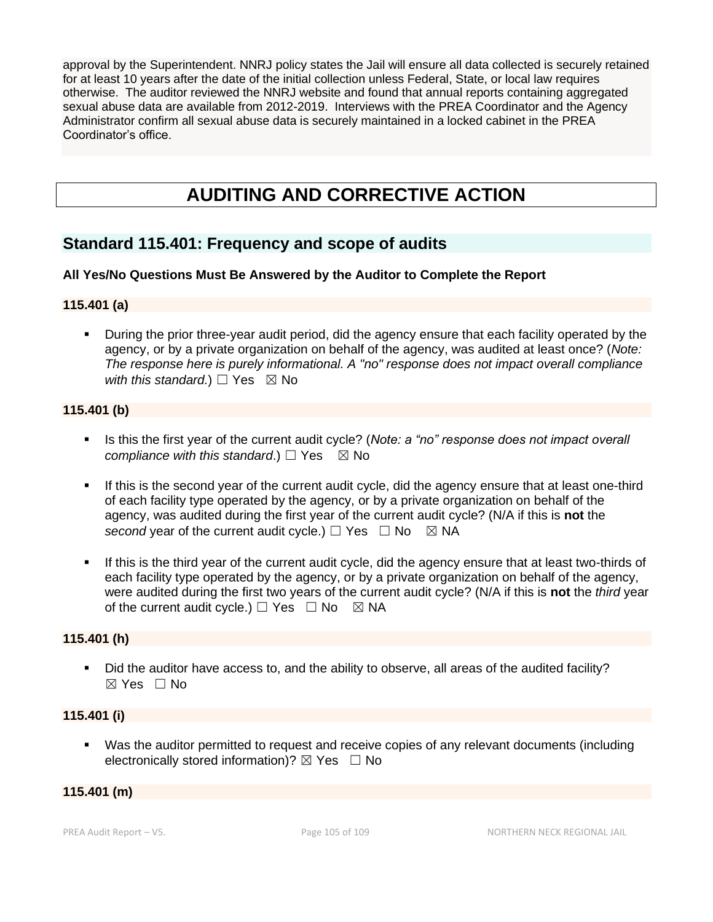approval by the Superintendent. NNRJ policy states the Jail will ensure all data collected is securely retained for at least 10 years after the date of the initial collection unless Federal, State, or local law requires otherwise. The auditor reviewed the NNRJ website and found that annual reports containing aggregated sexual abuse data are available from 2012-2019. Interviews with the PREA Coordinator and the Agency Administrator confirm all sexual abuse data is securely maintained in a locked cabinet in the PREA Coordinator's office.

# **AUDITING AND CORRECTIVE ACTION**

# **Standard 115.401: Frequency and scope of audits**

### **All Yes/No Questions Must Be Answered by the Auditor to Complete the Report**

### **115.401 (a)**

▪ During the prior three-year audit period, did the agency ensure that each facility operated by the agency, or by a private organization on behalf of the agency, was audited at least once? (*Note: The response here is purely informational. A "no" response does not impact overall compliance with this standard.*)  $\Box$  Yes  $\boxtimes$  No

### **115.401 (b)**

- Is this the first year of the current audit cycle? (*Note: a "no" response does not impact overall compliance with this standard.*)  $\Box$  Yes  $\boxtimes$  No
- **.** If this is the second year of the current audit cycle, did the agency ensure that at least one-third of each facility type operated by the agency, or by a private organization on behalf of the agency, was audited during the first year of the current audit cycle? (N/A if this is **not** the *second* year of the current audit cycle.)  $\Box$  Yes  $\Box$  No  $\boxtimes$  NA
- If this is the third year of the current audit cycle, did the agency ensure that at least two-thirds of each facility type operated by the agency, or by a private organization on behalf of the agency, were audited during the first two years of the current audit cycle? (N/A if this is **not** the *third* year of the current audit cycle.)  $\Box$  Yes  $\Box$  No  $\boxtimes$  NA

### **115.401 (h)**

▪ Did the auditor have access to, and the ability to observe, all areas of the audited facility? ☒ Yes ☐ No

### **115.401 (i)**

▪ Was the auditor permitted to request and receive copies of any relevant documents (including electronically stored information)?  $\boxtimes$  Yes  $\Box$  No

### **115.401 (m)**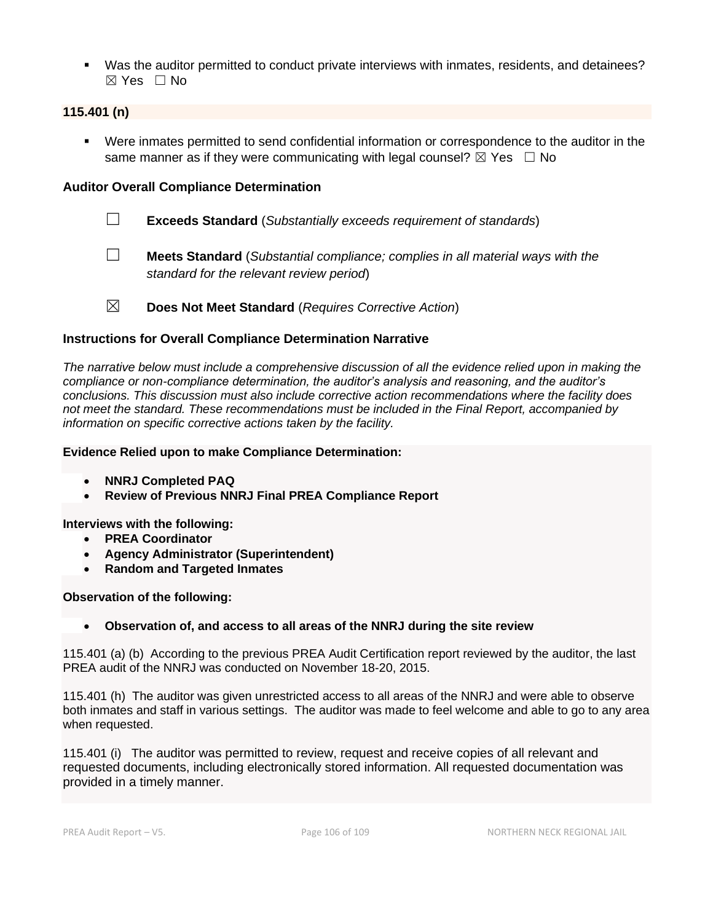▪ Was the auditor permitted to conduct private interviews with inmates, residents, and detainees?  $\boxtimes$  Yes  $\Box$  No

### **115.401 (n)**

▪ Were inmates permitted to send confidential information or correspondence to the auditor in the same manner as if they were communicating with legal counsel?  $\boxtimes$  Yes  $\Box$  No

## **Auditor Overall Compliance Determination**

- ☐ **Exceeds Standard** (*Substantially exceeds requirement of standards*)
- ☐ **Meets Standard** (*Substantial compliance; complies in all material ways with the standard for the relevant review period*)
- ☒ **Does Not Meet Standard** (*Requires Corrective Action*)

### **Instructions for Overall Compliance Determination Narrative**

*The narrative below must include a comprehensive discussion of all the evidence relied upon in making the compliance or non-compliance determination, the auditor's analysis and reasoning, and the auditor's conclusions. This discussion must also include corrective action recommendations where the facility does not meet the standard. These recommendations must be included in the Final Report, accompanied by information on specific corrective actions taken by the facility.*

#### **Evidence Relied upon to make Compliance Determination:**

- **NNRJ Completed PAQ**
- **Review of Previous NNRJ Final PREA Compliance Report**

**Interviews with the following:**

- **PREA Coordinator**
- **Agency Administrator (Superintendent)**
- **Random and Targeted Inmates**

### **Observation of the following:**

### • **Observation of, and access to all areas of the NNRJ during the site review**

115.401 (a) (b) According to the previous PREA Audit Certification report reviewed by the auditor, the last PREA audit of the NNRJ was conducted on November 18-20, 2015.

115.401 (h) The auditor was given unrestricted access to all areas of the NNRJ and were able to observe both inmates and staff in various settings. The auditor was made to feel welcome and able to go to any area when requested.

115.401 (i) The auditor was permitted to review, request and receive copies of all relevant and requested documents, including electronically stored information. All requested documentation was provided in a timely manner.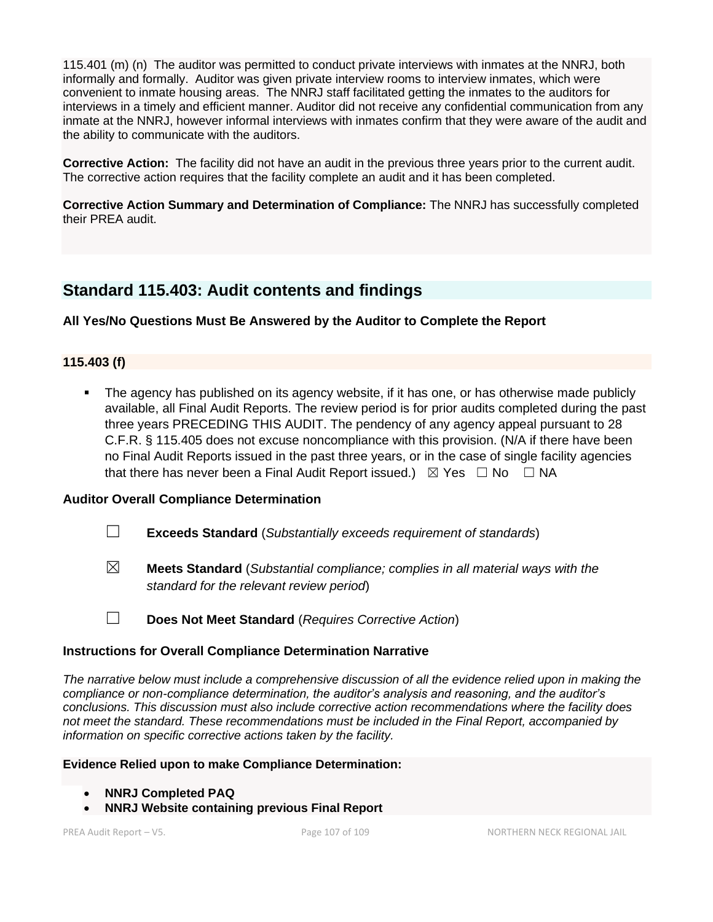115.401 (m) (n) The auditor was permitted to conduct private interviews with inmates at the NNRJ, both informally and formally. Auditor was given private interview rooms to interview inmates, which were convenient to inmate housing areas. The NNRJ staff facilitated getting the inmates to the auditors for interviews in a timely and efficient manner. Auditor did not receive any confidential communication from any inmate at the NNRJ, however informal interviews with inmates confirm that they were aware of the audit and the ability to communicate with the auditors.

**Corrective Action:** The facility did not have an audit in the previous three years prior to the current audit. The corrective action requires that the facility complete an audit and it has been completed.

**Corrective Action Summary and Determination of Compliance:** The NNRJ has successfully completed their PREA audit.

# **Standard 115.403: Audit contents and findings**

## **All Yes/No Questions Must Be Answered by the Auditor to Complete the Report**

### **115.403 (f)**

The agency has published on its agency website, if it has one, or has otherwise made publicly available, all Final Audit Reports. The review period is for prior audits completed during the past three years PRECEDING THIS AUDIT. The pendency of any agency appeal pursuant to 28 C.F.R. § 115.405 does not excuse noncompliance with this provision. (N/A if there have been no Final Audit Reports issued in the past three years, or in the case of single facility agencies that there has never been a Final Audit Report issued.)  $\boxtimes$  Yes  $\Box$  No  $\Box$  NA

## **Auditor Overall Compliance Determination**

- ☐ **Exceeds Standard** (*Substantially exceeds requirement of standards*)
- ☒ **Meets Standard** (*Substantial compliance; complies in all material ways with the standard for the relevant review period*)
- ☐ **Does Not Meet Standard** (*Requires Corrective Action*)

### **Instructions for Overall Compliance Determination Narrative**

*The narrative below must include a comprehensive discussion of all the evidence relied upon in making the compliance or non-compliance determination, the auditor's analysis and reasoning, and the auditor's conclusions. This discussion must also include corrective action recommendations where the facility does not meet the standard. These recommendations must be included in the Final Report, accompanied by information on specific corrective actions taken by the facility.*

### **Evidence Relied upon to make Compliance Determination:**

- **NNRJ Completed PAQ**
- **NNRJ Website containing previous Final Report**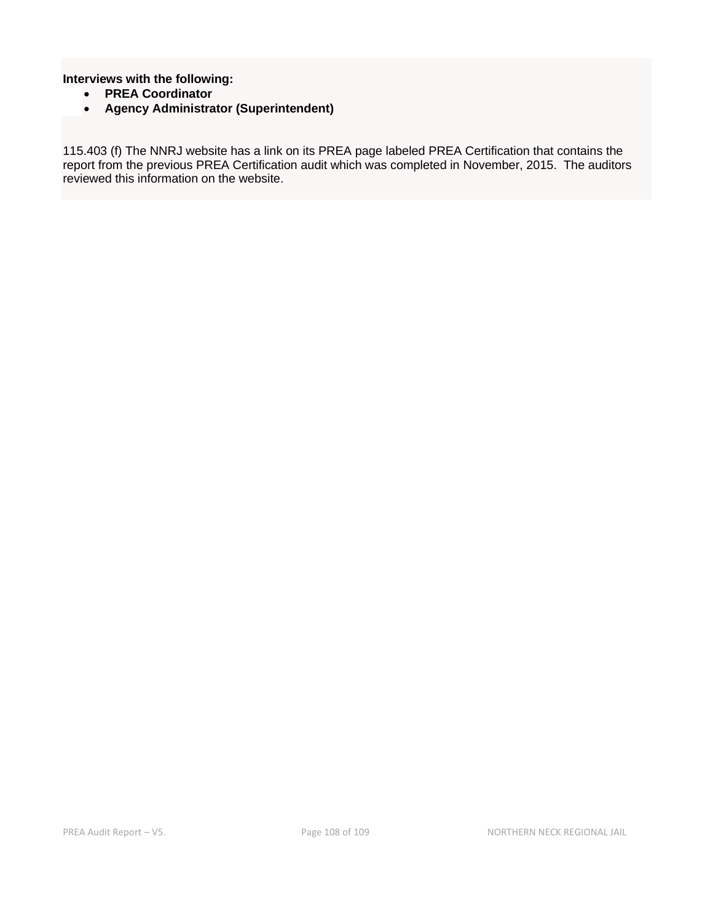#### **Interviews with the following:**

- **PREA Coordinator**
- **Agency Administrator (Superintendent)**

115.403 (f) The NNRJ website has a link on its PREA page labeled PREA Certification that contains the report from the previous PREA Certification audit which was completed in November, 2015. The auditors reviewed this information on the website.